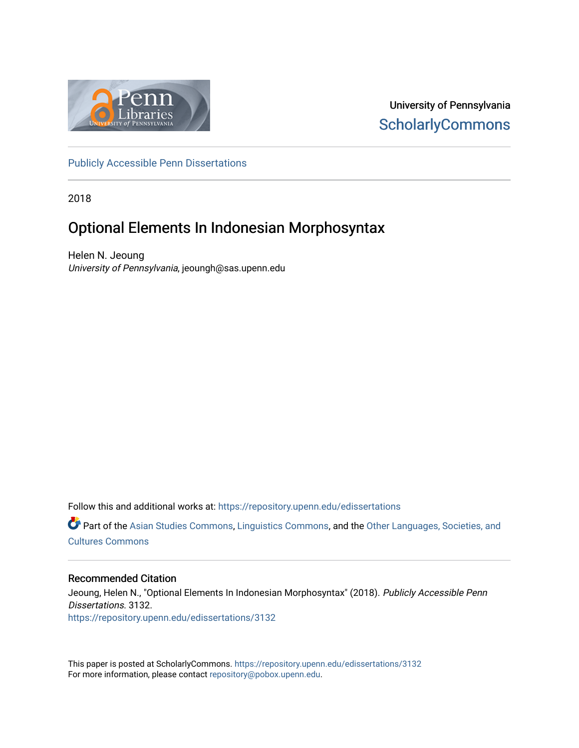

University of Pennsylvania **ScholarlyCommons** 

[Publicly Accessible Penn Dissertations](https://repository.upenn.edu/edissertations)

2018

# Optional Elements In Indonesian Morphosyntax

Helen N. Jeoung University of Pennsylvania, jeoungh@sas.upenn.edu

Follow this and additional works at: [https://repository.upenn.edu/edissertations](https://repository.upenn.edu/edissertations?utm_source=repository.upenn.edu%2Fedissertations%2F3132&utm_medium=PDF&utm_campaign=PDFCoverPages) 

Part of the [Asian Studies Commons,](http://network.bepress.com/hgg/discipline/361?utm_source=repository.upenn.edu%2Fedissertations%2F3132&utm_medium=PDF&utm_campaign=PDFCoverPages) [Linguistics Commons,](http://network.bepress.com/hgg/discipline/371?utm_source=repository.upenn.edu%2Fedissertations%2F3132&utm_medium=PDF&utm_campaign=PDFCoverPages) and the [Other Languages, Societies, and](http://network.bepress.com/hgg/discipline/475?utm_source=repository.upenn.edu%2Fedissertations%2F3132&utm_medium=PDF&utm_campaign=PDFCoverPages)  [Cultures Commons](http://network.bepress.com/hgg/discipline/475?utm_source=repository.upenn.edu%2Fedissertations%2F3132&utm_medium=PDF&utm_campaign=PDFCoverPages) 

## Recommended Citation

Jeoung, Helen N., "Optional Elements In Indonesian Morphosyntax" (2018). Publicly Accessible Penn Dissertations. 3132. [https://repository.upenn.edu/edissertations/3132](https://repository.upenn.edu/edissertations/3132?utm_source=repository.upenn.edu%2Fedissertations%2F3132&utm_medium=PDF&utm_campaign=PDFCoverPages) 

This paper is posted at ScholarlyCommons.<https://repository.upenn.edu/edissertations/3132> For more information, please contact [repository@pobox.upenn.edu.](mailto:repository@pobox.upenn.edu)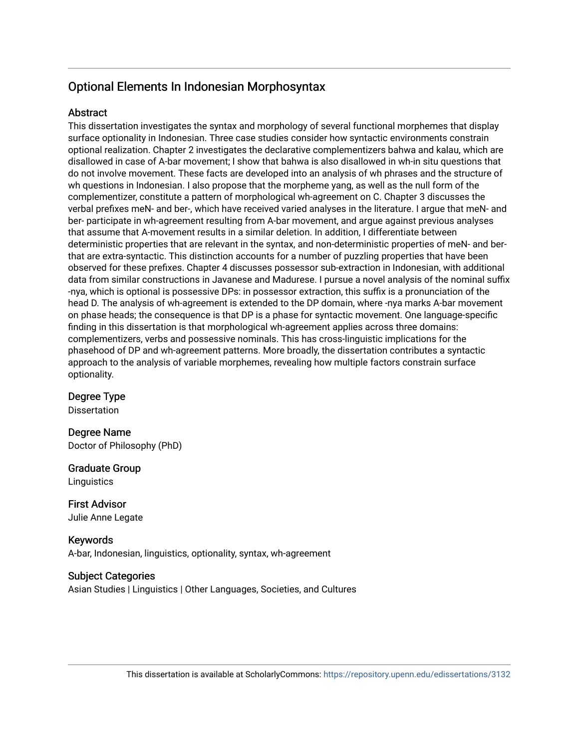# Optional Elements In Indonesian Morphosyntax

## **Abstract**

This dissertation investigates the syntax and morphology of several functional morphemes that display surface optionality in Indonesian. Three case studies consider how syntactic environments constrain optional realization. Chapter 2 investigates the declarative complementizers bahwa and kalau, which are disallowed in case of A-bar movement; I show that bahwa is also disallowed in wh-in situ questions that do not involve movement. These facts are developed into an analysis of wh phrases and the structure of wh questions in Indonesian. I also propose that the morpheme yang, as well as the null form of the complementizer, constitute a pattern of morphological wh-agreement on C. Chapter 3 discusses the verbal prefixes meN- and ber-, which have received varied analyses in the literature. I argue that meN- and ber- participate in wh-agreement resulting from A-bar movement, and argue against previous analyses that assume that A-movement results in a similar deletion. In addition, I differentiate between deterministic properties that are relevant in the syntax, and non-deterministic properties of meN- and berthat are extra-syntactic. This distinction accounts for a number of puzzling properties that have been observed for these prefixes. Chapter 4 discusses possessor sub-extraction in Indonesian, with additional data from similar constructions in Javanese and Madurese. I pursue a novel analysis of the nominal suffix -nya, which is optional is possessive DPs: in possessor extraction, this suffix is a pronunciation of the head D. The analysis of wh-agreement is extended to the DP domain, where -nya marks A-bar movement on phase heads; the consequence is that DP is a phase for syntactic movement. One language-specific finding in this dissertation is that morphological wh-agreement applies across three domains: complementizers, verbs and possessive nominals. This has cross-linguistic implications for the phasehood of DP and wh-agreement patterns. More broadly, the dissertation contributes a syntactic approach to the analysis of variable morphemes, revealing how multiple factors constrain surface optionality.

## Degree Type

Dissertation

Degree Name Doctor of Philosophy (PhD)

# Graduate Group

**Linguistics** 

First Advisor Julie Anne Legate

Keywords A-bar, Indonesian, linguistics, optionality, syntax, wh-agreement

## Subject Categories

Asian Studies | Linguistics | Other Languages, Societies, and Cultures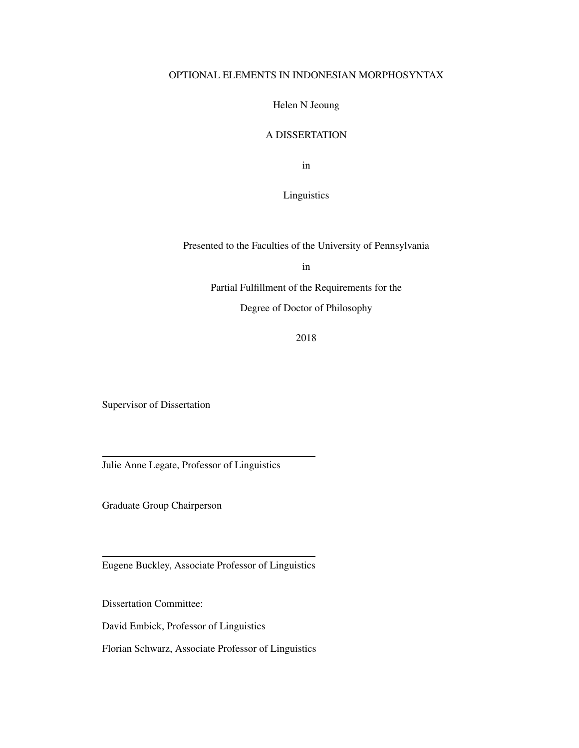## OPTIONAL ELEMENTS IN INDONESIAN MORPHOSYNTAX

Helen N Jeoung

## A DISSERTATION

in

## Linguistics

Presented to the Faculties of the University of Pennsylvania

in

Partial Fulfillment of the Requirements for the

Degree of Doctor of Philosophy

2018

Supervisor of Dissertation

Julie Anne Legate, Professor of Linguistics

Graduate Group Chairperson

Eugene Buckley, Associate Professor of Linguistics

Dissertation Committee:

David Embick, Professor of Linguistics

Florian Schwarz, Associate Professor of Linguistics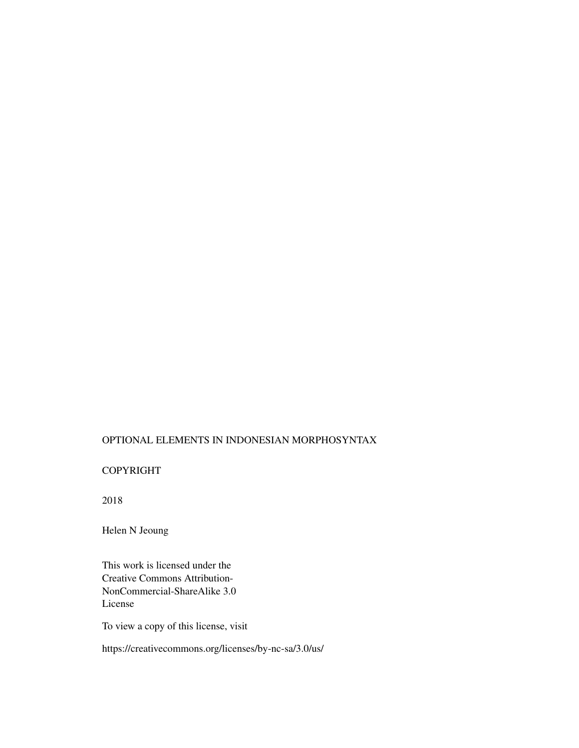## OPTIONAL ELEMENTS IN INDONESIAN MORPHOSYNTAX

## COPYRIGHT

2018

Helen N Jeoung

This work is licensed under the Creative Commons Attribution-NonCommercial-ShareAlike 3.0 License

To view a copy of this license, visit

https://creativecommons.org/licenses/by-nc-sa/3.0/us/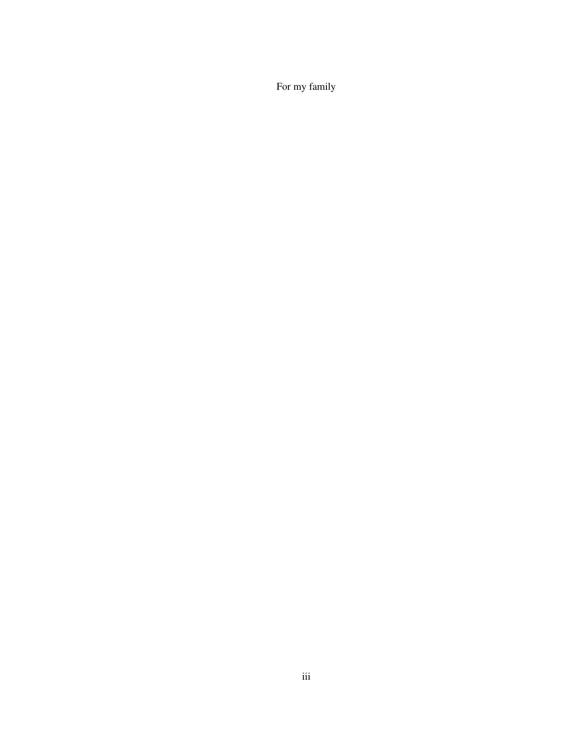For my family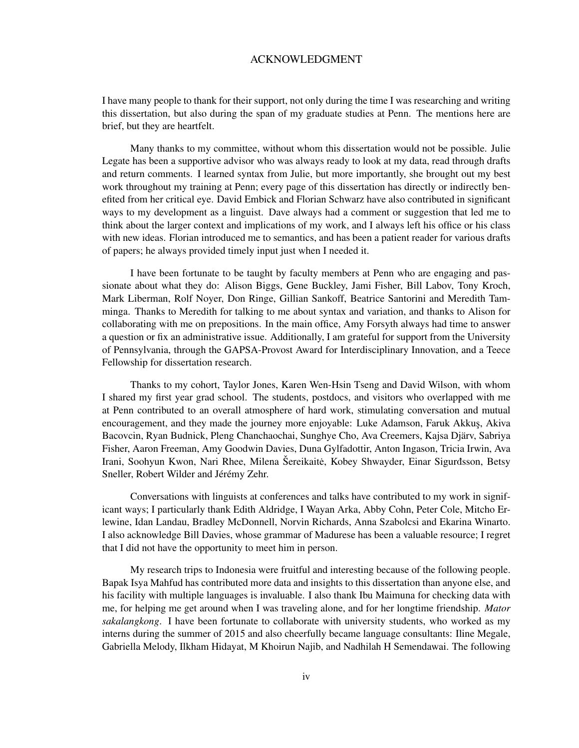## ACKNOWLEDGMENT

I have many people to thank for their support, not only during the time I was researching and writing this dissertation, but also during the span of my graduate studies at Penn. The mentions here are brief, but they are heartfelt.

Many thanks to my committee, without whom this dissertation would not be possible. Julie Legate has been a supportive advisor who was always ready to look at my data, read through drafts and return comments. I learned syntax from Julie, but more importantly, she brought out my best work throughout my training at Penn; every page of this dissertation has directly or indirectly benefited from her critical eye. David Embick and Florian Schwarz have also contributed in significant ways to my development as a linguist. Dave always had a comment or suggestion that led me to think about the larger context and implications of my work, and I always left his office or his class with new ideas. Florian introduced me to semantics, and has been a patient reader for various drafts of papers; he always provided timely input just when I needed it.

I have been fortunate to be taught by faculty members at Penn who are engaging and passionate about what they do: Alison Biggs, Gene Buckley, Jami Fisher, Bill Labov, Tony Kroch, Mark Liberman, Rolf Noyer, Don Ringe, Gillian Sankoff, Beatrice Santorini and Meredith Tamminga. Thanks to Meredith for talking to me about syntax and variation, and thanks to Alison for collaborating with me on prepositions. In the main office, Amy Forsyth always had time to answer a question or fix an administrative issue. Additionally, I am grateful for support from the University of Pennsylvania, through the GAPSA-Provost Award for Interdisciplinary Innovation, and a Teece Fellowship for dissertation research.

Thanks to my cohort, Taylor Jones, Karen Wen-Hsin Tseng and David Wilson, with whom I shared my first year grad school. The students, postdocs, and visitors who overlapped with me at Penn contributed to an overall atmosphere of hard work, stimulating conversation and mutual encouragement, and they made the journey more enjoyable: Luke Adamson, Faruk Akkus, Akiva Bacovcin, Ryan Budnick, Pleng Chanchaochai, Sunghye Cho, Ava Creemers, Kajsa Djarv, Sabriya ¨ Fisher, Aaron Freeman, Amy Goodwin Davies, Duna Gylfadottir, Anton Ingason, Tricia Irwin, Ava Irani, Soohyun Kwon, Nari Rhee, Milena Šereikaitė, Kobey Shwayder, Einar Sigurdsson, Betsy Sneller, Robert Wilder and Jérémy Zehr.

Conversations with linguists at conferences and talks have contributed to my work in significant ways; I particularly thank Edith Aldridge, I Wayan Arka, Abby Cohn, Peter Cole, Mitcho Erlewine, Idan Landau, Bradley McDonnell, Norvin Richards, Anna Szabolcsi and Ekarina Winarto. I also acknowledge Bill Davies, whose grammar of Madurese has been a valuable resource; I regret that I did not have the opportunity to meet him in person.

My research trips to Indonesia were fruitful and interesting because of the following people. Bapak Isya Mahfud has contributed more data and insights to this dissertation than anyone else, and his facility with multiple languages is invaluable. I also thank Ibu Maimuna for checking data with me, for helping me get around when I was traveling alone, and for her longtime friendship. *Mator sakalangkong*. I have been fortunate to collaborate with university students, who worked as my interns during the summer of 2015 and also cheerfully became language consultants: Iline Megale, Gabriella Melody, Ilkham Hidayat, M Khoirun Najib, and Nadhilah H Semendawai. The following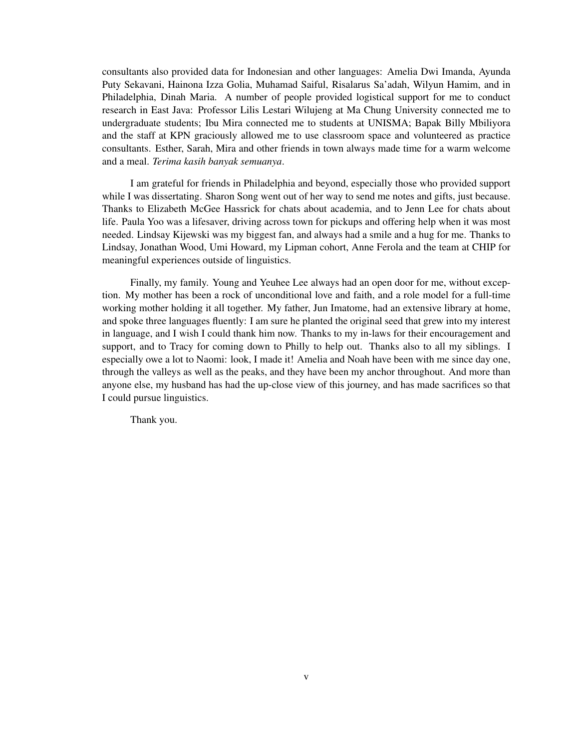consultants also provided data for Indonesian and other languages: Amelia Dwi Imanda, Ayunda Puty Sekavani, Hainona Izza Golia, Muhamad Saiful, Risalarus Sa'adah, Wilyun Hamim, and in Philadelphia, Dinah Maria. A number of people provided logistical support for me to conduct research in East Java: Professor Lilis Lestari Wilujeng at Ma Chung University connected me to undergraduate students; Ibu Mira connected me to students at UNISMA; Bapak Billy Mbiliyora and the staff at KPN graciously allowed me to use classroom space and volunteered as practice consultants. Esther, Sarah, Mira and other friends in town always made time for a warm welcome and a meal. *Terima kasih banyak semuanya*.

I am grateful for friends in Philadelphia and beyond, especially those who provided support while I was dissertating. Sharon Song went out of her way to send me notes and gifts, just because. Thanks to Elizabeth McGee Hassrick for chats about academia, and to Jenn Lee for chats about life. Paula Yoo was a lifesaver, driving across town for pickups and offering help when it was most needed. Lindsay Kijewski was my biggest fan, and always had a smile and a hug for me. Thanks to Lindsay, Jonathan Wood, Umi Howard, my Lipman cohort, Anne Ferola and the team at CHIP for meaningful experiences outside of linguistics.

Finally, my family. Young and Yeuhee Lee always had an open door for me, without exception. My mother has been a rock of unconditional love and faith, and a role model for a full-time working mother holding it all together. My father, Jun Imatome, had an extensive library at home, and spoke three languages fluently: I am sure he planted the original seed that grew into my interest in language, and I wish I could thank him now. Thanks to my in-laws for their encouragement and support, and to Tracy for coming down to Philly to help out. Thanks also to all my siblings. I especially owe a lot to Naomi: look, I made it! Amelia and Noah have been with me since day one, through the valleys as well as the peaks, and they have been my anchor throughout. And more than anyone else, my husband has had the up-close view of this journey, and has made sacrifices so that I could pursue linguistics.

Thank you.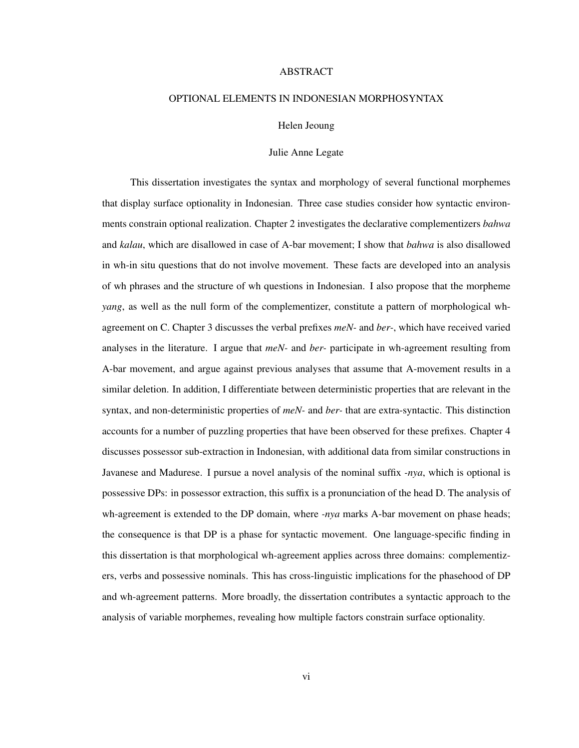#### ABSTRACT

## OPTIONAL ELEMENTS IN INDONESIAN MORPHOSYNTAX

### Helen Jeoung

#### Julie Anne Legate

This dissertation investigates the syntax and morphology of several functional morphemes that display surface optionality in Indonesian. Three case studies consider how syntactic environments constrain optional realization. Chapter 2 investigates the declarative complementizers *bahwa* and *kalau*, which are disallowed in case of A-bar movement; I show that *bahwa* is also disallowed in wh-in situ questions that do not involve movement. These facts are developed into an analysis of wh phrases and the structure of wh questions in Indonesian. I also propose that the morpheme *yang*, as well as the null form of the complementizer, constitute a pattern of morphological whagreement on C. Chapter 3 discusses the verbal prefixes *meN-* and *ber-*, which have received varied analyses in the literature. I argue that *meN-* and *ber-* participate in wh-agreement resulting from A-bar movement, and argue against previous analyses that assume that A-movement results in a similar deletion. In addition, I differentiate between deterministic properties that are relevant in the syntax, and non-deterministic properties of *meN-* and *ber-* that are extra-syntactic. This distinction accounts for a number of puzzling properties that have been observed for these prefixes. Chapter 4 discusses possessor sub-extraction in Indonesian, with additional data from similar constructions in Javanese and Madurese. I pursue a novel analysis of the nominal suffix *-nya*, which is optional is possessive DPs: in possessor extraction, this suffix is a pronunciation of the head D. The analysis of wh-agreement is extended to the DP domain, where *-nya* marks A-bar movement on phase heads; the consequence is that DP is a phase for syntactic movement. One language-specific finding in this dissertation is that morphological wh-agreement applies across three domains: complementizers, verbs and possessive nominals. This has cross-linguistic implications for the phasehood of DP and wh-agreement patterns. More broadly, the dissertation contributes a syntactic approach to the analysis of variable morphemes, revealing how multiple factors constrain surface optionality.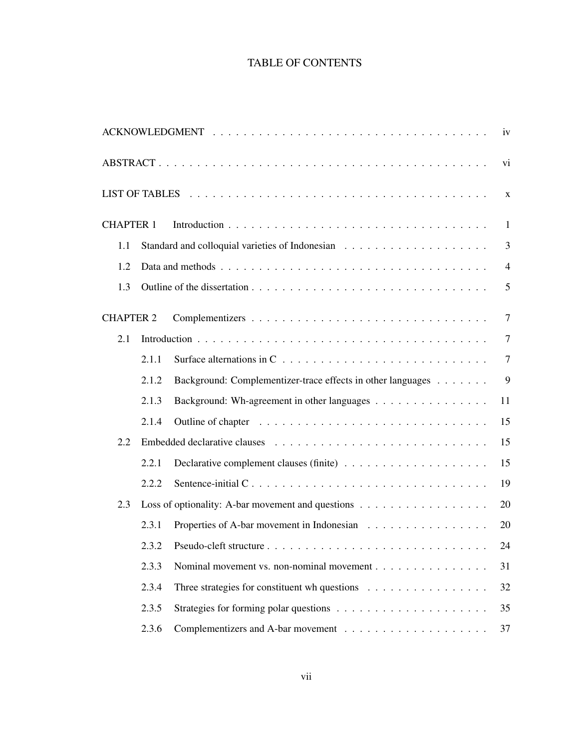# TABLE OF CONTENTS

|                  |       |                                                                                     | iv             |
|------------------|-------|-------------------------------------------------------------------------------------|----------------|
|                  |       |                                                                                     | vi             |
|                  |       |                                                                                     | $\mathbf X$    |
| <b>CHAPTER 1</b> |       |                                                                                     | $\mathbf{1}$   |
| 1.1              |       |                                                                                     | 3              |
| 1.2              |       |                                                                                     | $\overline{4}$ |
| 1.3              |       |                                                                                     | 5              |
| <b>CHAPTER 2</b> |       |                                                                                     | $\overline{7}$ |
| 2.1              |       |                                                                                     | $\overline{7}$ |
|                  | 2.1.1 | Surface alternations in $C \ldots \ldots \ldots \ldots \ldots \ldots \ldots \ldots$ | $\overline{7}$ |
|                  | 2.1.2 | Background: Complementizer-trace effects in other languages                         | 9              |
|                  | 2.1.3 | Background: Wh-agreement in other languages                                         | 11             |
|                  | 2.1.4 |                                                                                     | 15             |
| 2.2              |       |                                                                                     | 15             |
|                  | 2.2.1 |                                                                                     | 15             |
|                  | 2.2.2 |                                                                                     | 19             |
| 2.3              |       | Loss of optionality: A-bar movement and questions                                   | 20             |
|                  | 2.3.1 | Properties of A-bar movement in Indonesian                                          | 20             |
|                  | 2.3.2 |                                                                                     | 24             |
|                  | 2.3.3 | Nominal movement vs. non-nominal movement                                           | 31             |
|                  | 2.3.4 | Three strategies for constituent wh questions $\ldots \ldots \ldots \ldots \ldots$  | 32             |
|                  | 2.3.5 |                                                                                     | 35             |
|                  | 2.3.6 |                                                                                     | 37             |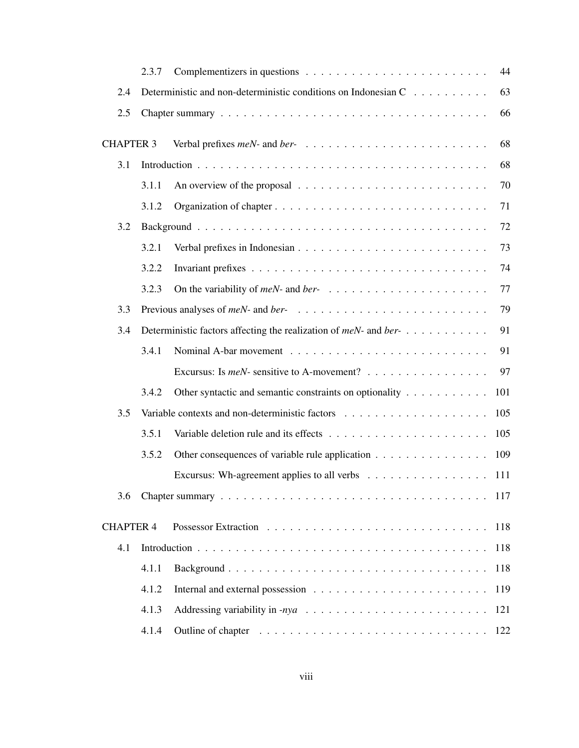|                  | 2.3.7 |                                                                                       | 44  |
|------------------|-------|---------------------------------------------------------------------------------------|-----|
| 2.4              |       | Deterministic and non-deterministic conditions on Indonesian C                        | 63  |
| 2.5              |       |                                                                                       | 66  |
| <b>CHAPTER 3</b> |       |                                                                                       | 68  |
| 3.1              |       |                                                                                       | 68  |
|                  | 3.1.1 | An overview of the proposal $\ldots \ldots \ldots \ldots \ldots \ldots \ldots \ldots$ | 70  |
|                  | 3.1.2 |                                                                                       | 71  |
| 3.2              |       |                                                                                       | 72  |
|                  | 3.2.1 |                                                                                       | 73  |
|                  | 3.2.2 |                                                                                       | 74  |
|                  | 3.2.3 |                                                                                       | 77  |
| 3.3              |       |                                                                                       | 79  |
| 3.4              |       | Deterministic factors affecting the realization of meN- and ber-                      | 91  |
|                  | 3.4.1 |                                                                                       | 91  |
|                  |       | Excursus: Is <i>meN</i> - sensitive to A-movement?                                    | 97  |
|                  | 3.4.2 | Other syntactic and semantic constraints on optionality                               | 101 |
| 3.5              |       |                                                                                       | 105 |
|                  | 3.5.1 |                                                                                       | 105 |
|                  | 3.5.2 | Other consequences of variable rule application                                       | 109 |
|                  |       | Excursus: Wh-agreement applies to all verbs 111                                       |     |
| 3.6              |       |                                                                                       |     |
| <b>CHAPTER 4</b> |       |                                                                                       | 118 |
| 4.1              |       |                                                                                       | 118 |
|                  | 4.1.1 |                                                                                       | 118 |
|                  | 4.1.2 |                                                                                       | 119 |
|                  | 4.1.3 |                                                                                       | 121 |
|                  | 4.1.4 |                                                                                       | 122 |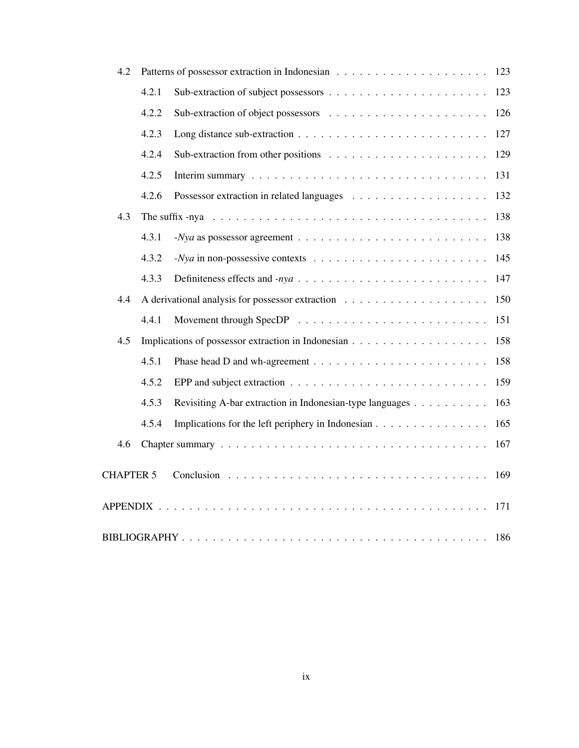| 4.2              |       |                                                                                                              | 123 |  |  |
|------------------|-------|--------------------------------------------------------------------------------------------------------------|-----|--|--|
|                  | 4.2.1 |                                                                                                              | 123 |  |  |
|                  | 4.2.2 |                                                                                                              | 126 |  |  |
|                  | 4.2.3 |                                                                                                              | 127 |  |  |
|                  | 4.2.4 |                                                                                                              | 129 |  |  |
|                  | 4.2.5 |                                                                                                              | 131 |  |  |
|                  | 4.2.6 |                                                                                                              | 132 |  |  |
| 4.3              |       | The suffix -nya $\ldots \ldots \ldots \ldots \ldots \ldots \ldots \ldots \ldots \ldots \ldots \ldots \ldots$ | 138 |  |  |
|                  | 4.3.1 |                                                                                                              | 138 |  |  |
|                  | 4.3.2 |                                                                                                              | 145 |  |  |
|                  | 4.3.3 |                                                                                                              | 147 |  |  |
| 4.4              |       |                                                                                                              | 150 |  |  |
|                  | 4.4.1 |                                                                                                              | 151 |  |  |
| 4.5              |       |                                                                                                              | 158 |  |  |
|                  | 4.5.1 |                                                                                                              | 158 |  |  |
|                  | 4.5.2 | EPP and subject extraction $\ldots \ldots \ldots \ldots \ldots \ldots \ldots \ldots \ldots$                  | 159 |  |  |
|                  | 4.5.3 | Revisiting A-bar extraction in Indonesian-type languages                                                     | 163 |  |  |
|                  | 4.5.4 | Implications for the left periphery in Indonesian                                                            | 165 |  |  |
| 4.6              |       |                                                                                                              | 167 |  |  |
| <b>CHAPTER 5</b> |       |                                                                                                              | 169 |  |  |
|                  |       |                                                                                                              | 171 |  |  |
|                  | 186   |                                                                                                              |     |  |  |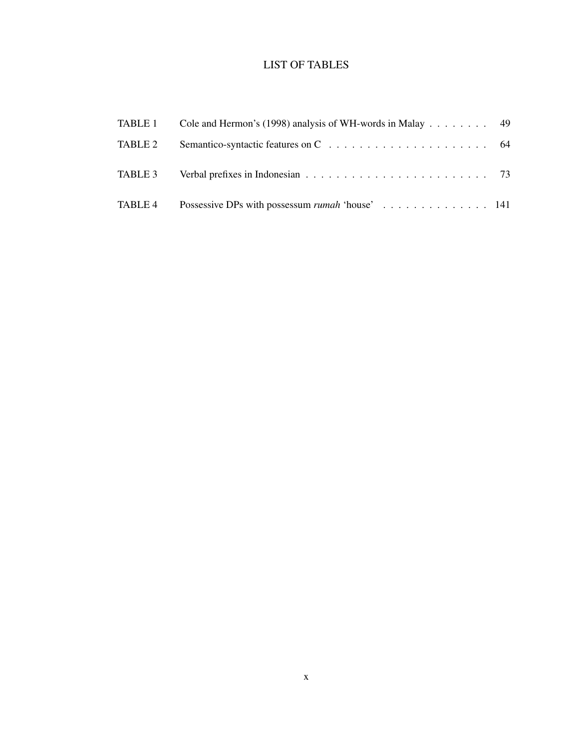# LIST OF TABLES

| TABLE 1 | Cole and Hermon's (1998) analysis of WH-words in Malay $\dots \dots$ 49 |  |
|---------|-------------------------------------------------------------------------|--|
| TABLE 2 |                                                                         |  |
|         |                                                                         |  |
| TABLE 4 | Possessive DPs with possessum <i>rumah</i> 'house' 141                  |  |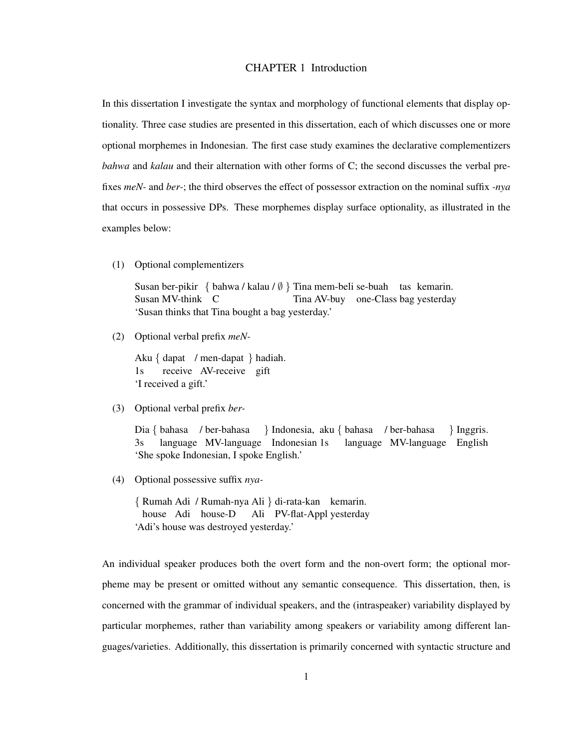## CHAPTER 1 Introduction

In this dissertation I investigate the syntax and morphology of functional elements that display optionality. Three case studies are presented in this dissertation, each of which discusses one or more optional morphemes in Indonesian. The first case study examines the declarative complementizers *bahwa* and *kalau* and their alternation with other forms of C; the second discusses the verbal prefixes *meN-* and *ber-*; the third observes the effect of possessor extraction on the nominal suffix *-nya* that occurs in possessive DPs. These morphemes display surface optionality, as illustrated in the examples below:

(1) Optional complementizers

Susan ber-pikir { bahwa / kalau / Ø } Tina mem-beli se-buah tas kemarin. Susan MV-think C Tina AV-buy one-Class bag yesterday 'Susan thinks that Tina bought a bag yesterday.'

(2) Optional verbal prefix *meN-*

Aku { dapat / men-dapat } hadiah. 1s receive AV-receive gift 'I received a gift.'

(3) Optional verbal prefix *ber-*

Dia { bahasa / ber-bahasa 3s language MV-language Indonesian 1s } Indonesia, aku { bahasa / ber-bahasa language MV-language English } Inggris. 'She spoke Indonesian, I spoke English.'

(4) Optional possessive suffix *nya-*

{ Rumah Adi / Rumah-nya Ali } di-rata-kan kemarin. house Adi house-D Ali PV-flat-Appl yesterday 'Adi's house was destroyed yesterday.'

An individual speaker produces both the overt form and the non-overt form; the optional morpheme may be present or omitted without any semantic consequence. This dissertation, then, is concerned with the grammar of individual speakers, and the (intraspeaker) variability displayed by particular morphemes, rather than variability among speakers or variability among different languages/varieties. Additionally, this dissertation is primarily concerned with syntactic structure and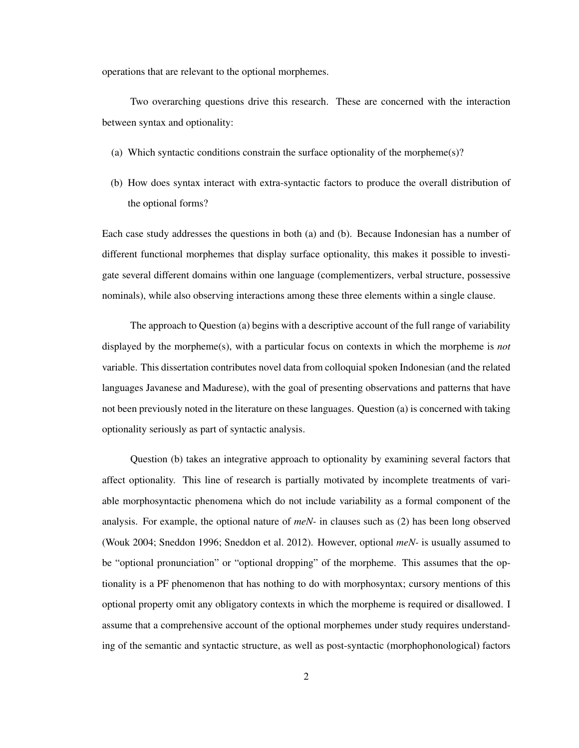operations that are relevant to the optional morphemes.

Two overarching questions drive this research. These are concerned with the interaction between syntax and optionality:

- (a) Which syntactic conditions constrain the surface optionality of the morpheme(s)?
- (b) How does syntax interact with extra-syntactic factors to produce the overall distribution of the optional forms?

Each case study addresses the questions in both (a) and (b). Because Indonesian has a number of different functional morphemes that display surface optionality, this makes it possible to investigate several different domains within one language (complementizers, verbal structure, possessive nominals), while also observing interactions among these three elements within a single clause.

The approach to Question (a) begins with a descriptive account of the full range of variability displayed by the morpheme(s), with a particular focus on contexts in which the morpheme is *not* variable. This dissertation contributes novel data from colloquial spoken Indonesian (and the related languages Javanese and Madurese), with the goal of presenting observations and patterns that have not been previously noted in the literature on these languages. Question (a) is concerned with taking optionality seriously as part of syntactic analysis.

Question (b) takes an integrative approach to optionality by examining several factors that affect optionality. This line of research is partially motivated by incomplete treatments of variable morphosyntactic phenomena which do not include variability as a formal component of the analysis. For example, the optional nature of *meN-* in clauses such as (2) has been long observed (Wouk 2004; Sneddon 1996; Sneddon et al. 2012). However, optional *meN-* is usually assumed to be "optional pronunciation" or "optional dropping" of the morpheme. This assumes that the optionality is a PF phenomenon that has nothing to do with morphosyntax; cursory mentions of this optional property omit any obligatory contexts in which the morpheme is required or disallowed. I assume that a comprehensive account of the optional morphemes under study requires understanding of the semantic and syntactic structure, as well as post-syntactic (morphophonological) factors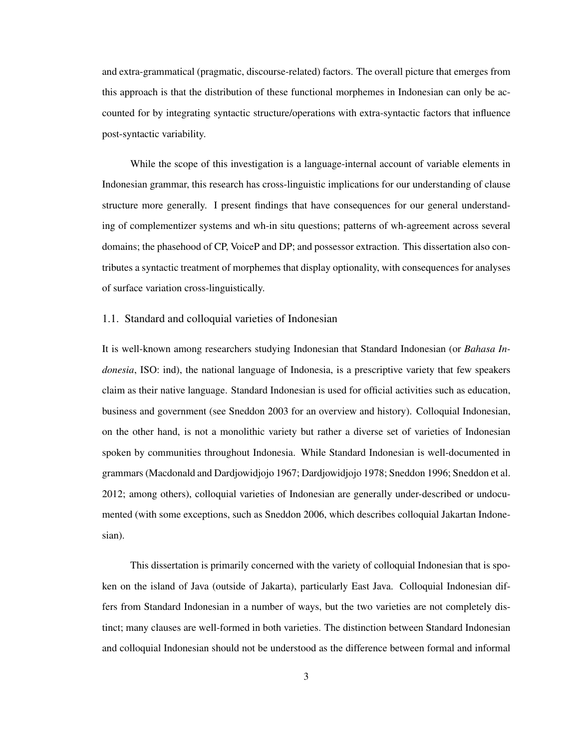and extra-grammatical (pragmatic, discourse-related) factors. The overall picture that emerges from this approach is that the distribution of these functional morphemes in Indonesian can only be accounted for by integrating syntactic structure/operations with extra-syntactic factors that influence post-syntactic variability.

While the scope of this investigation is a language-internal account of variable elements in Indonesian grammar, this research has cross-linguistic implications for our understanding of clause structure more generally. I present findings that have consequences for our general understanding of complementizer systems and wh-in situ questions; patterns of wh-agreement across several domains; the phasehood of CP, VoiceP and DP; and possessor extraction. This dissertation also contributes a syntactic treatment of morphemes that display optionality, with consequences for analyses of surface variation cross-linguistically.

## 1.1. Standard and colloquial varieties of Indonesian

It is well-known among researchers studying Indonesian that Standard Indonesian (or *Bahasa Indonesia*, ISO: ind), the national language of Indonesia, is a prescriptive variety that few speakers claim as their native language. Standard Indonesian is used for official activities such as education, business and government (see Sneddon 2003 for an overview and history). Colloquial Indonesian, on the other hand, is not a monolithic variety but rather a diverse set of varieties of Indonesian spoken by communities throughout Indonesia. While Standard Indonesian is well-documented in grammars (Macdonald and Dardjowidjojo 1967; Dardjowidjojo 1978; Sneddon 1996; Sneddon et al. 2012; among others), colloquial varieties of Indonesian are generally under-described or undocumented (with some exceptions, such as Sneddon 2006, which describes colloquial Jakartan Indonesian).

This dissertation is primarily concerned with the variety of colloquial Indonesian that is spoken on the island of Java (outside of Jakarta), particularly East Java. Colloquial Indonesian differs from Standard Indonesian in a number of ways, but the two varieties are not completely distinct; many clauses are well-formed in both varieties. The distinction between Standard Indonesian and colloquial Indonesian should not be understood as the difference between formal and informal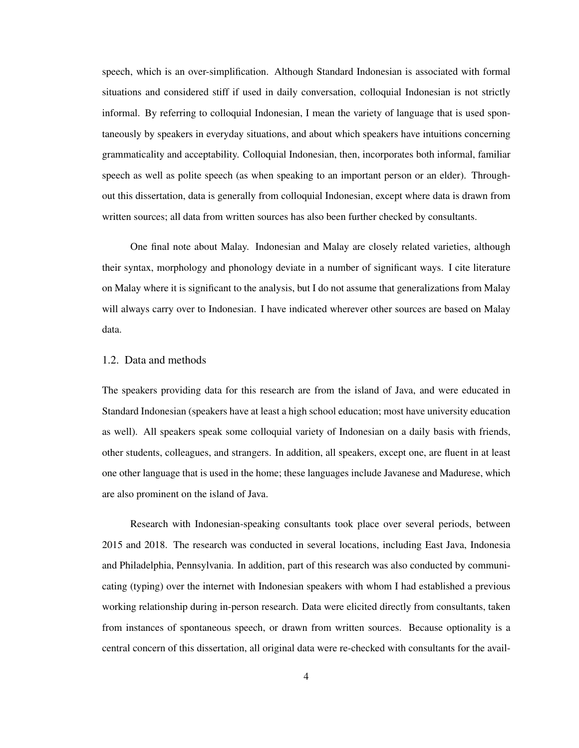speech, which is an over-simplification. Although Standard Indonesian is associated with formal situations and considered stiff if used in daily conversation, colloquial Indonesian is not strictly informal. By referring to colloquial Indonesian, I mean the variety of language that is used spontaneously by speakers in everyday situations, and about which speakers have intuitions concerning grammaticality and acceptability. Colloquial Indonesian, then, incorporates both informal, familiar speech as well as polite speech (as when speaking to an important person or an elder). Throughout this dissertation, data is generally from colloquial Indonesian, except where data is drawn from written sources; all data from written sources has also been further checked by consultants.

One final note about Malay. Indonesian and Malay are closely related varieties, although their syntax, morphology and phonology deviate in a number of significant ways. I cite literature on Malay where it is significant to the analysis, but I do not assume that generalizations from Malay will always carry over to Indonesian. I have indicated wherever other sources are based on Malay data.

### 1.2. Data and methods

The speakers providing data for this research are from the island of Java, and were educated in Standard Indonesian (speakers have at least a high school education; most have university education as well). All speakers speak some colloquial variety of Indonesian on a daily basis with friends, other students, colleagues, and strangers. In addition, all speakers, except one, are fluent in at least one other language that is used in the home; these languages include Javanese and Madurese, which are also prominent on the island of Java.

Research with Indonesian-speaking consultants took place over several periods, between 2015 and 2018. The research was conducted in several locations, including East Java, Indonesia and Philadelphia, Pennsylvania. In addition, part of this research was also conducted by communicating (typing) over the internet with Indonesian speakers with whom I had established a previous working relationship during in-person research. Data were elicited directly from consultants, taken from instances of spontaneous speech, or drawn from written sources. Because optionality is a central concern of this dissertation, all original data were re-checked with consultants for the avail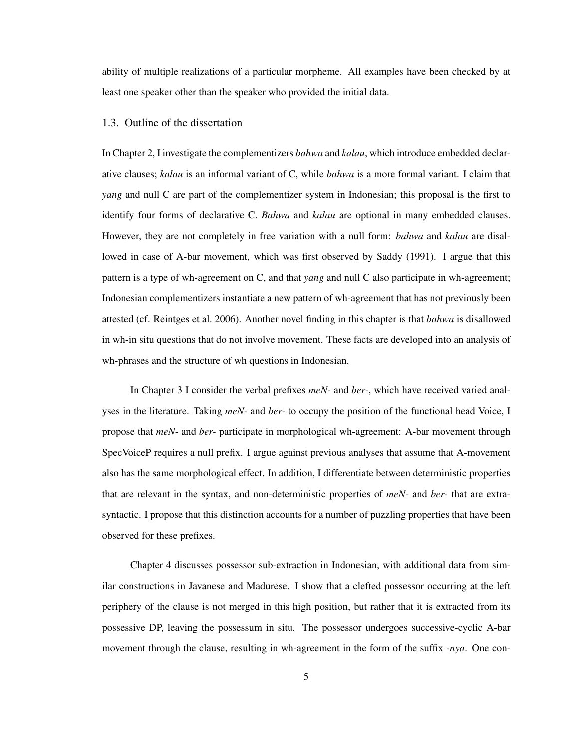ability of multiple realizations of a particular morpheme. All examples have been checked by at least one speaker other than the speaker who provided the initial data.

### 1.3. Outline of the dissertation

In Chapter 2, I investigate the complementizers *bahwa* and *kalau*, which introduce embedded declarative clauses; *kalau* is an informal variant of C, while *bahwa* is a more formal variant. I claim that *yang* and null C are part of the complementizer system in Indonesian; this proposal is the first to identify four forms of declarative C. *Bahwa* and *kalau* are optional in many embedded clauses. However, they are not completely in free variation with a null form: *bahwa* and *kalau* are disallowed in case of A-bar movement, which was first observed by Saddy (1991). I argue that this pattern is a type of wh-agreement on C, and that *yang* and null C also participate in wh-agreement; Indonesian complementizers instantiate a new pattern of wh-agreement that has not previously been attested (cf. Reintges et al. 2006). Another novel finding in this chapter is that *bahwa* is disallowed in wh-in situ questions that do not involve movement. These facts are developed into an analysis of wh-phrases and the structure of wh questions in Indonesian.

In Chapter 3 I consider the verbal prefixes *meN-* and *ber-*, which have received varied analyses in the literature. Taking *meN-* and *ber-* to occupy the position of the functional head Voice, I propose that *meN-* and *ber-* participate in morphological wh-agreement: A-bar movement through SpecVoiceP requires a null prefix. I argue against previous analyses that assume that A-movement also has the same morphological effect. In addition, I differentiate between deterministic properties that are relevant in the syntax, and non-deterministic properties of *meN-* and *ber-* that are extrasyntactic. I propose that this distinction accounts for a number of puzzling properties that have been observed for these prefixes.

Chapter 4 discusses possessor sub-extraction in Indonesian, with additional data from similar constructions in Javanese and Madurese. I show that a clefted possessor occurring at the left periphery of the clause is not merged in this high position, but rather that it is extracted from its possessive DP, leaving the possessum in situ. The possessor undergoes successive-cyclic A-bar movement through the clause, resulting in wh-agreement in the form of the suffix *-nya*. One con-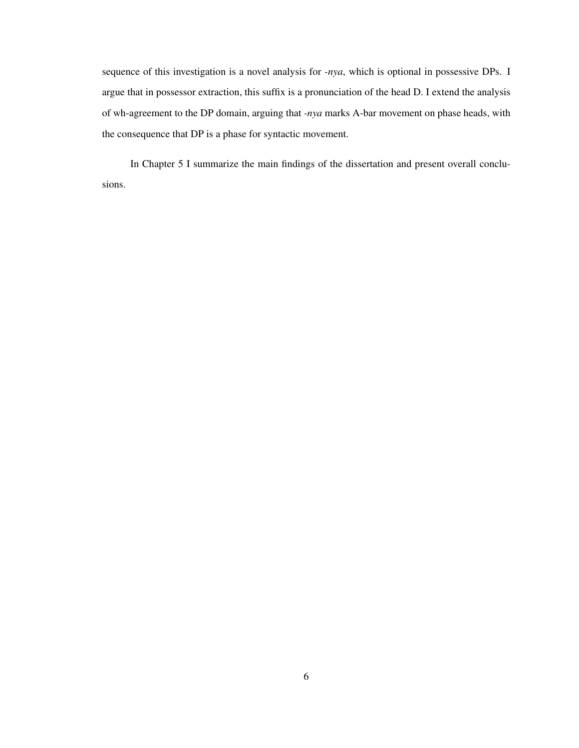sequence of this investigation is a novel analysis for *-nya*, which is optional in possessive DPs. I argue that in possessor extraction, this suffix is a pronunciation of the head D. I extend the analysis of wh-agreement to the DP domain, arguing that *-nya* marks A-bar movement on phase heads, with the consequence that DP is a phase for syntactic movement.

In Chapter 5 I summarize the main findings of the dissertation and present overall conclusions.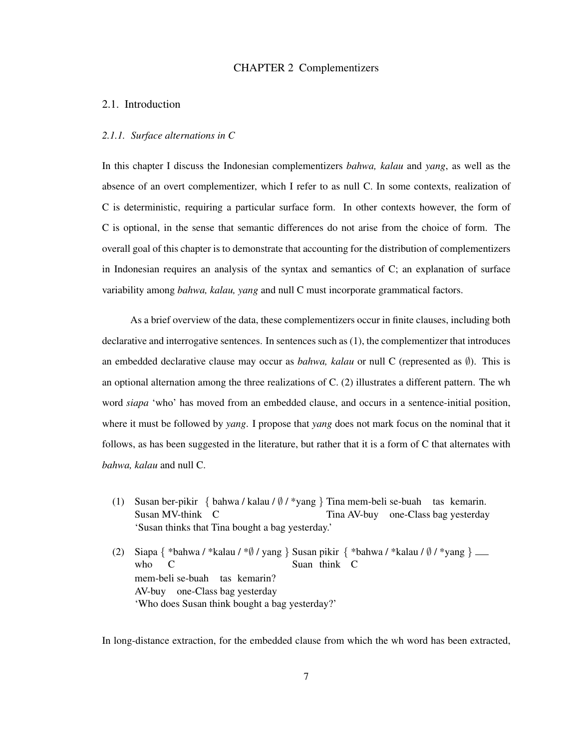## CHAPTER 2 Complementizers

## 2.1. Introduction

## *2.1.1. Surface alternations in C*

In this chapter I discuss the Indonesian complementizers *bahwa, kalau* and *yang*, as well as the absence of an overt complementizer, which I refer to as null C. In some contexts, realization of C is deterministic, requiring a particular surface form. In other contexts however, the form of C is optional, in the sense that semantic differences do not arise from the choice of form. The overall goal of this chapter is to demonstrate that accounting for the distribution of complementizers in Indonesian requires an analysis of the syntax and semantics of C; an explanation of surface variability among *bahwa, kalau, yang* and null C must incorporate grammatical factors.

As a brief overview of the data, these complementizers occur in finite clauses, including both declarative and interrogative sentences. In sentences such as (1), the complementizer that introduces an embedded declarative clause may occur as *bahwa, kalau* or null C (represented as ∅). This is an optional alternation among the three realizations of C. (2) illustrates a different pattern. The wh word *siapa* 'who' has moved from an embedded clause, and occurs in a sentence-initial position, where it must be followed by *yang*. I propose that *yang* does not mark focus on the nominal that it follows, as has been suggested in the literature, but rather that it is a form of C that alternates with *bahwa, kalau* and null C.

- (1) Susan ber-pikir { bahwa / kalau / ∅ / \*yang } Tina mem-beli se-buah tas kemarin. Susan MV-think C Tina AV-buy one-Class bag yesterday 'Susan thinks that Tina bought a bag yesterday.'
- (2) Siapa { \*bahwa / \*kalau / \*Ø / yang } Susan pikir { \*bahwa / \*kalau / Ø / \*yang } who C Suan think C mem-beli se-buah tas kemarin? AV-buy one-Class bag yesterday 'Who does Susan think bought a bag yesterday?'

In long-distance extraction, for the embedded clause from which the wh word has been extracted,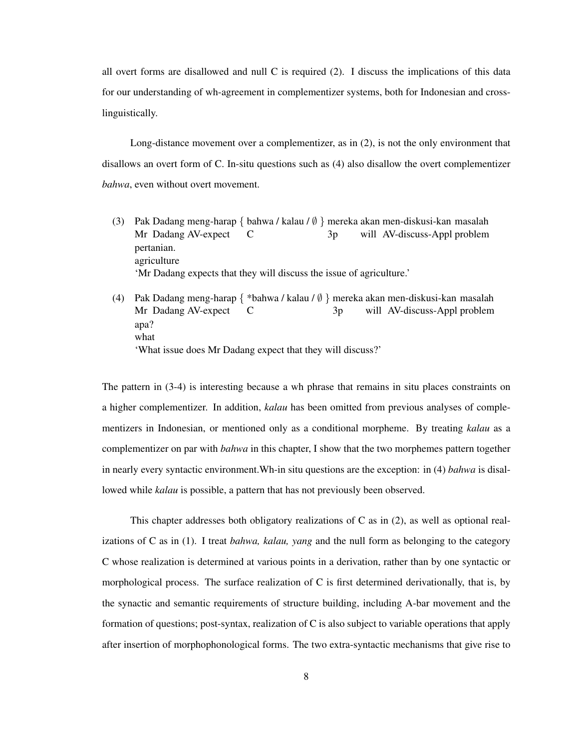all overt forms are disallowed and null  $C$  is required (2). I discuss the implications of this data for our understanding of wh-agreement in complementizer systems, both for Indonesian and crosslinguistically.

Long-distance movement over a complementizer, as in (2), is not the only environment that disallows an overt form of C. In-situ questions such as (4) also disallow the overt complementizer *bahwa*, even without overt movement.

- (3) Pak Dadang meng-harap { bahwa / kalau / ∅ } mereka akan men-diskusi-kan masalah Mr Dadang AV-expect C  $3p$ will AV-discuss-Appl problem pertanian. agriculture 'Mr Dadang expects that they will discuss the issue of agriculture.'
- (4) Pak Dadang meng-harap { \*bahwa / kalau / ∅ } mereka akan men-diskusi-kan masalah Mr Dadang AV-expect C 3p will AV-discuss-Appl problem apa? what 'What issue does Mr Dadang expect that they will discuss?'

The pattern in (3-4) is interesting because a wh phrase that remains in situ places constraints on a higher complementizer. In addition, *kalau* has been omitted from previous analyses of complementizers in Indonesian, or mentioned only as a conditional morpheme. By treating *kalau* as a complementizer on par with *bahwa* in this chapter, I show that the two morphemes pattern together in nearly every syntactic environment.Wh-in situ questions are the exception: in (4) *bahwa* is disallowed while *kalau* is possible, a pattern that has not previously been observed.

This chapter addresses both obligatory realizations of C as in (2), as well as optional realizations of C as in (1). I treat *bahwa, kalau, yang* and the null form as belonging to the category C whose realization is determined at various points in a derivation, rather than by one syntactic or morphological process. The surface realization of C is first determined derivationally, that is, by the synactic and semantic requirements of structure building, including A-bar movement and the formation of questions; post-syntax, realization of C is also subject to variable operations that apply after insertion of morphophonological forms. The two extra-syntactic mechanisms that give rise to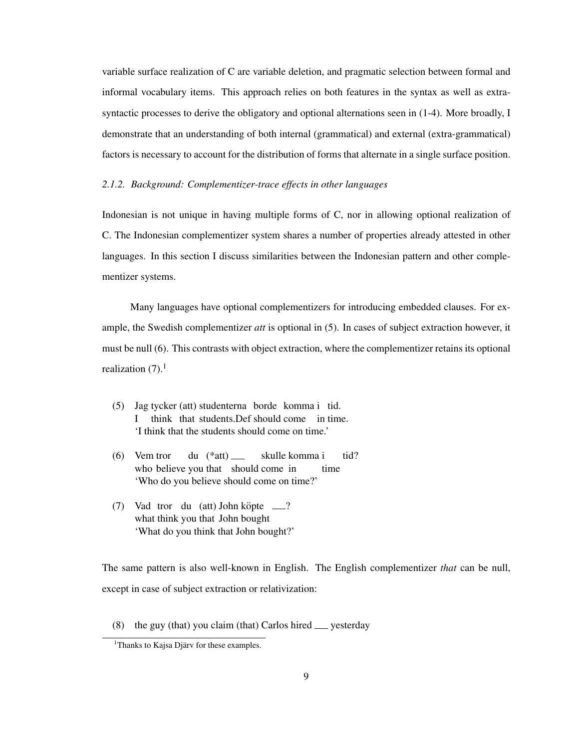variable surface realization of C are variable deletion, and pragmatic selection between formal and informal vocabulary items. This approach relies on both features in the syntax as well as extrasyntactic processes to derive the obligatory and optional alternations seen in (1-4). More broadly, I demonstrate that an understanding of both internal (grammatical) and external (extra-grammatical) factors is necessary to account for the distribution of forms that alternate in a single surface position.

## *2.1.2. Background: Complementizer-trace effects in other languages*

Indonesian is not unique in having multiple forms of C, nor in allowing optional realization of C. The Indonesian complementizer system shares a number of properties already attested in other languages. In this section I discuss similarities between the Indonesian pattern and other complementizer systems.

Many languages have optional complementizers for introducing embedded clauses. For example, the Swedish complementizer *att* is optional in (5). In cases of subject extraction however, it must be null (6). This contrasts with object extraction, where the complementizer retains its optional realization  $(7)$ .<sup>1</sup>

- (5) Jag tycker (att) studenterna borde komma i tid. I think that students.Def should come in time. 'I think that the students should come on time.'
- (6) Vem tror who believe you that should come in du (\*att) skulle komma i time tid? 'Who do you believe should come on time?'
- (7) Vad tror du (att) John köpte \_\_? what think you that John bought 'What do you think that John bought?'

The same pattern is also well-known in English. The English complementizer *that* can be null, except in case of subject extraction or relativization:

(8) the guy (that) you claim (that) Carlos hired  $\equiv$  yesterday

 $<sup>1</sup>$ Thanks to Kajsa Djärv for these examples.</sup>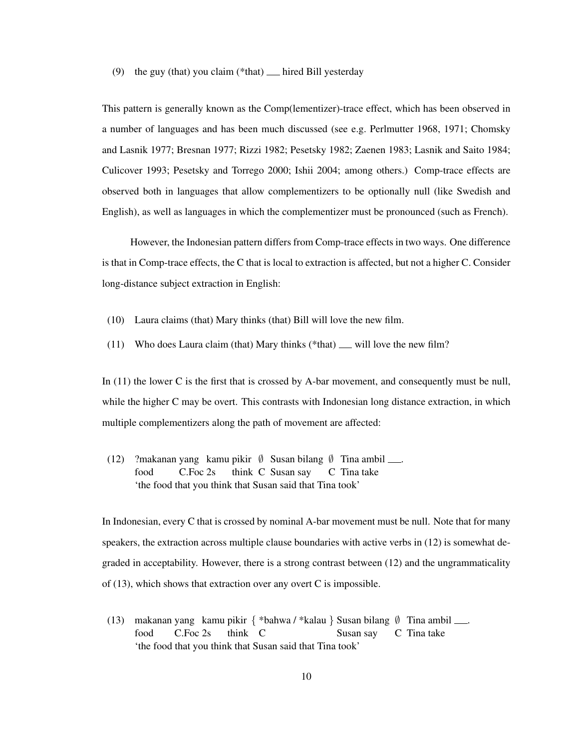### (9) the guy (that) you claim (\*that)  $\equiv$  hired Bill yesterday

This pattern is generally known as the Comp(lementizer)-trace effect, which has been observed in a number of languages and has been much discussed (see e.g. Perlmutter 1968, 1971; Chomsky and Lasnik 1977; Bresnan 1977; Rizzi 1982; Pesetsky 1982; Zaenen 1983; Lasnik and Saito 1984; Culicover 1993; Pesetsky and Torrego 2000; Ishii 2004; among others.) Comp-trace effects are observed both in languages that allow complementizers to be optionally null (like Swedish and English), as well as languages in which the complementizer must be pronounced (such as French).

However, the Indonesian pattern differs from Comp-trace effects in two ways. One difference is that in Comp-trace effects, the C that is local to extraction is affected, but not a higher C. Consider long-distance subject extraction in English:

- (10) Laura claims (that) Mary thinks (that) Bill will love the new film.
- (11) Who does Laura claim (that) Mary thinks (\*that)  $\equiv$  will love the new film?

In (11) the lower C is the first that is crossed by A-bar movement, and consequently must be null, while the higher C may be overt. This contrasts with Indonesian long distance extraction, in which multiple complementizers along the path of movement are affected:

(12) ?makanan yang kamu pikir ∅ Susan bilang ∅ Tina ambil . food C.Foc 2s think C Susan say C Tina take 'the food that you think that Susan said that Tina took'

In Indonesian, every C that is crossed by nominal A-bar movement must be null. Note that for many speakers, the extraction across multiple clause boundaries with active verbs in (12) is somewhat degraded in acceptability. However, there is a strong contrast between (12) and the ungrammaticality of (13), which shows that extraction over any overt C is impossible.

(13) makanan yang kamu pikir { \*bahwa / \*kalau } Susan bilang Ø Tina ambil ...... food C.Foc 2s think C Susan say C Tina take 'the food that you think that Susan said that Tina took'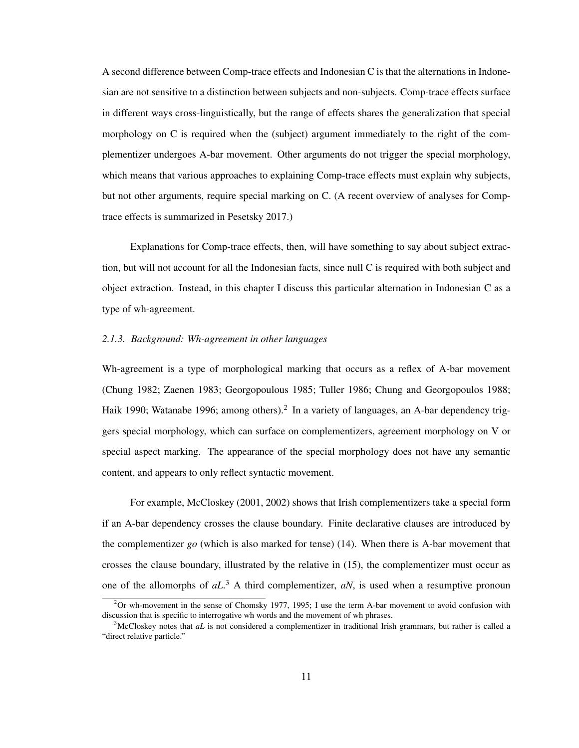A second difference between Comp-trace effects and Indonesian C is that the alternations in Indonesian are not sensitive to a distinction between subjects and non-subjects. Comp-trace effects surface in different ways cross-linguistically, but the range of effects shares the generalization that special morphology on C is required when the (subject) argument immediately to the right of the complementizer undergoes A-bar movement. Other arguments do not trigger the special morphology, which means that various approaches to explaining Comp-trace effects must explain why subjects, but not other arguments, require special marking on C. (A recent overview of analyses for Comptrace effects is summarized in Pesetsky 2017.)

Explanations for Comp-trace effects, then, will have something to say about subject extraction, but will not account for all the Indonesian facts, since null C is required with both subject and object extraction. Instead, in this chapter I discuss this particular alternation in Indonesian C as a type of wh-agreement.

#### *2.1.3. Background: Wh-agreement in other languages*

Wh-agreement is a type of morphological marking that occurs as a reflex of A-bar movement (Chung 1982; Zaenen 1983; Georgopoulous 1985; Tuller 1986; Chung and Georgopoulos 1988; Haik 1990; Watanabe 1996; among others).<sup>2</sup> In a variety of languages, an A-bar dependency triggers special morphology, which can surface on complementizers, agreement morphology on V or special aspect marking. The appearance of the special morphology does not have any semantic content, and appears to only reflect syntactic movement.

For example, McCloskey (2001, 2002) shows that Irish complementizers take a special form if an A-bar dependency crosses the clause boundary. Finite declarative clauses are introduced by the complementizer *go* (which is also marked for tense) (14). When there is A-bar movement that crosses the clause boundary, illustrated by the relative in (15), the complementizer must occur as one of the allomorphs of *aL*. <sup>3</sup> A third complementizer, *aN*, is used when a resumptive pronoun

 $2$ Or wh-movement in the sense of Chomsky 1977, 1995; I use the term A-bar movement to avoid confusion with discussion that is specific to interrogative wh words and the movement of wh phrases.

<sup>3</sup>McCloskey notes that *aL* is not considered a complementizer in traditional Irish grammars, but rather is called a "direct relative particle."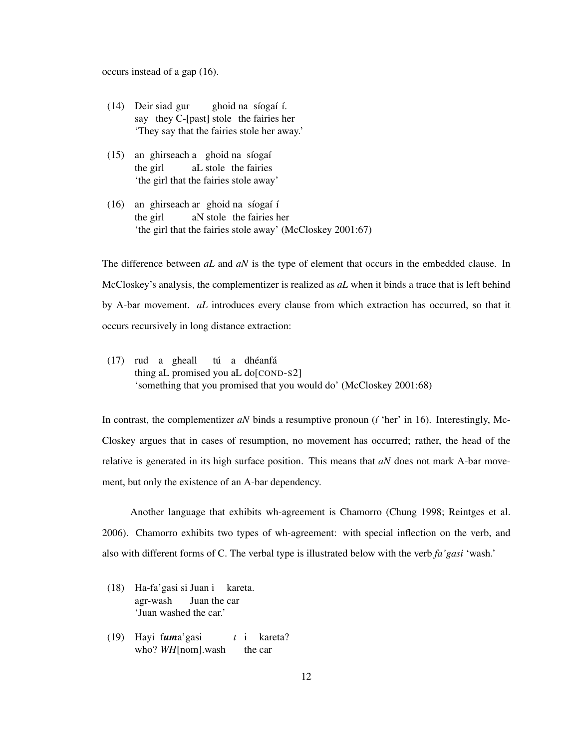occurs instead of a gap (16).

- (14) Deir siad gur say they C-[past] stole the fairies her ghoid na síogaí í. 'They say that the fairies stole her away.'
- (15) an ghirseach a ghoid na síogaí the girl aL stole the fairies 'the girl that the fairies stole away'
- (16) an ghirseach ar ghoid na síogaí í the girl aN stole the fairies her 'the girl that the fairies stole away' (McCloskey 2001:67)

The difference between *aL* and *aN* is the type of element that occurs in the embedded clause. In McCloskey's analysis, the complementizer is realized as *aL* when it binds a trace that is left behind by A-bar movement. *aL* introduces every clause from which extraction has occurred, so that it occurs recursively in long distance extraction:

(17) rud a gheall thing aL promised you aL do[COND-S2] tú a dhéanfá 'something that you promised that you would do' (McCloskey 2001:68)

In contrast, the complementizer  $aN$  binds a resumptive pronoun ( $i$  'her' in 16). Interestingly, Mc-Closkey argues that in cases of resumption, no movement has occurred; rather, the head of the relative is generated in its high surface position. This means that *aN* does not mark A-bar movement, but only the existence of an A-bar dependency.

Another language that exhibits wh-agreement is Chamorro (Chung 1998; Reintges et al. 2006). Chamorro exhibits two types of wh-agreement: with special inflection on the verb, and also with different forms of C. The verbal type is illustrated below with the verb *fa'gasi* 'wash.'

- (18) Ha-fa'gasi si Juan i kareta. agr-wash Juan the car 'Juan washed the car.'
- (19) Hayi f*um*a'gasi who? *WH*[nom].wash *t* i kareta? the car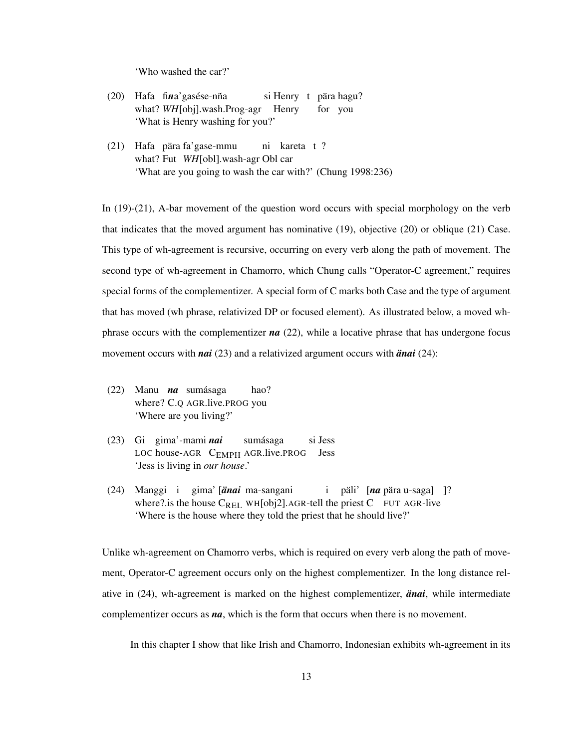'Who washed the car?'

- (20) Hafa fina'gasése-nña what? *WH*[obj].wash.Prog-agr Henry si Henry t pära hagu? for you 'What is Henry washing for you?'
- (21) Hafa pära fa'gase-mmu what? Fut *WH*[obl].wash-agr Obl car ni kareta t ? 'What are you going to wash the car with?' (Chung 1998:236)

In (19)-(21), A-bar movement of the question word occurs with special morphology on the verb that indicates that the moved argument has nominative (19), objective (20) or oblique (21) Case. This type of wh-agreement is recursive, occurring on every verb along the path of movement. The second type of wh-agreement in Chamorro, which Chung calls "Operator-C agreement," requires special forms of the complementizer. A special form of C marks both Case and the type of argument that has moved (wh phrase, relativized DP or focused element). As illustrated below, a moved whphrase occurs with the complementizer  $na$  (22), while a locative phrase that has undergone focus movement occurs with *nai* (23) and a relativized argument occurs with *änai* (24):

- (22) Manu *na* sumásaga where? C.Q AGR.live.PROG you hao? 'Where are you living?'
- (23) Gi gima'-mami *nai* LOC house-AGR C<sub>EMPH</sub> AGR.live.PROG Jess sumásaga si Jess 'Jess is living in *our house*.'
- (24) Manggi i gima' [*änai* ma-sangani where? is the house  $C_{REL}$  WH[obj2]. AGR-tell the priest C FUT AGR-live i päli' [*na* pära u-saga] ]? 'Where is the house where they told the priest that he should live?'

Unlike wh-agreement on Chamorro verbs, which is required on every verb along the path of movement, Operator-C agreement occurs only on the highest complementizer. In the long distance relative in  $(24)$ , wh-agreement is marked on the highest complementizer, *anai*, while intermediate complementizer occurs as *na*, which is the form that occurs when there is no movement.

In this chapter I show that like Irish and Chamorro, Indonesian exhibits wh-agreement in its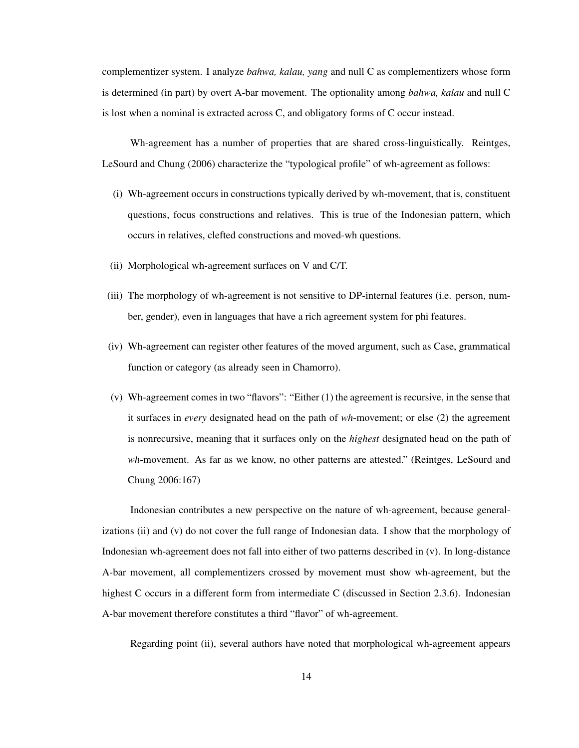complementizer system. I analyze *bahwa, kalau, yang* and null C as complementizers whose form is determined (in part) by overt A-bar movement. The optionality among *bahwa, kalau* and null C is lost when a nominal is extracted across C, and obligatory forms of C occur instead.

Wh-agreement has a number of properties that are shared cross-linguistically. Reintges, LeSourd and Chung (2006) characterize the "typological profile" of wh-agreement as follows:

- (i) Wh-agreement occurs in constructions typically derived by wh-movement, that is, constituent questions, focus constructions and relatives. This is true of the Indonesian pattern, which occurs in relatives, clefted constructions and moved-wh questions.
- (ii) Morphological wh-agreement surfaces on V and C/T.
- (iii) The morphology of wh-agreement is not sensitive to DP-internal features (i.e. person, number, gender), even in languages that have a rich agreement system for phi features.
- (iv) Wh-agreement can register other features of the moved argument, such as Case, grammatical function or category (as already seen in Chamorro).
- (v) Wh-agreement comes in two "flavors": "Either (1) the agreement is recursive, in the sense that it surfaces in *every* designated head on the path of *wh*-movement; or else (2) the agreement is nonrecursive, meaning that it surfaces only on the *highest* designated head on the path of *wh*-movement. As far as we know, no other patterns are attested." (Reintges, LeSourd and Chung 2006:167)

Indonesian contributes a new perspective on the nature of wh-agreement, because generalizations (ii) and (v) do not cover the full range of Indonesian data. I show that the morphology of Indonesian wh-agreement does not fall into either of two patterns described in (v). In long-distance A-bar movement, all complementizers crossed by movement must show wh-agreement, but the highest C occurs in a different form from intermediate C (discussed in Section 2.3.6). Indonesian A-bar movement therefore constitutes a third "flavor" of wh-agreement.

Regarding point (ii), several authors have noted that morphological wh-agreement appears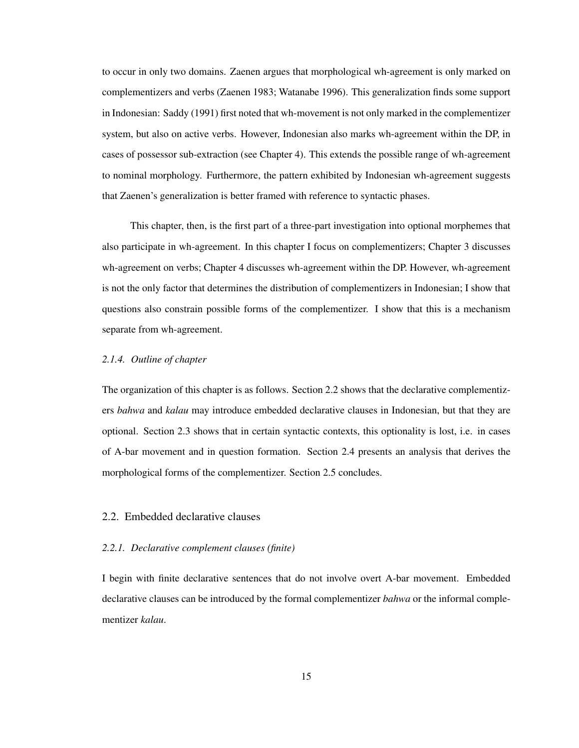to occur in only two domains. Zaenen argues that morphological wh-agreement is only marked on complementizers and verbs (Zaenen 1983; Watanabe 1996). This generalization finds some support in Indonesian: Saddy (1991) first noted that wh-movement is not only marked in the complementizer system, but also on active verbs. However, Indonesian also marks wh-agreement within the DP, in cases of possessor sub-extraction (see Chapter 4). This extends the possible range of wh-agreement to nominal morphology. Furthermore, the pattern exhibited by Indonesian wh-agreement suggests that Zaenen's generalization is better framed with reference to syntactic phases.

This chapter, then, is the first part of a three-part investigation into optional morphemes that also participate in wh-agreement. In this chapter I focus on complementizers; Chapter 3 discusses wh-agreement on verbs; Chapter 4 discusses wh-agreement within the DP. However, wh-agreement is not the only factor that determines the distribution of complementizers in Indonesian; I show that questions also constrain possible forms of the complementizer. I show that this is a mechanism separate from wh-agreement.

## *2.1.4. Outline of chapter*

The organization of this chapter is as follows. Section 2.2 shows that the declarative complementizers *bahwa* and *kalau* may introduce embedded declarative clauses in Indonesian, but that they are optional. Section 2.3 shows that in certain syntactic contexts, this optionality is lost, i.e. in cases of A-bar movement and in question formation. Section 2.4 presents an analysis that derives the morphological forms of the complementizer. Section 2.5 concludes.

## 2.2. Embedded declarative clauses

#### *2.2.1. Declarative complement clauses (finite)*

I begin with finite declarative sentences that do not involve overt A-bar movement. Embedded declarative clauses can be introduced by the formal complementizer *bahwa* or the informal complementizer *kalau*.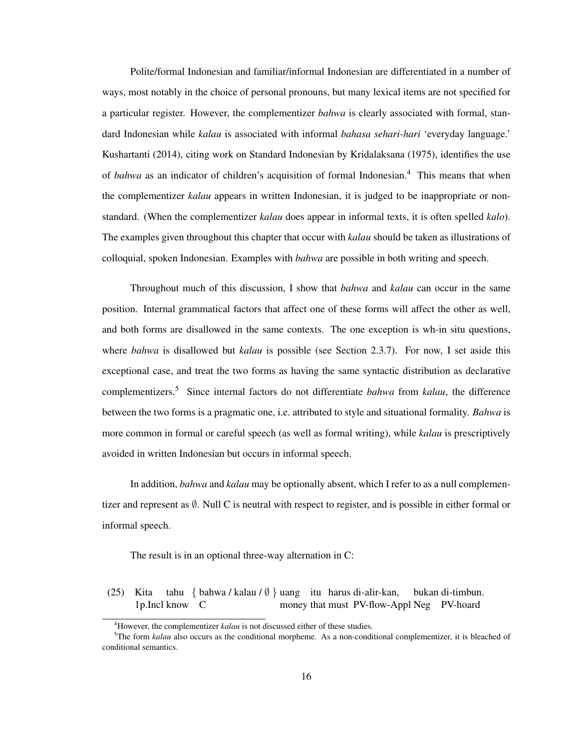Polite/formal Indonesian and familiar/informal Indonesian are differentiated in a number of ways, most notably in the choice of personal pronouns, but many lexical items are not specified for a particular register. However, the complementizer *bahwa* is clearly associated with formal, standard Indonesian while *kalau* is associated with informal *bahasa sehari-hari* 'everyday language.' Kushartanti (2014), citing work on Standard Indonesian by Kridalaksana (1975), identifies the use of *bahwa* as an indicator of children's acquisition of formal Indonesian.<sup>4</sup> This means that when the complementizer *kalau* appears in written Indonesian, it is judged to be inappropriate or nonstandard. (When the complementizer *kalau* does appear in informal texts, it is often spelled *kalo*). The examples given throughout this chapter that occur with *kalau* should be taken as illustrations of colloquial, spoken Indonesian. Examples with *bahwa* are possible in both writing and speech.

Throughout much of this discussion, I show that *bahwa* and *kalau* can occur in the same position. Internal grammatical factors that affect one of these forms will affect the other as well, and both forms are disallowed in the same contexts. The one exception is wh-in situ questions, where *bahwa* is disallowed but *kalau* is possible (see Section 2.3.7). For now, I set aside this exceptional case, and treat the two forms as having the same syntactic distribution as declarative complementizers.<sup>5</sup> Since internal factors do not differentiate *bahwa* from *kalau*, the difference between the two forms is a pragmatic one, i.e. attributed to style and situational formality. *Bahwa* is more common in formal or careful speech (as well as formal writing), while *kalau* is prescriptively avoided in written Indonesian but occurs in informal speech.

In addition, *bahwa* and *kalau* may be optionally absent, which I refer to as a null complementizer and represent as ∅. Null C is neutral with respect to register, and is possible in either formal or informal speech.

The result is in an optional three-way alternation in C:

(25) Kita 1p.Incl know C tahu { bahwa / kalau / ∅ } uang itu harus di-alir-kan, money that must PV-flow-Appl Neg PV-hoard bukan di-timbun.

<sup>&</sup>lt;sup>4</sup>However, the complementizer *kalau* is not discussed either of these studies.

<sup>&</sup>lt;sup>5</sup>The form *kalau* also occurs as the conditional morpheme. As a non-conditional complementizer, it is bleached of conditional semantics.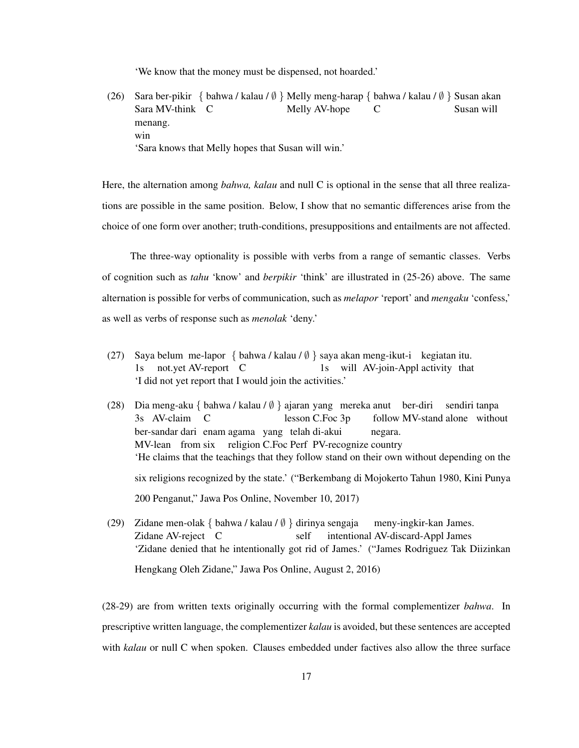'We know that the money must be dispensed, not hoarded.'

(26) Sara ber-pikir { bahwa / kalau / Ø } Melly meng-harap { bahwa / kalau / Ø } Susan akan Sara MV-think C Melly AV-hope C Susan will menang. win 'Sara knows that Melly hopes that Susan will win.'

Here, the alternation among *bahwa, kalau* and null C is optional in the sense that all three realizations are possible in the same position. Below, I show that no semantic differences arise from the choice of one form over another; truth-conditions, presuppositions and entailments are not affected.

The three-way optionality is possible with verbs from a range of semantic classes. Verbs of cognition such as *tahu* 'know' and *berpikir* 'think' are illustrated in (25-26) above. The same alternation is possible for verbs of communication, such as *melapor* 'report' and *mengaku* 'confess,' as well as verbs of response such as *menolak* 'deny.'

- (27) Saya belum me-lapor { bahwa / kalau / ∅ } saya akan meng-ikut-i kegiatan itu.  $1s$ not.yet AV-report C 1s will AV-join-Appl activity that 'I did not yet report that I would join the activities.'
- (28) Dia meng-aku { bahwa / kalau / ∅ } ajaran yang mereka anut ber-diri 3s AV-claim C lesson C.Foc 3p follow MV-stand alone without sendiri tanpa ber-sandar dari enam agama yang telah di-akui MV-lean from six religion C.Foc Perf PV-recognize country negara. 'He claims that the teachings that they follow stand on their own without depending on the six religions recognized by the state.' ("Berkembang di Mojokerto Tahun 1980, Kini Punya 200 Penganut," Jawa Pos Online, November 10, 2017)
- (29) Zidane men-olak { bahwa / kalau / ∅ } dirinya sengaja Zidane AV-reject C self intentional AV-discard-Appl James meny-ingkir-kan James. 'Zidane denied that he intentionally got rid of James.' ("James Rodriguez Tak Diizinkan Hengkang Oleh Zidane," Jawa Pos Online, August 2, 2016)

(28-29) are from written texts originally occurring with the formal complementizer *bahwa*. In prescriptive written language, the complementizer *kalau* is avoided, but these sentences are accepted with *kalau* or null C when spoken. Clauses embedded under factives also allow the three surface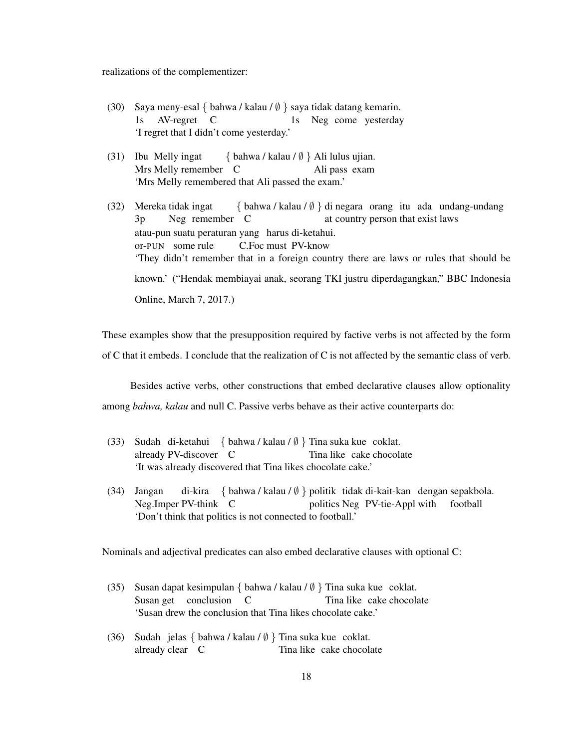realizations of the complementizer:

- (30) Saya meny-esal { bahwa / kalau / ∅ } saya tidak datang kemarin.  $1s$ AV-regret C 1s Neg come yesterday 'I regret that I didn't come yesterday.'
- (31) Ibu Melly ingat Mrs Melly remember C { bahwa / kalau / ∅ } Ali lulus ujian. Ali pass exam 'Mrs Melly remembered that Ali passed the exam.'
- (32) Mereka tidak ingat 3p Neg remember C { bahwa / kalau / ∅ } di negara orang itu ada undang-undang at country person that exist laws atau-pun suatu peraturan yang harus di-ketahui. or-PUN some rule C.Foc must PV-know 'They didn't remember that in a foreign country there are laws or rules that should be known.' ("Hendak membiayai anak, seorang TKI justru diperdagangkan," BBC Indonesia Online, March 7, 2017.)

These examples show that the presupposition required by factive verbs is not affected by the form of C that it embeds. I conclude that the realization of C is not affected by the semantic class of verb.

Besides active verbs, other constructions that embed declarative clauses allow optionality among *bahwa, kalau* and null C. Passive verbs behave as their active counterparts do:

- (33) Sudah di-ketahui { bahwa / kalau /  $\emptyset$  } Tina suka kue coklat. already PV-discover C Tina like cake chocolate 'It was already discovered that Tina likes chocolate cake.'
- (34) Jangan Neg.Imper PV-think C di-kira { bahwa / kalau / Ø } politik tidak di-kait-kan dengan sepakbola. politics Neg PV-tie-Appl with football 'Don't think that politics is not connected to football.'

Nominals and adjectival predicates can also embed declarative clauses with optional C:

- (35) Susan dapat kesimpulan { bahwa / kalau / ∅ } Tina suka kue coklat. Susan get conclusion C Tina like cake chocolate 'Susan drew the conclusion that Tina likes chocolate cake.'
- (36) Sudah jelas { bahwa / kalau / ∅ } Tina suka kue coklat. already clear C Tina like cake chocolate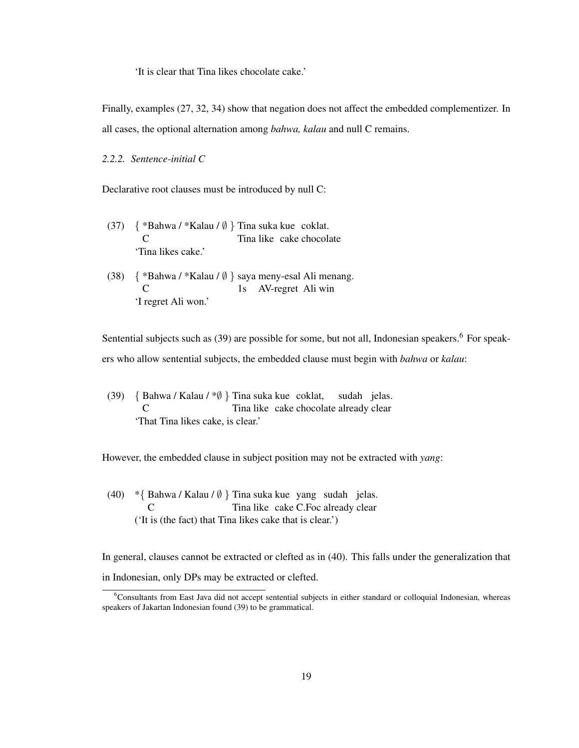'It is clear that Tina likes chocolate cake.'

Finally, examples (27, 32, 34) show that negation does not affect the embedded complementizer. In all cases, the optional alternation among *bahwa, kalau* and null C remains.

### *2.2.2. Sentence-initial C*

Declarative root clauses must be introduced by null C:

- (37)  $\{ *Bahwa / *Kalau / \emptyset \}$  Tina suka kue coklat.  $\mathcal{C}$ Tina like cake chocolate 'Tina likes cake.'
- (38) { \*Bahwa / \*Kalau / ∅ } saya meny-esal Ali menang.  $\mathcal{C}$ 1s AV-regret Ali win 'I regret Ali won.'

Sentential subjects such as (39) are possible for some, but not all, Indonesian speakers.<sup>6</sup> For speakers who allow sentential subjects, the embedded clause must begin with *bahwa* or *kalau*:

(39) { Bahwa / Kalau / \*∅ } Tina suka kue coklat,  $\mathcal{C}$ Tina like cake chocolate already clear sudah jelas. 'That Tina likes cake, is clear.'

However, the embedded clause in subject position may not be extracted with *yang*:

(40) \*{ Bahwa / Kalau / ∅ } Tina suka kue yang sudah jelas.  $\mathcal{C}$ Tina like cake C.Foc already clear ('It is (the fact) that Tina likes cake that is clear.')

In general, clauses cannot be extracted or clefted as in (40). This falls under the generalization that in Indonesian, only DPs may be extracted or clefted.

<sup>6</sup>Consultants from East Java did not accept sentential subjects in either standard or colloquial Indonesian, whereas speakers of Jakartan Indonesian found (39) to be grammatical.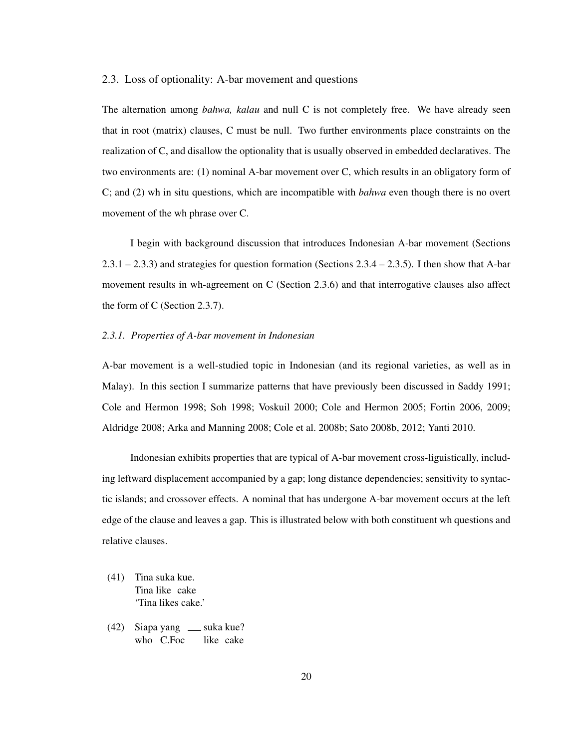### 2.3. Loss of optionality: A-bar movement and questions

The alternation among *bahwa, kalau* and null C is not completely free. We have already seen that in root (matrix) clauses, C must be null. Two further environments place constraints on the realization of C, and disallow the optionality that is usually observed in embedded declaratives. The two environments are: (1) nominal A-bar movement over C, which results in an obligatory form of C; and (2) wh in situ questions, which are incompatible with *bahwa* even though there is no overt movement of the wh phrase over C.

I begin with background discussion that introduces Indonesian A-bar movement (Sections  $2.3.1 - 2.3.3$ ) and strategies for question formation (Sections  $2.3.4 - 2.3.5$ ). I then show that A-bar movement results in wh-agreement on C (Section 2.3.6) and that interrogative clauses also affect the form of C (Section 2.3.7).

#### *2.3.1. Properties of A-bar movement in Indonesian*

A-bar movement is a well-studied topic in Indonesian (and its regional varieties, as well as in Malay). In this section I summarize patterns that have previously been discussed in Saddy 1991; Cole and Hermon 1998; Soh 1998; Voskuil 2000; Cole and Hermon 2005; Fortin 2006, 2009; Aldridge 2008; Arka and Manning 2008; Cole et al. 2008b; Sato 2008b, 2012; Yanti 2010.

Indonesian exhibits properties that are typical of A-bar movement cross-liguistically, including leftward displacement accompanied by a gap; long distance dependencies; sensitivity to syntactic islands; and crossover effects. A nominal that has undergone A-bar movement occurs at the left edge of the clause and leaves a gap. This is illustrated below with both constituent wh questions and relative clauses.

- (41) Tina suka kue. Tina like cake 'Tina likes cake.'
- (42) Siapa yang \_\_ suka kue? who C.Foc like cake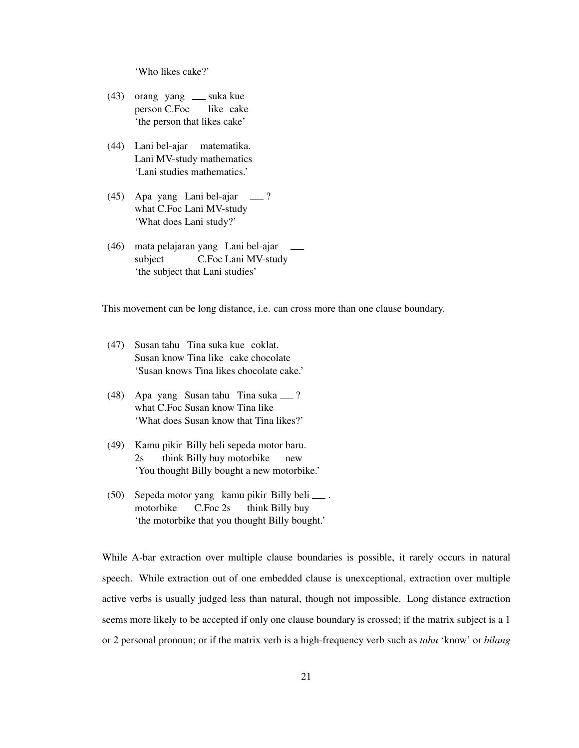'Who likes cake?'

- (43) orang yang suka kue person C.Foc like cake 'the person that likes cake'
- (44) Lani bel-ajar matematika. Lani MV-study mathematics 'Lani studies mathematics.'
- (45) Apa yang Lani bel-ajar what C.Foc Lani MV-study ? 'What does Lani study?'
- (46) mata pelajaran yang Lani bel-ajar subject C.Foc Lani MV-study 'the subject that Lani studies'

This movement can be long distance, i.e. can cross more than one clause boundary.

- (47) Susan tahu Tina suka kue coklat. Susan know Tina like cake chocolate 'Susan knows Tina likes chocolate cake.'
- (48) Apa yang Susan tahu Tina suka ? what C.Foc Susan know Tina like 'What does Susan know that Tina likes?'
- (49) Kamu pikir Billy beli sepeda motor baru. 2s think Billy buy motorbike new 'You thought Billy bought a new motorbike.'
- (50) Sepeda motor yang kamu pikir Billy beli . motorbike C.Foc 2s think Billy buy 'the motorbike that you thought Billy bought.'

While A-bar extraction over multiple clause boundaries is possible, it rarely occurs in natural speech. While extraction out of one embedded clause is unexceptional, extraction over multiple active verbs is usually judged less than natural, though not impossible. Long distance extraction seems more likely to be accepted if only one clause boundary is crossed; if the matrix subject is a 1 or 2 personal pronoun; or if the matrix verb is a high-frequency verb such as *tahu* 'know' or *bilang*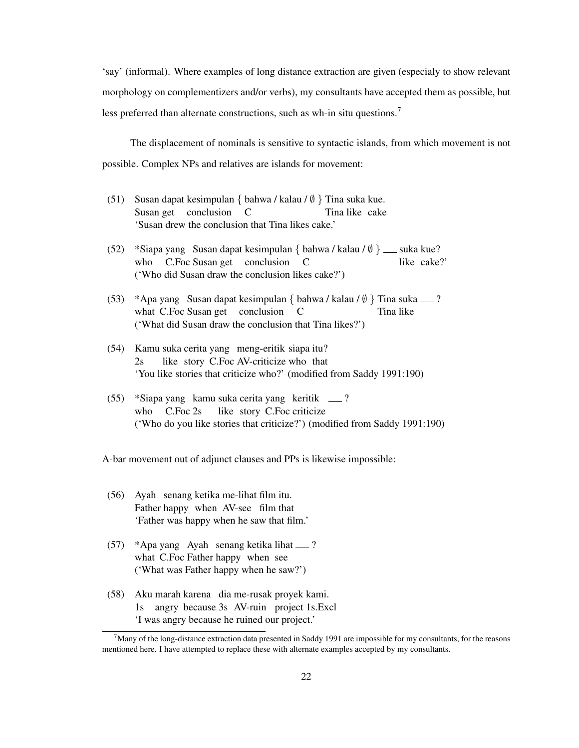'say' (informal). Where examples of long distance extraction are given (especialy to show relevant morphology on complementizers and/or verbs), my consultants have accepted them as possible, but less preferred than alternate constructions, such as wh-in situ questions.<sup>7</sup>

The displacement of nominals is sensitive to syntactic islands, from which movement is not possible. Complex NPs and relatives are islands for movement:

- (51) Susan dapat kesimpulan { bahwa / kalau /  $\emptyset$  } Tina suka kue. Susan get conclusion C Tina like cake 'Susan drew the conclusion that Tina likes cake.'
- (52) \*Siapa yang Susan dapat kesimpulan { bahwa / kalau /  $\emptyset$  } \_\_ suka kue? who C.Foc Susan get conclusion C like cake?' ('Who did Susan draw the conclusion likes cake?')
- (53) \*Apa yang Susan dapat kesimpulan { bahwa / kalau / Ø } Tina suka ........? what C.Foc Susan get conclusion C Tina like ('What did Susan draw the conclusion that Tina likes?')
- (54) Kamu suka cerita yang meng-eritik siapa itu? 2s like story C.Foc AV-criticize who that 'You like stories that criticize who?' (modified from Saddy 1991:190)
- (55) \*Siapa yang kamu suka cerita yang keritik ? who C.Foc 2s like story C.Foc criticize ('Who do you like stories that criticize?') (modified from Saddy 1991:190)

A-bar movement out of adjunct clauses and PPs is likewise impossible:

- (56) Ayah senang ketika me-lihat film itu. Father happy when AV-see film that 'Father was happy when he saw that film.'
- (57) \*Apa yang Ayah senang ketika lihat ? what C.Foc Father happy when see ('What was Father happy when he saw?')
- (58) Aku marah karena dia me-rusak proyek kami. 1s angry because 3s AV-ruin project 1s.Excl 'I was angry because he ruined our project.'

 $7$ Many of the long-distance extraction data presented in Saddy 1991 are impossible for my consultants, for the reasons mentioned here. I have attempted to replace these with alternate examples accepted by my consultants.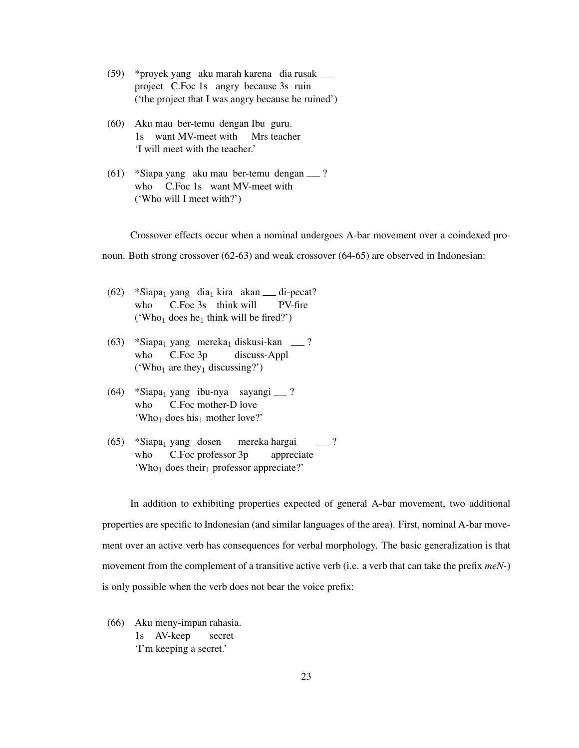- (59) \*proyek yang aku marah karena dia rusak project C.Foc 1s angry because 3s ruin ('the project that I was angry because he ruined')
- (60) Aku mau ber-temu dengan Ibu guru. 1s want MV-meet with Mrs teacher 'I will meet with the teacher.'
- (61) \*Siapa yang aku mau ber-temu dengan ? who C.Foc 1s want MV-meet with ('Who will I meet with?')

Crossover effects occur when a nominal undergoes A-bar movement over a coindexed pro-

noun. Both strong crossover (62-63) and weak crossover (64-65) are observed in Indonesian:

- $(62)$  \*Siapa<sub>1</sub> yang dia<sub>1</sub> kira akan <u>di</u>-pecat? who C.Foc 3s think will PV-fire ('Who<sub>1</sub> does he<sub>1</sub> think will be fired?')
- $(63)$  \*Siapa<sub>1</sub> yang mereka<sub>1</sub> diskusi-kan  $\qquad$ ? who C.Foc 3p discuss-Appl ('Who<sub>1</sub> are they<sub>1</sub> discussing?')
- (64) \*Siapa<sub>1</sub> yang ibu-nya sayangi <sub>—</sub> ? who C.Foc mother-D love 'Who<sub>1</sub> does his<sub>1</sub> mother love?'
- $(65)$  \*Siapa<sub>1</sub> yang dosen who C.Foc professor 3p mereka hargai appreciate ? 'Who<sub>1</sub> does their<sub>1</sub> professor appreciate?'

In addition to exhibiting properties expected of general A-bar movement, two additional properties are specific to Indonesian (and similar languages of the area). First, nominal A-bar movement over an active verb has consequences for verbal morphology. The basic generalization is that movement from the complement of a transitive active verb (i.e. a verb that can take the prefix *meN-*) is only possible when the verb does not bear the voice prefix:

(66) Aku meny-impan rahasia. 1s AV-keep secret 'I'm keeping a secret.'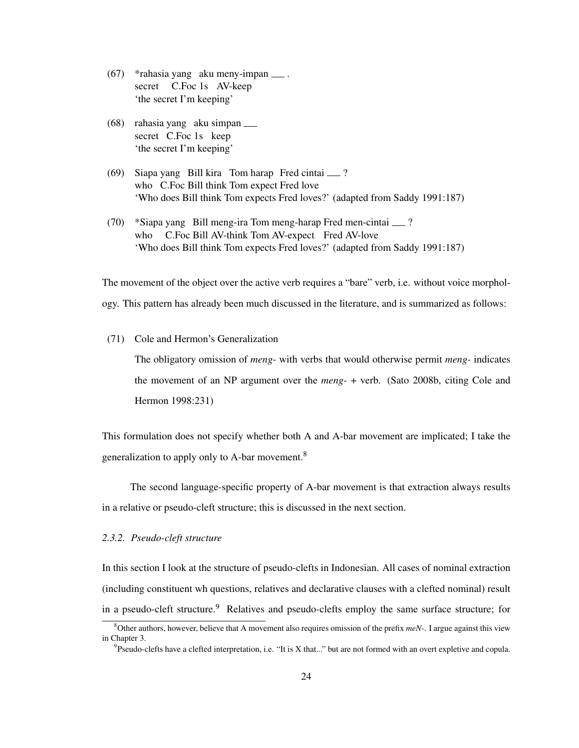- (67) \*rahasia yang aku meny-impan . secret C.Foc 1s AV-keep 'the secret I'm keeping'
- (68) rahasia yang aku simpan secret C.Foc 1s keep 'the secret I'm keeping'
- (69) Siapa yang Bill kira Tom harap Fred cintai ? who C.Foc Bill think Tom expect Fred love 'Who does Bill think Tom expects Fred loves?' (adapted from Saddy 1991:187)
- (70) \*Siapa yang Bill meng-ira Tom meng-harap Fred men-cintai ? who C.Foc Bill AV-think Tom AV-expect Fred AV-love 'Who does Bill think Tom expects Fred loves?' (adapted from Saddy 1991:187)

The movement of the object over the active verb requires a "bare" verb, i.e. without voice morphology. This pattern has already been much discussed in the literature, and is summarized as follows:

(71) Cole and Hermon's Generalization

The obligatory omission of *meng*- with verbs that would otherwise permit *meng-* indicates the movement of an NP argument over the *meng-* + verb. (Sato 2008b, citing Cole and Hermon 1998:231)

This formulation does not specify whether both A and A-bar movement are implicated; I take the generalization to apply only to A-bar movement.<sup>8</sup>

The second language-specific property of A-bar movement is that extraction always results in a relative or pseudo-cleft structure; this is discussed in the next section.

#### *2.3.2. Pseudo-cleft structure*

In this section I look at the structure of pseudo-clefts in Indonesian. All cases of nominal extraction (including constituent wh questions, relatives and declarative clauses with a clefted nominal) result in a pseudo-cleft structure.<sup>9</sup> Relatives and pseudo-clefts employ the same surface structure; for

<sup>8</sup>Other authors, however, believe that A movement also requires omission of the prefix *meN-*. I argue against this view in Chapter 3.

 ${}^{9}$ Pseudo-clefts have a clefted interpretation, i.e. "It is X that..." but are not formed with an overt expletive and copula.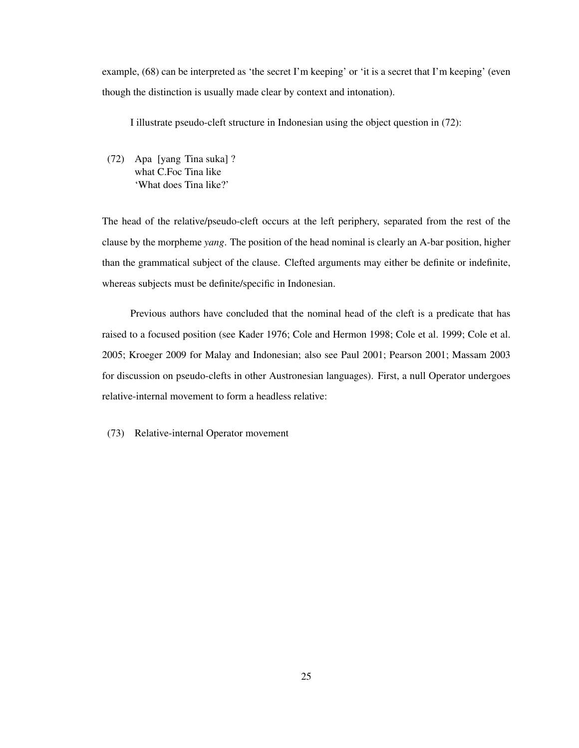example, (68) can be interpreted as 'the secret I'm keeping' or 'it is a secret that I'm keeping' (even though the distinction is usually made clear by context and intonation).

I illustrate pseudo-cleft structure in Indonesian using the object question in (72):

(72) Apa [yang Tina suka] ? what C.Foc Tina like 'What does Tina like?'

The head of the relative/pseudo-cleft occurs at the left periphery, separated from the rest of the clause by the morpheme *yang*. The position of the head nominal is clearly an A-bar position, higher than the grammatical subject of the clause. Clefted arguments may either be definite or indefinite, whereas subjects must be definite/specific in Indonesian.

Previous authors have concluded that the nominal head of the cleft is a predicate that has raised to a focused position (see Kader 1976; Cole and Hermon 1998; Cole et al. 1999; Cole et al. 2005; Kroeger 2009 for Malay and Indonesian; also see Paul 2001; Pearson 2001; Massam 2003 for discussion on pseudo-clefts in other Austronesian languages). First, a null Operator undergoes relative-internal movement to form a headless relative:

(73) Relative-internal Operator movement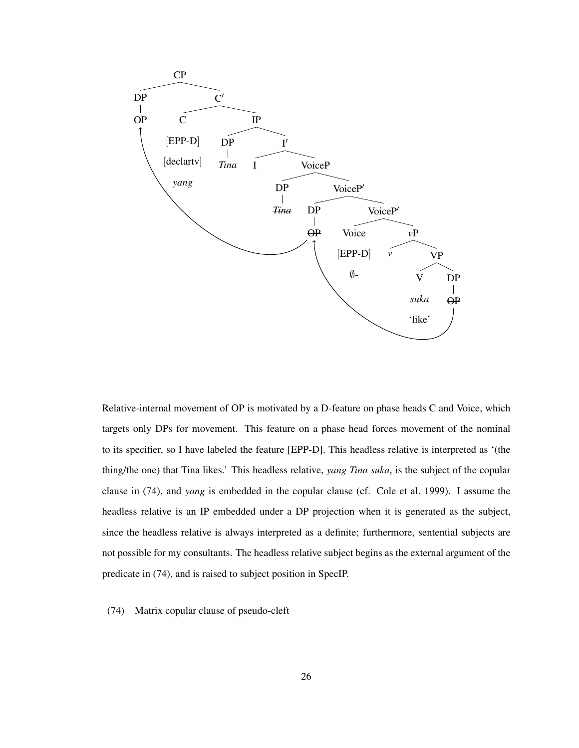

Relative-internal movement of OP is motivated by a D-feature on phase heads C and Voice, which targets only DPs for movement. This feature on a phase head forces movement of the nominal to its specifier, so I have labeled the feature [EPP-D]. This headless relative is interpreted as '(the thing/the one) that Tina likes.' This headless relative, *yang Tina suka*, is the subject of the copular clause in (74), and *yang* is embedded in the copular clause (cf. Cole et al. 1999). I assume the headless relative is an IP embedded under a DP projection when it is generated as the subject, since the headless relative is always interpreted as a definite; furthermore, sentential subjects are not possible for my consultants. The headless relative subject begins as the external argument of the predicate in (74), and is raised to subject position in SpecIP.

(74) Matrix copular clause of pseudo-cleft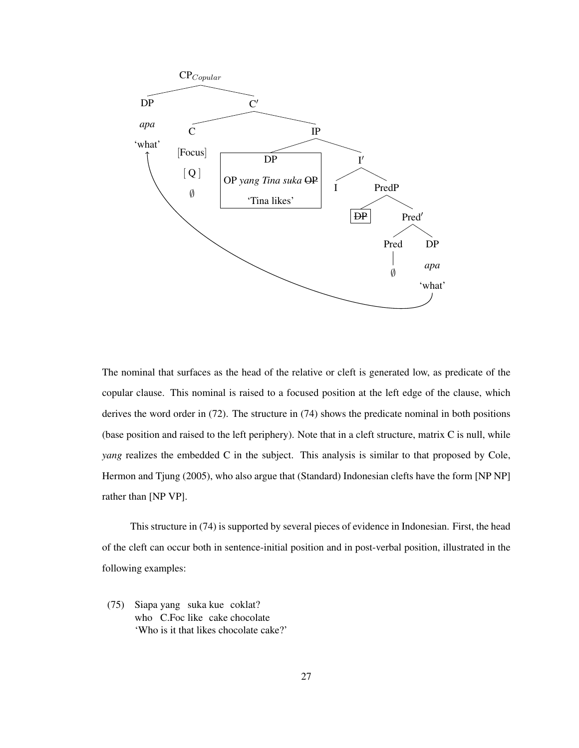

The nominal that surfaces as the head of the relative or cleft is generated low, as predicate of the copular clause. This nominal is raised to a focused position at the left edge of the clause, which derives the word order in (72). The structure in (74) shows the predicate nominal in both positions (base position and raised to the left periphery). Note that in a cleft structure, matrix C is null, while *yang* realizes the embedded C in the subject. This analysis is similar to that proposed by Cole, Hermon and Tjung (2005), who also argue that (Standard) Indonesian clefts have the form [NP NP] rather than [NP VP].

This structure in (74) is supported by several pieces of evidence in Indonesian. First, the head of the cleft can occur both in sentence-initial position and in post-verbal position, illustrated in the following examples:

(75) Siapa yang suka kue coklat? who C.Foc like cake chocolate 'Who is it that likes chocolate cake?'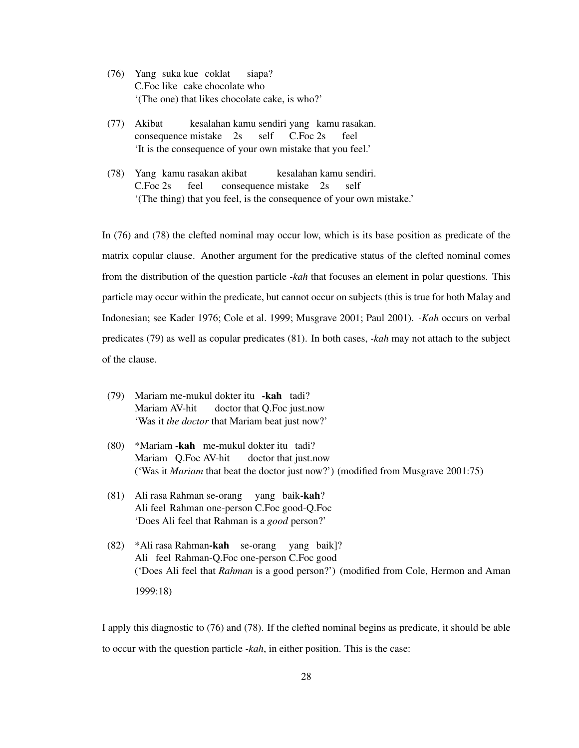- (76) Yang suka kue coklat C.Foc like cake chocolate who siapa? '(The one) that likes chocolate cake, is who?'
- (77) Akibat consequence mistake 2s kesalahan kamu sendiri yang kamu rasakan. self C.Foc 2s feel 'It is the consequence of your own mistake that you feel.'
- (78) Yang kamu rasakan akibat C.Foc 2s feel consequence mistake 2s kesalahan kamu sendiri. self '(The thing) that you feel, is the consequence of your own mistake.'

In (76) and (78) the clefted nominal may occur low, which is its base position as predicate of the matrix copular clause. Another argument for the predicative status of the clefted nominal comes from the distribution of the question particle *-kah* that focuses an element in polar questions. This particle may occur within the predicate, but cannot occur on subjects (this is true for both Malay and Indonesian; see Kader 1976; Cole et al. 1999; Musgrave 2001; Paul 2001). *-Kah* occurs on verbal predicates (79) as well as copular predicates (81). In both cases, *-kah* may not attach to the subject of the clause.

- (79) Mariam me-mukul dokter itu -kah tadi? Mariam AV-hit doctor that Q.Foc just.now 'Was it *the doctor* that Mariam beat just now?'
- (80) \*Mariam kah me-mukul dokter itu tadi? Mariam Q.Foc AV-hit doctor that just.now ('Was it *Mariam* that beat the doctor just now?') (modified from Musgrave 2001:75)
- (81) Ali rasa Rahman se-orang yang baik-kah? Ali feel Rahman one-person C.Foc good-Q.Foc 'Does Ali feel that Rahman is a *good* person?'
- (82) \*Ali rasa Rahman-kah se-orang yang baik]? Ali feel Rahman-Q.Foc one-person C.Foc good ('Does Ali feel that *Rahman* is a good person?') (modified from Cole, Hermon and Aman 1999:18)

I apply this diagnostic to (76) and (78). If the clefted nominal begins as predicate, it should be able to occur with the question particle *-kah*, in either position. This is the case: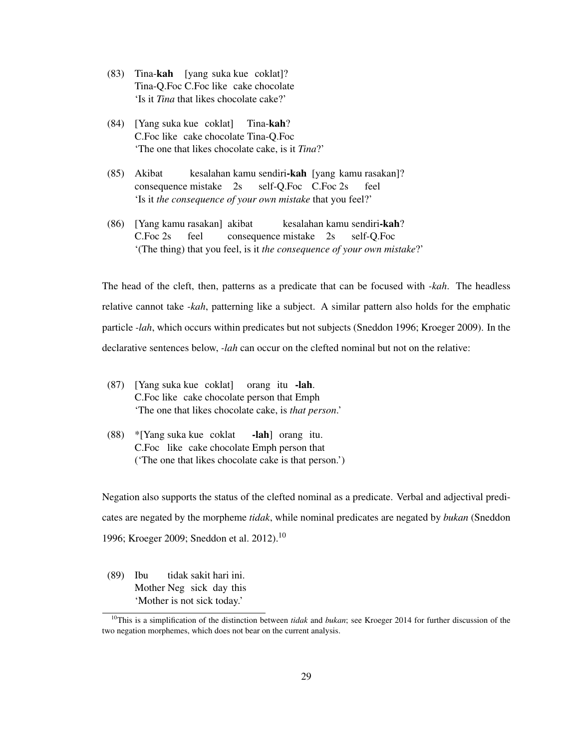- (83) Tina-kah [yang suka kue coklat]? Tina-Q.Foc C.Foc like cake chocolate 'Is it *Tina* that likes chocolate cake?'
- (84) [Yang suka kue coklat] C.Foc like cake chocolate Tina-Q.Foc Tina-kah? 'The one that likes chocolate cake, is it *Tina*?'
- (85) Akibat consequence mistake 2s kesalahan kamu sendiri**-kah** [yang kamu rasakan]? self-Q.Foc C.Foc 2s feel 'Is it *the consequence of your own mistake* that you feel?'
- (86) [Yang kamu rasakan] akibat C.Foc 2s feel consequence mistake 2s kesalahan kamu sendiri-kah? self-Q.Foc '(The thing) that you feel, is it *the consequence of your own mistake*?'

The head of the cleft, then, patterns as a predicate that can be focused with *-kah*. The headless relative cannot take *-kah*, patterning like a subject. A similar pattern also holds for the emphatic particle *-lah*, which occurs within predicates but not subjects (Sneddon 1996; Kroeger 2009). In the declarative sentences below, *-lah* can occur on the clefted nominal but not on the relative:

- (87) [Yang suka kue coklat] C.Foc like cake chocolate person that Emph orang itu -lah. 'The one that likes chocolate cake, is *that person*.'
- (88) \*[Yang suka kue coklat C.Foc like cake chocolate Emph person that -lah] orang itu. ('The one that likes chocolate cake is that person.')

Negation also supports the status of the clefted nominal as a predicate. Verbal and adjectival predicates are negated by the morpheme *tidak*, while nominal predicates are negated by *bukan* (Sneddon 1996; Kroeger 2009; Sneddon et al. 2012).<sup>10</sup>

(89) Ibu Mother Neg sick day this tidak sakit hari ini. 'Mother is not sick today.'

<sup>10</sup>This is a simplification of the distinction between *tidak* and *bukan*; see Kroeger 2014 for further discussion of the two negation morphemes, which does not bear on the current analysis.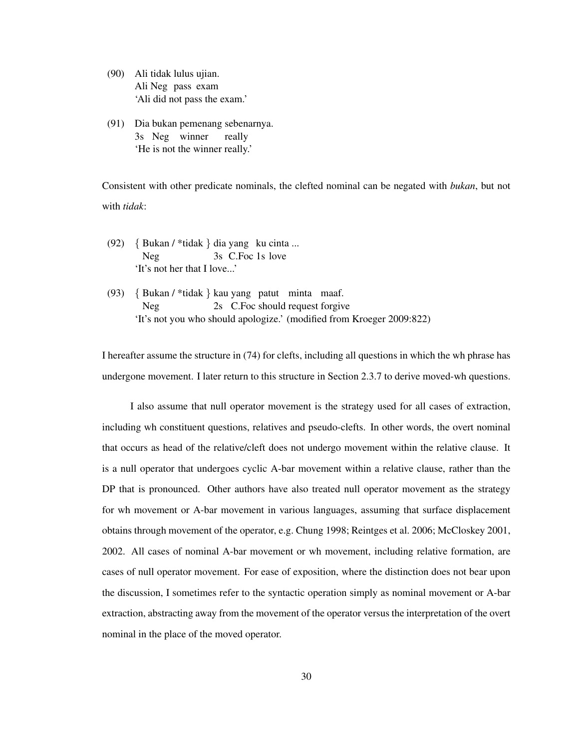(90) Ali tidak lulus ujian. Ali Neg pass exam 'Ali did not pass the exam.'

(91) Dia bukan pemenang sebenarnya. 3s Neg winner really 'He is not the winner really.'

Consistent with other predicate nominals, the clefted nominal can be negated with *bukan*, but not with *tidak*:

- (92) { Bukan / \*tidak } dia yang ku cinta ... Neg 3s C.Foc 1s love 'It's not her that I love...'
- (93) { Bukan / \*tidak } kau yang patut minta maaf. Neg 2s C.Foc should request forgive 'It's not you who should apologize.' (modified from Kroeger 2009:822)

I hereafter assume the structure in (74) for clefts, including all questions in which the wh phrase has undergone movement. I later return to this structure in Section 2.3.7 to derive moved-wh questions.

I also assume that null operator movement is the strategy used for all cases of extraction, including wh constituent questions, relatives and pseudo-clefts. In other words, the overt nominal that occurs as head of the relative/cleft does not undergo movement within the relative clause. It is a null operator that undergoes cyclic A-bar movement within a relative clause, rather than the DP that is pronounced. Other authors have also treated null operator movement as the strategy for wh movement or A-bar movement in various languages, assuming that surface displacement obtains through movement of the operator, e.g. Chung 1998; Reintges et al. 2006; McCloskey 2001, 2002. All cases of nominal A-bar movement or wh movement, including relative formation, are cases of null operator movement. For ease of exposition, where the distinction does not bear upon the discussion, I sometimes refer to the syntactic operation simply as nominal movement or A-bar extraction, abstracting away from the movement of the operator versus the interpretation of the overt nominal in the place of the moved operator.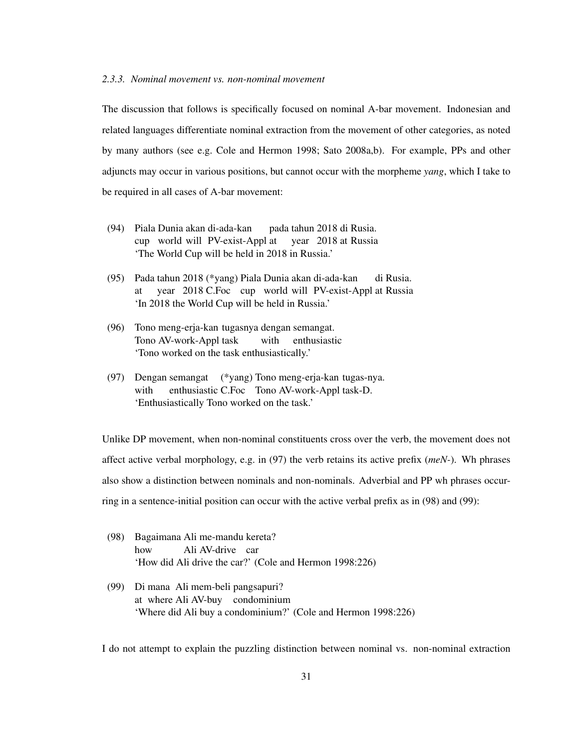#### *2.3.3. Nominal movement vs. non-nominal movement*

The discussion that follows is specifically focused on nominal A-bar movement. Indonesian and related languages differentiate nominal extraction from the movement of other categories, as noted by many authors (see e.g. Cole and Hermon 1998; Sato 2008a,b). For example, PPs and other adjuncts may occur in various positions, but cannot occur with the morpheme *yang*, which I take to be required in all cases of A-bar movement:

- (94) Piala Dunia akan di-ada-kan cup world will PV-exist-Appl at pada tahun 2018 di Rusia. year 2018 at Russia 'The World Cup will be held in 2018 in Russia.'
- (95) Pada tahun 2018 (\*yang) Piala Dunia akan di-ada-kan at year 2018 C.Foc cup world will PV-exist-Appl at Russia di Rusia. 'In 2018 the World Cup will be held in Russia.'
- (96) Tono meng-erja-kan tugasnya dengan semangat. Tono AV-work-Appl task with enthusiastic 'Tono worked on the task enthusiastically.'
- (97) Dengan semangat (\*yang) Tono meng-erja-kan tugas-nya. with enthusiastic C.Foc Tono AV-work-Appl task-D. 'Enthusiastically Tono worked on the task.'

Unlike DP movement, when non-nominal constituents cross over the verb, the movement does not affect active verbal morphology, e.g. in (97) the verb retains its active prefix (*meN-*). Wh phrases also show a distinction between nominals and non-nominals. Adverbial and PP wh phrases occurring in a sentence-initial position can occur with the active verbal prefix as in (98) and (99):

- (98) Bagaimana Ali me-mandu kereta? how Ali AV-drive car 'How did Ali drive the car?' (Cole and Hermon 1998:226)
- (99) Di mana Ali mem-beli pangsapuri? at where Ali AV-buy condominium 'Where did Ali buy a condominium?' (Cole and Hermon 1998:226)

I do not attempt to explain the puzzling distinction between nominal vs. non-nominal extraction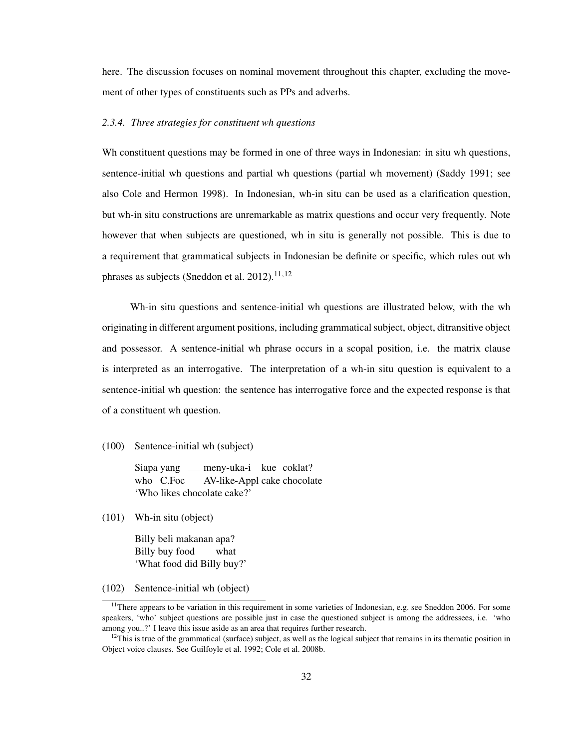here. The discussion focuses on nominal movement throughout this chapter, excluding the movement of other types of constituents such as PPs and adverbs.

#### *2.3.4. Three strategies for constituent wh questions*

Wh constituent questions may be formed in one of three ways in Indonesian: in situ wh questions, sentence-initial wh questions and partial wh questions (partial wh movement) (Saddy 1991; see also Cole and Hermon 1998). In Indonesian, wh-in situ can be used as a clarification question, but wh-in situ constructions are unremarkable as matrix questions and occur very frequently. Note however that when subjects are questioned, wh in situ is generally not possible. This is due to a requirement that grammatical subjects in Indonesian be definite or specific, which rules out wh phrases as subjects (Sneddon et al. 2012).<sup>11,12</sup>

Wh-in situ questions and sentence-initial wh questions are illustrated below, with the wh originating in different argument positions, including grammatical subject, object, ditransitive object and possessor. A sentence-initial wh phrase occurs in a scopal position, i.e. the matrix clause is interpreted as an interrogative. The interpretation of a wh-in situ question is equivalent to a sentence-initial wh question: the sentence has interrogative force and the expected response is that of a constituent wh question.

(100) Sentence-initial wh (subject)

Siapa yang \_\_ meny-uka-i kue coklat? who C.Foc AV-like-Appl cake chocolate 'Who likes chocolate cake?'

(101) Wh-in situ (object)

Billy beli makanan apa? Billy buy food what 'What food did Billy buy?'

(102) Sentence-initial wh (object)

<sup>&</sup>lt;sup>11</sup>There appears to be variation in this requirement in some varieties of Indonesian, e.g. see Sneddon 2006. For some speakers, 'who' subject questions are possible just in case the questioned subject is among the addressees, i.e. 'who among you..?' I leave this issue aside as an area that requires further research.

 $12$ This is true of the grammatical (surface) subject, as well as the logical subject that remains in its thematic position in Object voice clauses. See Guilfoyle et al. 1992; Cole et al. 2008b.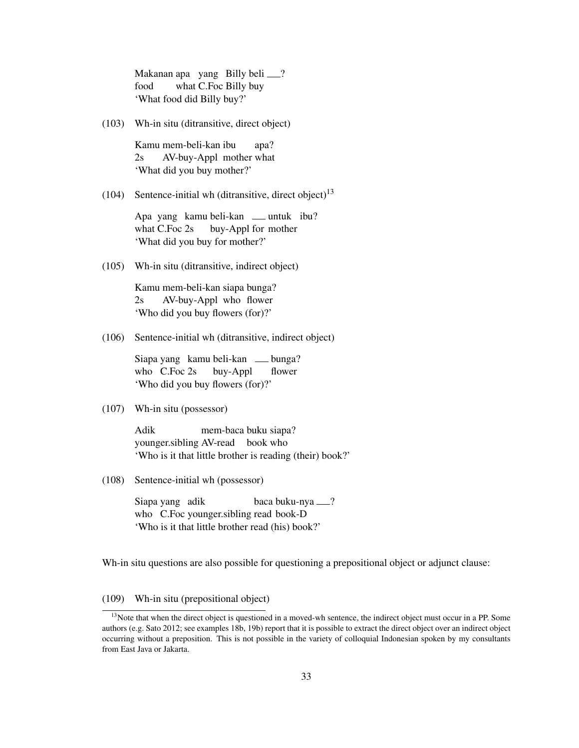Makanan apa yang Billy beli ? food what C.Foc Billy buy 'What food did Billy buy?'

(103) Wh-in situ (ditransitive, direct object)

Kamu mem-beli-kan ibu  $2s$ AV-buy-Appl mother what apa? 'What did you buy mother?'

(104) Sentence-initial wh (ditransitive, direct object)<sup>13</sup>

Apa yang kamu beli-kan <sub>—</sub> untuk ibu? what C.Foc 2s buy-Appl for mother 'What did you buy for mother?'

(105) Wh-in situ (ditransitive, indirect object)

Kamu mem-beli-kan siapa bunga? 2s AV-buy-Appl who flower 'Who did you buy flowers (for)?'

(106) Sentence-initial wh (ditransitive, indirect object)

Siapa yang kamu beli-kan bunga? who C.Foc 2s buy-Appl flower 'Who did you buy flowers (for)?'

(107) Wh-in situ (possessor)

Adik younger.sibling AV-read book who mem-baca buku siapa? 'Who is it that little brother is reading (their) book?'

(108) Sentence-initial wh (possessor)

Siapa yang adik who C.Foc younger.sibling read book-D baca buku-nya ? 'Who is it that little brother read (his) book?'

Wh-in situ questions are also possible for questioning a prepositional object or adjunct clause:

# (109) Wh-in situ (prepositional object)

 $<sup>13</sup>$ Note that when the direct object is questioned in a moved-wh sentence, the indirect object must occur in a PP. Some</sup> authors (e.g. Sato 2012; see examples 18b, 19b) report that it is possible to extract the direct object over an indirect object occurring without a preposition. This is not possible in the variety of colloquial Indonesian spoken by my consultants from East Java or Jakarta.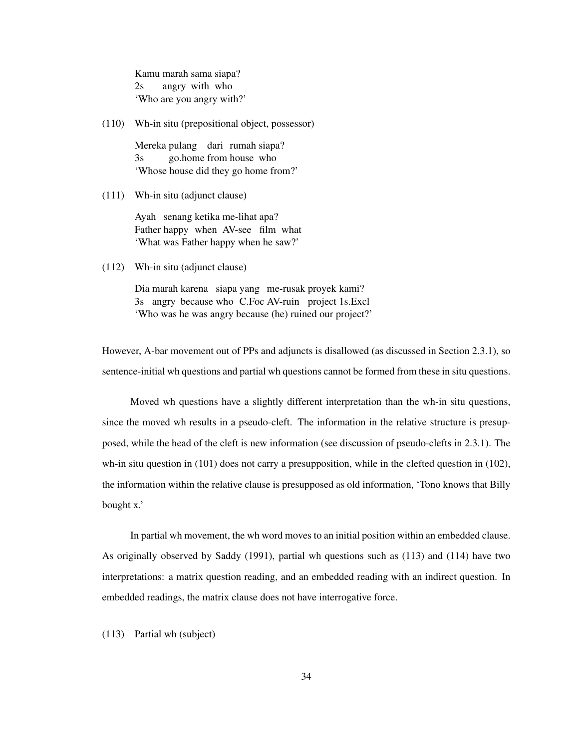Kamu marah sama siapa?  $2s$ angry with who 'Who are you angry with?'

(110) Wh-in situ (prepositional object, possessor)

Mereka pulang dari rumah siapa? 3s go.home from house who 'Whose house did they go home from?'

(111) Wh-in situ (adjunct clause)

Ayah senang ketika me-lihat apa? Father happy when AV-see film what 'What was Father happy when he saw?'

(112) Wh-in situ (adjunct clause)

Dia marah karena siapa yang me-rusak proyek kami? 3s angry because who C.Foc AV-ruin project 1s.Excl 'Who was he was angry because (he) ruined our project?'

However, A-bar movement out of PPs and adjuncts is disallowed (as discussed in Section 2.3.1), so sentence-initial wh questions and partial wh questions cannot be formed from these in situ questions.

Moved wh questions have a slightly different interpretation than the wh-in situ questions, since the moved wh results in a pseudo-cleft. The information in the relative structure is presupposed, while the head of the cleft is new information (see discussion of pseudo-clefts in 2.3.1). The wh-in situ question in (101) does not carry a presupposition, while in the clefted question in (102), the information within the relative clause is presupposed as old information, 'Tono knows that Billy bought x.'

In partial wh movement, the wh word moves to an initial position within an embedded clause. As originally observed by Saddy (1991), partial wh questions such as (113) and (114) have two interpretations: a matrix question reading, and an embedded reading with an indirect question. In embedded readings, the matrix clause does not have interrogative force.

(113) Partial wh (subject)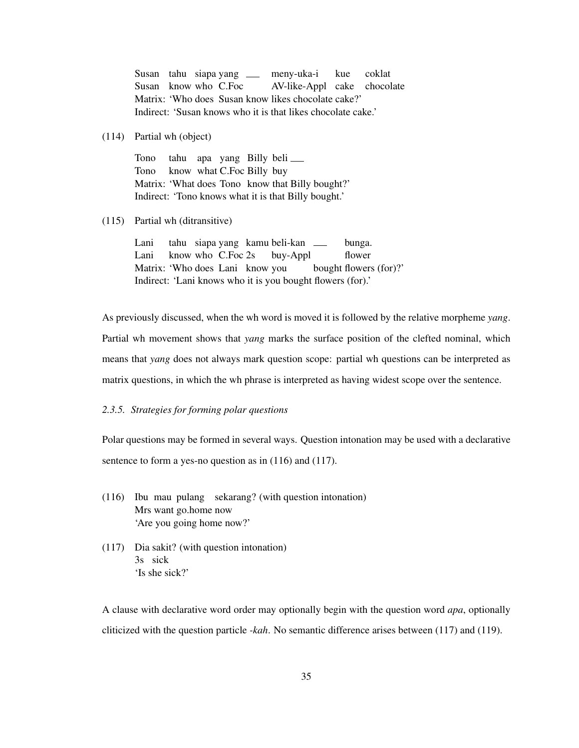Susan tahu siapa yang meny-uka-i Susan know who C.Foc Matrix: 'Who does Susan know likes chocolate cake?' AV-like-Appl cake chocolate kue coklat Indirect: 'Susan knows who it is that likes chocolate cake.'

## (114) Partial wh (object)

Tono Tono Matrix: 'What does Tono know that Billy bought?' tahu apa yang Billy beli know what C.Foc Billy buy Indirect: 'Tono knows what it is that Billy bought.'

#### (115) Partial wh (ditransitive)

Lani Lani Matrix: 'Who does Lani know tahu siapa yang kamu beli-kan know who C.Foc 2s buy-Appl you bought flowers (for)?' bunga. flower Indirect: 'Lani knows who it is you bought flowers (for).'

As previously discussed, when the wh word is moved it is followed by the relative morpheme *yang*. Partial wh movement shows that *yang* marks the surface position of the clefted nominal, which means that *yang* does not always mark question scope: partial wh questions can be interpreted as matrix questions, in which the wh phrase is interpreted as having widest scope over the sentence.

# *2.3.5. Strategies for forming polar questions*

Polar questions may be formed in several ways. Question intonation may be used with a declarative sentence to form a yes-no question as in  $(116)$  and  $(117)$ .

- (116) Ibu mau pulang sekarang? (with question intonation) Mrs want go.home now 'Are you going home now?'
- (117) Dia sakit? (with question intonation) 3s sick 'Is she sick?'

A clause with declarative word order may optionally begin with the question word *apa*, optionally cliticized with the question particle *-kah*. No semantic difference arises between (117) and (119).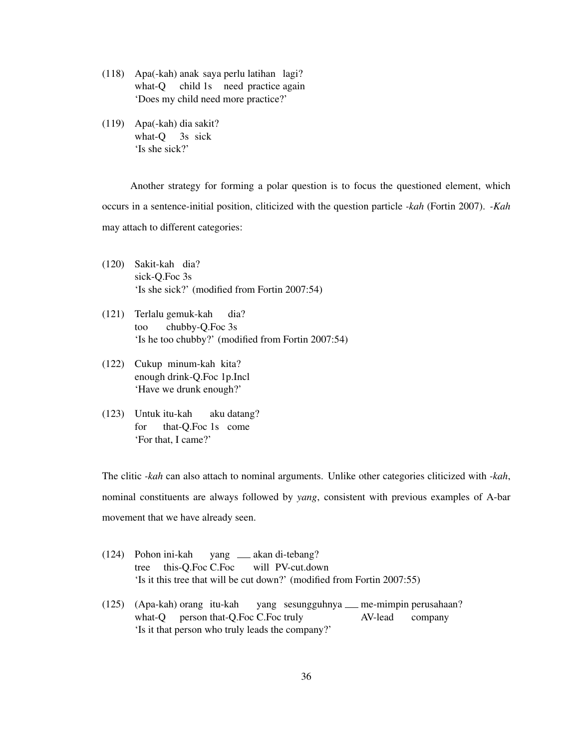- (118) Apa(-kah) anak saya perlu latihan lagi? what-Q child 1s need practice again 'Does my child need more practice?'
- (119) Apa(-kah) dia sakit? what-Q 3s sick 'Is she sick?'

Another strategy for forming a polar question is to focus the questioned element, which occurs in a sentence-initial position, cliticized with the question particle *-kah* (Fortin 2007). *-Kah* may attach to different categories:

- (120) Sakit-kah dia? sick-Q.Foc 3s 'Is she sick?' (modified from Fortin 2007:54)
- (121) Terlalu gemuk-kah too chubby-Q.Foc 3s dia? 'Is he too chubby?' (modified from Fortin 2007:54)
- (122) Cukup minum-kah kita? enough drink-Q.Foc 1p.Incl 'Have we drunk enough?'
- (123) Untuk itu-kah for that-Q.Foc 1s come aku datang? 'For that, I came?'

The clitic *-kah* can also attach to nominal arguments. Unlike other categories cliticized with *-kah*, nominal constituents are always followed by *yang*, consistent with previous examples of A-bar movement that we have already seen.

- (124) Pohon ini-kah tree this-Q.Foc C.Foc yang \_\_ akan di-tebang? will PV-cut.down 'Is it this tree that will be cut down?' (modified from Fortin 2007:55)
- (125) (Apa-kah) orang itu-kah what-Q person that-Q.Foc C.Foc truly yang sesungguhnya me-mimpin perusahaan? AV-lead company 'Is it that person who truly leads the company?'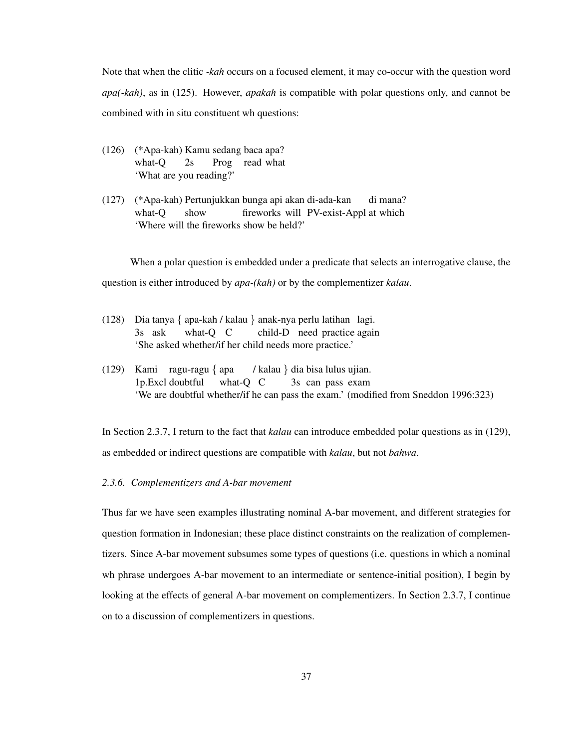Note that when the clitic *-kah* occurs on a focused element, it may co-occur with the question word *apa(-kah)*, as in (125). However, *apakah* is compatible with polar questions only, and cannot be combined with in situ constituent wh questions:

- (126) (\*Apa-kah) Kamu sedang baca apa? what-Q 2s Prog read what 'What are you reading?'
- (127) (\*Apa-kah) Pertunjukkan bunga api akan di-ada-kan what-Q show fireworks will PV-exist-Appl at which di mana? 'Where will the fireworks show be held?'

When a polar question is embedded under a predicate that selects an interrogative clause, the question is either introduced by *apa-(kah)* or by the complementizer *kalau*.

- (128) Dia tanya { apa-kah / kalau } anak-nya perlu latihan lagi. 3s ask what-Q C child-D need practice again 'She asked whether/if her child needs more practice.'
- (129) Kami ragu-ragu { apa 1p.Excl doubtful what-Q C / kalau } dia bisa lulus ujian. 3s can pass exam 'We are doubtful whether/if he can pass the exam.' (modified from Sneddon 1996:323)

In Section 2.3.7, I return to the fact that *kalau* can introduce embedded polar questions as in (129), as embedded or indirect questions are compatible with *kalau*, but not *bahwa*.

## *2.3.6. Complementizers and A-bar movement*

Thus far we have seen examples illustrating nominal A-bar movement, and different strategies for question formation in Indonesian; these place distinct constraints on the realization of complementizers. Since A-bar movement subsumes some types of questions (i.e. questions in which a nominal wh phrase undergoes A-bar movement to an intermediate or sentence-initial position), I begin by looking at the effects of general A-bar movement on complementizers. In Section 2.3.7, I continue on to a discussion of complementizers in questions.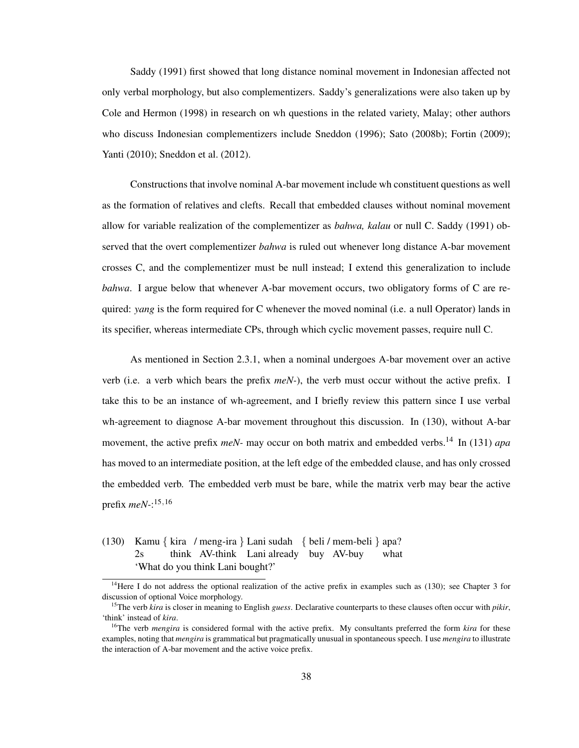Saddy (1991) first showed that long distance nominal movement in Indonesian affected not only verbal morphology, but also complementizers. Saddy's generalizations were also taken up by Cole and Hermon (1998) in research on wh questions in the related variety, Malay; other authors who discuss Indonesian complementizers include Sneddon (1996); Sato (2008b); Fortin (2009); Yanti (2010); Sneddon et al. (2012).

Constructions that involve nominal A-bar movement include wh constituent questions as well as the formation of relatives and clefts. Recall that embedded clauses without nominal movement allow for variable realization of the complementizer as *bahwa, kalau* or null C. Saddy (1991) observed that the overt complementizer *bahwa* is ruled out whenever long distance A-bar movement crosses C, and the complementizer must be null instead; I extend this generalization to include *bahwa*. I argue below that whenever A-bar movement occurs, two obligatory forms of C are required: *yang* is the form required for C whenever the moved nominal (i.e. a null Operator) lands in its specifier, whereas intermediate CPs, through which cyclic movement passes, require null C.

As mentioned in Section 2.3.1, when a nominal undergoes A-bar movement over an active verb (i.e. a verb which bears the prefix *meN-*), the verb must occur without the active prefix. I take this to be an instance of wh-agreement, and I briefly review this pattern since I use verbal wh-agreement to diagnose A-bar movement throughout this discussion. In (130), without A-bar movement, the active prefix *meN-* may occur on both matrix and embedded verbs.<sup>14</sup> In (131) *apa* has moved to an intermediate position, at the left edge of the embedded clause, and has only crossed the embedded verb. The embedded verb must be bare, while the matrix verb may bear the active prefix *meN-*: 15,16

(130) Kamu { kira / meng-ira } Lani sudah { beli / mem-beli } apa? 2s think AV-think Lani already buy AV-buy what 'What do you think Lani bought?'

<sup>&</sup>lt;sup>14</sup>Here I do not address the optional realization of the active prefix in examples such as (130); see Chapter 3 for discussion of optional Voice morphology.

<sup>15</sup>The verb *kira* is closer in meaning to English *guess*. Declarative counterparts to these clauses often occur with *pikir*, 'think' instead of *kira*.

<sup>&</sup>lt;sup>16</sup>The verb *mengira* is considered formal with the active prefix. My consultants preferred the form *kira* for these examples, noting that *mengira* is grammatical but pragmatically unusual in spontaneous speech. I use *mengira* to illustrate the interaction of A-bar movement and the active voice prefix.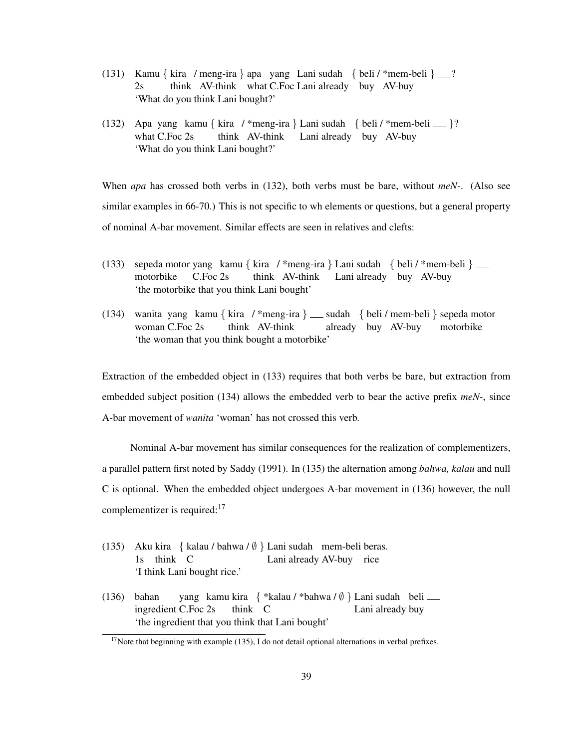- (131) Kamu { kira / meng-ira } apa yang Lani sudah { beli / \*mem-beli } \_\_?  $2s$ think AV-think what C.Foc Lani already buy AV-buy 'What do you think Lani bought?'
- (132) Apa yang kamu { kira / \*meng-ira } Lani sudah { beli / \*mem-beli }? what C.Foc 2s think AV-think Lani already buy AV-buy 'What do you think Lani bought?'

When *apa* has crossed both verbs in (132), both verbs must be bare, without *meN-*. (Also see similar examples in 66-70.) This is not specific to wh elements or questions, but a general property of nominal A-bar movement. Similar effects are seen in relatives and clefts:

- (133) sepeda motor yang kamu { kira / \*meng-ira } Lani sudah { beli / \*mem-beli } motorbike C.Foc 2s think AV-think Lani already buy AV-buy 'the motorbike that you think Lani bought'
- (134) wanita yang kamu { kira / \*meng-ira } sudah { beli / mem-beli } sepeda motor woman C.Foc 2s think AV-think already buy AV-buy motorbike 'the woman that you think bought a motorbike'

Extraction of the embedded object in (133) requires that both verbs be bare, but extraction from embedded subject position (134) allows the embedded verb to bear the active prefix *meN-*, since A-bar movement of *wanita* 'woman' has not crossed this verb.

Nominal A-bar movement has similar consequences for the realization of complementizers, a parallel pattern first noted by Saddy (1991). In (135) the alternation among *bahwa, kalau* and null C is optional. When the embedded object undergoes A-bar movement in (136) however, the null complementizer is required:<sup>17</sup>

- (135) Aku kira { kalau / bahwa / ∅ } Lani sudah mem-beli beras. 1s think C Lani already AV-buy rice 'I think Lani bought rice.'
- (136) bahan ingredient C.Foc 2s yang kamu kira { \*kalau / \*bahwa / Ø } Lani sudah beli think C Lani already buy 'the ingredient that you think that Lani bought'

 $17$ Note that beginning with example (135), I do not detail optional alternations in verbal prefixes.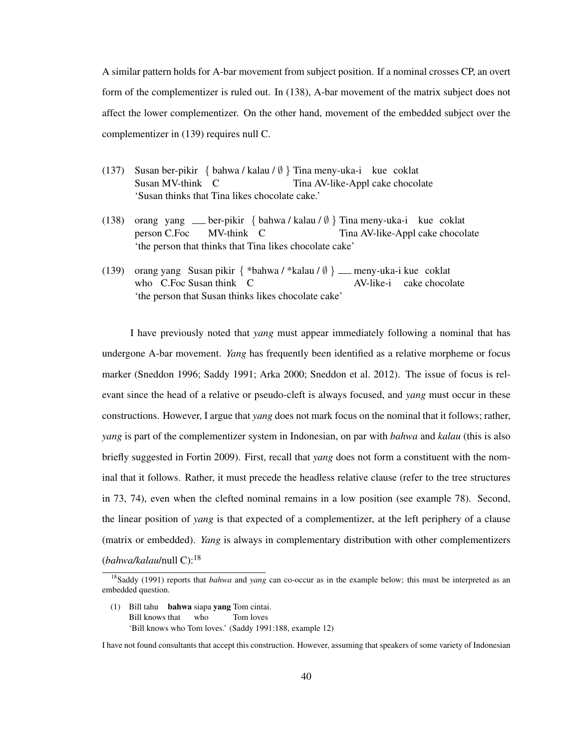A similar pattern holds for A-bar movement from subject position. If a nominal crosses CP, an overt form of the complementizer is ruled out. In (138), A-bar movement of the matrix subject does not affect the lower complementizer. On the other hand, movement of the embedded subject over the complementizer in (139) requires null C.

- (137) Susan ber-pikir { bahwa / kalau / ∅ } Tina meny-uka-i kue coklat Susan MV-think C Tina AV-like-Appl cake chocolate 'Susan thinks that Tina likes chocolate cake.'
- (138) orang yang ber-pikir { bahwa / kalau / ∅ } Tina meny-uka-i kue coklat person C.Foc MV-think C Tina AV-like-Appl cake chocolate 'the person that thinks that Tina likes chocolate cake'
- (139) orang yang Susan pikir { \*bahwa / \*kalau / ∅ } meny-uka-i kue coklat who C.Foc Susan think C AV-like-i cake chocolate 'the person that Susan thinks likes chocolate cake'

I have previously noted that *yang* must appear immediately following a nominal that has undergone A-bar movement. *Yang* has frequently been identified as a relative morpheme or focus marker (Sneddon 1996; Saddy 1991; Arka 2000; Sneddon et al. 2012). The issue of focus is relevant since the head of a relative or pseudo-cleft is always focused, and *yang* must occur in these constructions. However, I argue that *yang* does not mark focus on the nominal that it follows; rather, *yang* is part of the complementizer system in Indonesian, on par with *bahwa* and *kalau* (this is also briefly suggested in Fortin 2009). First, recall that *yang* does not form a constituent with the nominal that it follows. Rather, it must precede the headless relative clause (refer to the tree structures in 73, 74), even when the clefted nominal remains in a low position (see example 78). Second, the linear position of *yang* is that expected of a complementizer, at the left periphery of a clause (matrix or embedded). *Yang* is always in complementary distribution with other complementizers (*bahwa/kalau*/null C):<sup>18</sup>

(1) Bill tahu bahwa siapa yang Tom cintai. Bill knows that who Tom loves 'Bill knows who Tom loves.' (Saddy 1991:188, example 12)

<sup>&</sup>lt;sup>18</sup>Saddy (1991) reports that *bahwa* and *yang* can co-occur as in the example below; this must be interpreted as an embedded question.

I have not found consultants that accept this construction. However, assuming that speakers of some variety of Indonesian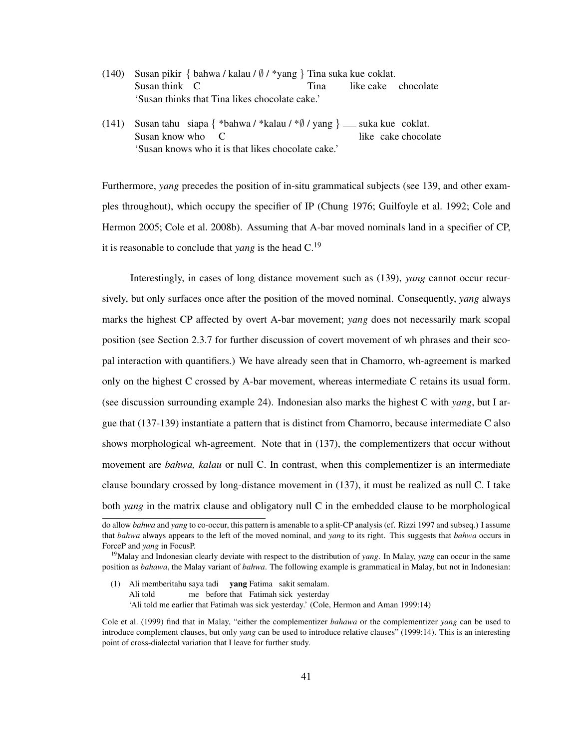- (140) Susan pikir { bahwa / kalau / ∅ / \*yang } Tina suka kue coklat. Susan think C Tina like cake chocolate 'Susan thinks that Tina likes chocolate cake.'
- (141) Susan tahu siapa { \*bahwa / \*kalau / \* $\emptyset$  / yang } \_ suka kue coklat. Susan know who  $\Gamma$ like cake chocolate 'Susan knows who it is that likes chocolate cake.'

Furthermore, *yang* precedes the position of in-situ grammatical subjects (see 139, and other examples throughout), which occupy the specifier of IP (Chung 1976; Guilfoyle et al. 1992; Cole and Hermon 2005; Cole et al. 2008b). Assuming that A-bar moved nominals land in a specifier of CP, it is reasonable to conclude that *yang* is the head C.<sup>19</sup>

Interestingly, in cases of long distance movement such as (139), *yang* cannot occur recursively, but only surfaces once after the position of the moved nominal. Consequently, *yang* always marks the highest CP affected by overt A-bar movement; *yang* does not necessarily mark scopal position (see Section 2.3.7 for further discussion of covert movement of wh phrases and their scopal interaction with quantifiers.) We have already seen that in Chamorro, wh-agreement is marked only on the highest C crossed by A-bar movement, whereas intermediate C retains its usual form. (see discussion surrounding example 24). Indonesian also marks the highest C with *yang*, but I argue that (137-139) instantiate a pattern that is distinct from Chamorro, because intermediate C also shows morphological wh-agreement. Note that in (137), the complementizers that occur without movement are *bahwa, kalau* or null C. In contrast, when this complementizer is an intermediate clause boundary crossed by long-distance movement in (137), it must be realized as null C. I take both *yang* in the matrix clause and obligatory null C in the embedded clause to be morphological

(1) Ali memberitahu saya tadi yang Fatima sakit semalam. Ali told me before that Fatimah sick yesterday 'Ali told me earlier that Fatimah was sick yesterday.' (Cole, Hermon and Aman 1999:14)

do allow *bahwa* and *yang* to co-occur, this pattern is amenable to a split-CP analysis (cf. Rizzi 1997 and subseq.) I assume that *bahwa* always appears to the left of the moved nominal, and *yang* to its right. This suggests that *bahwa* occurs in ForceP and *yang* in FocusP.

<sup>19</sup>Malay and Indonesian clearly deviate with respect to the distribution of *yang*. In Malay, *yang* can occur in the same position as *bahawa*, the Malay variant of *bahwa*. The following example is grammatical in Malay, but not in Indonesian:

Cole et al. (1999) find that in Malay, "either the complementizer *bahawa* or the complementizer *yang* can be used to introduce complement clauses, but only *yang* can be used to introduce relative clauses" (1999:14). This is an interesting point of cross-dialectal variation that I leave for further study.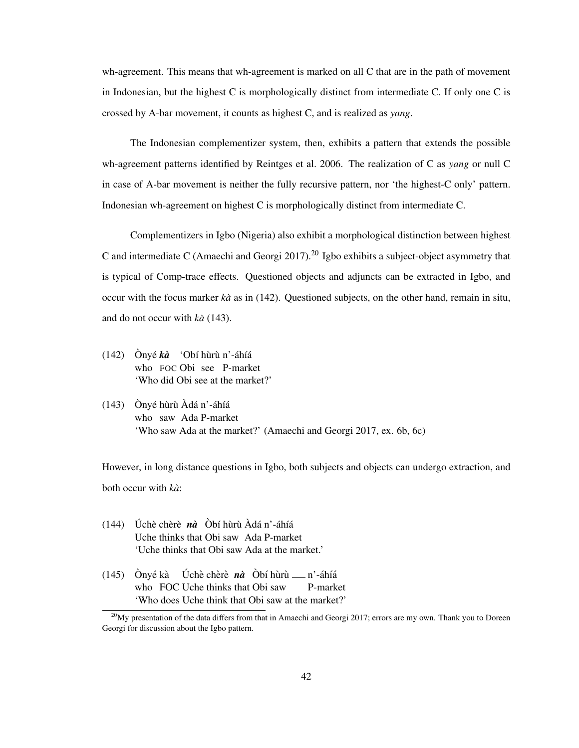wh-agreement. This means that wh-agreement is marked on all C that are in the path of movement in Indonesian, but the highest C is morphologically distinct from intermediate C. If only one C is crossed by A-bar movement, it counts as highest C, and is realized as *yang*.

The Indonesian complementizer system, then, exhibits a pattern that extends the possible wh-agreement patterns identified by Reintges et al. 2006. The realization of C as *yang* or null C in case of A-bar movement is neither the fully recursive pattern, nor 'the highest-C only' pattern. Indonesian wh-agreement on highest C is morphologically distinct from intermediate C.

Complementizers in Igbo (Nigeria) also exhibit a morphological distinction between highest C and intermediate C (Amaechi and Georgi 2017).<sup>20</sup> Igbo exhibits a subject-object asymmetry that is typical of Comp-trace effects. Questioned objects and adjuncts can be extracted in Igbo, and occur with the focus marker *ka`* as in (142). Questioned subjects, on the other hand, remain in situ, and do not occur with *ka`* (143).

- (142) Ònyé kà 'Obí hùrù n'-áhíá who FOC Obi see P-market 'Who did Obi see at the market?'
- (143) Ònyé hùrù Àdá n'-áhíá who saw Ada P-market 'Who saw Ada at the market?' (Amaechi and Georgi 2017, ex. 6b, 6c)

However, in long distance questions in Igbo, both subjects and objects can undergo extraction, and both occur with *ka`*:

- (144) Úchè chèrè nà Òbí hùrù Àdá n'-áhíá Uche thinks that Obi saw Ada P-market 'Uche thinks that Obi saw Ada at the market.'
- $(145)$  Ònyé kà who FOC Uche thinks that Obi saw Úchè chèrè *nà* Òbí hùrù <sub>—</sub> n'-áhíá P-market 'Who does Uche think that Obi saw at the market?'

 $^{20}$ My presentation of the data differs from that in Amaechi and Georgi 2017; errors are my own. Thank you to Doreen Georgi for discussion about the Igbo pattern.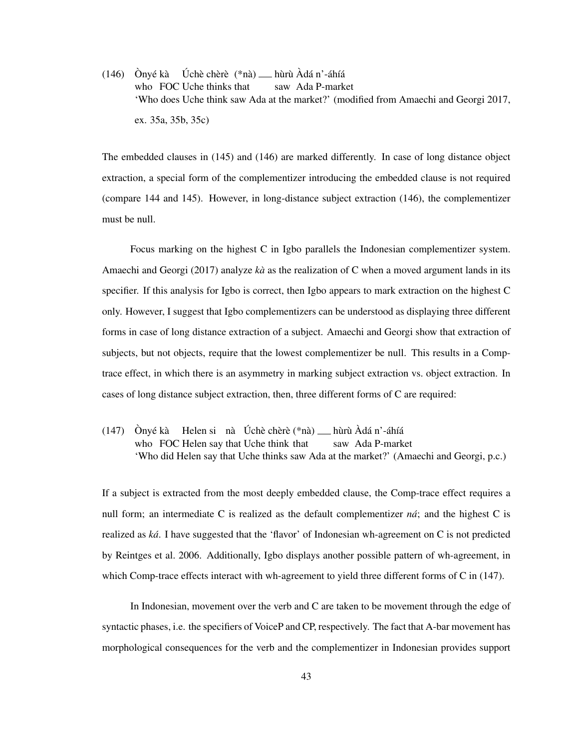$(146)$  Ònyé kà who FOC Uche thinks that Úchè chèrè (\*nà) — hùrù Àdá n'-áhíá saw Ada P-market 'Who does Uche think saw Ada at the market?' (modified from Amaechi and Georgi 2017, ex. 35a, 35b, 35c)

The embedded clauses in (145) and (146) are marked differently. In case of long distance object extraction, a special form of the complementizer introducing the embedded clause is not required (compare 144 and 145). However, in long-distance subject extraction (146), the complementizer must be null.

Focus marking on the highest C in Igbo parallels the Indonesian complementizer system. Amaechi and Georgi (2017) analyze *ka`* as the realization of C when a moved argument lands in its specifier. If this analysis for Igbo is correct, then Igbo appears to mark extraction on the highest C only. However, I suggest that Igbo complementizers can be understood as displaying three different forms in case of long distance extraction of a subject. Amaechi and Georgi show that extraction of subjects, but not objects, require that the lowest complementizer be null. This results in a Comptrace effect, in which there is an asymmetry in marking subject extraction vs. object extraction. In cases of long distance subject extraction, then, three different forms of C are required:

 $(147)$  Ònyé kà who FOC Helen say that Uche think that Helen si nà Úchè chèrè (\*nà) <sub>—</sub> hùrù Àdá n'-áhíá saw Ada P-market 'Who did Helen say that Uche thinks saw Ada at the market?' (Amaechi and Georgi, p.c.)

If a subject is extracted from the most deeply embedded clause, the Comp-trace effect requires a null form; an intermediate C is realized as the default complementizer *na´*; and the highest C is realized as *ka´*. I have suggested that the 'flavor' of Indonesian wh-agreement on C is not predicted by Reintges et al. 2006. Additionally, Igbo displays another possible pattern of wh-agreement, in which Comp-trace effects interact with wh-agreement to yield three different forms of C in (147).

In Indonesian, movement over the verb and C are taken to be movement through the edge of syntactic phases, i.e. the specifiers of VoiceP and CP, respectively. The fact that A-bar movement has morphological consequences for the verb and the complementizer in Indonesian provides support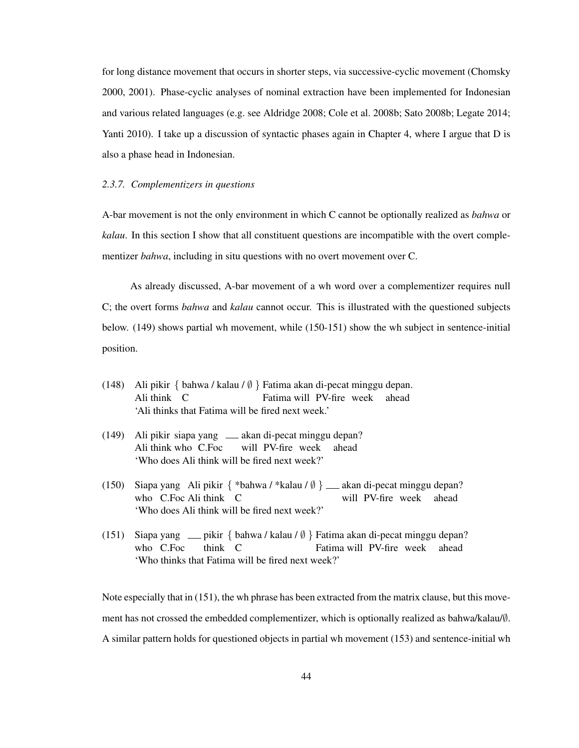for long distance movement that occurs in shorter steps, via successive-cyclic movement (Chomsky 2000, 2001). Phase-cyclic analyses of nominal extraction have been implemented for Indonesian and various related languages (e.g. see Aldridge 2008; Cole et al. 2008b; Sato 2008b; Legate 2014; Yanti 2010). I take up a discussion of syntactic phases again in Chapter 4, where I argue that D is also a phase head in Indonesian.

#### *2.3.7. Complementizers in questions*

A-bar movement is not the only environment in which C cannot be optionally realized as *bahwa* or *kalau*. In this section I show that all constituent questions are incompatible with the overt complementizer *bahwa*, including in situ questions with no overt movement over C.

As already discussed, A-bar movement of a wh word over a complementizer requires null C; the overt forms *bahwa* and *kalau* cannot occur. This is illustrated with the questioned subjects below. (149) shows partial wh movement, while (150-151) show the wh subject in sentence-initial position.

- (148) Ali pikir { bahwa / kalau / ∅ } Fatima akan di-pecat minggu depan. Ali think C Fatima will PV-fire week ahead 'Ali thinks that Fatima will be fired next week.'
- (149) Ali pikir siapa yang akan di-pecat minggu depan? Ali think who C.Foc will PV-fire week ahead 'Who does Ali think will be fired next week?'
- (150) Siapa yang Ali pikir { \*bahwa / \*kalau / Ø } \_\_ akan di-pecat minggu depan? who C.Foc Ali think C will PV-fire week ahead 'Who does Ali think will be fired next week?'
- (151) Siapa yang pikir { bahwa / kalau / ∅ } Fatima akan di-pecat minggu depan? who C.Foc think C Fatima will PV-fire week ahead 'Who thinks that Fatima will be fired next week?'

Note especially that in (151), the wh phrase has been extracted from the matrix clause, but this movement has not crossed the embedded complementizer, which is optionally realized as bahwa/kalau/∅. A similar pattern holds for questioned objects in partial wh movement (153) and sentence-initial wh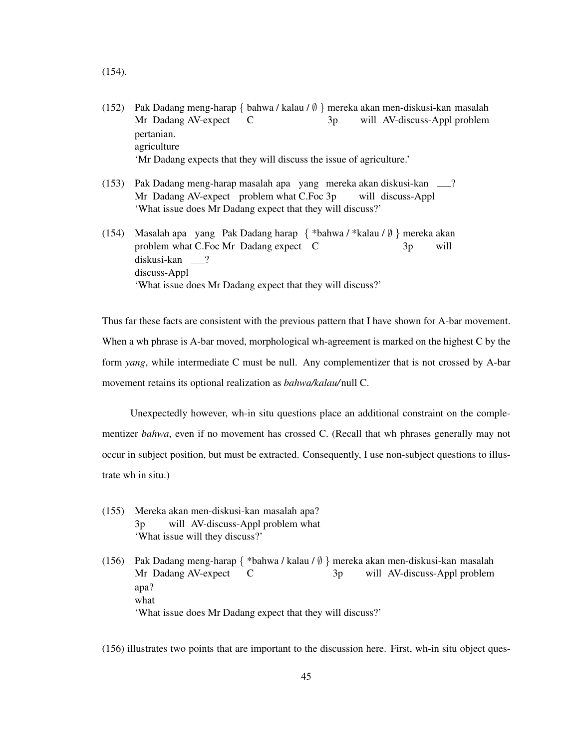- (154).
- (152) Pak Dadang meng-harap { bahwa / kalau / ∅ } mereka akan men-diskusi-kan masalah Mr Dadang AV-expect  $\mathcal{C}$ 3p will AV-discuss-Appl problem pertanian. agriculture 'Mr Dadang expects that they will discuss the issue of agriculture.'
- (153) Pak Dadang meng-harap masalah apa yang mereka akan diskusi-kan ? Mr Dadang AV-expect problem what C.Foc 3p will discuss-Appl 'What issue does Mr Dadang expect that they will discuss?'
- (154) Masalah apa yang Pak Dadang harap { \*bahwa / \*kalau / ∅ } mereka akan problem what C.Foc Mr Dadang expect C 3p will diskusi-kan ? discuss-Appl 'What issue does Mr Dadang expect that they will discuss?'

Thus far these facts are consistent with the previous pattern that I have shown for A-bar movement. When a wh phrase is A-bar moved, morphological wh-agreement is marked on the highest C by the form *yang*, while intermediate C must be null. Any complementizer that is not crossed by A-bar movement retains its optional realization as *bahwa/kalau/*null C.

Unexpectedly however, wh-in situ questions place an additional constraint on the complementizer *bahwa*, even if no movement has crossed C. (Recall that wh phrases generally may not occur in subject position, but must be extracted. Consequently, I use non-subject questions to illustrate wh in situ.)

(155) Mereka akan men-diskusi-kan masalah apa? 3p will AV-discuss-Appl problem what 'What issue will they discuss?'

(156) Pak Dadang meng-harap { \*bahwa / kalau / ∅ } mereka akan men-diskusi-kan masalah Mr Dadang AV-expect C  $3p$ will AV-discuss-Appl problem apa? what 'What issue does Mr Dadang expect that they will discuss?'

(156) illustrates two points that are important to the discussion here. First, wh-in situ object ques-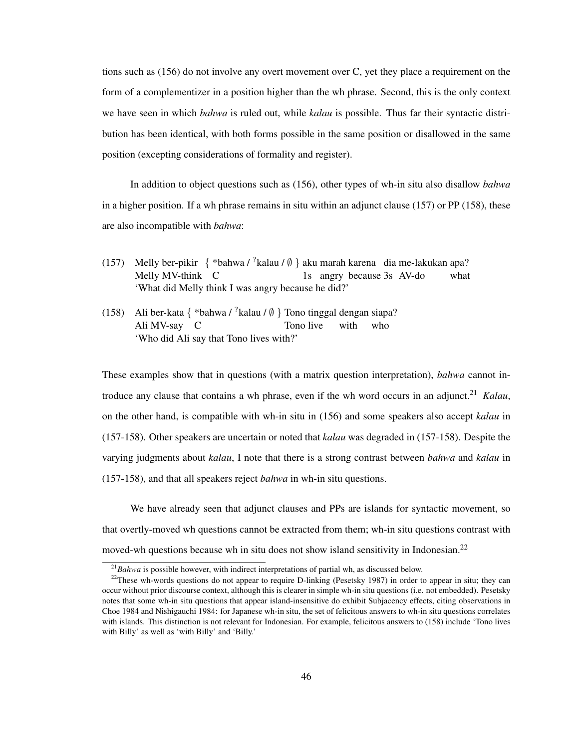tions such as (156) do not involve any overt movement over C, yet they place a requirement on the form of a complementizer in a position higher than the wh phrase. Second, this is the only context we have seen in which *bahwa* is ruled out, while *kalau* is possible. Thus far their syntactic distribution has been identical, with both forms possible in the same position or disallowed in the same position (excepting considerations of formality and register).

In addition to object questions such as (156), other types of wh-in situ also disallow *bahwa* in a higher position. If a wh phrase remains in situ within an adjunct clause  $(157)$  or PP  $(158)$ , these are also incompatible with *bahwa*:

- (157) Melly ber-pikir  $\{ *bahwa / ?kalau / ∅ \}$ aku marah karena dia me-lakukan apa? Melly MV-think C 1s angry because 3s AV-do what 'What did Melly think I was angry because he did?'
- (158) Ali ber-kata { \*bahwa /  $^?$ kalau /  $\emptyset$  } Tono tinggal dengan siapa? Ali MV-say C Tono live with who 'Who did Ali say that Tono lives with?'

These examples show that in questions (with a matrix question interpretation), *bahwa* cannot introduce any clause that contains a wh phrase, even if the wh word occurs in an adjunct.<sup>21</sup> *Kalau*, on the other hand, is compatible with wh-in situ in (156) and some speakers also accept *kalau* in (157-158). Other speakers are uncertain or noted that *kalau* was degraded in (157-158). Despite the varying judgments about *kalau*, I note that there is a strong contrast between *bahwa* and *kalau* in (157-158), and that all speakers reject *bahwa* in wh-in situ questions.

We have already seen that adjunct clauses and PPs are islands for syntactic movement, so that overtly-moved wh questions cannot be extracted from them; wh-in situ questions contrast with moved-wh questions because wh in situ does not show island sensitivity in Indonesian.<sup>22</sup>

<sup>21</sup>*Bahwa* is possible however, with indirect interpretations of partial wh, as discussed below.

 $22$ These wh-words questions do not appear to require D-linking (Pesetsky 1987) in order to appear in situ; they can occur without prior discourse context, although this is clearer in simple wh-in situ questions (i.e. not embedded). Pesetsky notes that some wh-in situ questions that appear island-insensitive do exhibit Subjacency effects, citing observations in Choe 1984 and Nishigauchi 1984: for Japanese wh-in situ, the set of felicitous answers to wh-in situ questions correlates with islands. This distinction is not relevant for Indonesian. For example, felicitous answers to (158) include 'Tono lives with Billy' as well as 'with Billy' and 'Billy.'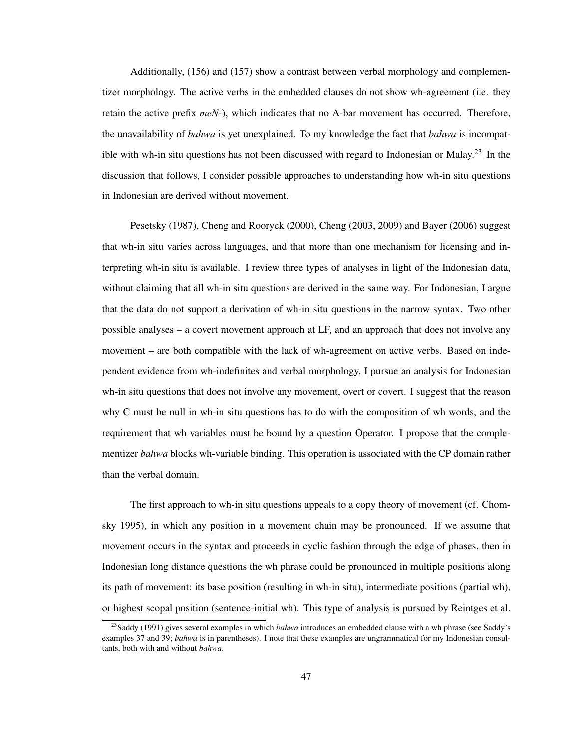Additionally, (156) and (157) show a contrast between verbal morphology and complementizer morphology. The active verbs in the embedded clauses do not show wh-agreement (i.e. they retain the active prefix *meN-*), which indicates that no A-bar movement has occurred. Therefore, the unavailability of *bahwa* is yet unexplained. To my knowledge the fact that *bahwa* is incompatible with wh-in situ questions has not been discussed with regard to Indonesian or Malay.<sup>23</sup> In the discussion that follows, I consider possible approaches to understanding how wh-in situ questions in Indonesian are derived without movement.

Pesetsky (1987), Cheng and Rooryck (2000), Cheng (2003, 2009) and Bayer (2006) suggest that wh-in situ varies across languages, and that more than one mechanism for licensing and interpreting wh-in situ is available. I review three types of analyses in light of the Indonesian data, without claiming that all wh-in situ questions are derived in the same way. For Indonesian, I argue that the data do not support a derivation of wh-in situ questions in the narrow syntax. Two other possible analyses – a covert movement approach at LF, and an approach that does not involve any movement – are both compatible with the lack of wh-agreement on active verbs. Based on independent evidence from wh-indefinites and verbal morphology, I pursue an analysis for Indonesian wh-in situ questions that does not involve any movement, overt or covert. I suggest that the reason why C must be null in wh-in situ questions has to do with the composition of wh words, and the requirement that wh variables must be bound by a question Operator. I propose that the complementizer *bahwa* blocks wh-variable binding. This operation is associated with the CP domain rather than the verbal domain.

The first approach to wh-in situ questions appeals to a copy theory of movement (cf. Chomsky 1995), in which any position in a movement chain may be pronounced. If we assume that movement occurs in the syntax and proceeds in cyclic fashion through the edge of phases, then in Indonesian long distance questions the wh phrase could be pronounced in multiple positions along its path of movement: its base position (resulting in wh-in situ), intermediate positions (partial wh), or highest scopal position (sentence-initial wh). This type of analysis is pursued by Reintges et al.

<sup>&</sup>lt;sup>23</sup>Saddy (1991) gives several examples in which *bahwa* introduces an embedded clause with a wh phrase (see Saddy's examples 37 and 39; *bahwa* is in parentheses). I note that these examples are ungrammatical for my Indonesian consultants, both with and without *bahwa*.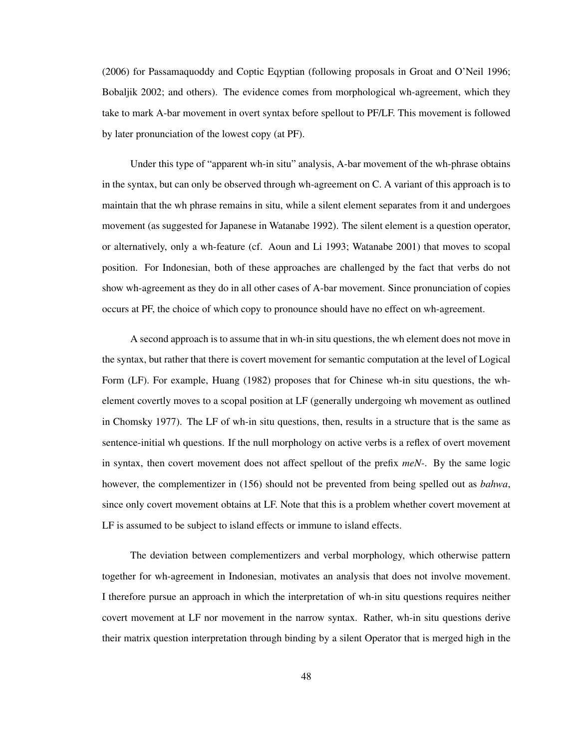(2006) for Passamaquoddy and Coptic Eqyptian (following proposals in Groat and O'Neil 1996; Bobaljik 2002; and others). The evidence comes from morphological wh-agreement, which they take to mark A-bar movement in overt syntax before spellout to PF/LF. This movement is followed by later pronunciation of the lowest copy (at PF).

Under this type of "apparent wh-in situ" analysis, A-bar movement of the wh-phrase obtains in the syntax, but can only be observed through wh-agreement on C. A variant of this approach is to maintain that the wh phrase remains in situ, while a silent element separates from it and undergoes movement (as suggested for Japanese in Watanabe 1992). The silent element is a question operator, or alternatively, only a wh-feature (cf. Aoun and Li 1993; Watanabe 2001) that moves to scopal position. For Indonesian, both of these approaches are challenged by the fact that verbs do not show wh-agreement as they do in all other cases of A-bar movement. Since pronunciation of copies occurs at PF, the choice of which copy to pronounce should have no effect on wh-agreement.

A second approach is to assume that in wh-in situ questions, the wh element does not move in the syntax, but rather that there is covert movement for semantic computation at the level of Logical Form (LF). For example, Huang (1982) proposes that for Chinese wh-in situ questions, the whelement covertly moves to a scopal position at LF (generally undergoing wh movement as outlined in Chomsky 1977). The LF of wh-in situ questions, then, results in a structure that is the same as sentence-initial wh questions. If the null morphology on active verbs is a reflex of overt movement in syntax, then covert movement does not affect spellout of the prefix *meN-*. By the same logic however, the complementizer in (156) should not be prevented from being spelled out as *bahwa*, since only covert movement obtains at LF. Note that this is a problem whether covert movement at LF is assumed to be subject to island effects or immune to island effects.

The deviation between complementizers and verbal morphology, which otherwise pattern together for wh-agreement in Indonesian, motivates an analysis that does not involve movement. I therefore pursue an approach in which the interpretation of wh-in situ questions requires neither covert movement at LF nor movement in the narrow syntax. Rather, wh-in situ questions derive their matrix question interpretation through binding by a silent Operator that is merged high in the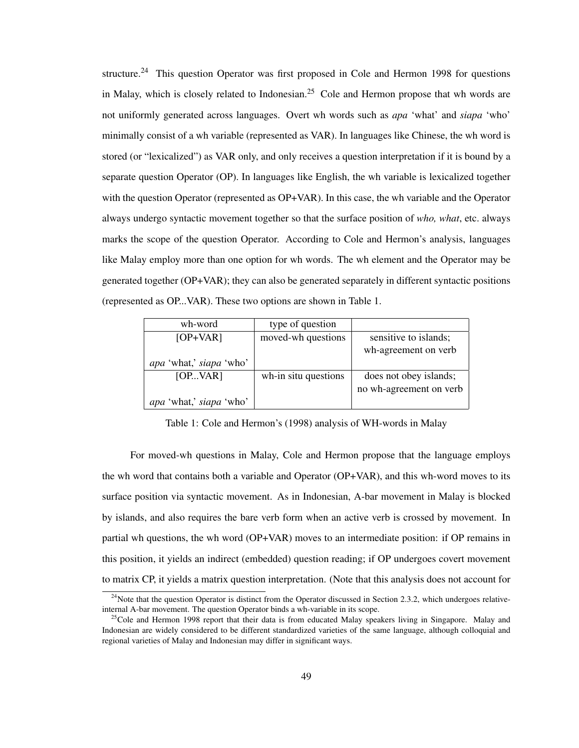structure.<sup>24</sup> This question Operator was first proposed in Cole and Hermon 1998 for questions in Malay, which is closely related to Indonesian.<sup>25</sup> Cole and Hermon propose that wh words are not uniformly generated across languages. Overt wh words such as *apa* 'what' and *siapa* 'who' minimally consist of a wh variable (represented as VAR). In languages like Chinese, the wh word is stored (or "lexicalized") as VAR only, and only receives a question interpretation if it is bound by a separate question Operator (OP). In languages like English, the wh variable is lexicalized together with the question Operator (represented as OP+VAR). In this case, the wh variable and the Operator always undergo syntactic movement together so that the surface position of *who, what*, etc. always marks the scope of the question Operator. According to Cole and Hermon's analysis, languages like Malay employ more than one option for wh words. The wh element and the Operator may be generated together (OP+VAR); they can also be generated separately in different syntactic positions (represented as OP...VAR). These two options are shown in Table 1.

| wh-word                 | type of question     |                         |
|-------------------------|----------------------|-------------------------|
| $[OP+VAR]$              | moved-wh questions   | sensitive to islands;   |
|                         |                      | wh-agreement on verb    |
| apa 'what,' siapa 'who' |                      |                         |
| [OPVAR]                 | wh-in situ questions | does not obey islands;  |
|                         |                      | no wh-agreement on verb |
| apa 'what,' siapa 'who' |                      |                         |

Table 1: Cole and Hermon's (1998) analysis of WH-words in Malay

For moved-wh questions in Malay, Cole and Hermon propose that the language employs the wh word that contains both a variable and Operator (OP+VAR), and this wh-word moves to its surface position via syntactic movement. As in Indonesian, A-bar movement in Malay is blocked by islands, and also requires the bare verb form when an active verb is crossed by movement. In partial wh questions, the wh word (OP+VAR) moves to an intermediate position: if OP remains in this position, it yields an indirect (embedded) question reading; if OP undergoes covert movement to matrix CP, it yields a matrix question interpretation. (Note that this analysis does not account for

 $^{24}$ Note that the question Operator is distinct from the Operator discussed in Section 2.3.2, which undergoes relativeinternal A-bar movement. The question Operator binds a wh-variable in its scope.

<sup>&</sup>lt;sup>25</sup>Cole and Hermon 1998 report that their data is from educated Malay speakers living in Singapore. Malay and Indonesian are widely considered to be different standardized varieties of the same language, although colloquial and regional varieties of Malay and Indonesian may differ in significant ways.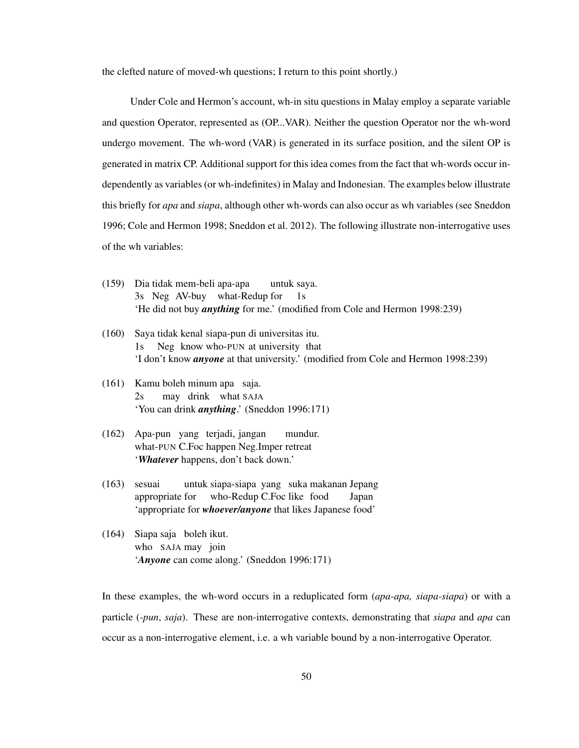the clefted nature of moved-wh questions; I return to this point shortly.)

Under Cole and Hermon's account, wh-in situ questions in Malay employ a separate variable and question Operator, represented as (OP...VAR). Neither the question Operator nor the wh-word undergo movement. The wh-word (VAR) is generated in its surface position, and the silent OP is generated in matrix CP. Additional support for this idea comes from the fact that wh-words occur independently as variables (or wh-indefinites) in Malay and Indonesian. The examples below illustrate this briefly for *apa* and *siapa*, although other wh-words can also occur as wh variables (see Sneddon 1996; Cole and Hermon 1998; Sneddon et al. 2012). The following illustrate non-interrogative uses of the wh variables:

- (159) Dia tidak mem-beli apa-apa 3s Neg AV-buy what-Redup for untuk saya. 1s 'He did not buy *anything* for me.' (modified from Cole and Hermon 1998:239)
- (160) Saya tidak kenal siapa-pun di universitas itu. 1s Neg know who-PUN at university that 'I don't know *anyone* at that university.' (modified from Cole and Hermon 1998:239)
- (161) Kamu boleh minum apa saja.  $2s$ may drink what SAJA 'You can drink *anything*.' (Sneddon 1996:171)
- (162) Apa-pun yang terjadi, jangan what-PUN C.Foc happen Neg.Imper retreat mundur. '*Whatever* happens, don't back down.'
- (163) sesuai appropriate for untuk siapa-siapa yang suka makanan Jepang who-Redup C.Foc like food Japan 'appropriate for *whoever/anyone* that likes Japanese food'
- (164) Siapa saja boleh ikut. who SAJA may join '*Anyone* can come along.' (Sneddon 1996:171)

In these examples, the wh-word occurs in a reduplicated form (*apa-apa, siapa-siapa*) or with a particle (*-pun*, *saja*). These are non-interrogative contexts, demonstrating that *siapa* and *apa* can occur as a non-interrogative element, i.e. a wh variable bound by a non-interrogative Operator.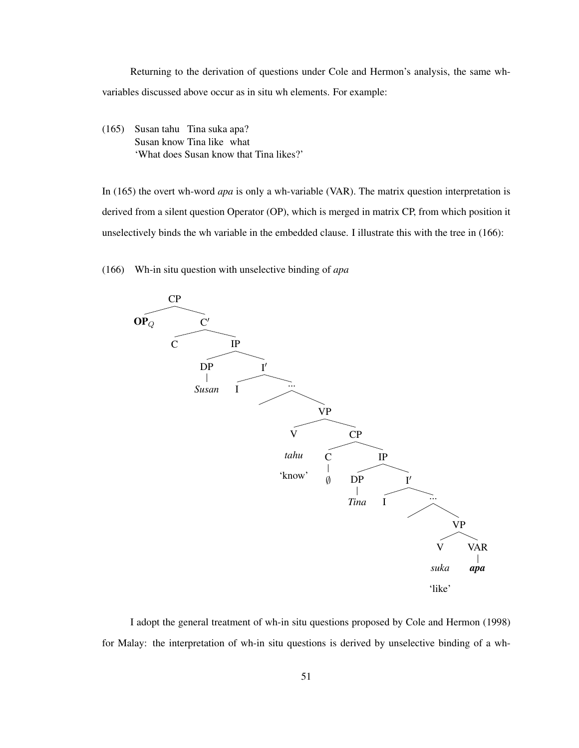Returning to the derivation of questions under Cole and Hermon's analysis, the same whvariables discussed above occur as in situ wh elements. For example:

(165) Susan tahu Tina suka apa? Susan know Tina like what 'What does Susan know that Tina likes?'

In (165) the overt wh-word *apa* is only a wh-variable (VAR). The matrix question interpretation is derived from a silent question Operator (OP), which is merged in matrix CP, from which position it unselectively binds the wh variable in the embedded clause. I illustrate this with the tree in (166):

(166) Wh-in situ question with unselective binding of *apa*



I adopt the general treatment of wh-in situ questions proposed by Cole and Hermon (1998) for Malay: the interpretation of wh-in situ questions is derived by unselective binding of a wh-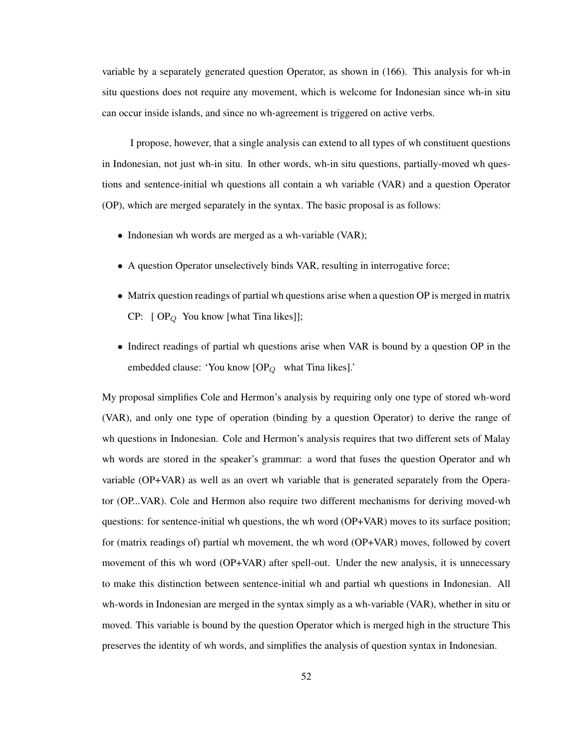variable by a separately generated question Operator, as shown in (166). This analysis for wh-in situ questions does not require any movement, which is welcome for Indonesian since wh-in situ can occur inside islands, and since no wh-agreement is triggered on active verbs.

I propose, however, that a single analysis can extend to all types of wh constituent questions in Indonesian, not just wh-in situ. In other words, wh-in situ questions, partially-moved wh questions and sentence-initial wh questions all contain a wh variable (VAR) and a question Operator (OP), which are merged separately in the syntax. The basic proposal is as follows:

- Indonesian wh words are merged as a wh-variable (VAR);
- A question Operator unselectively binds VAR, resulting in interrogative force;
- Matrix question readings of partial wh questions arise when a question OP is merged in matrix  $CP: [OP_Q$  You know [what Tina likes]];
- Indirect readings of partial wh questions arise when VAR is bound by a question OP in the embedded clause: 'You know  $[OP<sub>Q</sub>]$  what Tina likes].'

My proposal simplifies Cole and Hermon's analysis by requiring only one type of stored wh-word (VAR), and only one type of operation (binding by a question Operator) to derive the range of wh questions in Indonesian. Cole and Hermon's analysis requires that two different sets of Malay wh words are stored in the speaker's grammar: a word that fuses the question Operator and wh variable (OP+VAR) as well as an overt wh variable that is generated separately from the Operator (OP...VAR). Cole and Hermon also require two different mechanisms for deriving moved-wh questions: for sentence-initial wh questions, the wh word (OP+VAR) moves to its surface position; for (matrix readings of) partial wh movement, the wh word (OP+VAR) moves, followed by covert movement of this wh word (OP+VAR) after spell-out. Under the new analysis, it is unnecessary to make this distinction between sentence-initial wh and partial wh questions in Indonesian. All wh-words in Indonesian are merged in the syntax simply as a wh-variable (VAR), whether in situ or moved. This variable is bound by the question Operator which is merged high in the structure This preserves the identity of wh words, and simplifies the analysis of question syntax in Indonesian.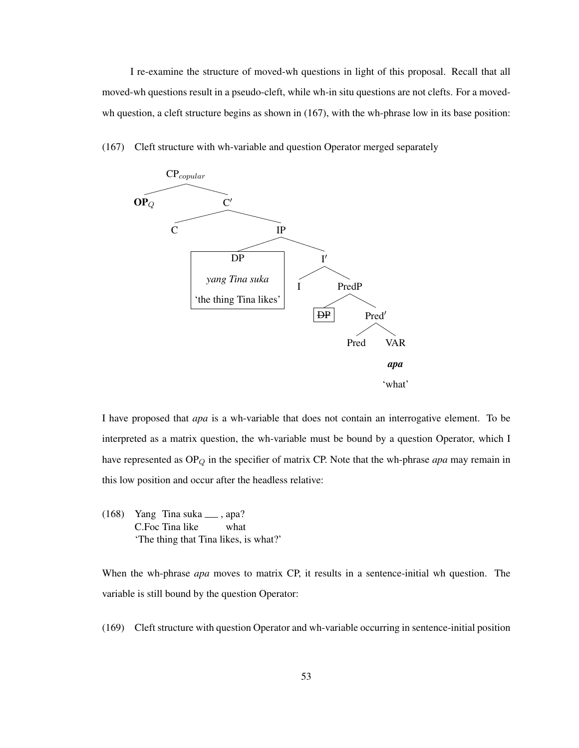I re-examine the structure of moved-wh questions in light of this proposal. Recall that all moved-wh questions result in a pseudo-cleft, while wh-in situ questions are not clefts. For a movedwh question, a cleft structure begins as shown in (167), with the wh-phrase low in its base position:



(167) Cleft structure with wh-variable and question Operator merged separately

I have proposed that *apa* is a wh-variable that does not contain an interrogative element. To be interpreted as a matrix question, the wh-variable must be bound by a question Operator, which I have represented as OP<sub>Q</sub> in the specifier of matrix CP. Note that the wh-phrase *apa* may remain in this low position and occur after the headless relative:

(168) Yang Tina suka , apa? C.Foc Tina like what 'The thing that Tina likes, is what?'

When the wh-phrase *apa* moves to matrix CP, it results in a sentence-initial wh question. The variable is still bound by the question Operator:

(169) Cleft structure with question Operator and wh-variable occurring in sentence-initial position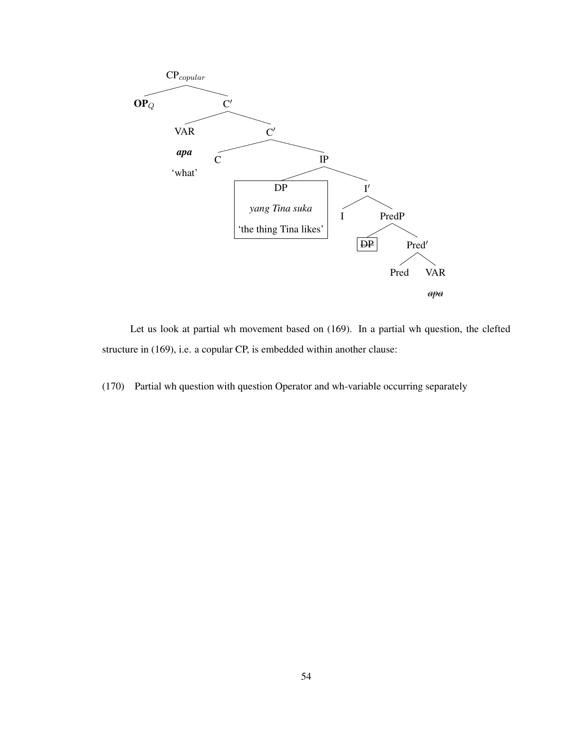

Let us look at partial wh movement based on (169). In a partial wh question, the clefted structure in (169), i.e. a copular CP, is embedded within another clause:

(170) Partial wh question with question Operator and wh-variable occurring separately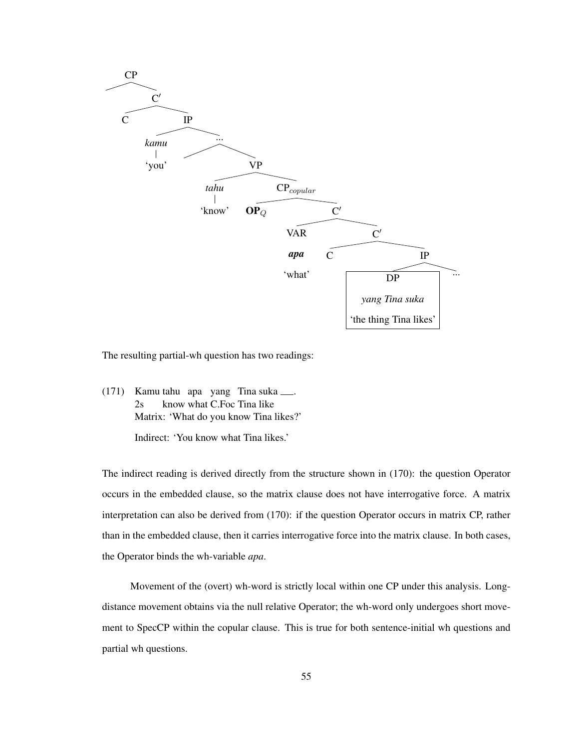

The resulting partial-wh question has two readings:

(171) Kamu tahu apa yang Tina suka . 2s know what C.Foc Tina like Matrix: 'What do you know Tina likes?'

Indirect: 'You know what Tina likes.'

The indirect reading is derived directly from the structure shown in (170): the question Operator occurs in the embedded clause, so the matrix clause does not have interrogative force. A matrix interpretation can also be derived from (170): if the question Operator occurs in matrix CP, rather than in the embedded clause, then it carries interrogative force into the matrix clause. In both cases, the Operator binds the wh-variable *apa*.

Movement of the (overt) wh-word is strictly local within one CP under this analysis. Longdistance movement obtains via the null relative Operator; the wh-word only undergoes short movement to SpecCP within the copular clause. This is true for both sentence-initial wh questions and partial wh questions.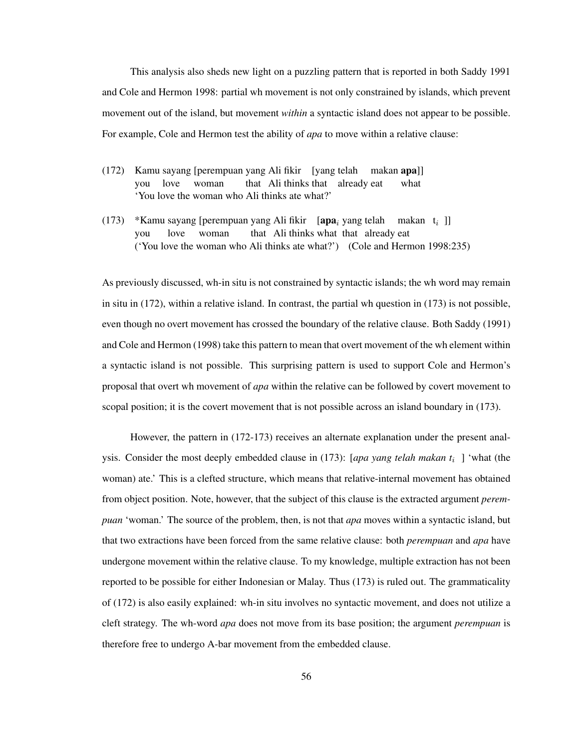This analysis also sheds new light on a puzzling pattern that is reported in both Saddy 1991 and Cole and Hermon 1998: partial wh movement is not only constrained by islands, which prevent movement out of the island, but movement *within* a syntactic island does not appear to be possible. For example, Cole and Hermon test the ability of *apa* to move within a relative clause:

- (172) Kamu sayang [perempuan yang Ali fikir [yang telah makan apa]] you love woman that Ali thinks that already eat what 'You love the woman who Ali thinks ate what?'
- (173) \*Kamu sayang [perempuan yang Ali fikir [apa<sub>i</sub> yang telah makan t<sub>i</sub>]] you love woman that Ali thinks what that already eat ('You love the woman who Ali thinks ate what?') (Cole and Hermon 1998:235)

As previously discussed, wh-in situ is not constrained by syntactic islands; the wh word may remain in situ in (172), within a relative island. In contrast, the partial wh question in (173) is not possible, even though no overt movement has crossed the boundary of the relative clause. Both Saddy (1991) and Cole and Hermon (1998) take this pattern to mean that overt movement of the wh element within a syntactic island is not possible. This surprising pattern is used to support Cole and Hermon's proposal that overt wh movement of *apa* within the relative can be followed by covert movement to scopal position; it is the covert movement that is not possible across an island boundary in (173).

However, the pattern in (172-173) receives an alternate explanation under the present analysis. Consider the most deeply embedded clause in (173): [*apa yang telah makan t*<sup>i</sup> ] 'what (the woman) ate.' This is a clefted structure, which means that relative-internal movement has obtained from object position. Note, however, that the subject of this clause is the extracted argument *perempuan* 'woman.' The source of the problem, then, is not that *apa* moves within a syntactic island, but that two extractions have been forced from the same relative clause: both *perempuan* and *apa* have undergone movement within the relative clause. To my knowledge, multiple extraction has not been reported to be possible for either Indonesian or Malay. Thus (173) is ruled out. The grammaticality of (172) is also easily explained: wh-in situ involves no syntactic movement, and does not utilize a cleft strategy. The wh-word *apa* does not move from its base position; the argument *perempuan* is therefore free to undergo A-bar movement from the embedded clause.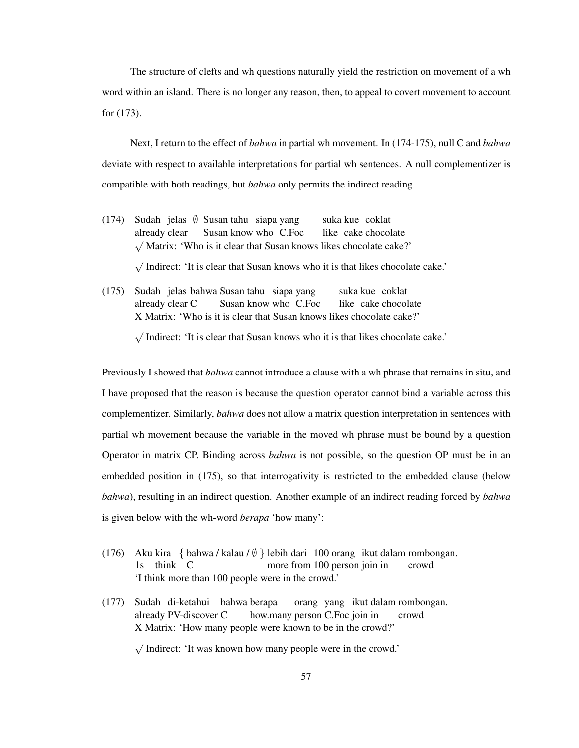The structure of clefts and wh questions naturally yield the restriction on movement of a wh word within an island. There is no longer any reason, then, to appeal to covert movement to account for (173).

Next, I return to the effect of *bahwa* in partial wh movement. In (174-175), null C and *bahwa* deviate with respect to available interpretations for partial wh sentences. A null complementizer is compatible with both readings, but *bahwa* only permits the indirect reading.

(174) Sudah jelas ∅ Susan tahu siapa yang suka kue coklat already clear Susan know who C.Foc like cake chocolate √ Matrix: 'Who is it clear that Susan knows likes chocolate cake?'

> √ Indirect: 'It is clear that Susan knows who it is that likes chocolate cake.'

(175) Sudah jelas bahwa Susan tahu siapa yang suka kue coklat already clear C Susan know who C.Foc like cake chocolate X Matrix: 'Who is it is clear that Susan knows likes chocolate cake?'

> √ Indirect: 'It is clear that Susan knows who it is that likes chocolate cake.'

Previously I showed that *bahwa* cannot introduce a clause with a wh phrase that remains in situ, and I have proposed that the reason is because the question operator cannot bind a variable across this complementizer. Similarly, *bahwa* does not allow a matrix question interpretation in sentences with partial wh movement because the variable in the moved wh phrase must be bound by a question Operator in matrix CP. Binding across *bahwa* is not possible, so the question OP must be in an embedded position in (175), so that interrogativity is restricted to the embedded clause (below *bahwa*), resulting in an indirect question. Another example of an indirect reading forced by *bahwa* is given below with the wh-word *berapa* 'how many':

- (176) Aku kira { bahwa / kalau / ∅ } lebih dari 100 orang ikut dalam rombongan. 1s think C more from 100 person join in crowd 'I think more than 100 people were in the crowd.'
- (177) Sudah di-ketahui bahwa berapa already PV-discover C how.many person C.Foc join in orang yang ikut dalam rombongan. crowd X Matrix: 'How many people were known to be in the crowd?'

√ Indirect: 'It was known how many people were in the crowd.'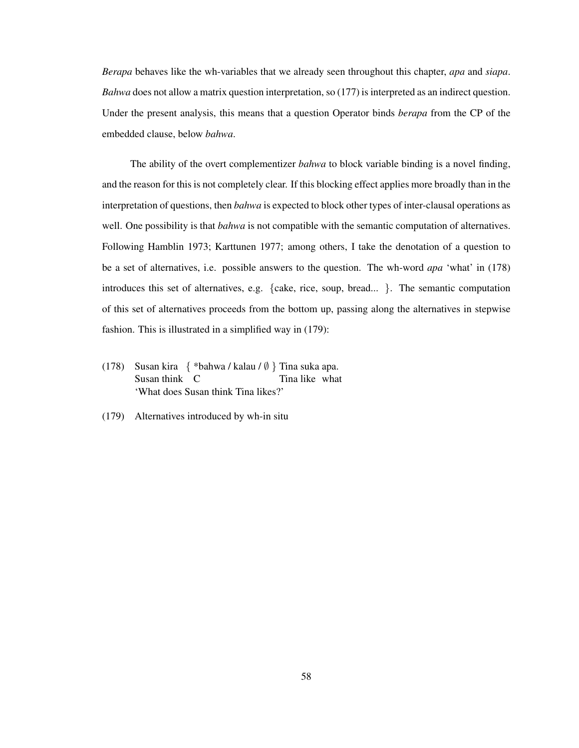*Berapa* behaves like the wh-variables that we already seen throughout this chapter, *apa* and *siapa*. *Bahwa* does not allow a matrix question interpretation, so (177) is interpreted as an indirect question. Under the present analysis, this means that a question Operator binds *berapa* from the CP of the embedded clause, below *bahwa*.

The ability of the overt complementizer *bahwa* to block variable binding is a novel finding, and the reason for this is not completely clear. If this blocking effect applies more broadly than in the interpretation of questions, then *bahwa* is expected to block other types of inter-clausal operations as well. One possibility is that *bahwa* is not compatible with the semantic computation of alternatives. Following Hamblin 1973; Karttunen 1977; among others, I take the denotation of a question to be a set of alternatives, i.e. possible answers to the question. The wh-word *apa* 'what' in (178) introduces this set of alternatives, e.g. {cake, rice, soup, bread... }. The semantic computation of this set of alternatives proceeds from the bottom up, passing along the alternatives in stepwise fashion. This is illustrated in a simplified way in (179):

- (178) Susan kira { \*bahwa / kalau / ∅ } Tina suka apa. Susan think C Tina like what 'What does Susan think Tina likes?'
- (179) Alternatives introduced by wh-in situ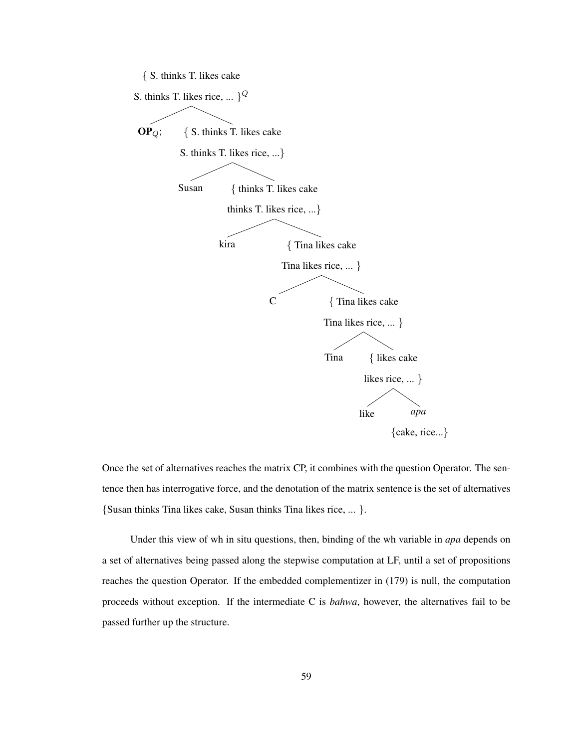{ S. thinks T. likes cake



Once the set of alternatives reaches the matrix CP, it combines with the question Operator. The sentence then has interrogative force, and the denotation of the matrix sentence is the set of alternatives {Susan thinks Tina likes cake, Susan thinks Tina likes rice, ... }.

Under this view of wh in situ questions, then, binding of the wh variable in *apa* depends on a set of alternatives being passed along the stepwise computation at LF, until a set of propositions reaches the question Operator. If the embedded complementizer in (179) is null, the computation proceeds without exception. If the intermediate C is *bahwa*, however, the alternatives fail to be passed further up the structure.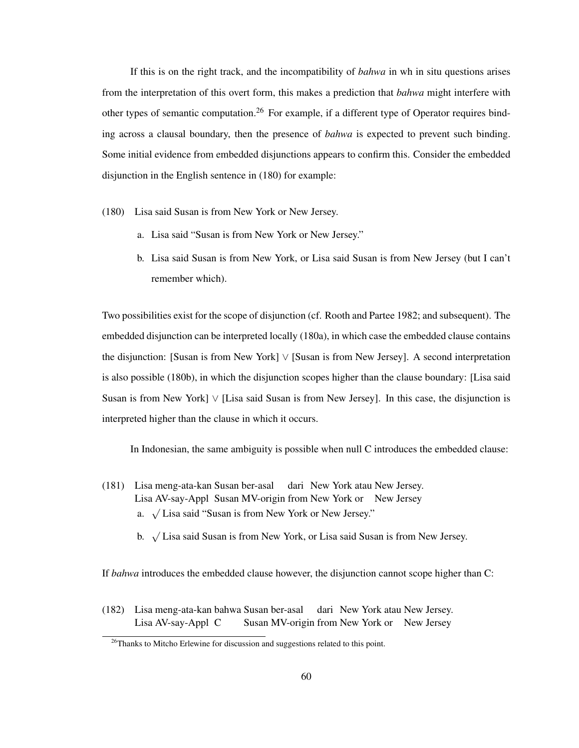If this is on the right track, and the incompatibility of *bahwa* in wh in situ questions arises from the interpretation of this overt form, this makes a prediction that *bahwa* might interfere with other types of semantic computation.<sup>26</sup> For example, if a different type of Operator requires binding across a clausal boundary, then the presence of *bahwa* is expected to prevent such binding. Some initial evidence from embedded disjunctions appears to confirm this. Consider the embedded disjunction in the English sentence in (180) for example:

- (180) Lisa said Susan is from New York or New Jersey.
	- a. Lisa said "Susan is from New York or New Jersey."
	- b. Lisa said Susan is from New York, or Lisa said Susan is from New Jersey (but I can't remember which).

Two possibilities exist for the scope of disjunction (cf. Rooth and Partee 1982; and subsequent). The embedded disjunction can be interpreted locally (180a), in which case the embedded clause contains the disjunction: [Susan is from New York] ∨ [Susan is from New Jersey]. A second interpretation is also possible (180b), in which the disjunction scopes higher than the clause boundary: [Lisa said Susan is from New York] ∨ [Lisa said Susan is from New Jersey]. In this case, the disjunction is interpreted higher than the clause in which it occurs.

In Indonesian, the same ambiguity is possible when null C introduces the embedded clause:

- (181) Lisa meng-ata-kan Susan ber-asal dari New York atau New Jersey. Lisa AV-say-Appl Susan MV-origin from New York or New Jersey a. <sup>√</sup> Lisa said "Susan is from New York or New Jersey."
	- b. <sup>√</sup> Lisa said Susan is from New York, or Lisa said Susan is from New Jersey.

If *bahwa* introduces the embedded clause however, the disjunction cannot scope higher than C:

(182) Lisa meng-ata-kan bahwa Susan ber-asal dari New York atau New Jersey. Lisa AV-say-Appl C Susan MV-origin from New York or New Jersey

<sup>&</sup>lt;sup>26</sup>Thanks to Mitcho Erlewine for discussion and suggestions related to this point.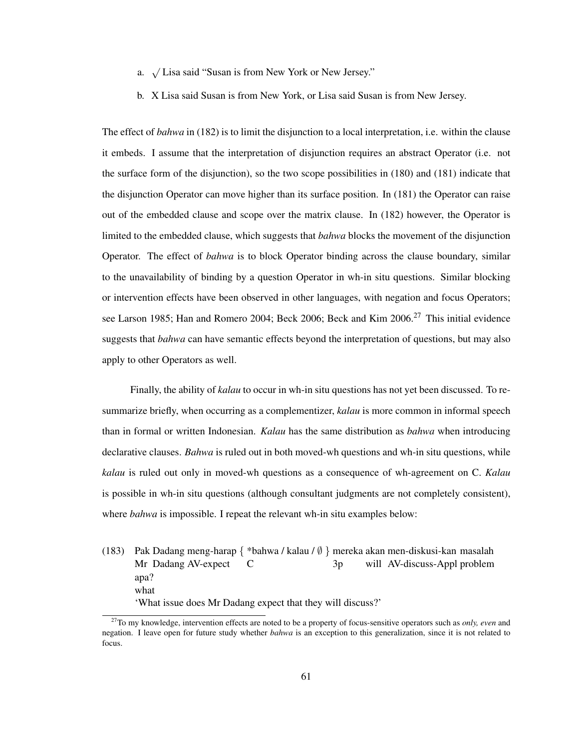- a. <sup>√</sup> Lisa said "Susan is from New York or New Jersey."
- b. X Lisa said Susan is from New York, or Lisa said Susan is from New Jersey.

The effect of *bahwa* in (182) is to limit the disjunction to a local interpretation, i.e. within the clause it embeds. I assume that the interpretation of disjunction requires an abstract Operator (i.e. not the surface form of the disjunction), so the two scope possibilities in (180) and (181) indicate that the disjunction Operator can move higher than its surface position. In (181) the Operator can raise out of the embedded clause and scope over the matrix clause. In (182) however, the Operator is limited to the embedded clause, which suggests that *bahwa* blocks the movement of the disjunction Operator. The effect of *bahwa* is to block Operator binding across the clause boundary, similar to the unavailability of binding by a question Operator in wh-in situ questions. Similar blocking or intervention effects have been observed in other languages, with negation and focus Operators; see Larson 1985; Han and Romero 2004; Beck 2006; Beck and Kim 2006.<sup>27</sup> This initial evidence suggests that *bahwa* can have semantic effects beyond the interpretation of questions, but may also apply to other Operators as well.

Finally, the ability of *kalau* to occur in wh-in situ questions has not yet been discussed. To resummarize briefly, when occurring as a complementizer, *kalau* is more common in informal speech than in formal or written Indonesian. *Kalau* has the same distribution as *bahwa* when introducing declarative clauses. *Bahwa* is ruled out in both moved-wh questions and wh-in situ questions, while *kalau* is ruled out only in moved-wh questions as a consequence of wh-agreement on C. *Kalau* is possible in wh-in situ questions (although consultant judgments are not completely consistent), where *bahwa* is impossible. I repeat the relevant wh-in situ examples below:

(183) Pak Dadang meng-harap { \*bahwa / kalau / ∅ } mereka akan men-diskusi-kan masalah Mr Dadang AV-expect C 3p will AV-discuss-Appl problem apa? what 'What issue does Mr Dadang expect that they will discuss?'

<sup>27</sup>To my knowledge, intervention effects are noted to be a property of focus-sensitive operators such as *only, even* and negation. I leave open for future study whether *bahwa* is an exception to this generalization, since it is not related to focus.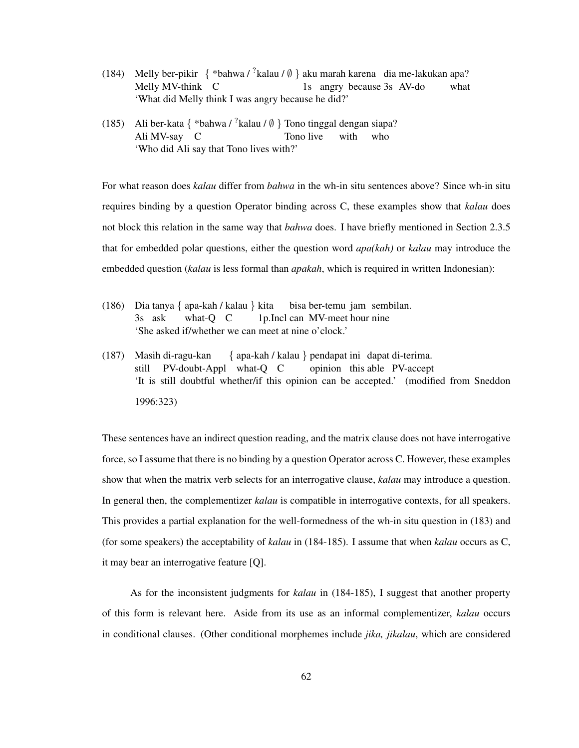- (184) Melly ber-pikir  $\{ *bahwa / ?kalau / ∅ \}$ aku marah karena dia me-lakukan apa? Melly MV-think C 1s angry because 3s AV-do what 'What did Melly think I was angry because he did?'
- (185) Ali ber-kata { \*bahwa /  $^{7}$ kalau / Ø } Tono tinggal dengan siapa? Ali MV-say C Tono live with who 'Who did Ali say that Tono lives with?'

For what reason does *kalau* differ from *bahwa* in the wh-in situ sentences above? Since wh-in situ requires binding by a question Operator binding across C, these examples show that *kalau* does not block this relation in the same way that *bahwa* does. I have briefly mentioned in Section 2.3.5 that for embedded polar questions, either the question word *apa(kah)* or *kalau* may introduce the embedded question (*kalau* is less formal than *apakah*, which is required in written Indonesian):

- (186) Dia tanya { apa-kah / kalau } kita 3s ask what-Q C 1p.Incl can MV-meet hour nine bisa ber-temu jam sembilan. 'She asked if/whether we can meet at nine o'clock.'
- (187) Masih di-ragu-kan still PV-doubt-Appl what-Q C { apa-kah / kalau } pendapat ini dapat di-terima. opinion this able PV-accept 'It is still doubtful whether/if this opinion can be accepted.' (modified from Sneddon 1996:323)

These sentences have an indirect question reading, and the matrix clause does not have interrogative force, so I assume that there is no binding by a question Operator across C. However, these examples show that when the matrix verb selects for an interrogative clause, *kalau* may introduce a question. In general then, the complementizer *kalau* is compatible in interrogative contexts, for all speakers. This provides a partial explanation for the well-formedness of the wh-in situ question in (183) and (for some speakers) the acceptability of *kalau* in (184-185). I assume that when *kalau* occurs as C, it may bear an interrogative feature [Q].

As for the inconsistent judgments for *kalau* in (184-185), I suggest that another property of this form is relevant here. Aside from its use as an informal complementizer, *kalau* occurs in conditional clauses. (Other conditional morphemes include *jika, jikalau*, which are considered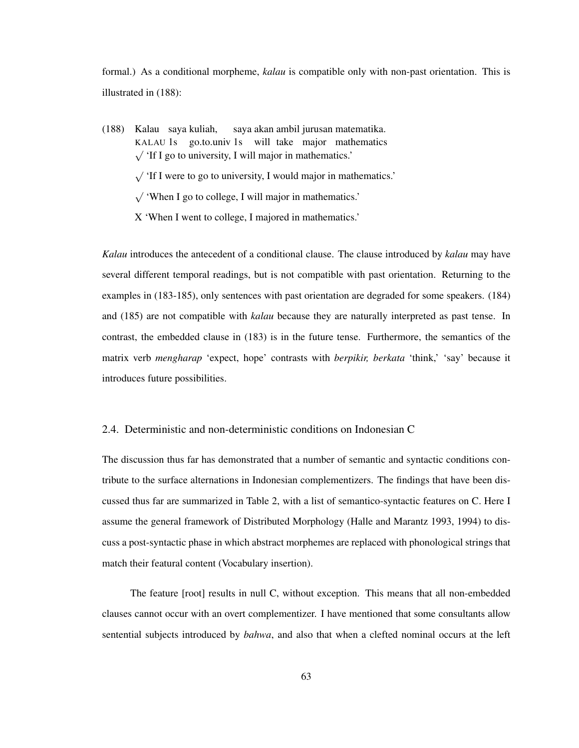formal.) As a conditional morpheme, *kalau* is compatible only with non-past orientation. This is illustrated in (188):

(188) Kalau saya kuliah, KALAU 1s go.to.univ 1s will take major mathematics saya akan ambil jurusan matematika. √ 'If I go to university, I will major in mathematics.'

√ 'If I were to go to university, I would major in mathematics.'

√ 'When I go to college, I will major in mathematics.'

X 'When I went to college, I majored in mathematics.'

*Kalau* introduces the antecedent of a conditional clause. The clause introduced by *kalau* may have several different temporal readings, but is not compatible with past orientation. Returning to the examples in (183-185), only sentences with past orientation are degraded for some speakers. (184) and (185) are not compatible with *kalau* because they are naturally interpreted as past tense. In contrast, the embedded clause in (183) is in the future tense. Furthermore, the semantics of the matrix verb *mengharap* 'expect, hope' contrasts with *berpikir, berkata* 'think,' 'say' because it introduces future possibilities.

## 2.4. Deterministic and non-deterministic conditions on Indonesian C

The discussion thus far has demonstrated that a number of semantic and syntactic conditions contribute to the surface alternations in Indonesian complementizers. The findings that have been discussed thus far are summarized in Table 2, with a list of semantico-syntactic features on C. Here I assume the general framework of Distributed Morphology (Halle and Marantz 1993, 1994) to discuss a post-syntactic phase in which abstract morphemes are replaced with phonological strings that match their featural content (Vocabulary insertion).

The feature [root] results in null C, without exception. This means that all non-embedded clauses cannot occur with an overt complementizer. I have mentioned that some consultants allow sentential subjects introduced by *bahwa*, and also that when a clefted nominal occurs at the left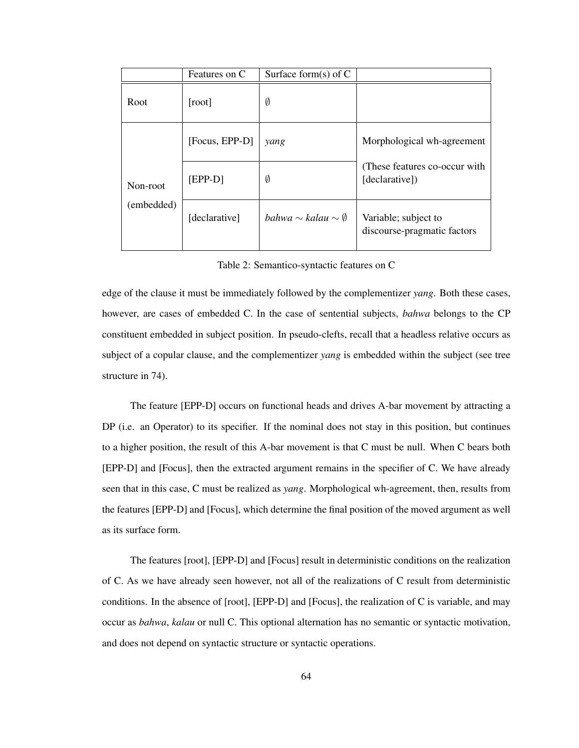|                        | Features on C  | Surface form(s) of $C$              |                                                     |
|------------------------|----------------|-------------------------------------|-----------------------------------------------------|
| Root                   | [root]         | Ø                                   |                                                     |
| Non-root<br>(embedded) | [Focus, EPP-D] | yang                                | Morphological wh-agreement                          |
|                        | $[EPP-D]$      | Ø                                   | (These features co-occur with)<br>[declarative])    |
|                        | [declarative]  | bahwa $\sim$ kalau $\sim \emptyset$ | Variable; subject to<br>discourse-pragmatic factors |

Table 2: Semantico-syntactic features on C

edge of the clause it must be immediately followed by the complementizer *yang*. Both these cases, however, are cases of embedded C. In the case of sentential subjects, *bahwa* belongs to the CP constituent embedded in subject position. In pseudo-clefts, recall that a headless relative occurs as subject of a copular clause, and the complementizer *yang* is embedded within the subject (see tree structure in 74).

The feature [EPP-D] occurs on functional heads and drives A-bar movement by attracting a DP (i.e. an Operator) to its specifier. If the nominal does not stay in this position, but continues to a higher position, the result of this A-bar movement is that C must be null. When C bears both [EPP-D] and [Focus], then the extracted argument remains in the specifier of C. We have already seen that in this case, C must be realized as *yang*. Morphological wh-agreement, then, results from the features [EPP-D] and [Focus], which determine the final position of the moved argument as well as its surface form.

The features [root], [EPP-D] and [Focus] result in deterministic conditions on the realization of C. As we have already seen however, not all of the realizations of C result from deterministic conditions. In the absence of [root], [EPP-D] and [Focus], the realization of C is variable, and may occur as *bahwa*, *kalau* or null C. This optional alternation has no semantic or syntactic motivation, and does not depend on syntactic structure or syntactic operations.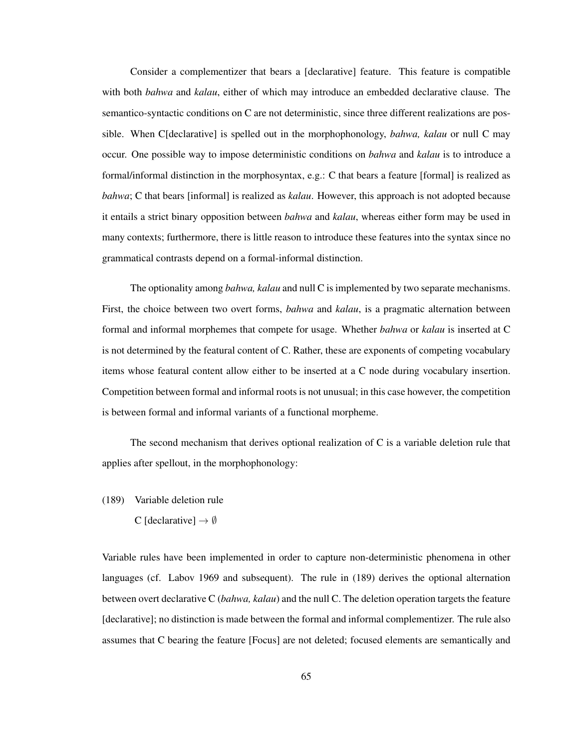Consider a complementizer that bears a [declarative] feature. This feature is compatible with both *bahwa* and *kalau*, either of which may introduce an embedded declarative clause. The semantico-syntactic conditions on C are not deterministic, since three different realizations are possible. When C[declarative] is spelled out in the morphophonology, *bahwa, kalau* or null C may occur. One possible way to impose deterministic conditions on *bahwa* and *kalau* is to introduce a formal/informal distinction in the morphosyntax, e.g.: C that bears a feature [formal] is realized as *bahwa*; C that bears [informal] is realized as *kalau*. However, this approach is not adopted because it entails a strict binary opposition between *bahwa* and *kalau*, whereas either form may be used in many contexts; furthermore, there is little reason to introduce these features into the syntax since no grammatical contrasts depend on a formal-informal distinction.

The optionality among *bahwa, kalau* and null C is implemented by two separate mechanisms. First, the choice between two overt forms, *bahwa* and *kalau*, is a pragmatic alternation between formal and informal morphemes that compete for usage. Whether *bahwa* or *kalau* is inserted at C is not determined by the featural content of C. Rather, these are exponents of competing vocabulary items whose featural content allow either to be inserted at a C node during vocabulary insertion. Competition between formal and informal roots is not unusual; in this case however, the competition is between formal and informal variants of a functional morpheme.

The second mechanism that derives optional realization of C is a variable deletion rule that applies after spellout, in the morphophonology:

- (189) Variable deletion rule
	- C [declarative]  $\rightarrow \emptyset$

Variable rules have been implemented in order to capture non-deterministic phenomena in other languages (cf. Labov 1969 and subsequent). The rule in (189) derives the optional alternation between overt declarative C (*bahwa, kalau*) and the null C. The deletion operation targets the feature [declarative]; no distinction is made between the formal and informal complementizer. The rule also assumes that C bearing the feature [Focus] are not deleted; focused elements are semantically and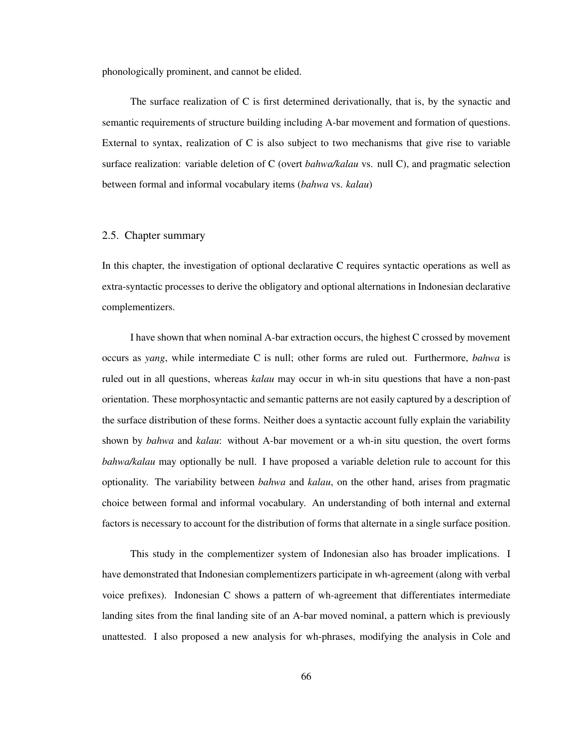phonologically prominent, and cannot be elided.

The surface realization of C is first determined derivationally, that is, by the synactic and semantic requirements of structure building including A-bar movement and formation of questions. External to syntax, realization of  $C$  is also subject to two mechanisms that give rise to variable surface realization: variable deletion of C (overt *bahwa/kalau* vs. null C), and pragmatic selection between formal and informal vocabulary items (*bahwa* vs. *kalau*)

### 2.5. Chapter summary

In this chapter, the investigation of optional declarative C requires syntactic operations as well as extra-syntactic processes to derive the obligatory and optional alternations in Indonesian declarative complementizers.

I have shown that when nominal A-bar extraction occurs, the highest C crossed by movement occurs as *yang*, while intermediate C is null; other forms are ruled out. Furthermore, *bahwa* is ruled out in all questions, whereas *kalau* may occur in wh-in situ questions that have a non-past orientation. These morphosyntactic and semantic patterns are not easily captured by a description of the surface distribution of these forms. Neither does a syntactic account fully explain the variability shown by *bahwa* and *kalau*: without A-bar movement or a wh-in situ question, the overt forms *bahwa/kalau* may optionally be null. I have proposed a variable deletion rule to account for this optionality. The variability between *bahwa* and *kalau*, on the other hand, arises from pragmatic choice between formal and informal vocabulary. An understanding of both internal and external factors is necessary to account for the distribution of forms that alternate in a single surface position.

This study in the complementizer system of Indonesian also has broader implications. I have demonstrated that Indonesian complementizers participate in wh-agreement (along with verbal voice prefixes). Indonesian C shows a pattern of wh-agreement that differentiates intermediate landing sites from the final landing site of an A-bar moved nominal, a pattern which is previously unattested. I also proposed a new analysis for wh-phrases, modifying the analysis in Cole and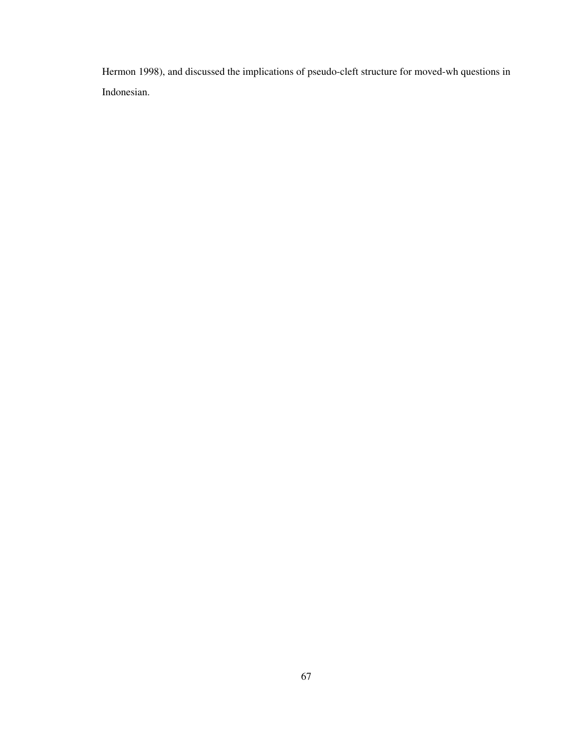Hermon 1998), and discussed the implications of pseudo-cleft structure for moved-wh questions in Indonesian.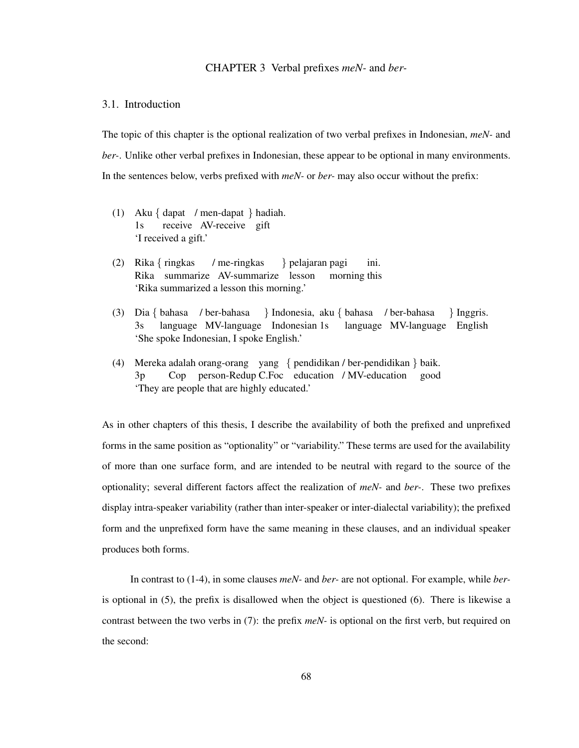# CHAPTER 3 Verbal prefixes *meN-* and *ber-*

# 3.1. Introduction

The topic of this chapter is the optional realization of two verbal prefixes in Indonesian, *meN-* and *ber-*. Unlike other verbal prefixes in Indonesian, these appear to be optional in many environments. In the sentences below, verbs prefixed with *meN-* or *ber-* may also occur without the prefix:

- (1) Aku { dapat / men-dapat } hadiah. 1s receive AV-receive gift 'I received a gift.'
- (2) Rika { ringkas Rika summarize AV-summarize lesson / me-ringkas } pelajaran pagi morning this ini. 'Rika summarized a lesson this morning.'
- (3) Dia { bahasa / ber-bahasa 3s language MV-language Indonesian 1s } Indonesia, aku { bahasa / ber-bahasa language MV-language English } Inggris. 'She spoke Indonesian, I spoke English.'
- (4) Mereka adalah orang-orang yang { pendidikan / ber-pendidikan } baik. 3p Cop person-Redup C.Foc education / MV-education good 'They are people that are highly educated.'

As in other chapters of this thesis, I describe the availability of both the prefixed and unprefixed forms in the same position as "optionality" or "variability." These terms are used for the availability of more than one surface form, and are intended to be neutral with regard to the source of the optionality; several different factors affect the realization of *meN-* and *ber-*. These two prefixes display intra-speaker variability (rather than inter-speaker or inter-dialectal variability); the prefixed form and the unprefixed form have the same meaning in these clauses, and an individual speaker produces both forms.

In contrast to (1-4), in some clauses *meN-* and *ber-* are not optional. For example, while *ber*is optional in (5), the prefix is disallowed when the object is questioned (6). There is likewise a contrast between the two verbs in (7): the prefix *meN-* is optional on the first verb, but required on the second: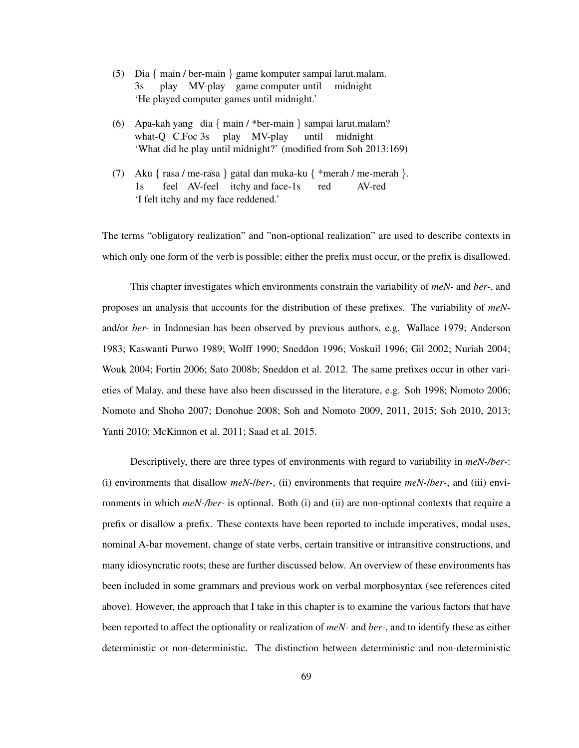- (5) Dia { main / ber-main } game komputer sampai larut.malam. 3s play MV-play game computer until midnight 'He played computer games until midnight.'
- (6) Apa-kah yang dia { main / \*ber-main } sampai larut.malam? what-Q C.Foc 3s play MV-play until midnight 'What did he play until midnight?' (modified from Soh 2013:169)
- (7) Aku { rasa / me-rasa } gatal dan muka-ku { \*merah / me-merah }. 1s feel AV-feel itchy and face-1s red AV-red 'I felt itchy and my face reddened.'

The terms "obligatory realization" and "non-optional realization" are used to describe contexts in which only one form of the verb is possible; either the prefix must occur, or the prefix is disallowed.

This chapter investigates which environments constrain the variability of *meN-* and *ber-*, and proposes an analysis that accounts for the distribution of these prefixes. The variability of *meN*and/or *ber-* in Indonesian has been observed by previous authors, e.g. Wallace 1979; Anderson 1983; Kaswanti Purwo 1989; Wolff 1990; Sneddon 1996; Voskuil 1996; Gil 2002; Nuriah 2004; Wouk 2004; Fortin 2006; Sato 2008b; Sneddon et al. 2012. The same prefixes occur in other varieties of Malay, and these have also been discussed in the literature, e.g. Soh 1998; Nomoto 2006; Nomoto and Shoho 2007; Donohue 2008; Soh and Nomoto 2009, 2011, 2015; Soh 2010, 2013; Yanti 2010; McKinnon et al. 2011; Saad et al. 2015.

Descriptively, there are three types of environments with regard to variability in *meN-/ber-*: (i) environments that disallow *meN-*/*ber-*, (ii) environments that require *meN-*/*ber-*, and (iii) environments in which *meN-/ber-* is optional. Both (i) and (ii) are non-optional contexts that require a prefix or disallow a prefix. These contexts have been reported to include imperatives, modal uses, nominal A-bar movement, change of state verbs, certain transitive or intransitive constructions, and many idiosyncratic roots; these are further discussed below. An overview of these environments has been included in some grammars and previous work on verbal morphosyntax (see references cited above). However, the approach that I take in this chapter is to examine the various factors that have been reported to affect the optionality or realization of *meN-* and *ber-*, and to identify these as either deterministic or non-deterministic. The distinction between deterministic and non-deterministic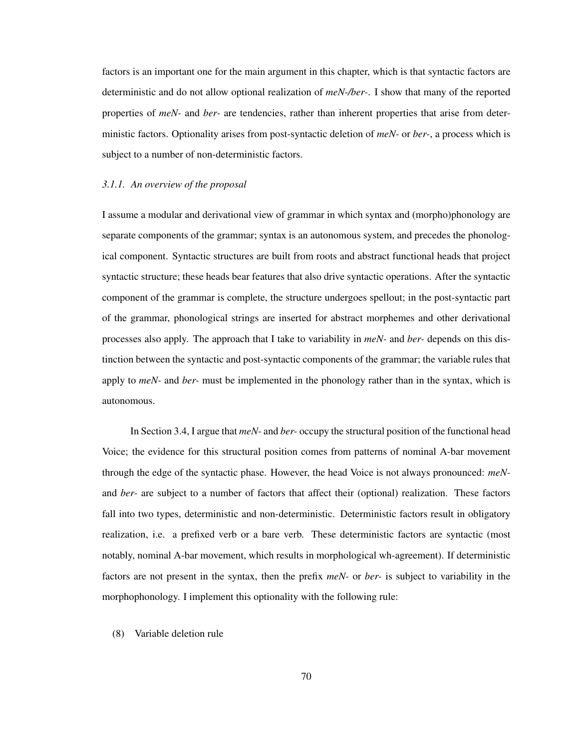factors is an important one for the main argument in this chapter, which is that syntactic factors are deterministic and do not allow optional realization of *meN-/ber-*. I show that many of the reported properties of *meN-* and *ber-* are tendencies, rather than inherent properties that arise from deterministic factors. Optionality arises from post-syntactic deletion of *meN-* or *ber-*, a process which is subject to a number of non-deterministic factors.

### *3.1.1. An overview of the proposal*

I assume a modular and derivational view of grammar in which syntax and (morpho)phonology are separate components of the grammar; syntax is an autonomous system, and precedes the phonological component. Syntactic structures are built from roots and abstract functional heads that project syntactic structure; these heads bear features that also drive syntactic operations. After the syntactic component of the grammar is complete, the structure undergoes spellout; in the post-syntactic part of the grammar, phonological strings are inserted for abstract morphemes and other derivational processes also apply. The approach that I take to variability in *meN-* and *ber-* depends on this distinction between the syntactic and post-syntactic components of the grammar; the variable rules that apply to *meN-* and *ber-* must be implemented in the phonology rather than in the syntax, which is autonomous.

In Section 3.4, I argue that *meN-* and *ber-* occupy the structural position of the functional head Voice; the evidence for this structural position comes from patterns of nominal A-bar movement through the edge of the syntactic phase. However, the head Voice is not always pronounced: *meN*and *ber-* are subject to a number of factors that affect their (optional) realization. These factors fall into two types, deterministic and non-deterministic. Deterministic factors result in obligatory realization, i.e. a prefixed verb or a bare verb. These deterministic factors are syntactic (most notably, nominal A-bar movement, which results in morphological wh-agreement). If deterministic factors are not present in the syntax, then the prefix *meN-* or *ber-* is subject to variability in the morphophonology. I implement this optionality with the following rule:

# (8) Variable deletion rule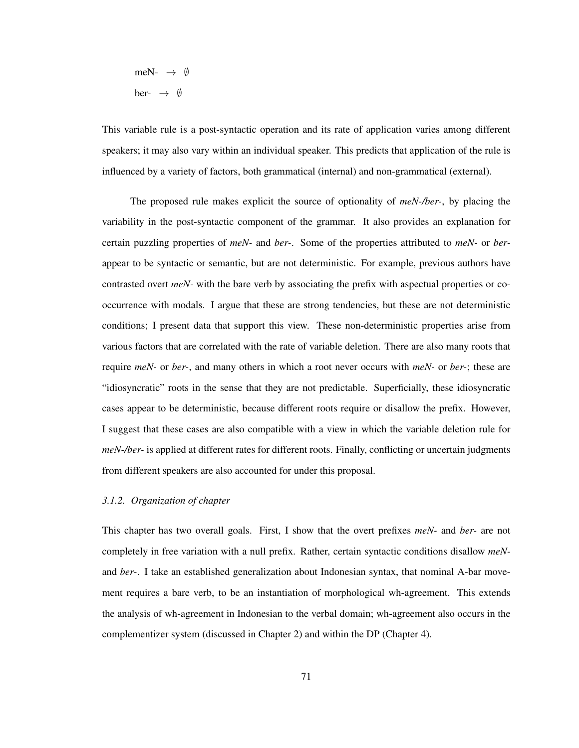$$
\begin{array}{lcl} \mathsf{meN}_{\mathsf{-}} & \rightarrow & \emptyset \\ \mathsf{ber}_{\mathsf{-}} & \rightarrow & \emptyset \end{array}
$$

This variable rule is a post-syntactic operation and its rate of application varies among different speakers; it may also vary within an individual speaker. This predicts that application of the rule is influenced by a variety of factors, both grammatical (internal) and non-grammatical (external).

The proposed rule makes explicit the source of optionality of *meN-/ber-*, by placing the variability in the post-syntactic component of the grammar. It also provides an explanation for certain puzzling properties of *meN-* and *ber-*. Some of the properties attributed to *meN-* or *ber*appear to be syntactic or semantic, but are not deterministic. For example, previous authors have contrasted overt *meN-* with the bare verb by associating the prefix with aspectual properties or cooccurrence with modals. I argue that these are strong tendencies, but these are not deterministic conditions; I present data that support this view. These non-deterministic properties arise from various factors that are correlated with the rate of variable deletion. There are also many roots that require *meN-* or *ber-*, and many others in which a root never occurs with *meN-* or *ber-*; these are "idiosyncratic" roots in the sense that they are not predictable. Superficially, these idiosyncratic cases appear to be deterministic, because different roots require or disallow the prefix. However, I suggest that these cases are also compatible with a view in which the variable deletion rule for *meN-/ber-* is applied at different rates for different roots. Finally, conflicting or uncertain judgments from different speakers are also accounted for under this proposal.

### *3.1.2. Organization of chapter*

This chapter has two overall goals. First, I show that the overt prefixes *meN-* and *ber-* are not completely in free variation with a null prefix. Rather, certain syntactic conditions disallow *meN*and *ber-*. I take an established generalization about Indonesian syntax, that nominal A-bar movement requires a bare verb, to be an instantiation of morphological wh-agreement. This extends the analysis of wh-agreement in Indonesian to the verbal domain; wh-agreement also occurs in the complementizer system (discussed in Chapter 2) and within the DP (Chapter 4).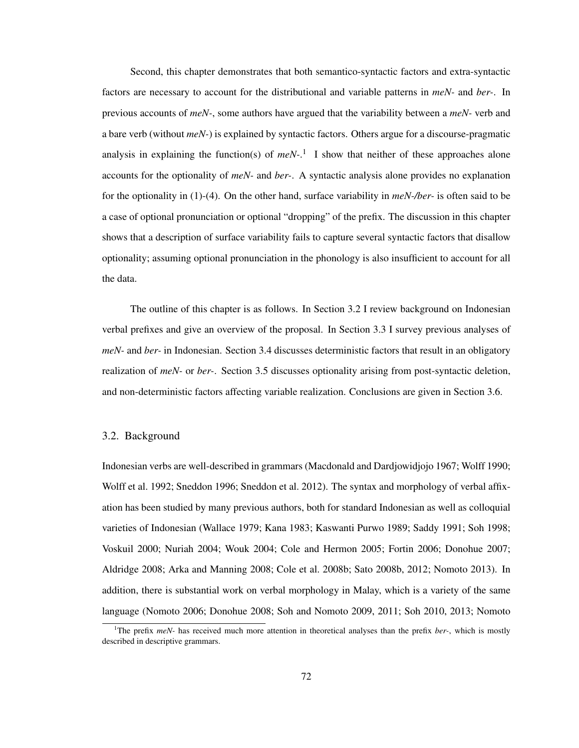Second, this chapter demonstrates that both semantico-syntactic factors and extra-syntactic factors are necessary to account for the distributional and variable patterns in *meN-* and *ber-*. In previous accounts of *meN-*, some authors have argued that the variability between a *meN-* verb and a bare verb (without *meN-*) is explained by syntactic factors. Others argue for a discourse-pragmatic analysis in explaining the function(s) of *meN-*. 1 I show that neither of these approaches alone accounts for the optionality of *meN-* and *ber-*. A syntactic analysis alone provides no explanation for the optionality in (1)-(4). On the other hand, surface variability in *meN-/ber-* is often said to be a case of optional pronunciation or optional "dropping" of the prefix. The discussion in this chapter shows that a description of surface variability fails to capture several syntactic factors that disallow optionality; assuming optional pronunciation in the phonology is also insufficient to account for all the data.

The outline of this chapter is as follows. In Section 3.2 I review background on Indonesian verbal prefixes and give an overview of the proposal. In Section 3.3 I survey previous analyses of *meN-* and *ber-* in Indonesian. Section 3.4 discusses deterministic factors that result in an obligatory realization of *meN-* or *ber-*. Section 3.5 discusses optionality arising from post-syntactic deletion, and non-deterministic factors affecting variable realization. Conclusions are given in Section 3.6.

### 3.2. Background

Indonesian verbs are well-described in grammars (Macdonald and Dardjowidjojo 1967; Wolff 1990; Wolff et al. 1992; Sneddon 1996; Sneddon et al. 2012). The syntax and morphology of verbal affixation has been studied by many previous authors, both for standard Indonesian as well as colloquial varieties of Indonesian (Wallace 1979; Kana 1983; Kaswanti Purwo 1989; Saddy 1991; Soh 1998; Voskuil 2000; Nuriah 2004; Wouk 2004; Cole and Hermon 2005; Fortin 2006; Donohue 2007; Aldridge 2008; Arka and Manning 2008; Cole et al. 2008b; Sato 2008b, 2012; Nomoto 2013). In addition, there is substantial work on verbal morphology in Malay, which is a variety of the same language (Nomoto 2006; Donohue 2008; Soh and Nomoto 2009, 2011; Soh 2010, 2013; Nomoto

<sup>1</sup>The prefix *meN-* has received much more attention in theoretical analyses than the prefix *ber-*, which is mostly described in descriptive grammars.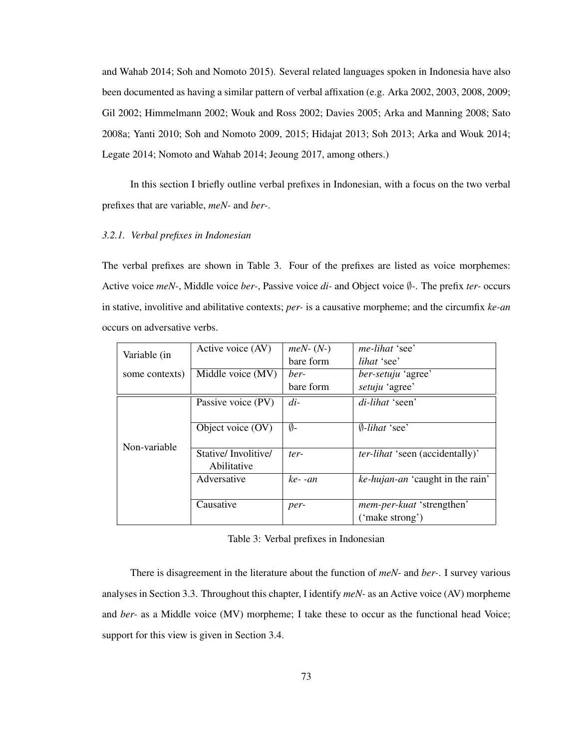and Wahab 2014; Soh and Nomoto 2015). Several related languages spoken in Indonesia have also been documented as having a similar pattern of verbal affixation (e.g. Arka 2002, 2003, 2008, 2009; Gil 2002; Himmelmann 2002; Wouk and Ross 2002; Davies 2005; Arka and Manning 2008; Sato 2008a; Yanti 2010; Soh and Nomoto 2009, 2015; Hidajat 2013; Soh 2013; Arka and Wouk 2014; Legate 2014; Nomoto and Wahab 2014; Jeoung 2017, among others.)

In this section I briefly outline verbal prefixes in Indonesian, with a focus on the two verbal prefixes that are variable, *meN-* and *ber-*.

## *3.2.1. Verbal prefixes in Indonesian*

The verbal prefixes are shown in Table 3. Four of the prefixes are listed as voice morphemes: Active voice *meN-*, Middle voice *ber-*, Passive voice *di-* and Object voice ∅*-*. The prefix *ter-* occurs in stative, involitive and abilitative contexts; *per-* is a causative morpheme; and the circumfix *ke-an* occurs on adversative verbs.

|                | Active voice (AV)   | $meN-(N-)$ | me-lihat 'see'                         |
|----------------|---------------------|------------|----------------------------------------|
| Variable (in   |                     | bare form  | <i>lihat</i> 'see'                     |
| some contexts) | Middle voice (MV)   | ber-       | ber-setuju 'agree'                     |
|                |                     | bare form  | setuju 'agree'                         |
|                | Passive voice (PV)  | $di-$      | di-lihat 'seen'                        |
|                |                     |            |                                        |
|                | Object voice (OV)   | Ø-         | $\emptyset$ -lihat 'see'               |
| Non-variable   |                     |            |                                        |
|                | Stative/Involitive/ | ter-       | <i>ter-lihat</i> 'seen (accidentally)' |
|                | Abilitative         |            |                                        |
|                | Adversative         | ke--an     | ke-hujan-an 'caught in the rain'       |
|                |                     |            |                                        |
|                | Causative           | per-       | mem-per-kuat 'strengthen'              |
|                |                     |            | ('make strong')                        |

# Table 3: Verbal prefixes in Indonesian

There is disagreement in the literature about the function of *meN-* and *ber-*. I survey various analyses in Section 3.3. Throughout this chapter, I identify *meN-* as an Active voice (AV) morpheme and *ber-* as a Middle voice (MV) morpheme; I take these to occur as the functional head Voice; support for this view is given in Section 3.4.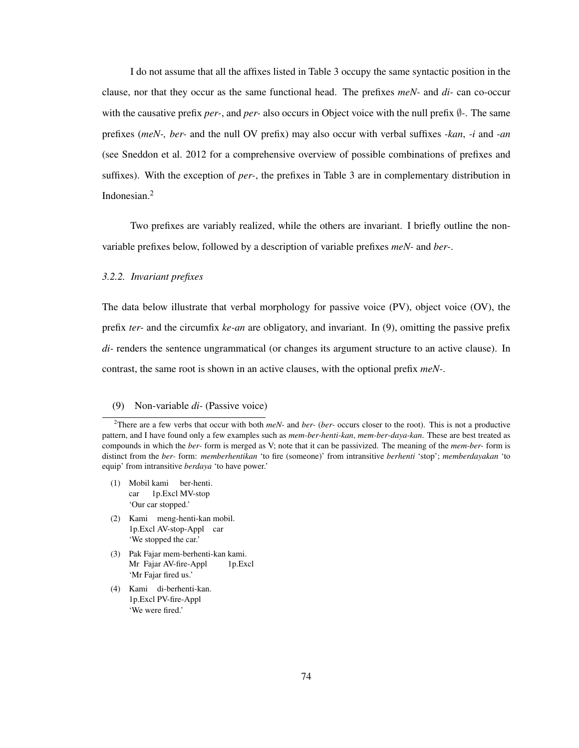I do not assume that all the affixes listed in Table 3 occupy the same syntactic position in the clause, nor that they occur as the same functional head. The prefixes *meN-* and *di-* can co-occur with the causative prefix *per-*, and *per-* also occurs in Object voice with the null prefix ∅*-*. The same prefixes (*meN-, ber-* and the null OV prefix) may also occur with verbal suffixes *-kan*, *-i* and *-an* (see Sneddon et al. 2012 for a comprehensive overview of possible combinations of prefixes and suffixes). With the exception of *per-*, the prefixes in Table 3 are in complementary distribution in Indonesian.<sup>2</sup>

Two prefixes are variably realized, while the others are invariant. I briefly outline the nonvariable prefixes below, followed by a description of variable prefixes *meN-* and *ber-*.

#### *3.2.2. Invariant prefixes*

The data below illustrate that verbal morphology for passive voice (PV), object voice (OV), the prefix *ter-* and the circumfix *ke-an* are obligatory, and invariant. In (9), omitting the passive prefix *di-* renders the sentence ungrammatical (or changes its argument structure to an active clause). In contrast, the same root is shown in an active clauses, with the optional prefix *meN-*.

### (9) Non-variable *di-* (Passive voice)

- (1) Mobil kami ber-henti. car 1p.Excl MV-stop 'Our car stopped.'
- (2) Kami meng-henti-kan mobil. 1p.Excl AV-stop-Appl car 'We stopped the car.'
- (3) Pak Fajar mem-berhenti-kan kami. Mr Fajar AV-fire-Appl 1p.Excl 'Mr Fajar fired us.'
- (4) Kami di-berhenti-kan. 1p.Excl PV-fire-Appl 'We were fired.'

<sup>2</sup>There are a few verbs that occur with both *meN-* and *ber-* (*ber-* occurs closer to the root). This is not a productive pattern, and I have found only a few examples such as *mem-ber-henti-kan*, *mem-ber-daya-kan*. These are best treated as compounds in which the *ber-* form is merged as V; note that it can be passivized. The meaning of the *mem-ber-* form is distinct from the *ber-* form: *memberhentikan* 'to fire (someone)' from intransitive *berhenti* 'stop'; *memberdayakan* 'to equip' from intransitive *berdaya* 'to have power.'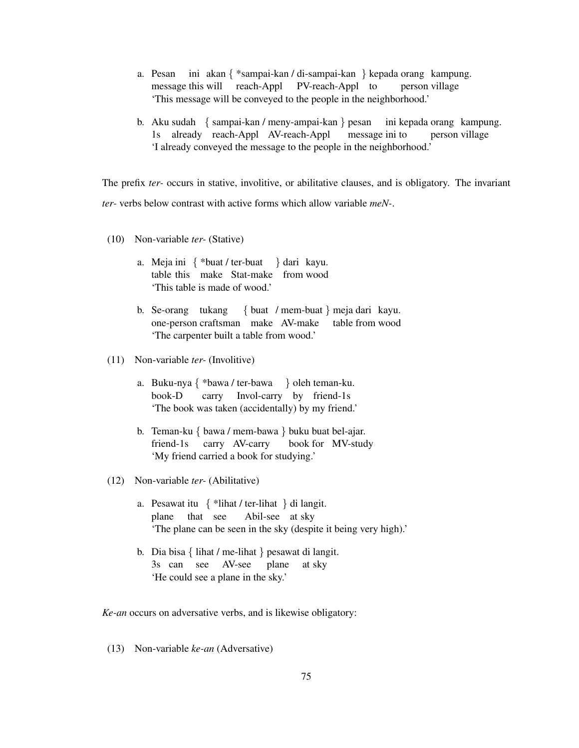- a. Pesan ini akan { \*sampai-kan / di-sampai-kan } kepada orang kampung. message this will reach-Appl PV-reach-Appl to person village 'This message will be conveyed to the people in the neighborhood.'
- b. Aku sudah { sampai-kan / meny-ampai-kan } pesan 1s already reach-Appl AV-reach-Appl message ini to ini kepada orang kampung. person village 'I already conveyed the message to the people in the neighborhood.'

The prefix *ter-* occurs in stative, involitive, or abilitative clauses, and is obligatory. The invariant *ter-* verbs below contrast with active forms which allow variable *meN-*.

- (10) Non-variable *ter-* (Stative)
	- a. Meja ini { \*buat / ter-buat } dari kayu. table this make Stat-make from wood 'This table is made of wood.'
	- b. Se-orang tukang { buat / mem-buat } meja dari kayu. one-person craftsman make AV-make table from wood 'The carpenter built a table from wood.'
- (11) Non-variable *ter-* (Involitive)
	- a. Buku-nya { \*bawa / ter-bawa } oleh teman-ku. book-D carry Invol-carry by friend-1s 'The book was taken (accidentally) by my friend.'
	- b. Teman-ku { bawa / mem-bawa } buku buat bel-ajar. friend-1s carry AV-carry book for MV-study 'My friend carried a book for studying.'
- (12) Non-variable *ter-* (Abilitative)
	- a. Pesawat itu { \*lihat / ter-lihat } di langit. plane that see Abil-see at sky 'The plane can be seen in the sky (despite it being very high).'
	- b. Dia bisa { lihat / me-lihat } pesawat di langit. 3s can see AV-see plane at sky 'He could see a plane in the sky.'

*Ke-an* occurs on adversative verbs, and is likewise obligatory:

(13) Non-variable *ke-an* (Adversative)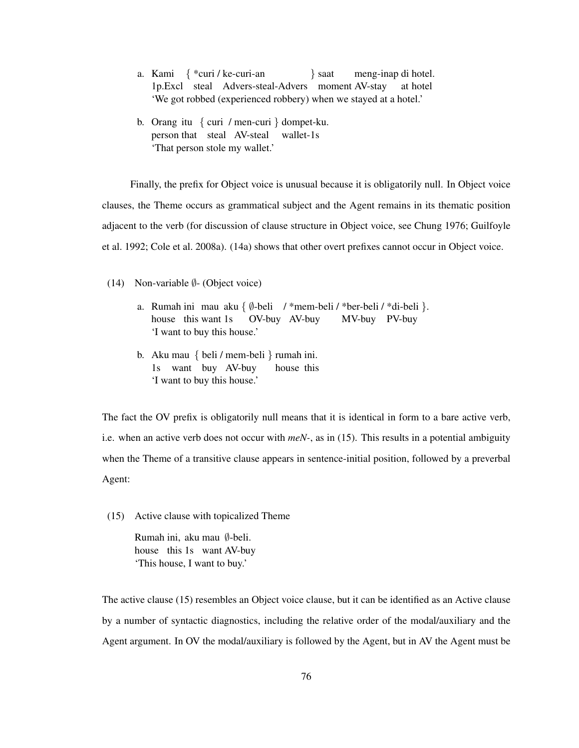- a. Kami { \*curi / ke-curi-an 1p.Excl steal Advers-steal-Advers moment AV-stay } saat meng-inap di hotel. at hotel 'We got robbed (experienced robbery) when we stayed at a hotel.'
- b. Orang itu { curi / men-curi } dompet-ku. person that steal AV-steal wallet-1s 'That person stole my wallet.'

Finally, the prefix for Object voice is unusual because it is obligatorily null. In Object voice clauses, the Theme occurs as grammatical subject and the Agent remains in its thematic position adjacent to the verb (for discussion of clause structure in Object voice, see Chung 1976; Guilfoyle et al. 1992; Cole et al. 2008a). (14a) shows that other overt prefixes cannot occur in Object voice.

- (14) Non-variable  $\emptyset$  (Object voice)
	- a. Rumah ini mau aku { ∅-beli / \*mem-beli / \*ber-beli / \*di-beli }. house this want 1s OV-buy AV-buy MV-buy PV-buy 'I want to buy this house.'
	- b. Aku mau { beli / mem-beli } rumah ini. 1s want buy AV-buy house this 'I want to buy this house.'

The fact the OV prefix is obligatorily null means that it is identical in form to a bare active verb, i.e. when an active verb does not occur with *meN-*, as in (15). This results in a potential ambiguity when the Theme of a transitive clause appears in sentence-initial position, followed by a preverbal Agent:

(15) Active clause with topicalized Theme

Rumah ini, aku mau ∅-beli. house this 1s want AV-buy 'This house, I want to buy.'

The active clause (15) resembles an Object voice clause, but it can be identified as an Active clause by a number of syntactic diagnostics, including the relative order of the modal/auxiliary and the Agent argument. In OV the modal/auxiliary is followed by the Agent, but in AV the Agent must be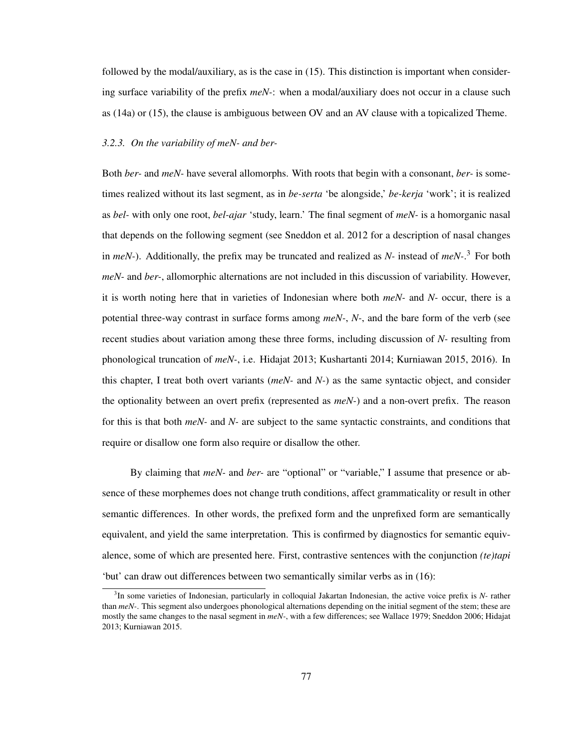followed by the modal/auxiliary, as is the case in (15). This distinction is important when considering surface variability of the prefix *meN-*: when a modal/auxiliary does not occur in a clause such as (14a) or (15), the clause is ambiguous between OV and an AV clause with a topicalized Theme.

#### *3.2.3. On the variability of meN- and ber-*

Both *ber-* and *meN-* have several allomorphs. With roots that begin with a consonant, *ber-* is sometimes realized without its last segment, as in *be-serta* 'be alongside,' *be-kerja* 'work'; it is realized as *bel-* with only one root, *bel-ajar* 'study, learn.' The final segment of *meN-* is a homorganic nasal that depends on the following segment (see Sneddon et al. 2012 for a description of nasal changes in *meN-*). Additionally, the prefix may be truncated and realized as *N-* instead of *meN-*. <sup>3</sup> For both *meN-* and *ber-*, allomorphic alternations are not included in this discussion of variability. However, it is worth noting here that in varieties of Indonesian where both *meN-* and *N-* occur, there is a potential three-way contrast in surface forms among *meN-*, *N-*, and the bare form of the verb (see recent studies about variation among these three forms, including discussion of *N-* resulting from phonological truncation of *meN-*, i.e. Hidajat 2013; Kushartanti 2014; Kurniawan 2015, 2016). In this chapter, I treat both overt variants (*meN-* and *N-*) as the same syntactic object, and consider the optionality between an overt prefix (represented as *meN-*) and a non-overt prefix. The reason for this is that both *meN-* and *N-* are subject to the same syntactic constraints, and conditions that require or disallow one form also require or disallow the other.

By claiming that *meN-* and *ber-* are "optional" or "variable," I assume that presence or absence of these morphemes does not change truth conditions, affect grammaticality or result in other semantic differences. In other words, the prefixed form and the unprefixed form are semantically equivalent, and yield the same interpretation. This is confirmed by diagnostics for semantic equivalence, some of which are presented here. First, contrastive sentences with the conjunction *(te)tapi* 'but' can draw out differences between two semantically similar verbs as in (16):

<sup>3</sup> In some varieties of Indonesian, particularly in colloquial Jakartan Indonesian, the active voice prefix is *N-* rather than *meN-*. This segment also undergoes phonological alternations depending on the initial segment of the stem; these are mostly the same changes to the nasal segment in *meN-*, with a few differences; see Wallace 1979; Sneddon 2006; Hidajat 2013; Kurniawan 2015.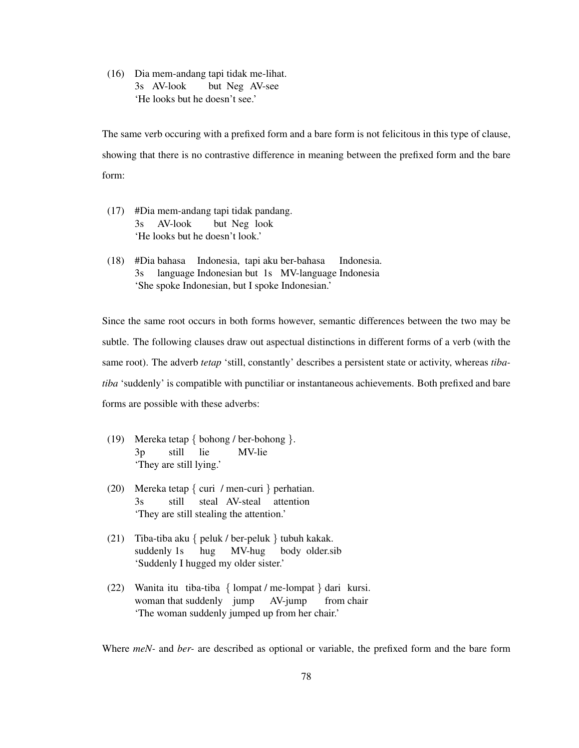(16) Dia mem-andang tapi tidak me-lihat. 3s AV-look but Neg AV-see 'He looks but he doesn't see.'

The same verb occuring with a prefixed form and a bare form is not felicitous in this type of clause, showing that there is no contrastive difference in meaning between the prefixed form and the bare form:

- (17) #Dia mem-andang tapi tidak pandang. 3s AV-look but Neg look 'He looks but he doesn't look.'
- (18) #Dia bahasa Indonesia, tapi aku ber-bahasa 3s language Indonesian but 1s MV-language Indonesia Indonesia. 'She spoke Indonesian, but I spoke Indonesian.'

Since the same root occurs in both forms however, semantic differences between the two may be subtle. The following clauses draw out aspectual distinctions in different forms of a verb (with the same root). The adverb *tetap* 'still, constantly' describes a persistent state or activity, whereas *tibatiba* 'suddenly' is compatible with punctiliar or instantaneous achievements. Both prefixed and bare forms are possible with these adverbs:

- (19) Mereka tetap { bohong / ber-bohong }. 3p still lie MV-lie 'They are still lying.'
- (20) Mereka tetap { curi / men-curi } perhatian. 3s still steal AV-steal attention 'They are still stealing the attention.'
- (21) Tiba-tiba aku { peluk / ber-peluk } tubuh kakak. suddenly 1s hug MV-hug body older.sib 'Suddenly I hugged my older sister.'
- (22) Wanita itu tiba-tiba { lompat / me-lompat } dari kursi. woman that suddenly jump AV-jump from chair 'The woman suddenly jumped up from her chair.'

Where *meN-* and *ber-* are described as optional or variable, the prefixed form and the bare form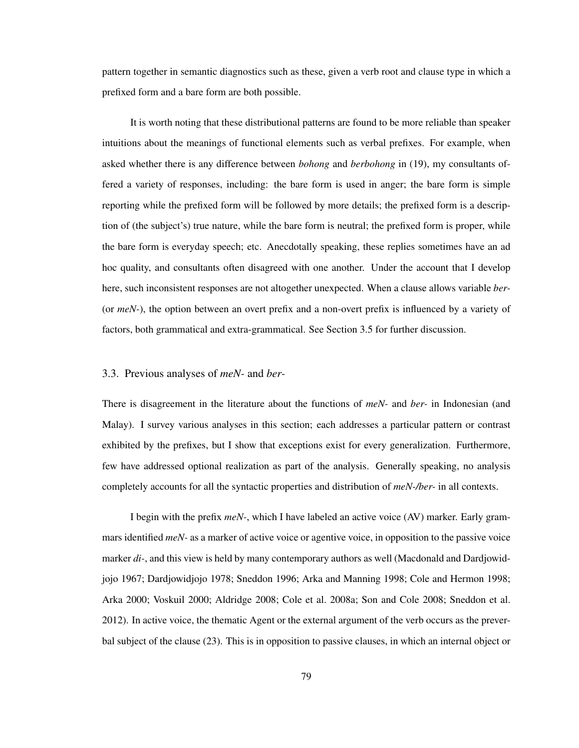pattern together in semantic diagnostics such as these, given a verb root and clause type in which a prefixed form and a bare form are both possible.

It is worth noting that these distributional patterns are found to be more reliable than speaker intuitions about the meanings of functional elements such as verbal prefixes. For example, when asked whether there is any difference between *bohong* and *berbohong* in (19), my consultants offered a variety of responses, including: the bare form is used in anger; the bare form is simple reporting while the prefixed form will be followed by more details; the prefixed form is a description of (the subject's) true nature, while the bare form is neutral; the prefixed form is proper, while the bare form is everyday speech; etc. Anecdotally speaking, these replies sometimes have an ad hoc quality, and consultants often disagreed with one another. Under the account that I develop here, such inconsistent responses are not altogether unexpected. When a clause allows variable *ber-* (or *meN-*), the option between an overt prefix and a non-overt prefix is influenced by a variety of factors, both grammatical and extra-grammatical. See Section 3.5 for further discussion.

### 3.3. Previous analyses of *meN-* and *ber-*

There is disagreement in the literature about the functions of *meN-* and *ber-* in Indonesian (and Malay). I survey various analyses in this section; each addresses a particular pattern or contrast exhibited by the prefixes, but I show that exceptions exist for every generalization. Furthermore, few have addressed optional realization as part of the analysis. Generally speaking, no analysis completely accounts for all the syntactic properties and distribution of *meN-/ber-* in all contexts.

I begin with the prefix *meN-*, which I have labeled an active voice (AV) marker. Early grammars identified *meN-* as a marker of active voice or agentive voice, in opposition to the passive voice marker *di-*, and this view is held by many contemporary authors as well (Macdonald and Dardjowidjojo 1967; Dardjowidjojo 1978; Sneddon 1996; Arka and Manning 1998; Cole and Hermon 1998; Arka 2000; Voskuil 2000; Aldridge 2008; Cole et al. 2008a; Son and Cole 2008; Sneddon et al. 2012). In active voice, the thematic Agent or the external argument of the verb occurs as the preverbal subject of the clause (23). This is in opposition to passive clauses, in which an internal object or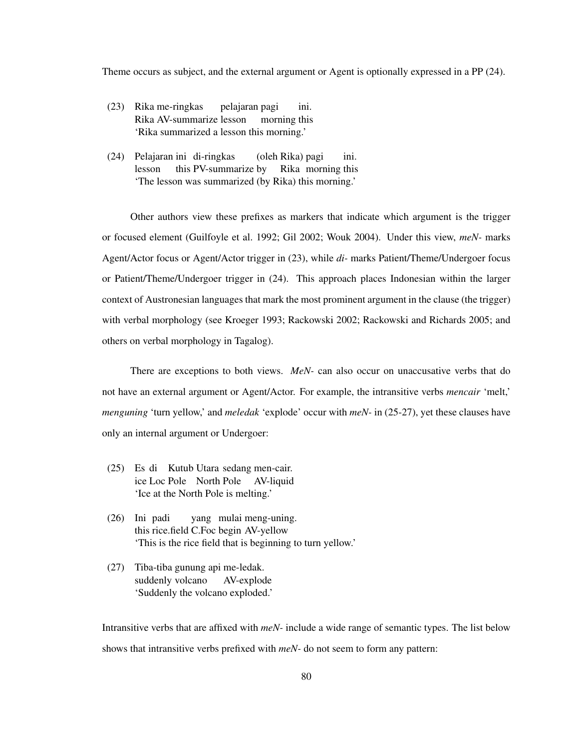Theme occurs as subject, and the external argument or Agent is optionally expressed in a PP (24).

- (23) Rika me-ringkas Rika AV-summarize lesson pelajaran pagi morning this ini. 'Rika summarized a lesson this morning.'
- (24) Pelajaran ini di-ringkas lesson this PV-summarize by (oleh Rika) pagi Rika morning this ini. 'The lesson was summarized (by Rika) this morning.'

Other authors view these prefixes as markers that indicate which argument is the trigger or focused element (Guilfoyle et al. 1992; Gil 2002; Wouk 2004). Under this view, *meN-* marks Agent/Actor focus or Agent/Actor trigger in (23), while *di-* marks Patient/Theme/Undergoer focus or Patient/Theme/Undergoer trigger in (24). This approach places Indonesian within the larger context of Austronesian languages that mark the most prominent argument in the clause (the trigger) with verbal morphology (see Kroeger 1993; Rackowski 2002; Rackowski and Richards 2005; and others on verbal morphology in Tagalog).

There are exceptions to both views. *MeN-* can also occur on unaccusative verbs that do not have an external argument or Agent/Actor. For example, the intransitive verbs *mencair* 'melt,' *menguning* 'turn yellow,' and *meledak* 'explode' occur with *meN-* in (25-27), yet these clauses have only an internal argument or Undergoer:

- (25) Es di Kutub Utara sedang men-cair. ice Loc Pole North Pole AV-liquid 'Ice at the North Pole is melting.'
- (26) Ini padi this rice.field C.Foc begin AV-yellow yang mulai meng-uning. 'This is the rice field that is beginning to turn yellow.'
- (27) Tiba-tiba gunung api me-ledak. suddenly volcano AV-explode 'Suddenly the volcano exploded.'

Intransitive verbs that are affixed with *meN-* include a wide range of semantic types. The list below shows that intransitive verbs prefixed with *meN-* do not seem to form any pattern: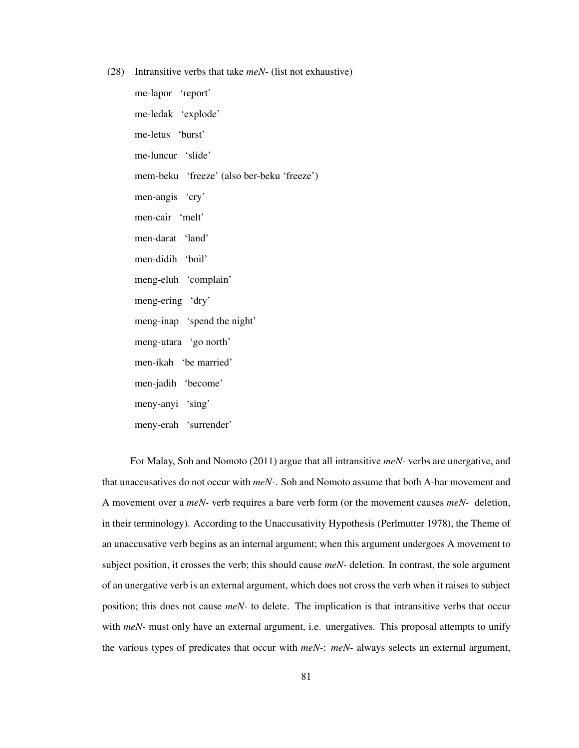(28) Intransitive verbs that take *meN-* (list not exhaustive)

me-lapor 'report' me-ledak 'explode' me-letus 'burst' me-luncur 'slide' mem-beku 'freeze' (also ber-beku 'freeze') men-angis 'cry' men-cair 'melt' men-darat 'land' men-didih 'boil' meng-eluh 'complain' meng-ering 'dry' meng-inap 'spend the night' meng-utara 'go north' men-ikah 'be married' men-jadih 'become' meny-anyi 'sing' meny-erah 'surrender'

For Malay, Soh and Nomoto (2011) argue that all intransitive *meN-* verbs are unergative, and that unaccusatives do not occur with *meN-*. Soh and Nomoto assume that both A-bar movement and A movement over a *meN-* verb requires a bare verb form (or the movement causes *meN-* deletion, in their terminology). According to the Unaccusativity Hypothesis (Perlmutter 1978), the Theme of an unaccusative verb begins as an internal argument; when this argument undergoes A movement to subject position, it crosses the verb; this should cause *meN-* deletion. In contrast, the sole argument of an unergative verb is an external argument, which does not cross the verb when it raises to subject position; this does not cause *meN-* to delete. The implication is that intransitive verbs that occur with *meN*- must only have an external argument, i.e. unergatives. This proposal attempts to unify the various types of predicates that occur with *meN-*: *meN-* always selects an external argument,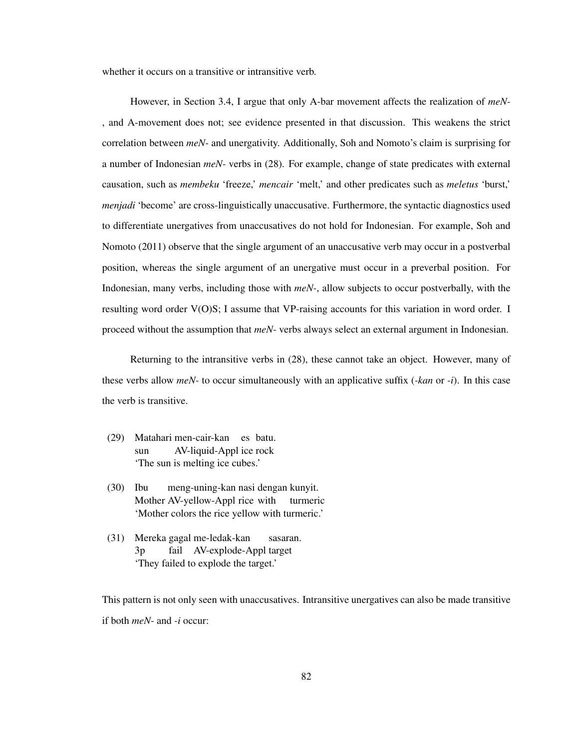whether it occurs on a transitive or intransitive verb.

However, in Section 3.4, I argue that only A-bar movement affects the realization of *meN-* , and A-movement does not; see evidence presented in that discussion. This weakens the strict correlation between *meN-* and unergativity. Additionally, Soh and Nomoto's claim is surprising for a number of Indonesian *meN-* verbs in (28). For example, change of state predicates with external causation, such as *membeku* 'freeze,' *mencair* 'melt,' and other predicates such as *meletus* 'burst,' *menjadi* 'become' are cross-linguistically unaccusative. Furthermore, the syntactic diagnostics used to differentiate unergatives from unaccusatives do not hold for Indonesian. For example, Soh and Nomoto (2011) observe that the single argument of an unaccusative verb may occur in a postverbal position, whereas the single argument of an unergative must occur in a preverbal position. For Indonesian, many verbs, including those with *meN-*, allow subjects to occur postverbally, with the resulting word order V(O)S; I assume that VP-raising accounts for this variation in word order. I proceed without the assumption that *meN-* verbs always select an external argument in Indonesian.

Returning to the intransitive verbs in (28), these cannot take an object. However, many of these verbs allow *meN-* to occur simultaneously with an applicative suffix (*-kan* or *-i*). In this case the verb is transitive.

- (29) Matahari men-cair-kan es batu. sun AV-liquid-Appl ice rock 'The sun is melting ice cubes.'
- (30) Ibu Mother AV-yellow-Appl rice with turmeric meng-uning-kan nasi dengan kunyit. 'Mother colors the rice yellow with turmeric.'
- (31) Mereka gagal me-ledak-kan 3p fail AV-explode-Appl target sasaran. 'They failed to explode the target.'

This pattern is not only seen with unaccusatives. Intransitive unergatives can also be made transitive if both *meN-* and *-i* occur: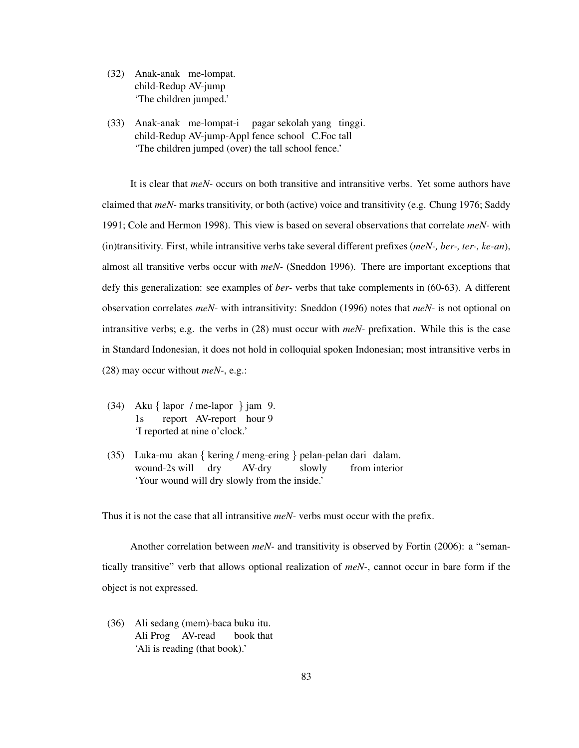- (32) Anak-anak me-lompat. child-Redup AV-jump 'The children jumped.'
- (33) Anak-anak me-lompat-i child-Redup AV-jump-Appl fence school C.Foc tall pagar sekolah yang tinggi. 'The children jumped (over) the tall school fence.'

It is clear that *meN-* occurs on both transitive and intransitive verbs. Yet some authors have claimed that *meN-* marks transitivity, or both (active) voice and transitivity (e.g. Chung 1976; Saddy 1991; Cole and Hermon 1998). This view is based on several observations that correlate *meN-* with (in)transitivity. First, while intransitive verbs take several different prefixes (*meN-, ber-, ter-, ke-an*), almost all transitive verbs occur with *meN-* (Sneddon 1996). There are important exceptions that defy this generalization: see examples of *ber-* verbs that take complements in (60-63). A different observation correlates *meN-* with intransitivity: Sneddon (1996) notes that *meN-* is not optional on intransitive verbs; e.g. the verbs in (28) must occur with *meN-* prefixation. While this is the case in Standard Indonesian, it does not hold in colloquial spoken Indonesian; most intransitive verbs in (28) may occur without *meN-*, e.g.:

- (34) Aku { lapor / me-lapor } jam 9. 1s report AV-report hour 9 'I reported at nine o'clock.'
- (35) Luka-mu akan { kering / meng-ering } pelan-pelan dari dalam. wound-2s will dry AV-dry slowly from interior 'Your wound will dry slowly from the inside.'

Thus it is not the case that all intransitive *meN-* verbs must occur with the prefix.

Another correlation between *meN-* and transitivity is observed by Fortin (2006): a "semantically transitive" verb that allows optional realization of *meN-*, cannot occur in bare form if the object is not expressed.

(36) Ali sedang (mem)-baca buku itu. Ali Prog AV-read book that 'Ali is reading (that book).'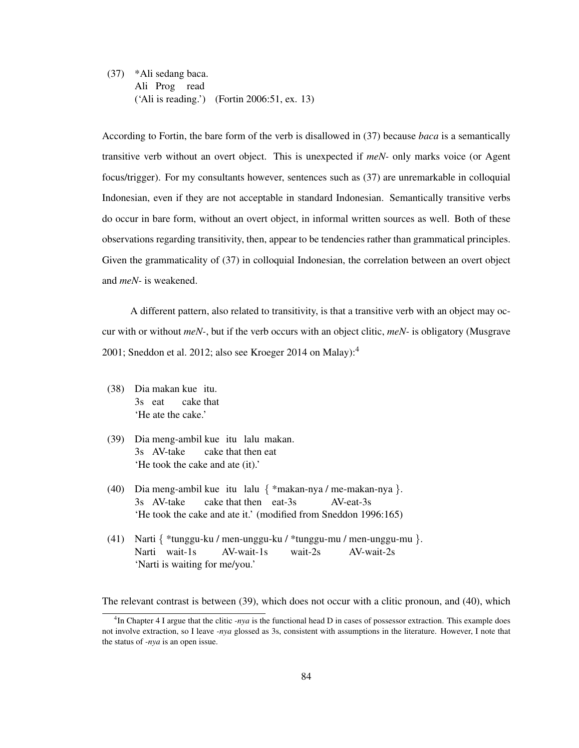(37) \*Ali sedang baca. Ali Prog read ('Ali is reading.') (Fortin 2006:51, ex. 13)

According to Fortin, the bare form of the verb is disallowed in (37) because *baca* is a semantically transitive verb without an overt object. This is unexpected if *meN-* only marks voice (or Agent focus/trigger). For my consultants however, sentences such as (37) are unremarkable in colloquial Indonesian, even if they are not acceptable in standard Indonesian. Semantically transitive verbs do occur in bare form, without an overt object, in informal written sources as well. Both of these observations regarding transitivity, then, appear to be tendencies rather than grammatical principles. Given the grammaticality of (37) in colloquial Indonesian, the correlation between an overt object and *meN-* is weakened.

A different pattern, also related to transitivity, is that a transitive verb with an object may occur with or without *meN-*, but if the verb occurs with an object clitic, *meN-* is obligatory (Musgrave 2001; Sneddon et al. 2012; also see Kroeger 2014 on Malay):<sup>4</sup>

- (38) Dia makan kue itu. 3s eat cake that 'He ate the cake.'
- (39) Dia meng-ambil kue itu lalu makan. 3s AV-take cake that then eat 'He took the cake and ate (it).'
- (40) Dia meng-ambil kue itu lalu { \*makan-nya / me-makan-nya }. 3s AV-take cake that then eat-3s AV-eat-3s 'He took the cake and ate it.' (modified from Sneddon 1996:165)
- (41) Narti { \*tunggu-ku / men-unggu-ku / \*tunggu-mu / men-unggu-mu }. Narti wait-1s AV-wait-1s wait-2s AV-wait-2s 'Narti is waiting for me/you.'

The relevant contrast is between (39), which does not occur with a clitic pronoun, and (40), which

<sup>4</sup> In Chapter 4 I argue that the clitic *-nya* is the functional head D in cases of possessor extraction. This example does not involve extraction, so I leave *-nya* glossed as 3s, consistent with assumptions in the literature. However, I note that the status of *-nya* is an open issue.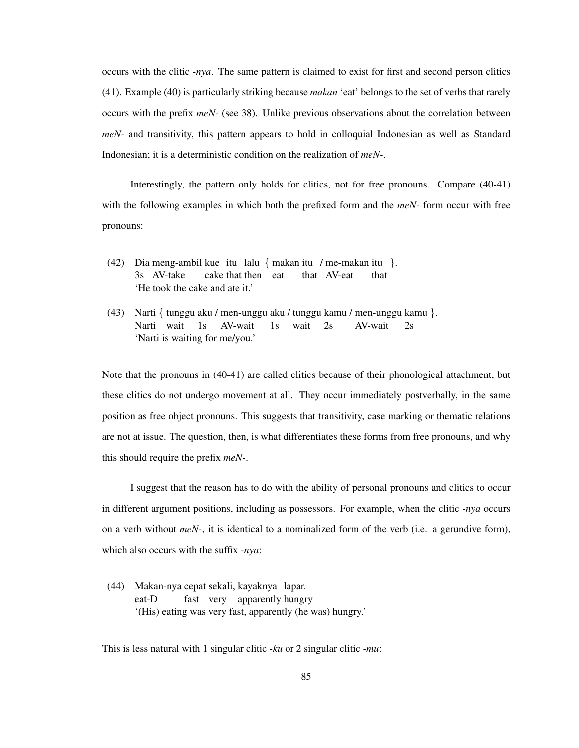occurs with the clitic *-nya*. The same pattern is claimed to exist for first and second person clitics (41). Example (40) is particularly striking because *makan* 'eat' belongs to the set of verbs that rarely occurs with the prefix *meN-* (see 38). Unlike previous observations about the correlation between *meN-* and transitivity, this pattern appears to hold in colloquial Indonesian as well as Standard Indonesian; it is a deterministic condition on the realization of *meN-*.

Interestingly, the pattern only holds for clitics, not for free pronouns. Compare (40-41) with the following examples in which both the prefixed form and the *meN-* form occur with free pronouns:

- (42) Dia meng-ambil kue itu lalu { makan itu / me-makan itu }. 3s AV-take cake that then eat that AV-eat that 'He took the cake and ate it.'
- (43) Narti { tunggu aku / men-unggu aku / tunggu kamu / men-unggu kamu }. Narti wait 1s AV-wait  $1s$ wait 2s AV-wait 2s 'Narti is waiting for me/you.'

Note that the pronouns in (40-41) are called clitics because of their phonological attachment, but these clitics do not undergo movement at all. They occur immediately postverbally, in the same position as free object pronouns. This suggests that transitivity, case marking or thematic relations are not at issue. The question, then, is what differentiates these forms from free pronouns, and why this should require the prefix *meN-*.

I suggest that the reason has to do with the ability of personal pronouns and clitics to occur in different argument positions, including as possessors. For example, when the clitic *-nya* occurs on a verb without *meN-*, it is identical to a nominalized form of the verb (i.e. a gerundive form), which also occurs with the suffix *-nya*:

(44) Makan-nya cepat sekali, kayaknya lapar. eat-D fast very apparently hungry '(His) eating was very fast, apparently (he was) hungry.'

This is less natural with 1 singular clitic *-ku* or 2 singular clitic *-mu*: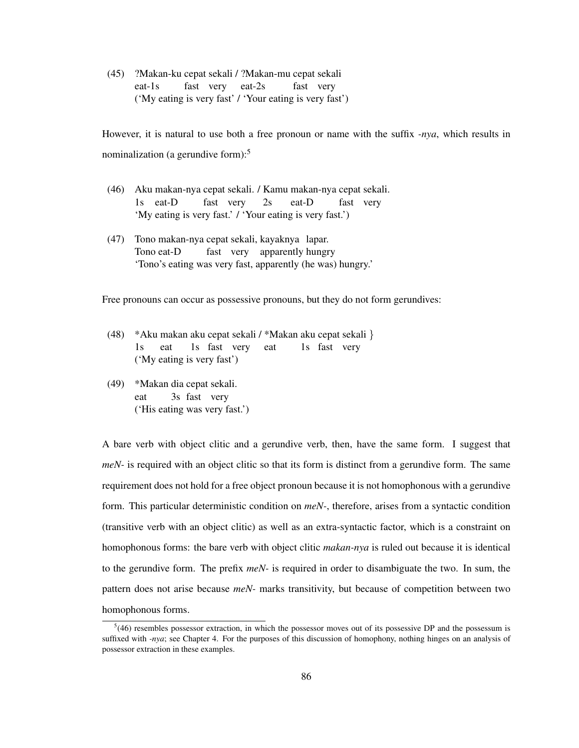(45) ?Makan-ku cepat sekali / ?Makan-mu cepat sekali eat-1s fast very eat-2s fast very ('My eating is very fast' / 'Your eating is very fast')

However, it is natural to use both a free pronoun or name with the suffix *-nya*, which results in nominalization (a gerundive form): $5$ 

- (46) Aku makan-nya cepat sekali. / Kamu makan-nya cepat sekali. 1s eat-D fast very 2s eat-D fast very 'My eating is very fast.' / 'Your eating is very fast.')
- (47) Tono makan-nya cepat sekali, kayaknya lapar. Tono eat-D fast very apparently hungry 'Tono's eating was very fast, apparently (he was) hungry.'

Free pronouns can occur as possessive pronouns, but they do not form gerundives:

- (48) \*Aku makan aku cepat sekali / \*Makan aku cepat sekali } 1s eat 1s fast very eat 1s fast very ('My eating is very fast')
- (49) \*Makan dia cepat sekali. eat 3s fast very ('His eating was very fast.')

A bare verb with object clitic and a gerundive verb, then, have the same form. I suggest that *meN*- is required with an object clitic so that its form is distinct from a gerundive form. The same requirement does not hold for a free object pronoun because it is not homophonous with a gerundive form. This particular deterministic condition on *meN-*, therefore, arises from a syntactic condition (transitive verb with an object clitic) as well as an extra-syntactic factor, which is a constraint on homophonous forms: the bare verb with object clitic *makan-nya* is ruled out because it is identical to the gerundive form. The prefix *meN-* is required in order to disambiguate the two. In sum, the pattern does not arise because *meN-* marks transitivity, but because of competition between two homophonous forms.

 $5(46)$  resembles possessor extraction, in which the possessor moves out of its possessive DP and the possessum is suffixed with *-nya*; see Chapter 4. For the purposes of this discussion of homophony, nothing hinges on an analysis of possessor extraction in these examples.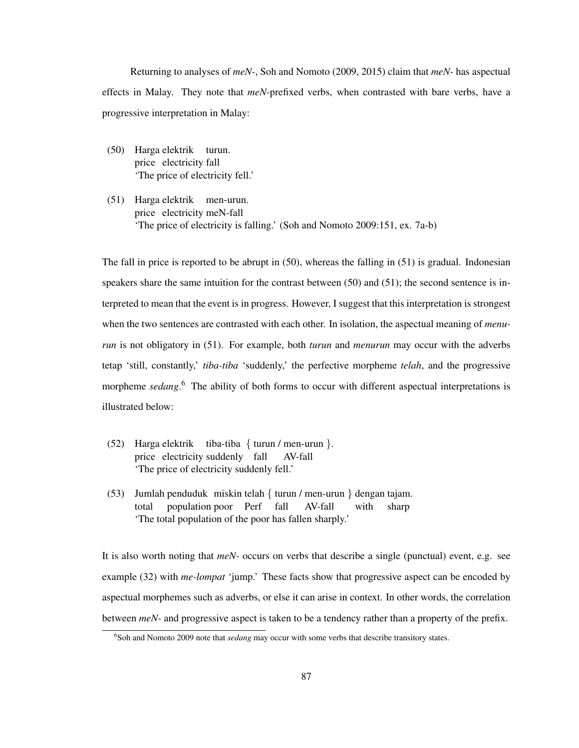Returning to analyses of *meN-*, Soh and Nomoto (2009, 2015) claim that *meN-* has aspectual effects in Malay. They note that *meN-*prefixed verbs, when contrasted with bare verbs, have a progressive interpretation in Malay:

- (50) Harga elektrik turun. price electricity fall 'The price of electricity fell.'
- (51) Harga elektrik men-urun. price electricity meN-fall 'The price of electricity is falling.' (Soh and Nomoto 2009:151, ex. 7a-b)

The fall in price is reported to be abrupt in (50), whereas the falling in (51) is gradual. Indonesian speakers share the same intuition for the contrast between (50) and (51); the second sentence is interpreted to mean that the event is in progress. However, I suggest that this interpretation is strongest when the two sentences are contrasted with each other. In isolation, the aspectual meaning of *menurun* is not obligatory in (51). For example, both *turun* and *menurun* may occur with the adverbs tetap 'still, constantly,' *tiba-tiba* 'suddenly,' the perfective morpheme *telah*, and the progressive morpheme *sedang*. <sup>6</sup> The ability of both forms to occur with different aspectual interpretations is illustrated below:

- (52) Harga elektrik tiba-tiba { turun / men-urun }. price electricity suddenly fall AV-fall 'The price of electricity suddenly fell.'
- (53) Jumlah penduduk miskin telah { turun / men-urun } dengan tajam. total population poor Perf fall AV-fall with sharp 'The total population of the poor has fallen sharply.'

It is also worth noting that *meN-* occurs on verbs that describe a single (punctual) event, e.g. see example (32) with *me-lompat* 'jump.' These facts show that progressive aspect can be encoded by aspectual morphemes such as adverbs, or else it can arise in context. In other words, the correlation between *meN-* and progressive aspect is taken to be a tendency rather than a property of the prefix.

<sup>6</sup> Soh and Nomoto 2009 note that *sedang* may occur with some verbs that describe transitory states.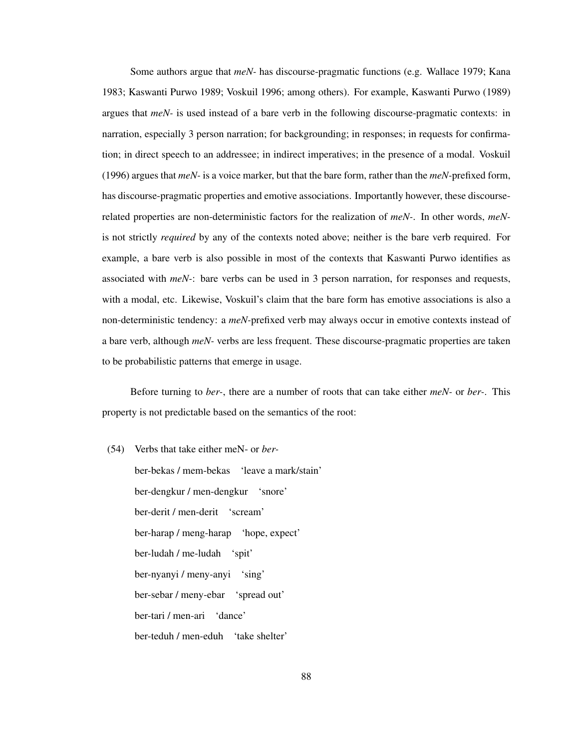Some authors argue that *meN-* has discourse-pragmatic functions (e.g. Wallace 1979; Kana 1983; Kaswanti Purwo 1989; Voskuil 1996; among others). For example, Kaswanti Purwo (1989) argues that *meN-* is used instead of a bare verb in the following discourse-pragmatic contexts: in narration, especially 3 person narration; for backgrounding; in responses; in requests for confirmation; in direct speech to an addressee; in indirect imperatives; in the presence of a modal. Voskuil (1996) argues that *meN-* is a voice marker, but that the bare form, rather than the *meN-*prefixed form, has discourse-pragmatic properties and emotive associations. Importantly however, these discourserelated properties are non-deterministic factors for the realization of *meN-*. In other words, *meN*is not strictly *required* by any of the contexts noted above; neither is the bare verb required. For example, a bare verb is also possible in most of the contexts that Kaswanti Purwo identifies as associated with *meN-*: bare verbs can be used in 3 person narration, for responses and requests, with a modal, etc. Likewise, Voskuil's claim that the bare form has emotive associations is also a non-deterministic tendency: a *meN-*prefixed verb may always occur in emotive contexts instead of a bare verb, although *meN-* verbs are less frequent. These discourse-pragmatic properties are taken to be probabilistic patterns that emerge in usage.

Before turning to *ber-*, there are a number of roots that can take either *meN-* or *ber-*. This property is not predictable based on the semantics of the root:

(54) Verbs that take either meN- or *ber*ber-bekas / mem-bekas 'leave a mark/stain' ber-dengkur / men-dengkur 'snore' ber-derit / men-derit 'scream' ber-harap / meng-harap 'hope, expect' ber-ludah / me-ludah 'spit' ber-nyanyi / meny-anyi 'sing' ber-sebar / meny-ebar 'spread out' ber-tari / men-ari 'dance' ber-teduh / men-eduh 'take shelter'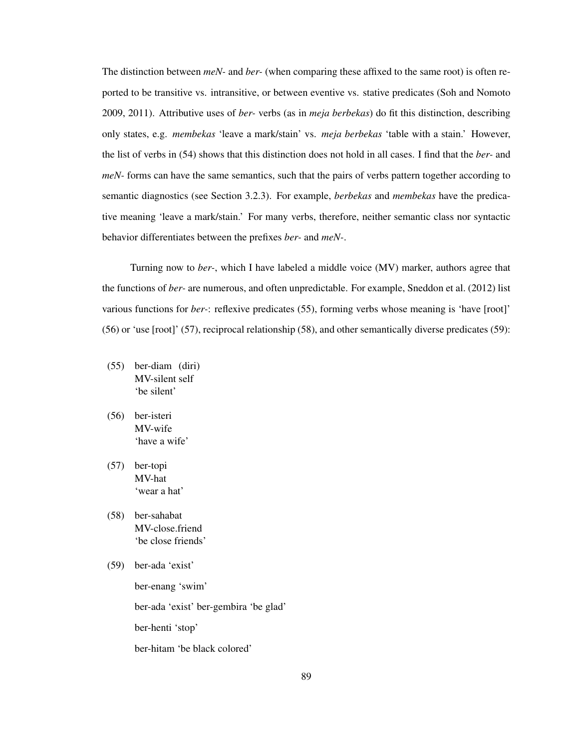The distinction between *meN-* and *ber-* (when comparing these affixed to the same root) is often reported to be transitive vs. intransitive, or between eventive vs. stative predicates (Soh and Nomoto 2009, 2011). Attributive uses of *ber-* verbs (as in *meja berbekas*) do fit this distinction, describing only states, e.g. *membekas* 'leave a mark/stain' vs. *meja berbekas* 'table with a stain.' However, the list of verbs in (54) shows that this distinction does not hold in all cases. I find that the *ber-* and *meN*- forms can have the same semantics, such that the pairs of verbs pattern together according to semantic diagnostics (see Section 3.2.3). For example, *berbekas* and *membekas* have the predicative meaning 'leave a mark/stain.' For many verbs, therefore, neither semantic class nor syntactic behavior differentiates between the prefixes *ber-* and *meN-*.

Turning now to *ber-*, which I have labeled a middle voice (MV) marker, authors agree that the functions of *ber-* are numerous, and often unpredictable. For example, Sneddon et al. (2012) list various functions for *ber-*: reflexive predicates (55), forming verbs whose meaning is 'have [root]' (56) or 'use [root]' (57), reciprocal relationship (58), and other semantically diverse predicates (59):

- (55) ber-diam (diri) MV-silent self 'be silent'
- (56) ber-isteri MV-wife 'have a wife'
- (57) ber-topi MV-hat 'wear a hat'
- (58) ber-sahabat MV-close.friend 'be close friends'
- (59) ber-ada 'exist'

ber-enang 'swim'

ber-ada 'exist' ber-gembira 'be glad'

ber-henti 'stop'

ber-hitam 'be black colored'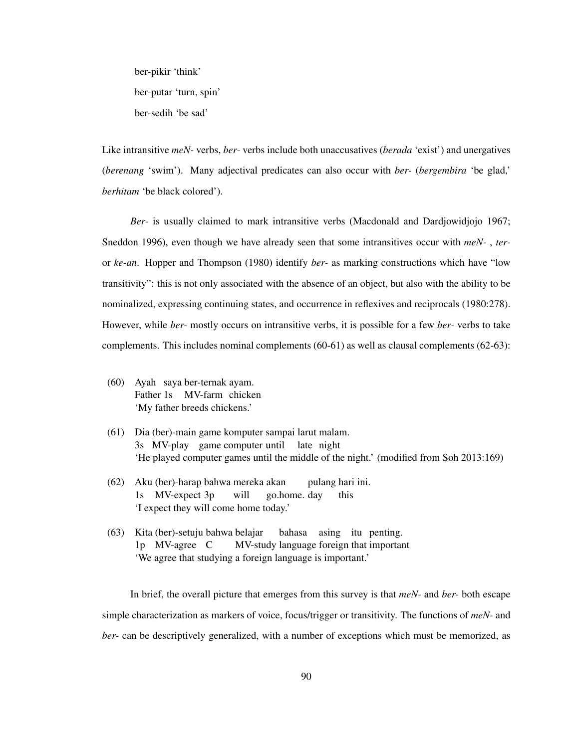ber-pikir 'think' ber-putar 'turn, spin' ber-sedih 'be sad'

Like intransitive *meN-* verbs, *ber-* verbs include both unaccusatives (*berada* 'exist') and unergatives (*berenang* 'swim'). Many adjectival predicates can also occur with *ber-* (*bergembira* 'be glad,' *berhitam* 'be black colored').

*Ber-* is usually claimed to mark intransitive verbs (Macdonald and Dardjowidjojo 1967; Sneddon 1996), even though we have already seen that some intransitives occur with *meN-* , *ter*or *ke-an*. Hopper and Thompson (1980) identify *ber-* as marking constructions which have "low transitivity": this is not only associated with the absence of an object, but also with the ability to be nominalized, expressing continuing states, and occurrence in reflexives and reciprocals (1980:278). However, while *ber-* mostly occurs on intransitive verbs, it is possible for a few *ber-* verbs to take complements. This includes nominal complements (60-61) as well as clausal complements (62-63):

- (60) Ayah saya ber-ternak ayam. Father 1s MV-farm chicken 'My father breeds chickens.'
- (61) Dia (ber)-main game komputer sampai larut malam. 3s MV-play game computer until late night 'He played computer games until the middle of the night.' (modified from Soh 2013:169)
- (62) Aku (ber)-harap bahwa mereka akan 1s MV-expect 3p will go.home. day pulang hari ini. this 'I expect they will come home today.'
- (63) Kita (ber)-setuju bahwa belajar 1p MV-agree C MV-study language foreign that important bahasa asing itu penting. 'We agree that studying a foreign language is important.'

In brief, the overall picture that emerges from this survey is that *meN-* and *ber-* both escape simple characterization as markers of voice, focus/trigger or transitivity. The functions of *meN-* and *ber-* can be descriptively generalized, with a number of exceptions which must be memorized, as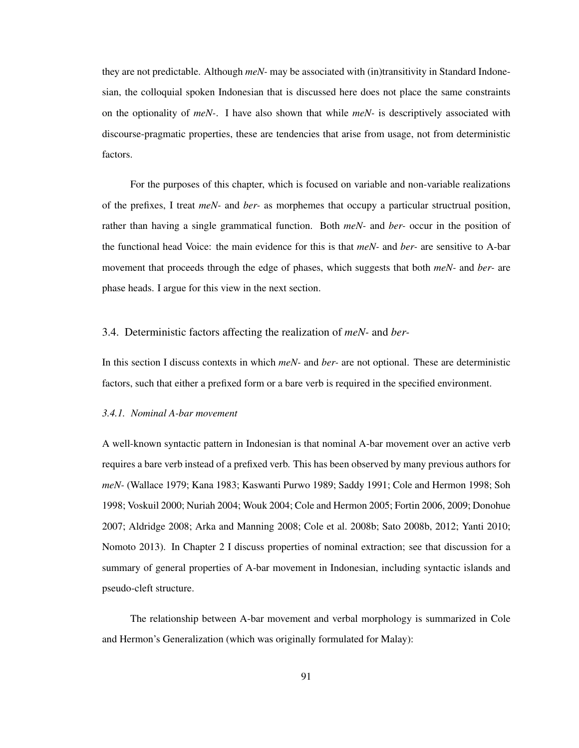they are not predictable. Although *meN-* may be associated with (in)transitivity in Standard Indonesian, the colloquial spoken Indonesian that is discussed here does not place the same constraints on the optionality of *meN-*. I have also shown that while *meN-* is descriptively associated with discourse-pragmatic properties, these are tendencies that arise from usage, not from deterministic factors.

For the purposes of this chapter, which is focused on variable and non-variable realizations of the prefixes, I treat *meN-* and *ber-* as morphemes that occupy a particular structrual position, rather than having a single grammatical function. Both *meN-* and *ber-* occur in the position of the functional head Voice: the main evidence for this is that *meN-* and *ber-* are sensitive to A-bar movement that proceeds through the edge of phases, which suggests that both *meN-* and *ber-* are phase heads. I argue for this view in the next section.

# 3.4. Deterministic factors affecting the realization of *meN-* and *ber-*

In this section I discuss contexts in which *meN-* and *ber-* are not optional. These are deterministic factors, such that either a prefixed form or a bare verb is required in the specified environment.

#### *3.4.1. Nominal A-bar movement*

A well-known syntactic pattern in Indonesian is that nominal A-bar movement over an active verb requires a bare verb instead of a prefixed verb. This has been observed by many previous authors for *meN-* (Wallace 1979; Kana 1983; Kaswanti Purwo 1989; Saddy 1991; Cole and Hermon 1998; Soh 1998; Voskuil 2000; Nuriah 2004; Wouk 2004; Cole and Hermon 2005; Fortin 2006, 2009; Donohue 2007; Aldridge 2008; Arka and Manning 2008; Cole et al. 2008b; Sato 2008b, 2012; Yanti 2010; Nomoto 2013). In Chapter 2 I discuss properties of nominal extraction; see that discussion for a summary of general properties of A-bar movement in Indonesian, including syntactic islands and pseudo-cleft structure.

The relationship between A-bar movement and verbal morphology is summarized in Cole and Hermon's Generalization (which was originally formulated for Malay):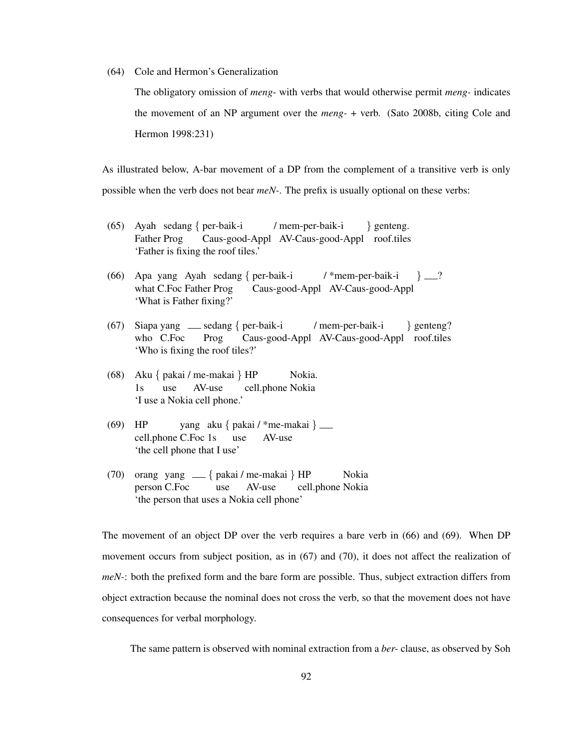(64) Cole and Hermon's Generalization

The obligatory omission of *meng*- with verbs that would otherwise permit *meng-* indicates the movement of an NP argument over the *meng-* + verb. (Sato 2008b, citing Cole and Hermon 1998:231)

As illustrated below, A-bar movement of a DP from the complement of a transitive verb is only possible when the verb does not bear *meN-*. The prefix is usually optional on these verbs:

- (65) Ayah sedang { per-baik-i Father Prog Caus-good-Appl AV-Caus-good-Appl roof.tiles / mem-per-baik-i } genteng. 'Father is fixing the roof tiles.'
- (66) Apa yang Ayah sedang { per-baik-i what C.Foc Father Prog Caus-good-Appl AV-Caus-good-Appl / \*mem-per-baik-i  $\}$   $\_\,$ ? 'What is Father fixing?'
- (67) Siapa yang sedang { per-baik-i who C.Foc Prog Caus-good-Appl AV-Caus-good-Appl roof.tiles / mem-per-baik-i } genteng? 'Who is fixing the roof tiles?'
- (68) Aku { pakai / me-makai } HP 1s use AV-use cell.phone Nokia Nokia. 'I use a Nokia cell phone.'
- (69) HP cell.phone C.Foc 1s yang aku { pakai / \*me-makai } use AV-use 'the cell phone that I use'
- (70) orang yang { pakai / me-makai } HP person C.Foc use AV-use cell.phone Nokia Nokia 'the person that uses a Nokia cell phone'

The movement of an object DP over the verb requires a bare verb in (66) and (69). When DP movement occurs from subject position, as in (67) and (70), it does not affect the realization of *meN-*: both the prefixed form and the bare form are possible. Thus, subject extraction differs from object extraction because the nominal does not cross the verb, so that the movement does not have consequences for verbal morphology.

The same pattern is observed with nominal extraction from a *ber-* clause, as observed by Soh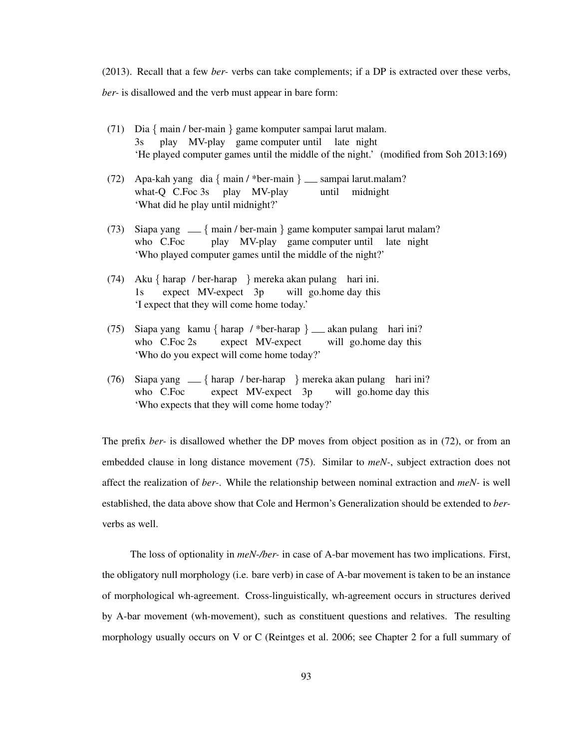(2013). Recall that a few *ber-* verbs can take complements; if a DP is extracted over these verbs, *ber-* is disallowed and the verb must appear in bare form:

- (71) Dia { main / ber-main } game komputer sampai larut malam. 3s play MV-play game computer until late night 'He played computer games until the middle of the night.' (modified from Soh 2013:169)
- (72) Apa-kah yang dia { main / \*ber-main } \_\_ sampai larut.malam? what-Q C.Foc 3s play MV-play until midnight 'What did he play until midnight?'
- (73) Siapa yang { main / ber-main } game komputer sampai larut malam? who C.Foc play MV-play game computer until late night 'Who played computer games until the middle of the night?'
- (74) Aku { harap / ber-harap } mereka akan pulang hari ini. 1s expect MV-expect 3p will go.home day this 'I expect that they will come home today.'
- (75) Siapa yang kamu { harap / \*ber-harap } \_ akan pulang hari ini? who C.Foc 2s expect MV-expect will go.home day this 'Who do you expect will come home today?'
- (76) Siapa yang { harap / ber-harap } mereka akan pulang hari ini? who C.Foc expect MV-expect 3p will go.home day this 'Who expects that they will come home today?'

The prefix *ber-* is disallowed whether the DP moves from object position as in (72), or from an embedded clause in long distance movement (75). Similar to *meN-*, subject extraction does not affect the realization of *ber-*. While the relationship between nominal extraction and *meN-* is well established, the data above show that Cole and Hermon's Generalization should be extended to *ber*verbs as well.

The loss of optionality in *meN-/ber-* in case of A-bar movement has two implications. First, the obligatory null morphology (i.e. bare verb) in case of A-bar movement is taken to be an instance of morphological wh-agreement. Cross-linguistically, wh-agreement occurs in structures derived by A-bar movement (wh-movement), such as constituent questions and relatives. The resulting morphology usually occurs on V or C (Reintges et al. 2006; see Chapter 2 for a full summary of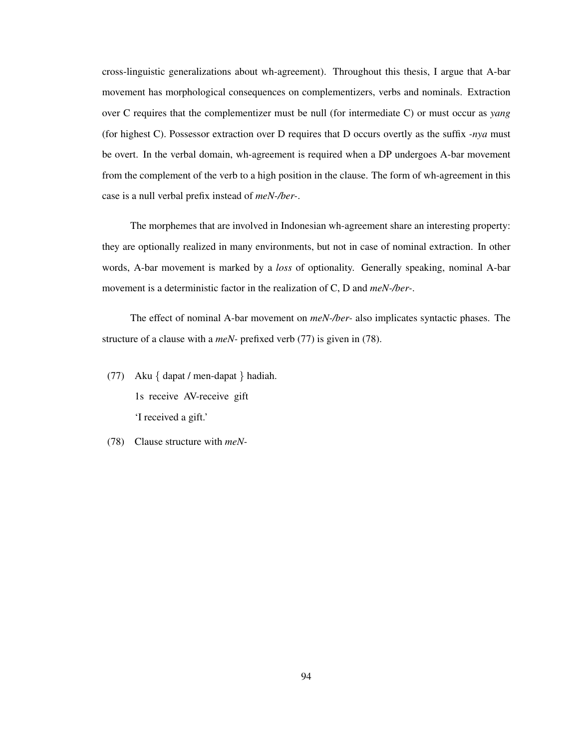cross-linguistic generalizations about wh-agreement). Throughout this thesis, I argue that A-bar movement has morphological consequences on complementizers, verbs and nominals. Extraction over C requires that the complementizer must be null (for intermediate C) or must occur as *yang* (for highest C). Possessor extraction over D requires that D occurs overtly as the suffix *-nya* must be overt. In the verbal domain, wh-agreement is required when a DP undergoes A-bar movement from the complement of the verb to a high position in the clause. The form of wh-agreement in this case is a null verbal prefix instead of *meN-/ber-*.

The morphemes that are involved in Indonesian wh-agreement share an interesting property: they are optionally realized in many environments, but not in case of nominal extraction. In other words, A-bar movement is marked by a *loss* of optionality. Generally speaking, nominal A-bar movement is a deterministic factor in the realization of C, D and *meN-/ber-*.

The effect of nominal A-bar movement on *meN-/ber-* also implicates syntactic phases. The structure of a clause with a *meN-* prefixed verb (77) is given in (78).

- (77) Aku { dapat / men-dapat } hadiah. 1s receive AV-receive gift 'I received a gift.'
- (78) Clause structure with *meN-*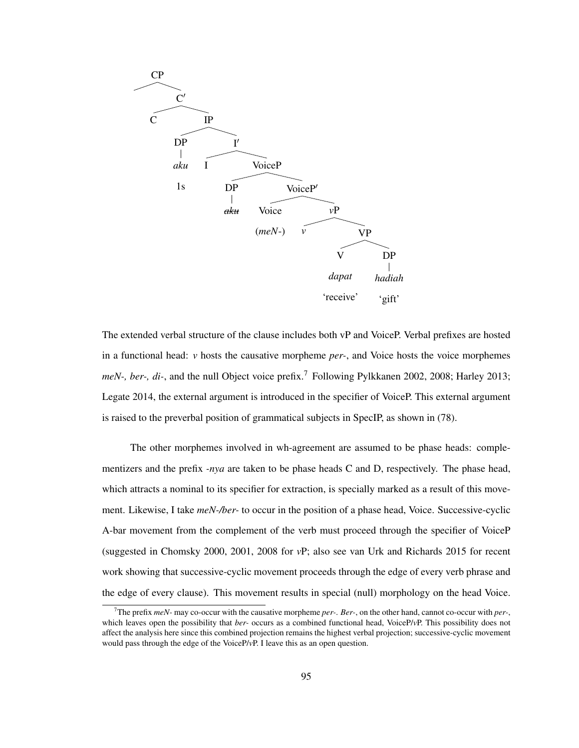

The extended verbal structure of the clause includes both vP and VoiceP. Verbal prefixes are hosted in a functional head: *v* hosts the causative morpheme *per-*, and Voice hosts the voice morphemes *meN-, ber-, di-,* and the null Object voice prefix.<sup>7</sup> Following Pylkkanen 2002, 2008; Harley 2013; Legate 2014, the external argument is introduced in the specifier of VoiceP. This external argument is raised to the preverbal position of grammatical subjects in SpecIP, as shown in (78).

The other morphemes involved in wh-agreement are assumed to be phase heads: complementizers and the prefix *-nya* are taken to be phase heads C and D, respectively. The phase head, which attracts a nominal to its specifier for extraction, is specially marked as a result of this movement. Likewise, I take *meN-/ber-* to occur in the position of a phase head, Voice. Successive-cyclic A-bar movement from the complement of the verb must proceed through the specifier of VoiceP (suggested in Chomsky 2000, 2001, 2008 for *v*P; also see van Urk and Richards 2015 for recent work showing that successive-cyclic movement proceeds through the edge of every verb phrase and the edge of every clause). This movement results in special (null) morphology on the head Voice.

<sup>7</sup>The prefix *meN-* may co-occur with the causative morpheme *per-*. *Ber-*, on the other hand, cannot co-occur with *per-*, which leaves open the possibility that *ber-* occurs as a combined functional head, VoiceP/*v*P. This possibility does not affect the analysis here since this combined projection remains the highest verbal projection; successive-cyclic movement would pass through the edge of the VoiceP/*v*P. I leave this as an open question.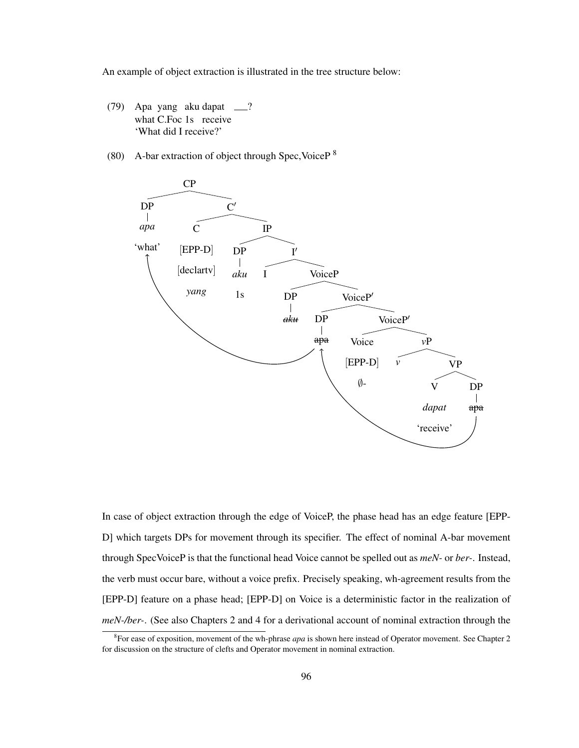An example of object extraction is illustrated in the tree structure below:

- $(79)$ what C.Foc 1s receive yang aku dapat ? 'What did I receive?'
- (80) A-bar extraction of object through Spec, Voice  $P^8$



In case of object extraction through the edge of VoiceP, the phase head has an edge feature [EPP-D] which targets DPs for movement through its specifier. The effect of nominal A-bar movement through SpecVoiceP is that the functional head Voice cannot be spelled out as *meN-* or *ber-*. Instead, the verb must occur bare, without a voice prefix. Precisely speaking, wh-agreement results from the [EPP-D] feature on a phase head; [EPP-D] on Voice is a deterministic factor in the realization of *meN-/ber-*. (See also Chapters 2 and 4 for a derivational account of nominal extraction through the

<sup>8</sup> For ease of exposition, movement of the wh-phrase *apa* is shown here instead of Operator movement. See Chapter 2 for discussion on the structure of clefts and Operator movement in nominal extraction.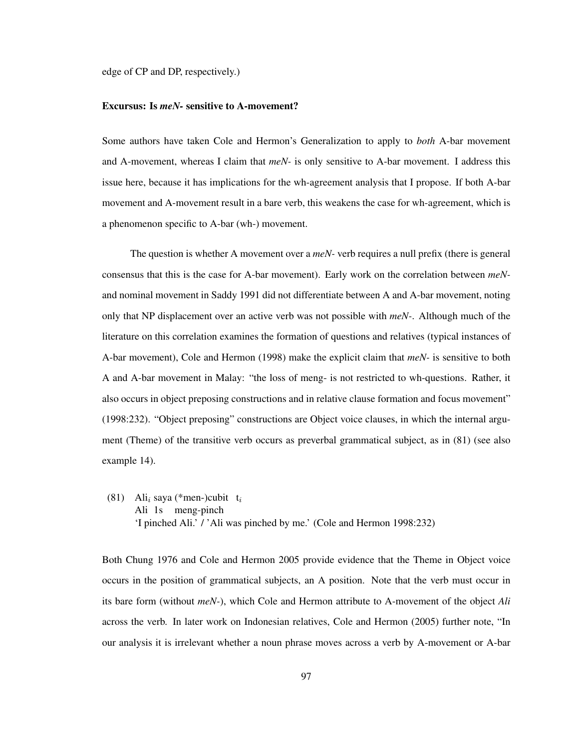edge of CP and DP, respectively.)

# Excursus: Is *meN-* sensitive to A-movement?

Some authors have taken Cole and Hermon's Generalization to apply to *both* A-bar movement and A-movement, whereas I claim that *meN-* is only sensitive to A-bar movement. I address this issue here, because it has implications for the wh-agreement analysis that I propose. If both A-bar movement and A-movement result in a bare verb, this weakens the case for wh-agreement, which is a phenomenon specific to A-bar (wh-) movement.

The question is whether A movement over a *meN-* verb requires a null prefix (there is general consensus that this is the case for A-bar movement). Early work on the correlation between *meN*and nominal movement in Saddy 1991 did not differentiate between A and A-bar movement, noting only that NP displacement over an active verb was not possible with *meN-*. Although much of the literature on this correlation examines the formation of questions and relatives (typical instances of A-bar movement), Cole and Hermon (1998) make the explicit claim that *meN-* is sensitive to both A and A-bar movement in Malay: "the loss of meng- is not restricted to wh-questions. Rather, it also occurs in object preposing constructions and in relative clause formation and focus movement" (1998:232). "Object preposing" constructions are Object voice clauses, in which the internal argument (Theme) of the transitive verb occurs as preverbal grammatical subject, as in (81) (see also example 14).

(81) Ali<sub>i</sub> saya (\*men-)cubit t<sub>i</sub> Ali 1s meng-pinch 'I pinched Ali.' / 'Ali was pinched by me.' (Cole and Hermon 1998:232)

Both Chung 1976 and Cole and Hermon 2005 provide evidence that the Theme in Object voice occurs in the position of grammatical subjects, an A position. Note that the verb must occur in its bare form (without *meN-*), which Cole and Hermon attribute to A-movement of the object *Ali* across the verb. In later work on Indonesian relatives, Cole and Hermon (2005) further note, "In our analysis it is irrelevant whether a noun phrase moves across a verb by A-movement or A-bar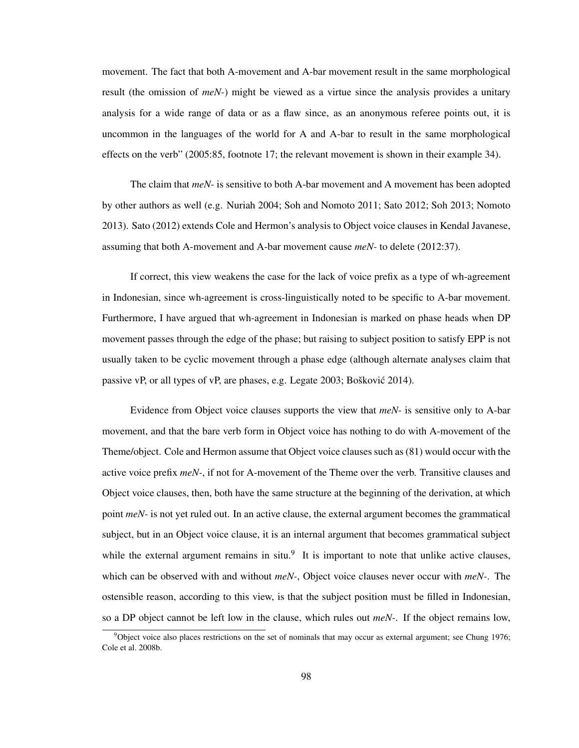movement. The fact that both A-movement and A-bar movement result in the same morphological result (the omission of *meN-*) might be viewed as a virtue since the analysis provides a unitary analysis for a wide range of data or as a flaw since, as an anonymous referee points out, it is uncommon in the languages of the world for A and A-bar to result in the same morphological effects on the verb" (2005:85, footnote 17; the relevant movement is shown in their example 34).

The claim that *meN-* is sensitive to both A-bar movement and A movement has been adopted by other authors as well (e.g. Nuriah 2004; Soh and Nomoto 2011; Sato 2012; Soh 2013; Nomoto 2013). Sato (2012) extends Cole and Hermon's analysis to Object voice clauses in Kendal Javanese, assuming that both A-movement and A-bar movement cause *meN-* to delete (2012:37).

If correct, this view weakens the case for the lack of voice prefix as a type of wh-agreement in Indonesian, since wh-agreement is cross-linguistically noted to be specific to A-bar movement. Furthermore, I have argued that wh-agreement in Indonesian is marked on phase heads when DP movement passes through the edge of the phase; but raising to subject position to satisfy EPP is not usually taken to be cyclic movement through a phase edge (although alternate analyses claim that passive vP, or all types of vP, are phases, e.g. Legate  $2003$ ; Bošković  $2014$ ).

Evidence from Object voice clauses supports the view that *meN-* is sensitive only to A-bar movement, and that the bare verb form in Object voice has nothing to do with A-movement of the Theme/object. Cole and Hermon assume that Object voice clauses such as (81) would occur with the active voice prefix *meN-*, if not for A-movement of the Theme over the verb. Transitive clauses and Object voice clauses, then, both have the same structure at the beginning of the derivation, at which point *meN-* is not yet ruled out. In an active clause, the external argument becomes the grammatical subject, but in an Object voice clause, it is an internal argument that becomes grammatical subject while the external argument remains in  $situ$ <sup>9</sup>. It is important to note that unlike active clauses, which can be observed with and without *meN-*, Object voice clauses never occur with *meN-*. The ostensible reason, according to this view, is that the subject position must be filled in Indonesian, so a DP object cannot be left low in the clause, which rules out *meN-*. If the object remains low,

 $9$ Object voice also places restrictions on the set of nominals that may occur as external argument; see Chung 1976; Cole et al. 2008b.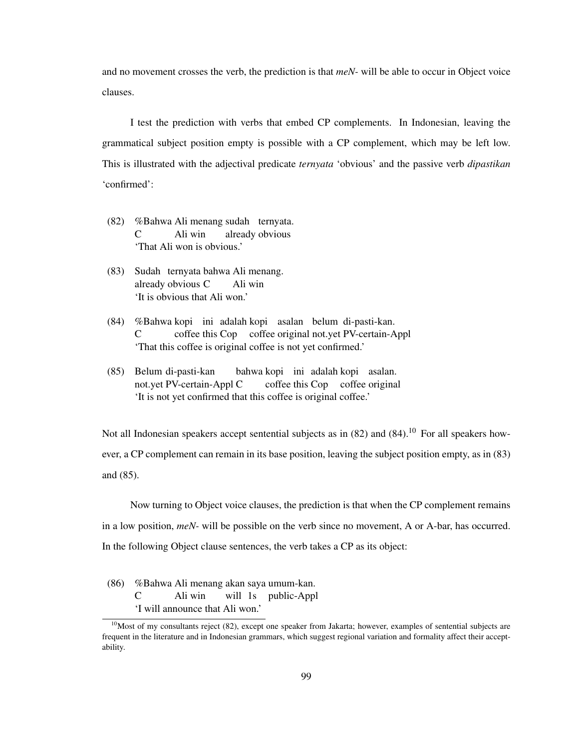and no movement crosses the verb, the prediction is that *meN-* will be able to occur in Object voice clauses.

I test the prediction with verbs that embed CP complements. In Indonesian, leaving the grammatical subject position empty is possible with a CP complement, which may be left low. This is illustrated with the adjectival predicate *ternyata* 'obvious' and the passive verb *dipastikan* 'confirmed':

- (82) %Bahwa Ali menang sudah ternyata. C Ali win already obvious 'That Ali won is obvious.'
- (83) Sudah ternyata bahwa Ali menang. already obvious C Ali win 'It is obvious that Ali won.'
- (84) %Bahwa kopi ini adalah kopi asalan belum di-pasti-kan.  $\mathcal{C}$ coffee this Cop coffee original not.yet PV-certain-Appl 'That this coffee is original coffee is not yet confirmed.'
- (85) Belum di-pasti-kan not.yet PV-certain-Appl C bahwa kopi ini adalah kopi asalan. coffee this Cop coffee original 'It is not yet confirmed that this coffee is original coffee.'

Not all Indonesian speakers accept sentential subjects as in  $(82)$  and  $(84)$ .<sup>10</sup> For all speakers however, a CP complement can remain in its base position, leaving the subject position empty, as in (83) and (85).

Now turning to Object voice clauses, the prediction is that when the CP complement remains in a low position, *meN-* will be possible on the verb since no movement, A or A-bar, has occurred. In the following Object clause sentences, the verb takes a CP as its object:

(86) %Bahwa Ali menang akan saya umum-kan. C Ali win will 1s public-Appl 'I will announce that Ali won.'

 $10$ Most of my consultants reject (82), except one speaker from Jakarta; however, examples of sentential subjects are frequent in the literature and in Indonesian grammars, which suggest regional variation and formality affect their acceptability.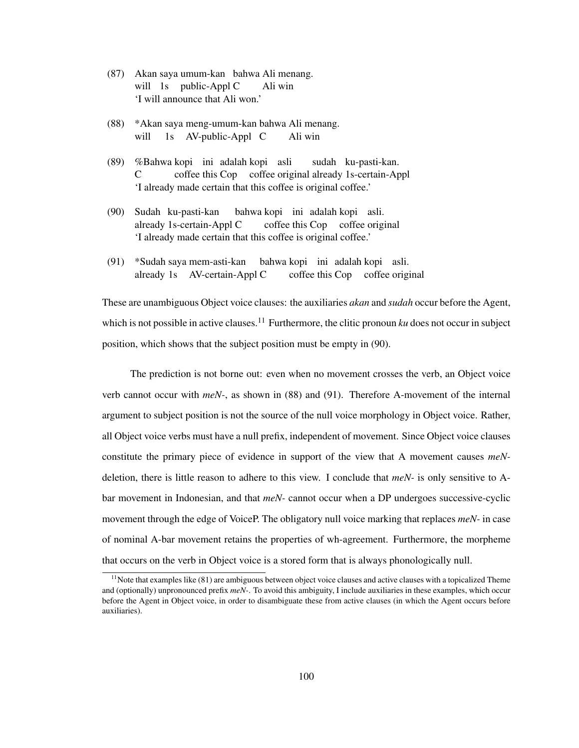- (87) Akan saya umum-kan bahwa Ali menang. will 1s public-Appl C Ali win 'I will announce that Ali won.'
- (88) \*Akan saya meng-umum-kan bahwa Ali menang. will 1s AV-public-Appl C Ali win
- (89) %Bahwa kopi ini adalah kopi asli C coffee this Cop coffee original already 1s-certain-Appl sudah ku-pasti-kan. 'I already made certain that this coffee is original coffee.'
- (90) Sudah ku-pasti-kan already 1s-certain-Appl C bahwa kopi ini adalah kopi asli. coffee this Cop coffee original 'I already made certain that this coffee is original coffee.'
- (91) \*Sudah saya mem-asti-kan already 1s AV-certain-Appl C bahwa kopi ini adalah kopi asli. coffee this Cop coffee original

These are unambiguous Object voice clauses: the auxiliaries *akan* and *sudah* occur before the Agent, which is not possible in active clauses.<sup>11</sup> Furthermore, the clitic pronoun  $ku$  does not occur in subject position, which shows that the subject position must be empty in (90).

The prediction is not borne out: even when no movement crosses the verb, an Object voice verb cannot occur with *meN-*, as shown in (88) and (91). Therefore A-movement of the internal argument to subject position is not the source of the null voice morphology in Object voice. Rather, all Object voice verbs must have a null prefix, independent of movement. Since Object voice clauses constitute the primary piece of evidence in support of the view that A movement causes *meN*deletion, there is little reason to adhere to this view. I conclude that *meN-* is only sensitive to Abar movement in Indonesian, and that *meN-* cannot occur when a DP undergoes successive-cyclic movement through the edge of VoiceP. The obligatory null voice marking that replaces *meN-* in case of nominal A-bar movement retains the properties of wh-agreement. Furthermore, the morpheme that occurs on the verb in Object voice is a stored form that is always phonologically null.

 $11$ Note that examples like (81) are ambiguous between object voice clauses and active clauses with a topicalized Theme and (optionally) unpronounced prefix *meN-*. To avoid this ambiguity, I include auxiliaries in these examples, which occur before the Agent in Object voice, in order to disambiguate these from active clauses (in which the Agent occurs before auxiliaries).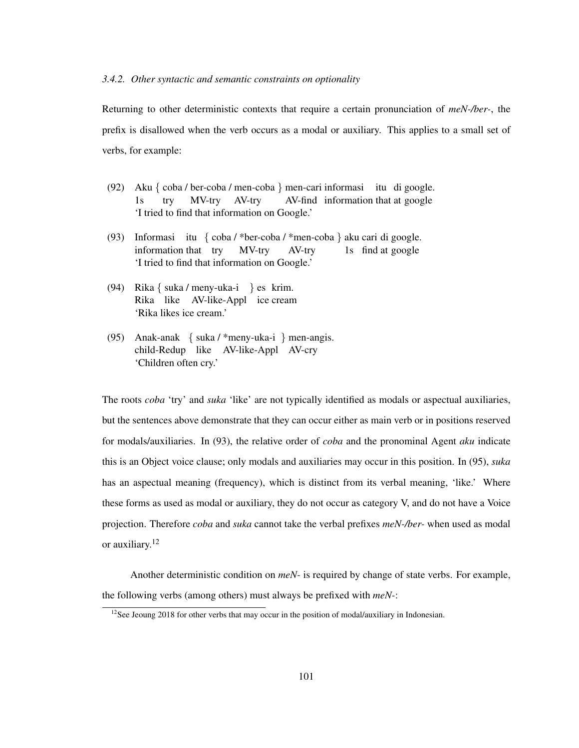#### *3.4.2. Other syntactic and semantic constraints on optionality*

Returning to other deterministic contexts that require a certain pronunciation of *meN-/ber-*, the prefix is disallowed when the verb occurs as a modal or auxiliary. This applies to a small set of verbs, for example:

- (92) Aku { coba / ber-coba / men-coba } men-cari informasi itu di google.  $1s$ try MV-try AV-try AV-find information that at google 'I tried to find that information on Google.'
- (93) Informasi itu { coba / \*ber-coba / \*men-coba } aku cari di google. information that try MV-try AV-try 1s find at google 'I tried to find that information on Google.'
- (94) Rika { suka / meny-uka-i } es krim. Rika like AV-like-Appl ice cream 'Rika likes ice cream.'
- (95) Anak-anak { suka / \*meny-uka-i } men-angis. child-Redup like AV-like-Appl AV-cry 'Children often cry.'

The roots *coba* 'try' and *suka* 'like' are not typically identified as modals or aspectual auxiliaries, but the sentences above demonstrate that they can occur either as main verb or in positions reserved for modals/auxiliaries. In (93), the relative order of *coba* and the pronominal Agent *aku* indicate this is an Object voice clause; only modals and auxiliaries may occur in this position. In (95), *suka* has an aspectual meaning (frequency), which is distinct from its verbal meaning, 'like.' Where these forms as used as modal or auxiliary, they do not occur as category V, and do not have a Voice projection. Therefore *coba* and *suka* cannot take the verbal prefixes *meN-/ber-* when used as modal or auxiliary.<sup>12</sup>

Another deterministic condition on *meN-* is required by change of state verbs. For example, the following verbs (among others) must always be prefixed with *meN-*:

 $12$ See Jeoung 2018 for other verbs that may occur in the position of modal/auxiliary in Indonesian.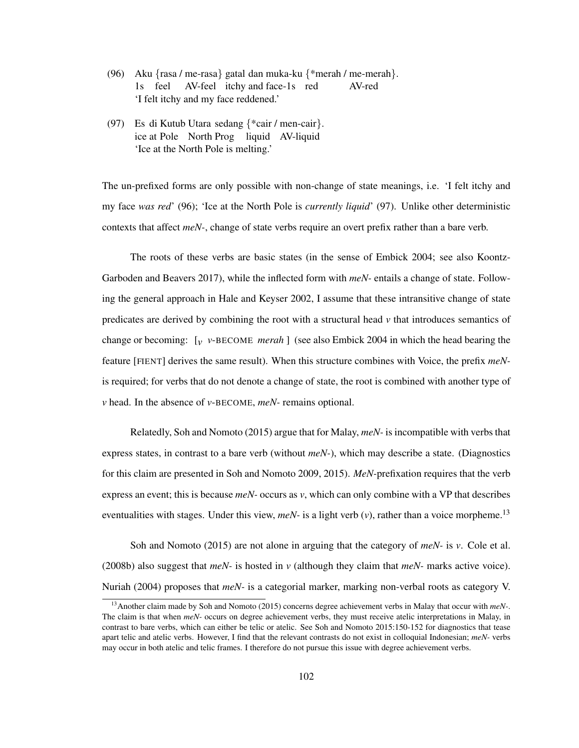- (96) Aku {rasa / me-rasa} gatal dan muka-ku {\*merah / me-merah}. 1s feel AV-feel itchy and face-1s red AV-red 'I felt itchy and my face reddened.'
- (97) Es di Kutub Utara sedang {\*cair / men-cair}. ice at Pole North Prog liquid AV-liquid 'Ice at the North Pole is melting.'

The un-prefixed forms are only possible with non-change of state meanings, i.e. 'I felt itchy and my face *was red*' (96); 'Ice at the North Pole is *currently liquid*' (97). Unlike other deterministic contexts that affect *meN-*, change of state verbs require an overt prefix rather than a bare verb.

The roots of these verbs are basic states (in the sense of Embick 2004; see also Koontz-Garboden and Beavers 2017), while the inflected form with *meN-* entails a change of state. Following the general approach in Hale and Keyser 2002, I assume that these intransitive change of state predicates are derived by combining the root with a structural head *v* that introduces semantics of change or becoming: [*v v*-BECOME *merah* ] (see also Embick 2004 in which the head bearing the feature [FIENT] derives the same result). When this structure combines with Voice, the prefix *meN*is required; for verbs that do not denote a change of state, the root is combined with another type of *v* head. In the absence of *v*-BECOME, *meN-* remains optional.

Relatedly, Soh and Nomoto (2015) argue that for Malay, *meN-* is incompatible with verbs that express states, in contrast to a bare verb (without *meN-*), which may describe a state. (Diagnostics for this claim are presented in Soh and Nomoto 2009, 2015). *MeN-*prefixation requires that the verb express an event; this is because *meN-* occurs as *v*, which can only combine with a VP that describes eventualities with stages. Under this view,  $meN$ - is a light verb  $(v)$ , rather than a voice morpheme.<sup>13</sup>

Soh and Nomoto (2015) are not alone in arguing that the category of *meN-* is *v*. Cole et al. (2008b) also suggest that *meN-* is hosted in *v* (although they claim that *meN-* marks active voice). Nuriah (2004) proposes that *meN-* is a categorial marker, marking non-verbal roots as category V.

<sup>13</sup>Another claim made by Soh and Nomoto (2015) concerns degree achievement verbs in Malay that occur with *meN-*. The claim is that when *meN-* occurs on degree achievement verbs, they must receive atelic interpretations in Malay, in contrast to bare verbs, which can either be telic or atelic. See Soh and Nomoto 2015:150-152 for diagnostics that tease apart telic and atelic verbs. However, I find that the relevant contrasts do not exist in colloquial Indonesian; *meN-* verbs may occur in both atelic and telic frames. I therefore do not pursue this issue with degree achievement verbs.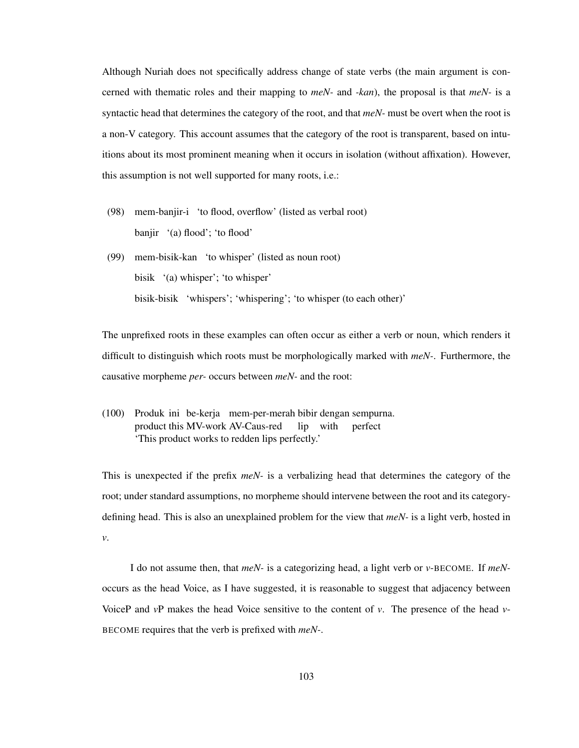Although Nuriah does not specifically address change of state verbs (the main argument is concerned with thematic roles and their mapping to *meN-* and *-kan*), the proposal is that *meN-* is a syntactic head that determines the category of the root, and that *meN-* must be overt when the root is a non-V category. This account assumes that the category of the root is transparent, based on intuitions about its most prominent meaning when it occurs in isolation (without affixation). However, this assumption is not well supported for many roots, i.e.:

- (98) mem-banjir-i 'to flood, overflow' (listed as verbal root) banjir '(a) flood'; 'to flood'
- (99) mem-bisik-kan 'to whisper' (listed as noun root) bisik '(a) whisper'; 'to whisper' bisik-bisik 'whispers'; 'whispering'; 'to whisper (to each other)'

The unprefixed roots in these examples can often occur as either a verb or noun, which renders it difficult to distinguish which roots must be morphologically marked with *meN-*. Furthermore, the causative morpheme *per-* occurs between *meN-* and the root:

(100) Produk ini be-kerja mem-per-merah bibir dengan sempurna. product this MV-work AV-Caus-red lip with perfect 'This product works to redden lips perfectly.'

This is unexpected if the prefix *meN-* is a verbalizing head that determines the category of the root; under standard assumptions, no morpheme should intervene between the root and its categorydefining head. This is also an unexplained problem for the view that *meN-* is a light verb, hosted in *v*.

I do not assume then, that *meN-* is a categorizing head, a light verb or *v*-BECOME. If *meN*occurs as the head Voice, as I have suggested, it is reasonable to suggest that adjacency between VoiceP and *v*P makes the head Voice sensitive to the content of *v*. The presence of the head *v*-BECOME requires that the verb is prefixed with *meN-*.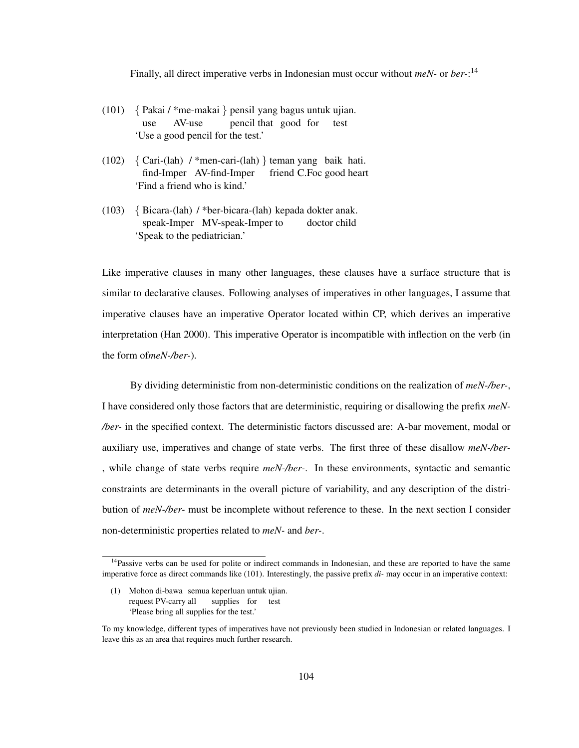Finally, all direct imperative verbs in Indonesian must occur without *meN-* or *ber-*: 14

- (101) { Pakai / \*me-makai } pensil yang bagus untuk ujian. use AV-use pencil that good for test 'Use a good pencil for the test.'
- (102) { Cari-(lah) / \*men-cari-(lah) } teman yang baik hati. find-Imper AV-find-Imper friend C.Foc good heart 'Find a friend who is kind.'
- (103) { Bicara-(lah) / \*ber-bicara-(lah) kepada dokter anak. speak-Imper MV-speak-Imper to doctor child 'Speak to the pediatrician.'

Like imperative clauses in many other languages, these clauses have a surface structure that is similar to declarative clauses. Following analyses of imperatives in other languages, I assume that imperative clauses have an imperative Operator located within CP, which derives an imperative interpretation (Han 2000). This imperative Operator is incompatible with inflection on the verb (in the form of*meN-/ber-*).

By dividing deterministic from non-deterministic conditions on the realization of *meN-/ber-*, I have considered only those factors that are deterministic, requiring or disallowing the prefix *meN- /ber-* in the specified context. The deterministic factors discussed are: A-bar movement, modal or auxiliary use, imperatives and change of state verbs. The first three of these disallow *meN-/ber-* , while change of state verbs require *meN-/ber-*. In these environments, syntactic and semantic constraints are determinants in the overall picture of variability, and any description of the distribution of *meN-/ber-* must be incomplete without reference to these. In the next section I consider non-deterministic properties related to *meN-* and *ber-*.

 $14P$ assive verbs can be used for polite or indirect commands in Indonesian, and these are reported to have the same imperative force as direct commands like (101). Interestingly, the passive prefix *di-* may occur in an imperative context:

<sup>(1)</sup> Mohon di-bawa semua keperluan untuk ujian. request PV-carry all supplies for test 'Please bring all supplies for the test.'

To my knowledge, different types of imperatives have not previously been studied in Indonesian or related languages. I leave this as an area that requires much further research.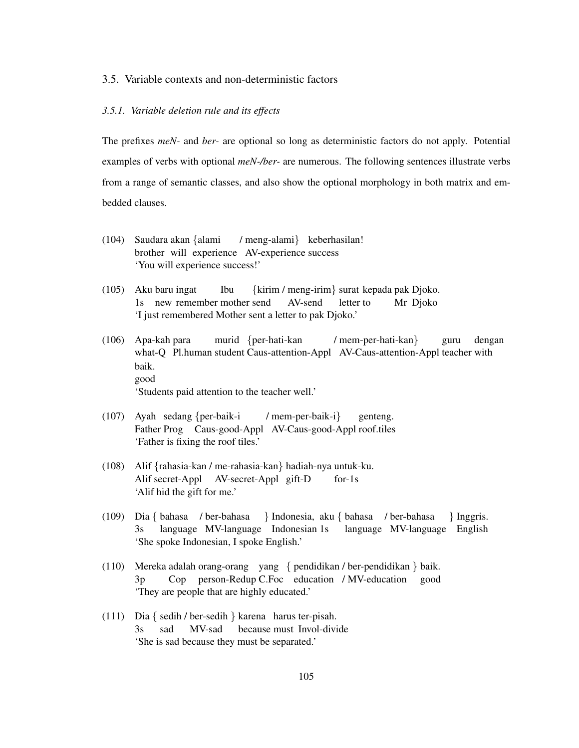### 3.5. Variable contexts and non-deterministic factors

# *3.5.1. Variable deletion rule and its effects*

The prefixes *meN-* and *ber-* are optional so long as deterministic factors do not apply. Potential examples of verbs with optional *meN-/ber-* are numerous. The following sentences illustrate verbs from a range of semantic classes, and also show the optional morphology in both matrix and embedded clauses.

- (104) Saudara akan {alami brother will experience AV-experience success / meng-alami} keberhasilan! 'You will experience success!'
- (105) Aku baru ingat 1s new remember mother send Ibu {kirim / meng-irim} surat kepada pak Djoko. AV-send letter to Mr Djoko 'I just remembered Mother sent a letter to pak Djoko.'
- (106) Apa-kah para what-Q Pl.human student Caus-attention-Appl AV-Caus-attention-Appl teacher with murid {per-hati-kan / mem-per-hati-kan} guru dengan baik. good 'Students paid attention to the teacher well.'
- (107) Ayah sedang {per-baik-i Father Prog Caus-good-Appl AV-Caus-good-Appl roof.tiles / mem-per-baik-i} genteng. 'Father is fixing the roof tiles.'
- (108) Alif {rahasia-kan / me-rahasia-kan} hadiah-nya untuk-ku. Alif secret-Appl AV-secret-Appl gift-D for-1s 'Alif hid the gift for me.'
- (109) Dia { bahasa / ber-bahasa 3s language MV-language Indonesian 1s } Indonesia, aku { bahasa / ber-bahasa language MV-language English } Inggris. 'She spoke Indonesian, I spoke English.'
- (110) Mereka adalah orang-orang yang { pendidikan / ber-pendidikan } baik.  $3p$ Cop person-Redup C.Foc education / MV-education good 'They are people that are highly educated.'
- (111) Dia { sedih / ber-sedih } karena harus ter-pisah. 3s sad MV-sad because must Invol-divide 'She is sad because they must be separated.'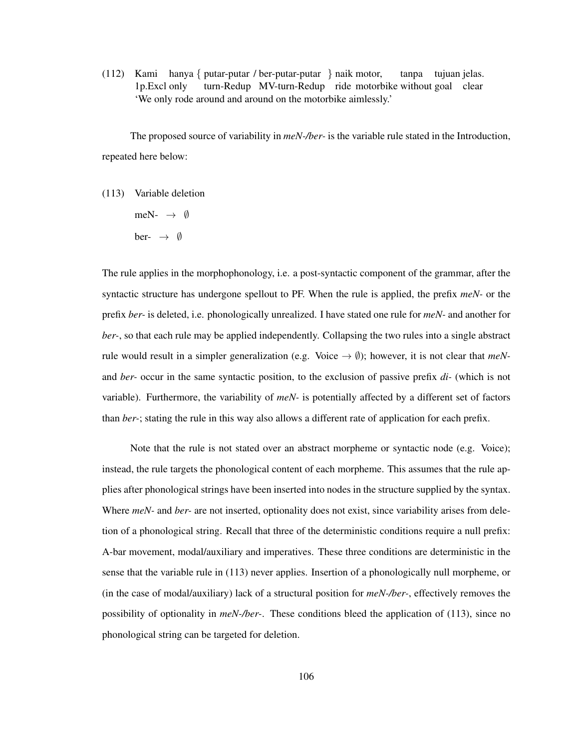(112) Kami hanya { putar-putar / ber-putar-putar } naik motor, 1p.Excl only turn-Redup MV-turn-Redup ride motorbike without goal clear tanpa tujuan jelas. 'We only rode around and around on the motorbike aimlessly.'

The proposed source of variability in *meN-/ber-* is the variable rule stated in the Introduction, repeated here below:

- (113) Variable deletion
	- meN-  $\rightarrow$  Ø
	- ber-  $\rightarrow$  Ø

The rule applies in the morphophonology, i.e. a post-syntactic component of the grammar, after the syntactic structure has undergone spellout to PF. When the rule is applied, the prefix *meN-* or the prefix *ber-* is deleted, i.e. phonologically unrealized. I have stated one rule for *meN-* and another for *ber-*, so that each rule may be applied independently. Collapsing the two rules into a single abstract rule would result in a simpler generalization (e.g. Voice  $\rightarrow \emptyset$ ); however, it is not clear that *meN*and *ber-* occur in the same syntactic position, to the exclusion of passive prefix *di-* (which is not variable). Furthermore, the variability of *meN-* is potentially affected by a different set of factors than *ber-*; stating the rule in this way also allows a different rate of application for each prefix.

Note that the rule is not stated over an abstract morpheme or syntactic node (e.g. Voice); instead, the rule targets the phonological content of each morpheme. This assumes that the rule applies after phonological strings have been inserted into nodes in the structure supplied by the syntax. Where *meN-* and *ber-* are not inserted, optionality does not exist, since variability arises from deletion of a phonological string. Recall that three of the deterministic conditions require a null prefix: A-bar movement, modal/auxiliary and imperatives. These three conditions are deterministic in the sense that the variable rule in (113) never applies. Insertion of a phonologically null morpheme, or (in the case of modal/auxiliary) lack of a structural position for *meN-/ber-*, effectively removes the possibility of optionality in *meN-/ber-*. These conditions bleed the application of (113), since no phonological string can be targeted for deletion.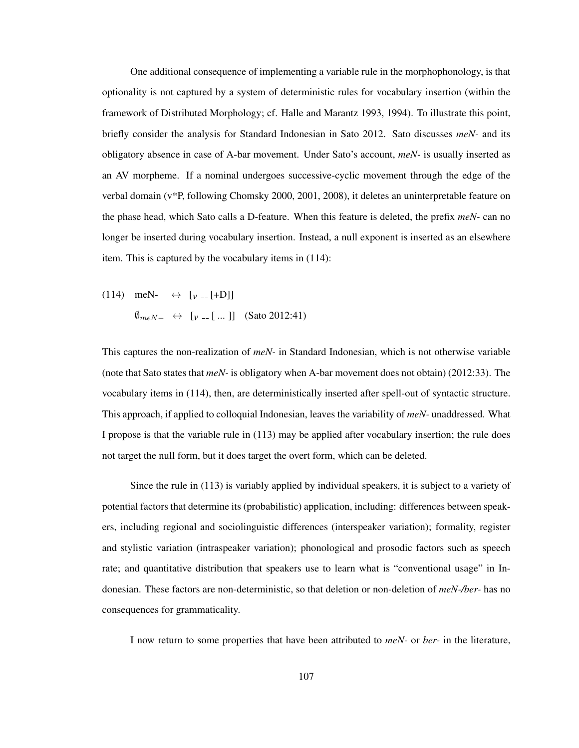One additional consequence of implementing a variable rule in the morphophonology, is that optionality is not captured by a system of deterministic rules for vocabulary insertion (within the framework of Distributed Morphology; cf. Halle and Marantz 1993, 1994). To illustrate this point, briefly consider the analysis for Standard Indonesian in Sato 2012. Sato discusses *meN-* and its obligatory absence in case of A-bar movement. Under Sato's account, *meN-* is usually inserted as an AV morpheme. If a nominal undergoes successive-cyclic movement through the edge of the verbal domain (v\*P, following Chomsky 2000, 2001, 2008), it deletes an uninterpretable feature on the phase head, which Sato calls a D-feature. When this feature is deleted, the prefix *meN-* can no longer be inserted during vocabulary insertion. Instead, a null exponent is inserted as an elsewhere item. This is captured by the vocabulary items in (114):

 $(114)$  meN-  $\leftrightarrow$  [ $v = [+D]$ ] ∅meN<sup>−</sup> ↔ [*v* [ ... ]] (Sato 2012:41)

This captures the non-realization of *meN-* in Standard Indonesian, which is not otherwise variable (note that Sato states that *meN-* is obligatory when A-bar movement does not obtain) (2012:33). The vocabulary items in (114), then, are deterministically inserted after spell-out of syntactic structure. This approach, if applied to colloquial Indonesian, leaves the variability of *meN-* unaddressed. What I propose is that the variable rule in (113) may be applied after vocabulary insertion; the rule does not target the null form, but it does target the overt form, which can be deleted.

Since the rule in (113) is variably applied by individual speakers, it is subject to a variety of potential factors that determine its (probabilistic) application, including: differences between speakers, including regional and sociolinguistic differences (interspeaker variation); formality, register and stylistic variation (intraspeaker variation); phonological and prosodic factors such as speech rate; and quantitative distribution that speakers use to learn what is "conventional usage" in Indonesian. These factors are non-deterministic, so that deletion or non-deletion of *meN-/ber-* has no consequences for grammaticality.

I now return to some properties that have been attributed to *meN-* or *ber-* in the literature,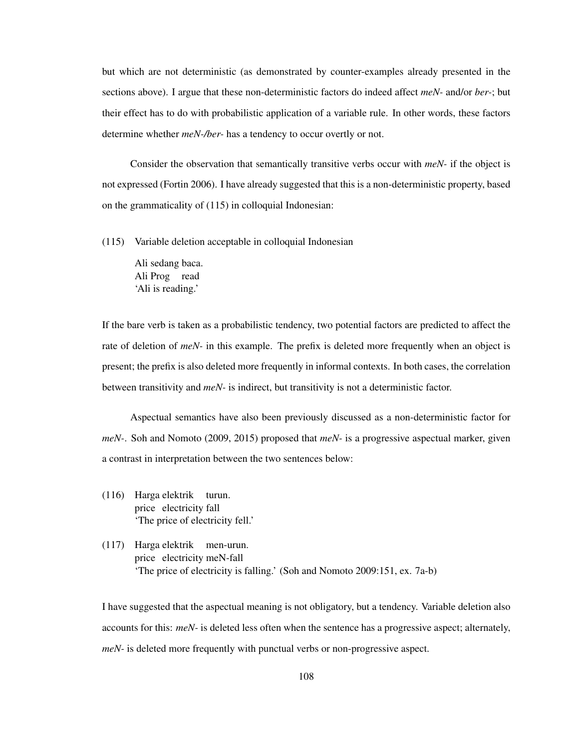but which are not deterministic (as demonstrated by counter-examples already presented in the sections above). I argue that these non-deterministic factors do indeed affect *meN-* and/or *ber-*; but their effect has to do with probabilistic application of a variable rule. In other words, these factors determine whether *meN-/ber-* has a tendency to occur overtly or not.

Consider the observation that semantically transitive verbs occur with *meN-* if the object is not expressed (Fortin 2006). I have already suggested that this is a non-deterministic property, based on the grammaticality of (115) in colloquial Indonesian:

(115) Variable deletion acceptable in colloquial Indonesian

Ali sedang baca. Ali Prog read 'Ali is reading.'

If the bare verb is taken as a probabilistic tendency, two potential factors are predicted to affect the rate of deletion of *meN-* in this example. The prefix is deleted more frequently when an object is present; the prefix is also deleted more frequently in informal contexts. In both cases, the correlation between transitivity and *meN-* is indirect, but transitivity is not a deterministic factor.

Aspectual semantics have also been previously discussed as a non-deterministic factor for *meN-*. Soh and Nomoto (2009, 2015) proposed that *meN-* is a progressive aspectual marker, given a contrast in interpretation between the two sentences below:

- (116) Harga elektrik turun. price electricity fall 'The price of electricity fell.'
- (117) Harga elektrik men-urun. price electricity meN-fall 'The price of electricity is falling.' (Soh and Nomoto 2009:151, ex. 7a-b)

I have suggested that the aspectual meaning is not obligatory, but a tendency. Variable deletion also accounts for this: *meN-* is deleted less often when the sentence has a progressive aspect; alternately, *meN-* is deleted more frequently with punctual verbs or non-progressive aspect.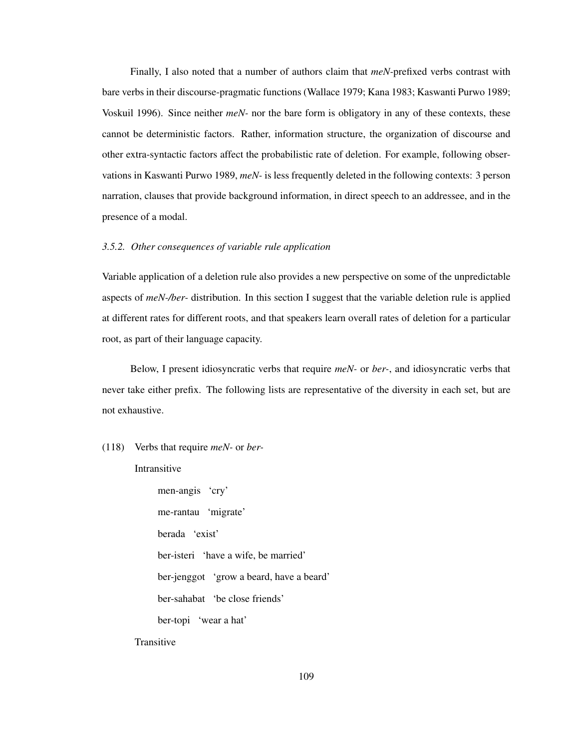Finally, I also noted that a number of authors claim that *meN-*prefixed verbs contrast with bare verbs in their discourse-pragmatic functions (Wallace 1979; Kana 1983; Kaswanti Purwo 1989; Voskuil 1996). Since neither *meN-* nor the bare form is obligatory in any of these contexts, these cannot be deterministic factors. Rather, information structure, the organization of discourse and other extra-syntactic factors affect the probabilistic rate of deletion. For example, following observations in Kaswanti Purwo 1989, *meN-* is less frequently deleted in the following contexts: 3 person narration, clauses that provide background information, in direct speech to an addressee, and in the presence of a modal.

#### *3.5.2. Other consequences of variable rule application*

Variable application of a deletion rule also provides a new perspective on some of the unpredictable aspects of *meN-/ber-* distribution. In this section I suggest that the variable deletion rule is applied at different rates for different roots, and that speakers learn overall rates of deletion for a particular root, as part of their language capacity.

Below, I present idiosyncratic verbs that require *meN-* or *ber-*, and idiosyncratic verbs that never take either prefix. The following lists are representative of the diversity in each set, but are not exhaustive.

# (118) Verbs that require *meN-* or *ber-*

#### Intransitive

men-angis 'cry' me-rantau 'migrate' berada 'exist' ber-isteri 'have a wife, be married' ber-jenggot 'grow a beard, have a beard' ber-sahabat 'be close friends' ber-topi 'wear a hat'

**Transitive**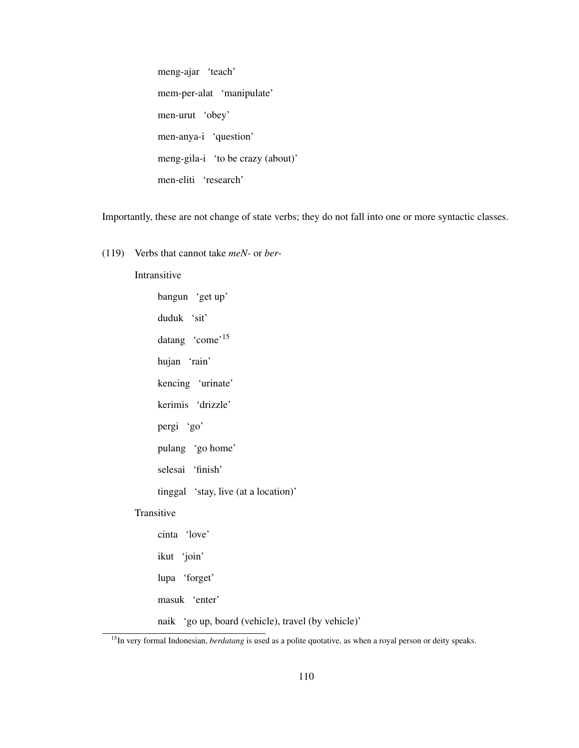meng-ajar 'teach' mem-per-alat 'manipulate' men-urut 'obey' men-anya-i 'question' meng-gila-i 'to be crazy (about)' men-eliti 'research'

Importantly, these are not change of state verbs; they do not fall into one or more syntactic classes.

(119) Verbs that cannot take *meN-* or *ber-*

# Intransitive

bangun 'get up' duduk 'sit' datang 'come'<sup>15</sup> hujan 'rain' kencing 'urinate' kerimis 'drizzle' pergi 'go' pulang 'go home' selesai 'finish' tinggal 'stay, live (at a location)' Transitive cinta 'love' ikut 'join' lupa 'forget' masuk 'enter'

naik 'go up, board (vehicle), travel (by vehicle)'

<sup>&</sup>lt;sup>15</sup>In very formal Indonesian, *berdatang* is used as a polite quotative, as when a royal person or deity speaks.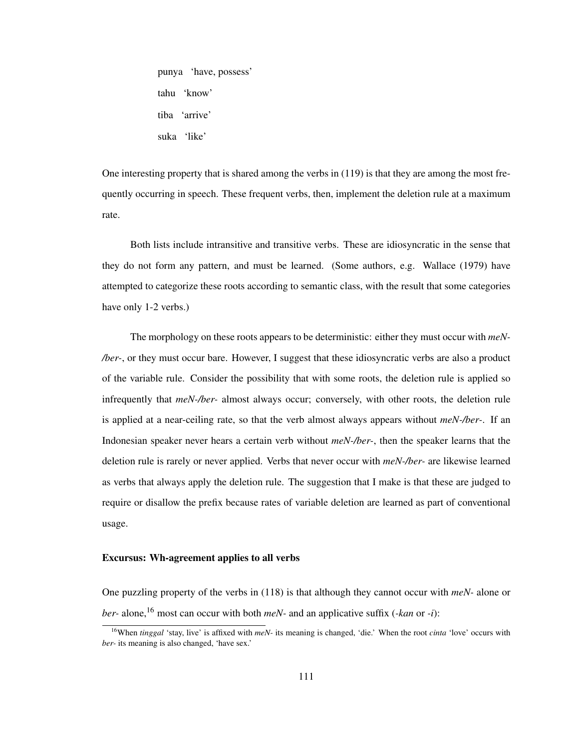punya 'have, possess' tahu 'know' tiba 'arrive' suka 'like'

One interesting property that is shared among the verbs in (119) is that they are among the most frequently occurring in speech. These frequent verbs, then, implement the deletion rule at a maximum rate.

Both lists include intransitive and transitive verbs. These are idiosyncratic in the sense that they do not form any pattern, and must be learned. (Some authors, e.g. Wallace (1979) have attempted to categorize these roots according to semantic class, with the result that some categories have only 1-2 verbs.)

The morphology on these roots appears to be deterministic: either they must occur with *meN- /ber-*, or they must occur bare. However, I suggest that these idiosyncratic verbs are also a product of the variable rule. Consider the possibility that with some roots, the deletion rule is applied so infrequently that *meN-/ber-* almost always occur; conversely, with other roots, the deletion rule is applied at a near-ceiling rate, so that the verb almost always appears without *meN-/ber-*. If an Indonesian speaker never hears a certain verb without *meN-/ber-*, then the speaker learns that the deletion rule is rarely or never applied. Verbs that never occur with *meN-/ber-* are likewise learned as verbs that always apply the deletion rule. The suggestion that I make is that these are judged to require or disallow the prefix because rates of variable deletion are learned as part of conventional usage.

### Excursus: Wh-agreement applies to all verbs

One puzzling property of the verbs in (118) is that although they cannot occur with *meN-* alone or *ber*- alone,<sup>16</sup> most can occur with both *meN*- and an applicative suffix  $(\text{-}kan \text{ or } -i)$ :

<sup>16</sup>When *tinggal* 'stay, live' is affixed with *meN-* its meaning is changed, 'die.' When the root *cinta* 'love' occurs with *ber-* its meaning is also changed, 'have sex.'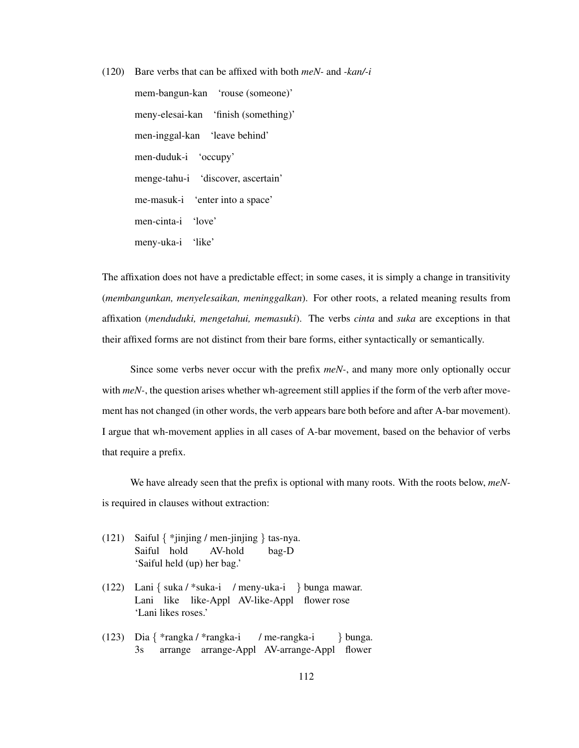(120) Bare verbs that can be affixed with both *meN-* and *-kan/-i*

mem-bangun-kan 'rouse (someone)' meny-elesai-kan 'finish (something)' men-inggal-kan 'leave behind' men-duduk-i 'occupy' menge-tahu-i 'discover, ascertain' me-masuk-i 'enter into a space' men-cinta-i 'love' meny-uka-i 'like'

The affixation does not have a predictable effect; in some cases, it is simply a change in transitivity (*membangunkan, menyelesaikan, meninggalkan*). For other roots, a related meaning results from affixation (*menduduki, mengetahui, memasuki*). The verbs *cinta* and *suka* are exceptions in that their affixed forms are not distinct from their bare forms, either syntactically or semantically.

Since some verbs never occur with the prefix *meN-*, and many more only optionally occur with *meN*-, the question arises whether wh-agreement still applies if the form of the verb after movement has not changed (in other words, the verb appears bare both before and after A-bar movement). I argue that wh-movement applies in all cases of A-bar movement, based on the behavior of verbs that require a prefix.

We have already seen that the prefix is optional with many roots. With the roots below, *meN*is required in clauses without extraction:

- (121) Saiful { \*jinjing / men-jinjing } tas-nya. Saiful hold AV-hold bag-D 'Saiful held (up) her bag.'
- (122) Lani { suka / \*suka-i / meny-uka-i } bunga mawar. Lani like like-Appl AV-like-Appl flower rose 'Lani likes roses.'
- (123) Dia { \*rangka / \*rangka-i 3s arrange arrange-Appl AV-arrange-Appl flower / me-rangka-i } bunga.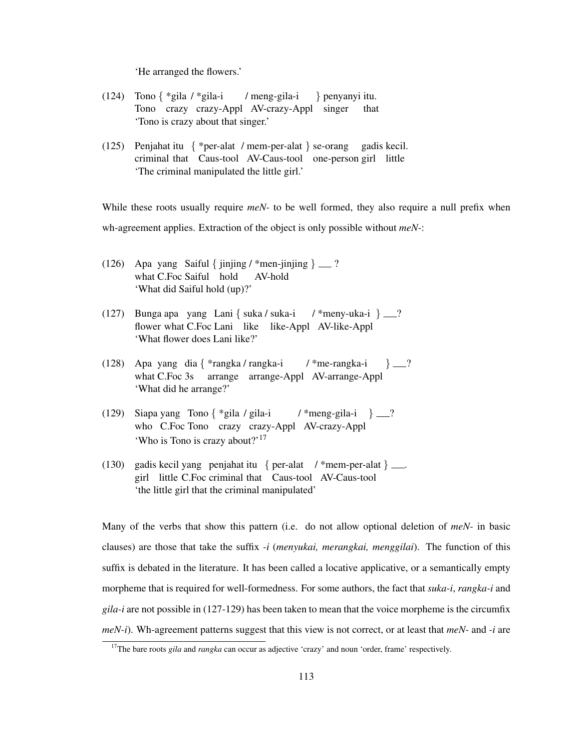'He arranged the flowers.'

- (124) Tono { \*gila / \*gila-i Tono crazy crazy-Appl AV-crazy-Appl singer / meng-gila-i } penyanyi itu. that 'Tono is crazy about that singer.'
- (125) Penjahat itu { \*per-alat / mem-per-alat } se-orang criminal that Caus-tool AV-Caus-tool one-person girl little gadis kecil. 'The criminal manipulated the little girl.'

While these roots usually require *meN*- to be well formed, they also require a null prefix when wh-agreement applies. Extraction of the object is only possible without *meN-*:

- (126) Apa yang Saiful { jinjing / \*men-jinjing }  $\qquad$  ? what C.Foc Saiful hold AV-hold 'What did Saiful hold (up)?'
- (127) Bunga apa yang Lani { suka / suka-i flower what C.Foc Lani like like-Appl AV-like-Appl /  $*$ meny-uka-i } \_\_? 'What flower does Lani like?'
- (128) Apa yang dia { \*rangka / rangka-i what C.Foc 3s arrange arrange-Appl AV-arrange-Appl / \*me-rangka-i  $\}$   $-$ ? 'What did he arrange?'
- (129) Siapa yang Tono { \*gila / gila-i who C.Foc Tono crazy crazy-Appl AV-crazy-Appl / \*meng-gila-i  $\qquad$  }  $\qquad$  ? 'Who is Tono is crazy about?'<sup>17</sup>
- (130) gadis kecil yang penjahat itu { per-alat / \*mem-per-alat } . girl little C.Foc criminal that Caus-tool AV-Caus-tool 'the little girl that the criminal manipulated'

Many of the verbs that show this pattern (i.e. do not allow optional deletion of *meN-* in basic clauses) are those that take the suffix *-i* (*menyukai, merangkai, menggilai*). The function of this suffix is debated in the literature. It has been called a locative applicative, or a semantically empty morpheme that is required for well-formedness. For some authors, the fact that *suka-i*, *rangka-i* and *gila-i* are not possible in (127-129) has been taken to mean that the voice morpheme is the circumfix *meN-i*). Wh-agreement patterns suggest that this view is not correct, or at least that *meN-* and *-i* are

<sup>&</sup>lt;sup>17</sup>The bare roots *gila* and *rangka* can occur as adjective 'crazy' and noun 'order, frame' respectively.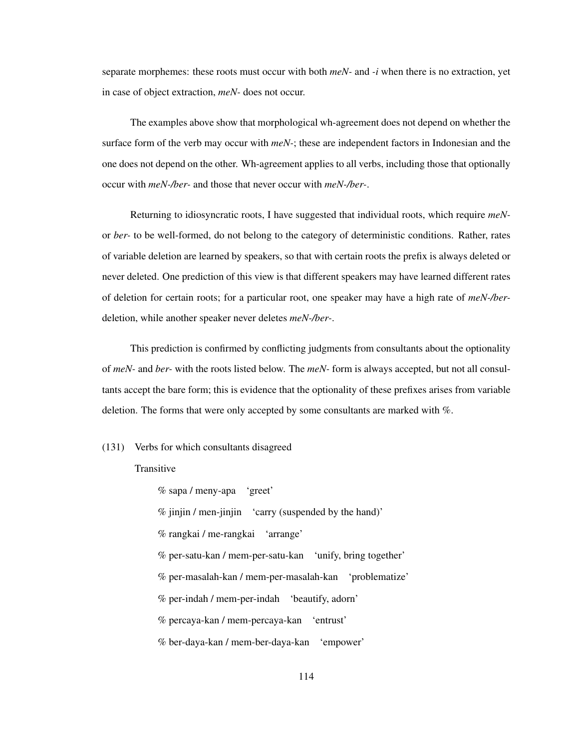separate morphemes: these roots must occur with both *meN-* and *-i* when there is no extraction, yet in case of object extraction, *meN-* does not occur.

The examples above show that morphological wh-agreement does not depend on whether the surface form of the verb may occur with *meN-*; these are independent factors in Indonesian and the one does not depend on the other. Wh-agreement applies to all verbs, including those that optionally occur with *meN-/ber-* and those that never occur with *meN-/ber-*.

Returning to idiosyncratic roots, I have suggested that individual roots, which require *meN*or *ber-* to be well-formed, do not belong to the category of deterministic conditions. Rather, rates of variable deletion are learned by speakers, so that with certain roots the prefix is always deleted or never deleted. One prediction of this view is that different speakers may have learned different rates of deletion for certain roots; for a particular root, one speaker may have a high rate of *meN-/ber*deletion, while another speaker never deletes *meN-/ber-*.

This prediction is confirmed by conflicting judgments from consultants about the optionality of *meN-* and *ber-* with the roots listed below. The *meN-* form is always accepted, but not all consultants accept the bare form; this is evidence that the optionality of these prefixes arises from variable deletion. The forms that were only accepted by some consultants are marked with %.

# (131) Verbs for which consultants disagreed

### **Transitive**

% sapa / meny-apa 'greet' % jinjin / men-jinjin 'carry (suspended by the hand)' % rangkai / me-rangkai 'arrange' % per-satu-kan / mem-per-satu-kan 'unify, bring together' % per-masalah-kan / mem-per-masalah-kan 'problematize' % per-indah / mem-per-indah 'beautify, adorn' % percaya-kan / mem-percaya-kan 'entrust' % ber-daya-kan / mem-ber-daya-kan 'empower'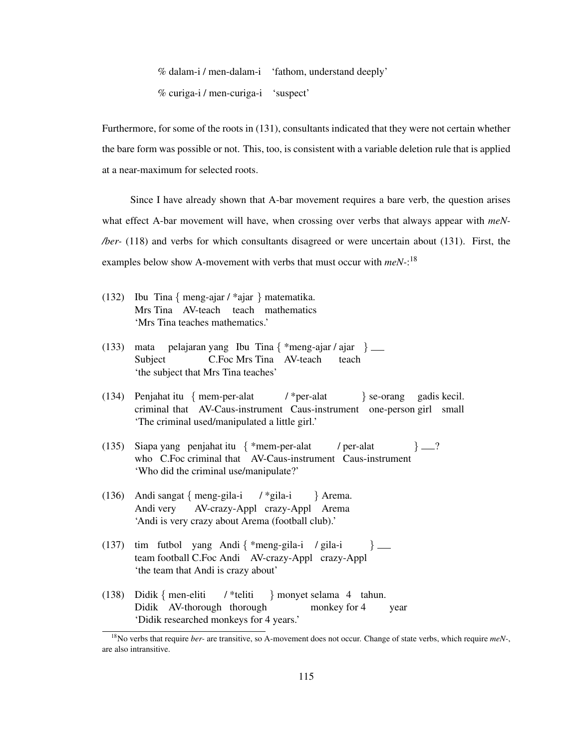% dalam-i / men-dalam-i 'fathom, understand deeply' % curiga-i / men-curiga-i 'suspect'

Furthermore, for some of the roots in (131), consultants indicated that they were not certain whether the bare form was possible or not. This, too, is consistent with a variable deletion rule that is applied at a near-maximum for selected roots.

Since I have already shown that A-bar movement requires a bare verb, the question arises what effect A-bar movement will have, when crossing over verbs that always appear with *meN- /ber-* (118) and verbs for which consultants disagreed or were uncertain about (131). First, the examples below show A-movement with verbs that must occur with *meN-*: 18

- (132) Ibu Tina { meng-ajar / \*ajar } matematika. Mrs Tina AV-teach teach mathematics 'Mrs Tina teaches mathematics.'
- (133) mata Subject pelajaran yang Ibu Tina { \*meng-ajar / ajar } C.Foc Mrs Tina AV-teach teach 'the subject that Mrs Tina teaches'
- (134) Penjahat itu { mem-per-alat criminal that AV-Caus-instrument Caus-instrument one-person girl small / \*per-alat } se-orang gadis kecil. 'The criminal used/manipulated a little girl.'
- (135) Siapa yang penjahat itu { \*mem-per-alat who C.Foc criminal that AV-Caus-instrument Caus-instrument / per-alat  $\}$   $\_{$ ? 'Who did the criminal use/manipulate?'
- (136) Andi sangat { meng-gila-i Andi very AV-crazy-Appl crazy-Appl Arema / \*gila-i } Arema. 'Andi is very crazy about Arema (football club).'
- (137) tim futbol yang Andi { \*meng-gila-i / gila-i team football C.Foc Andi AV-crazy-Appl crazy-Appl  $\}$  — 'the team that Andi is crazy about'
- (138) Didik { men-eliti Didik AV-thorough thorough / \*teliti } monyet selama 4 tahun. monkey for year 'Didik researched monkeys for 4 years.'

<sup>18</sup>No verbs that require *ber-* are transitive, so A-movement does not occur. Change of state verbs, which require *meN-*, are also intransitive.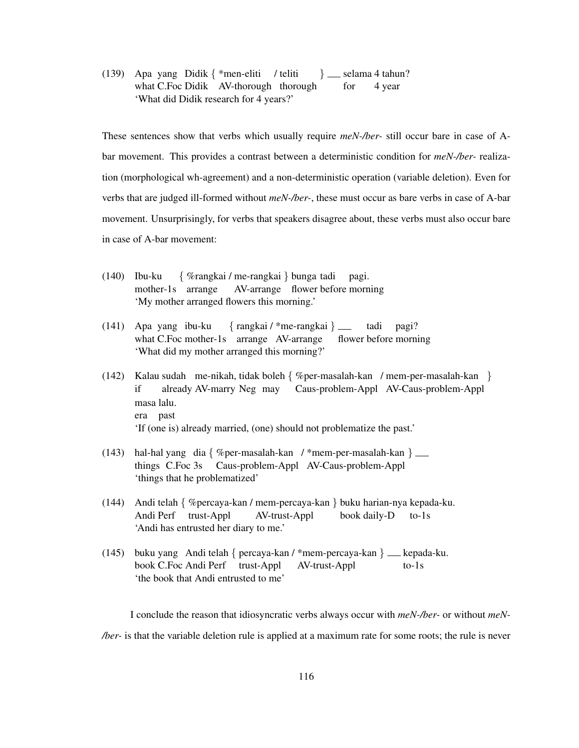(139) Apa yang Didik { \*men-eliti / teliti what C.Foc Didik AV-thorough thorough  $\}$  \_\_ selama 4 tahun? for 4 year 'What did Didik research for 4 years?'

These sentences show that verbs which usually require *meN-/ber-* still occur bare in case of Abar movement. This provides a contrast between a deterministic condition for *meN-/ber-* realization (morphological wh-agreement) and a non-deterministic operation (variable deletion). Even for verbs that are judged ill-formed without *meN-/ber-*, these must occur as bare verbs in case of A-bar movement. Unsurprisingly, for verbs that speakers disagree about, these verbs must also occur bare in case of A-bar movement:

- (140) Ibu-ku mother-1s arrange { %rangkai / me-rangkai } bunga tadi AV-arrange flower before morning pagi. 'My mother arranged flowers this morning.'
- (141) Apa yang ibu-ku what C.Foc mother-1s arrange AV-arrange { rangkai / \*me-rangkai } flower before morning tadi pagi? 'What did my mother arranged this morning?'
- (142) Kalau sudah me-nikah, tidak boleh { %per-masalah-kan / mem-per-masalah-kan } if already AV-marry Neg may Caus-problem-Appl AV-Caus-problem-Appl masa lalu. era past 'If (one is) already married, (one) should not problematize the past.'
- (143) hal-hal yang dia { %per-masalah-kan / \*mem-per-masalah-kan } things C.Foc 3s Caus-problem-Appl AV-Caus-problem-Appl 'things that he problematized'
- (144) Andi telah { %percaya-kan / mem-percaya-kan } buku harian-nya kepada-ku. Andi Perf trust-Appl AV-trust-Appl book daily-D to-1s 'Andi has entrusted her diary to me.'
- (145) buku yang Andi telah { percaya-kan / \*mem-percaya-kan } kepada-ku. book C.Foc Andi Perf trust-Appl AV-trust-Appl to-1s 'the book that Andi entrusted to me'

I conclude the reason that idiosyncratic verbs always occur with *meN-/ber-* or without *meN- /ber-* is that the variable deletion rule is applied at a maximum rate for some roots; the rule is never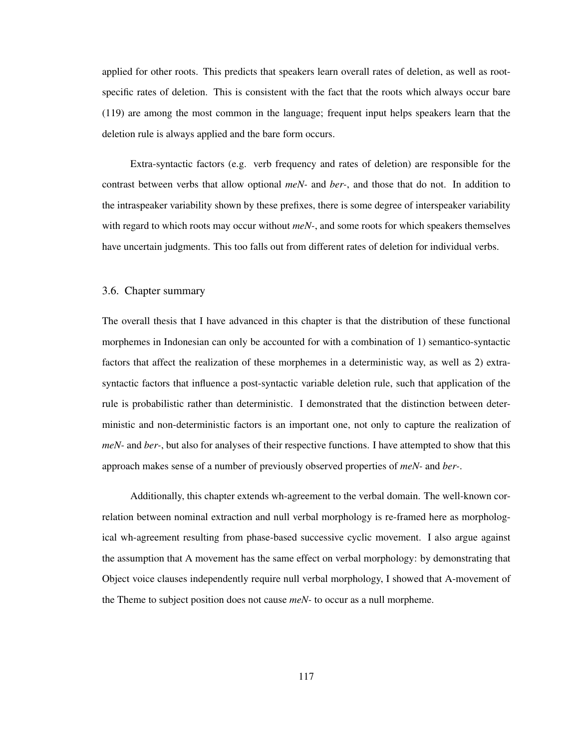applied for other roots. This predicts that speakers learn overall rates of deletion, as well as rootspecific rates of deletion. This is consistent with the fact that the roots which always occur bare (119) are among the most common in the language; frequent input helps speakers learn that the deletion rule is always applied and the bare form occurs.

Extra-syntactic factors (e.g. verb frequency and rates of deletion) are responsible for the contrast between verbs that allow optional *meN-* and *ber-*, and those that do not. In addition to the intraspeaker variability shown by these prefixes, there is some degree of interspeaker variability with regard to which roots may occur without *meN-*, and some roots for which speakers themselves have uncertain judgments. This too falls out from different rates of deletion for individual verbs.

# 3.6. Chapter summary

The overall thesis that I have advanced in this chapter is that the distribution of these functional morphemes in Indonesian can only be accounted for with a combination of 1) semantico-syntactic factors that affect the realization of these morphemes in a deterministic way, as well as 2) extrasyntactic factors that influence a post-syntactic variable deletion rule, such that application of the rule is probabilistic rather than deterministic. I demonstrated that the distinction between deterministic and non-deterministic factors is an important one, not only to capture the realization of *meN-* and *ber-*, but also for analyses of their respective functions. I have attempted to show that this approach makes sense of a number of previously observed properties of *meN-* and *ber-*.

Additionally, this chapter extends wh-agreement to the verbal domain. The well-known correlation between nominal extraction and null verbal morphology is re-framed here as morphological wh-agreement resulting from phase-based successive cyclic movement. I also argue against the assumption that A movement has the same effect on verbal morphology: by demonstrating that Object voice clauses independently require null verbal morphology, I showed that A-movement of the Theme to subject position does not cause *meN-* to occur as a null morpheme.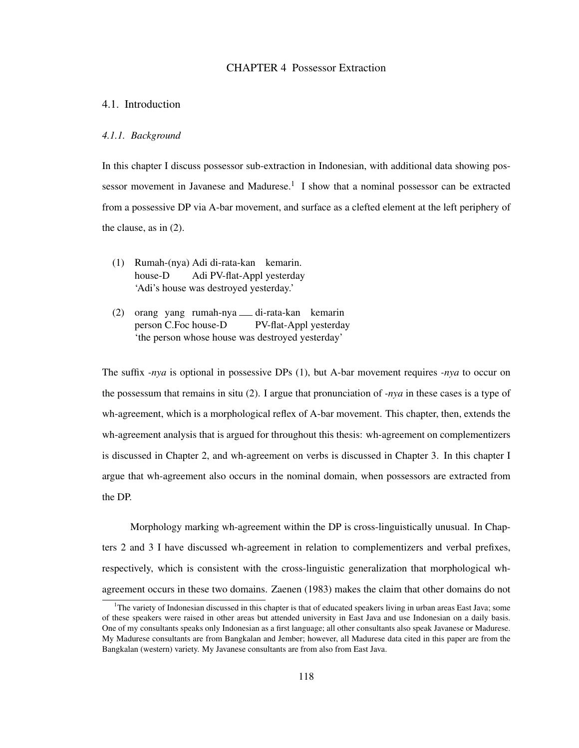# CHAPTER 4 Possessor Extraction

# 4.1. Introduction

## *4.1.1. Background*

In this chapter I discuss possessor sub-extraction in Indonesian, with additional data showing possessor movement in Javanese and Madurese.<sup>1</sup> I show that a nominal possessor can be extracted from a possessive DP via A-bar movement, and surface as a clefted element at the left periphery of the clause, as in (2).

- (1) Rumah-(nya) Adi di-rata-kan kemarin. house-D Adi PV-flat-Appl yesterday 'Adi's house was destroyed yesterday.'
- (2) orang yang rumah-nya di-rata-kan kemarin person C.Foc house-D PV-flat-Appl yesterday 'the person whose house was destroyed yesterday'

The suffix *-nya* is optional in possessive DPs (1), but A-bar movement requires *-nya* to occur on the possessum that remains in situ (2). I argue that pronunciation of *-nya* in these cases is a type of wh-agreement, which is a morphological reflex of A-bar movement. This chapter, then, extends the wh-agreement analysis that is argued for throughout this thesis: wh-agreement on complementizers is discussed in Chapter 2, and wh-agreement on verbs is discussed in Chapter 3. In this chapter I argue that wh-agreement also occurs in the nominal domain, when possessors are extracted from the DP.

Morphology marking wh-agreement within the DP is cross-linguistically unusual. In Chapters 2 and 3 I have discussed wh-agreement in relation to complementizers and verbal prefixes, respectively, which is consistent with the cross-linguistic generalization that morphological whagreement occurs in these two domains. Zaenen (1983) makes the claim that other domains do not

<sup>&</sup>lt;sup>1</sup>The variety of Indonesian discussed in this chapter is that of educated speakers living in urban areas East Java; some of these speakers were raised in other areas but attended university in East Java and use Indonesian on a daily basis. One of my consultants speaks only Indonesian as a first language; all other consultants also speak Javanese or Madurese. My Madurese consultants are from Bangkalan and Jember; however, all Madurese data cited in this paper are from the Bangkalan (western) variety. My Javanese consultants are from also from East Java.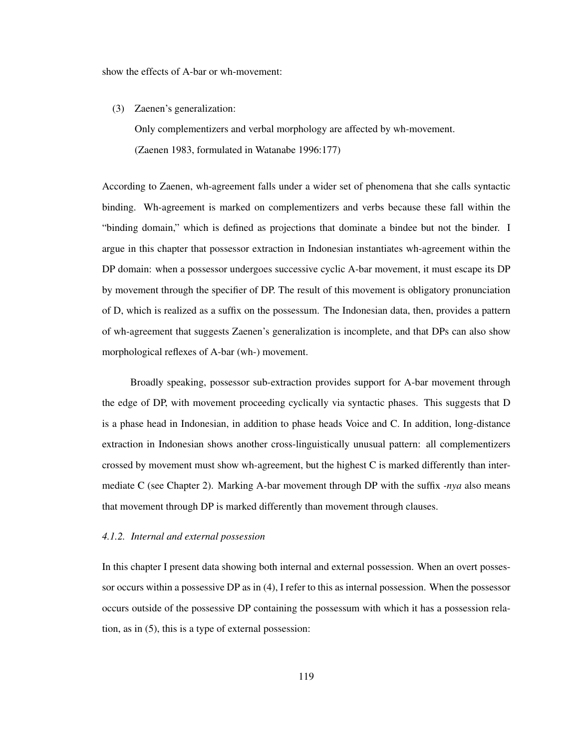show the effects of A-bar or wh-movement:

(3) Zaenen's generalization:

Only complementizers and verbal morphology are affected by wh-movement. (Zaenen 1983, formulated in Watanabe 1996:177)

According to Zaenen, wh-agreement falls under a wider set of phenomena that she calls syntactic binding. Wh-agreement is marked on complementizers and verbs because these fall within the "binding domain," which is defined as projections that dominate a bindee but not the binder. I argue in this chapter that possessor extraction in Indonesian instantiates wh-agreement within the DP domain: when a possessor undergoes successive cyclic A-bar movement, it must escape its DP by movement through the specifier of DP. The result of this movement is obligatory pronunciation of D, which is realized as a suffix on the possessum. The Indonesian data, then, provides a pattern of wh-agreement that suggests Zaenen's generalization is incomplete, and that DPs can also show morphological reflexes of A-bar (wh-) movement.

Broadly speaking, possessor sub-extraction provides support for A-bar movement through the edge of DP, with movement proceeding cyclically via syntactic phases. This suggests that D is a phase head in Indonesian, in addition to phase heads Voice and C. In addition, long-distance extraction in Indonesian shows another cross-linguistically unusual pattern: all complementizers crossed by movement must show wh-agreement, but the highest C is marked differently than intermediate C (see Chapter 2). Marking A-bar movement through DP with the suffix *-nya* also means that movement through DP is marked differently than movement through clauses.

# *4.1.2. Internal and external possession*

In this chapter I present data showing both internal and external possession. When an overt possessor occurs within a possessive DP as in (4), I refer to this as internal possession. When the possessor occurs outside of the possessive DP containing the possessum with which it has a possession relation, as in (5), this is a type of external possession: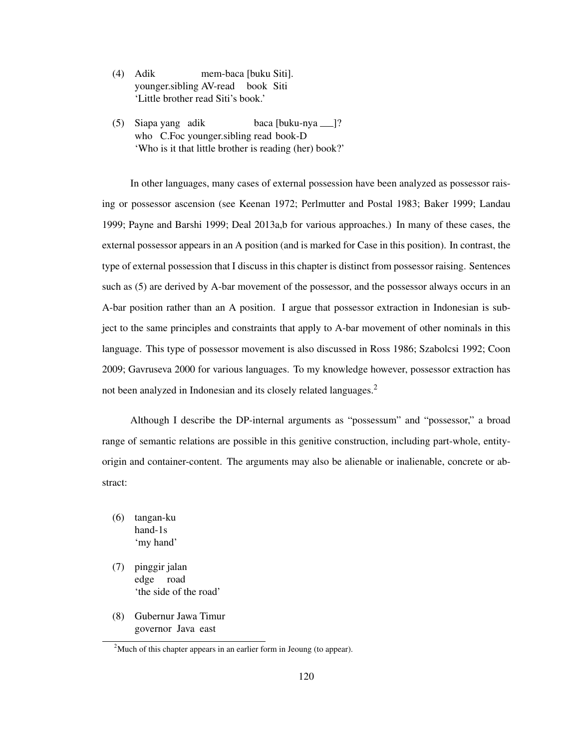- (4) Adik younger.sibling AV-read book Siti mem-baca [buku Siti]. 'Little brother read Siti's book.'
- (5) Siapa yang adik who C.Foc younger.sibling read book-D baca [buku-nya ]? 'Who is it that little brother is reading (her) book?'

In other languages, many cases of external possession have been analyzed as possessor raising or possessor ascension (see Keenan 1972; Perlmutter and Postal 1983; Baker 1999; Landau 1999; Payne and Barshi 1999; Deal 2013a,b for various approaches.) In many of these cases, the external possessor appears in an A position (and is marked for Case in this position). In contrast, the type of external possession that I discuss in this chapter is distinct from possessor raising. Sentences such as (5) are derived by A-bar movement of the possessor, and the possessor always occurs in an A-bar position rather than an A position. I argue that possessor extraction in Indonesian is subject to the same principles and constraints that apply to A-bar movement of other nominals in this language. This type of possessor movement is also discussed in Ross 1986; Szabolcsi 1992; Coon 2009; Gavruseva 2000 for various languages. To my knowledge however, possessor extraction has not been analyzed in Indonesian and its closely related languages.<sup>2</sup>

Although I describe the DP-internal arguments as "possessum" and "possessor," a broad range of semantic relations are possible in this genitive construction, including part-whole, entityorigin and container-content. The arguments may also be alienable or inalienable, concrete or abstract:

- (6) tangan-ku hand-1s 'my hand'
- (7) pinggir jalan edge road 'the side of the road'
- (8) Gubernur Jawa Timur governor Java east

<sup>&</sup>lt;sup>2</sup>Much of this chapter appears in an earlier form in Jeoung (to appear).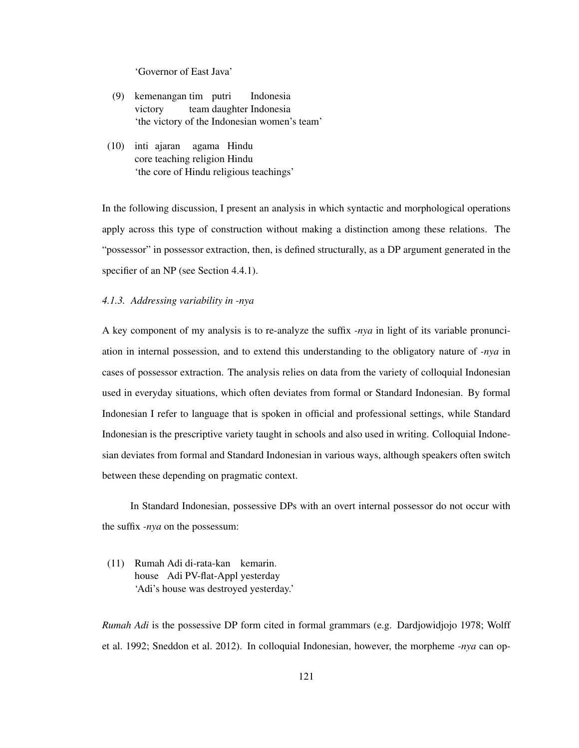'Governor of East Java'

- (9) kemenangan tim putri victory team daughter Indonesia Indonesia 'the victory of the Indonesian women's team'
- (10) inti ajaran agama Hindu core teaching religion Hindu 'the core of Hindu religious teachings'

In the following discussion, I present an analysis in which syntactic and morphological operations apply across this type of construction without making a distinction among these relations. The "possessor" in possessor extraction, then, is defined structurally, as a DP argument generated in the specifier of an NP (see Section 4.4.1).

# *4.1.3. Addressing variability in -nya*

A key component of my analysis is to re-analyze the suffix *-nya* in light of its variable pronunciation in internal possession, and to extend this understanding to the obligatory nature of *-nya* in cases of possessor extraction. The analysis relies on data from the variety of colloquial Indonesian used in everyday situations, which often deviates from formal or Standard Indonesian. By formal Indonesian I refer to language that is spoken in official and professional settings, while Standard Indonesian is the prescriptive variety taught in schools and also used in writing. Colloquial Indonesian deviates from formal and Standard Indonesian in various ways, although speakers often switch between these depending on pragmatic context.

In Standard Indonesian, possessive DPs with an overt internal possessor do not occur with the suffix *-nya* on the possessum:

(11) Rumah Adi di-rata-kan kemarin. house Adi PV-flat-Appl yesterday 'Adi's house was destroyed yesterday.'

*Rumah Adi* is the possessive DP form cited in formal grammars (e.g. Dardjowidjojo 1978; Wolff et al. 1992; Sneddon et al. 2012). In colloquial Indonesian, however, the morpheme *-nya* can op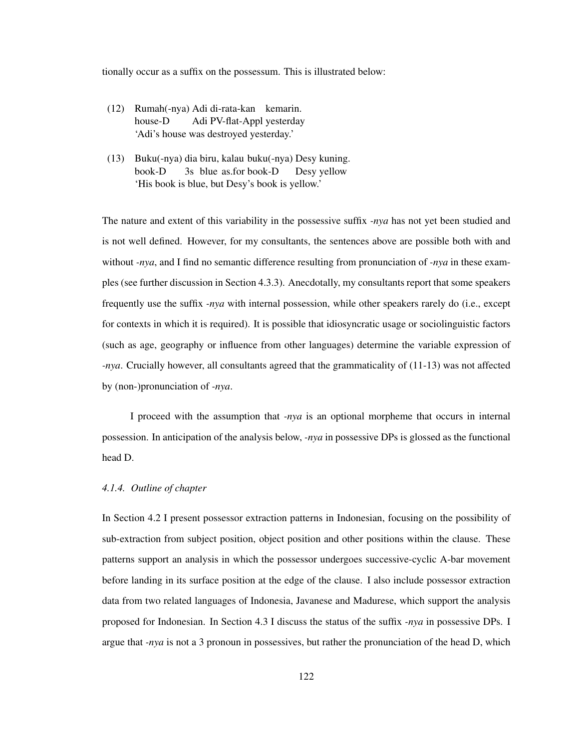tionally occur as a suffix on the possessum. This is illustrated below:

- (12) Rumah(-nya) Adi di-rata-kan kemarin. house-D Adi PV-flat-Appl yesterday 'Adi's house was destroyed yesterday.'
- (13) Buku(-nya) dia biru, kalau buku(-nya) Desy kuning. book-D 3s blue as.for book-D Desy yellow 'His book is blue, but Desy's book is yellow.'

The nature and extent of this variability in the possessive suffix *-nya* has not yet been studied and is not well defined. However, for my consultants, the sentences above are possible both with and without *-nya*, and I find no semantic difference resulting from pronunciation of *-nya* in these examples (see further discussion in Section 4.3.3). Anecdotally, my consultants report that some speakers frequently use the suffix *-nya* with internal possession, while other speakers rarely do (i.e., except for contexts in which it is required). It is possible that idiosyncratic usage or sociolinguistic factors (such as age, geography or influence from other languages) determine the variable expression of *-nya*. Crucially however, all consultants agreed that the grammaticality of (11-13) was not affected by (non-)pronunciation of *-nya*.

I proceed with the assumption that *-nya* is an optional morpheme that occurs in internal possession. In anticipation of the analysis below, *-nya* in possessive DPs is glossed as the functional head D.

## *4.1.4. Outline of chapter*

In Section 4.2 I present possessor extraction patterns in Indonesian, focusing on the possibility of sub-extraction from subject position, object position and other positions within the clause. These patterns support an analysis in which the possessor undergoes successive-cyclic A-bar movement before landing in its surface position at the edge of the clause. I also include possessor extraction data from two related languages of Indonesia, Javanese and Madurese, which support the analysis proposed for Indonesian. In Section 4.3 I discuss the status of the suffix *-nya* in possessive DPs. I argue that *-nya* is not a 3 pronoun in possessives, but rather the pronunciation of the head D, which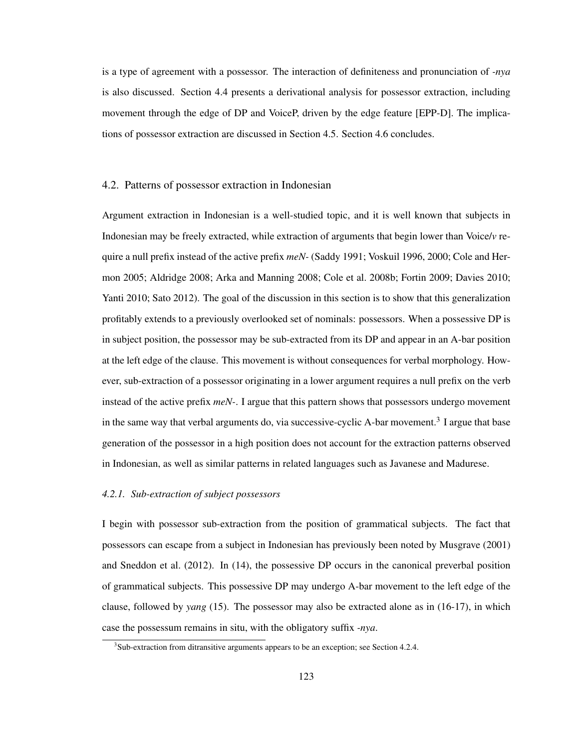is a type of agreement with a possessor. The interaction of definiteness and pronunciation of *-nya* is also discussed. Section 4.4 presents a derivational analysis for possessor extraction, including movement through the edge of DP and VoiceP, driven by the edge feature [EPP-D]. The implications of possessor extraction are discussed in Section 4.5. Section 4.6 concludes.

## 4.2. Patterns of possessor extraction in Indonesian

Argument extraction in Indonesian is a well-studied topic, and it is well known that subjects in Indonesian may be freely extracted, while extraction of arguments that begin lower than Voice/*v* require a null prefix instead of the active prefix *meN-* (Saddy 1991; Voskuil 1996, 2000; Cole and Hermon 2005; Aldridge 2008; Arka and Manning 2008; Cole et al. 2008b; Fortin 2009; Davies 2010; Yanti 2010; Sato 2012). The goal of the discussion in this section is to show that this generalization profitably extends to a previously overlooked set of nominals: possessors. When a possessive DP is in subject position, the possessor may be sub-extracted from its DP and appear in an A-bar position at the left edge of the clause. This movement is without consequences for verbal morphology. However, sub-extraction of a possessor originating in a lower argument requires a null prefix on the verb instead of the active prefix *meN-*. I argue that this pattern shows that possessors undergo movement in the same way that verbal arguments do, via successive-cyclic A-bar movement.<sup>3</sup> I argue that base generation of the possessor in a high position does not account for the extraction patterns observed in Indonesian, as well as similar patterns in related languages such as Javanese and Madurese.

# *4.2.1. Sub-extraction of subject possessors*

I begin with possessor sub-extraction from the position of grammatical subjects. The fact that possessors can escape from a subject in Indonesian has previously been noted by Musgrave (2001) and Sneddon et al. (2012). In (14), the possessive DP occurs in the canonical preverbal position of grammatical subjects. This possessive DP may undergo A-bar movement to the left edge of the clause, followed by *yang* (15). The possessor may also be extracted alone as in (16-17), in which case the possessum remains in situ, with the obligatory suffix *-nya*.

 $3$ Sub-extraction from ditransitive arguments appears to be an exception; see Section 4.2.4.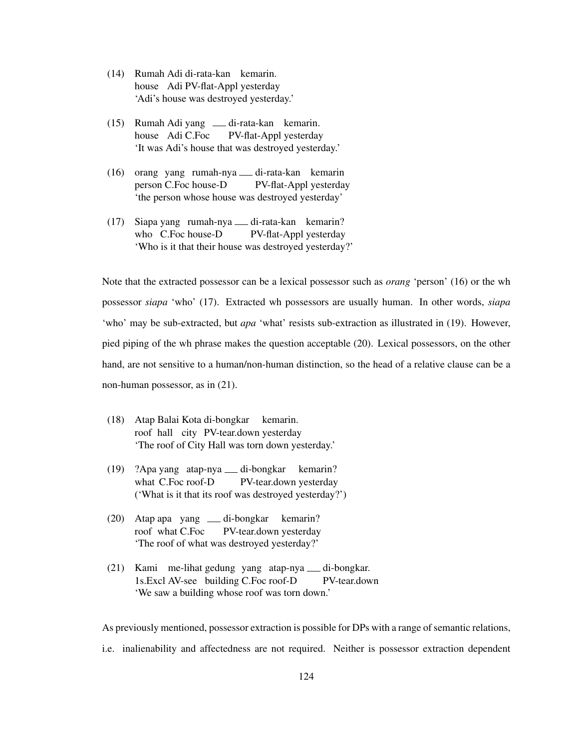- (14) Rumah Adi di-rata-kan kemarin. house Adi PV-flat-Appl yesterday 'Adi's house was destroyed yesterday.'
- (15) Rumah Adi yang di-rata-kan kemarin. house Adi C.Foc PV-flat-Appl yesterday 'It was Adi's house that was destroyed yesterday.'
- (16) orang yang rumah-nya di-rata-kan kemarin person C.Foc house-D PV-flat-Appl yesterday 'the person whose house was destroyed yesterday'
- (17) Siapa yang rumah-nya di-rata-kan kemarin? who C.Foc house-D PV-flat-Appl yesterday 'Who is it that their house was destroyed yesterday?'

Note that the extracted possessor can be a lexical possessor such as *orang* 'person' (16) or the wh possessor *siapa* 'who' (17). Extracted wh possessors are usually human. In other words, *siapa* 'who' may be sub-extracted, but *apa* 'what' resists sub-extraction as illustrated in (19). However, pied piping of the wh phrase makes the question acceptable (20). Lexical possessors, on the other hand, are not sensitive to a human/non-human distinction, so the head of a relative clause can be a non-human possessor, as in (21).

- (18) Atap Balai Kota di-bongkar roof hall city PV-tear.down yesterday kemarin. 'The roof of City Hall was torn down yesterday.'
- (19) ?Apa yang atap-nya di-bongkar what C.Foc roof-D PV-tear.down yesterday kemarin? ('What is it that its roof was destroyed yesterday?')
- (20) Atap apa yang di-bongkar roof what C.Foc PV-tear.down yesterday kemarin? 'The roof of what was destroyed yesterday?'
- (21) Kami me-lihat gedung yang atap-nya di-bongkar. 1s.Excl AV-see building C.Foc roof-D PV-tear.down 'We saw a building whose roof was torn down.'

As previously mentioned, possessor extraction is possible for DPs with a range of semantic relations,

i.e. inalienability and affectedness are not required. Neither is possessor extraction dependent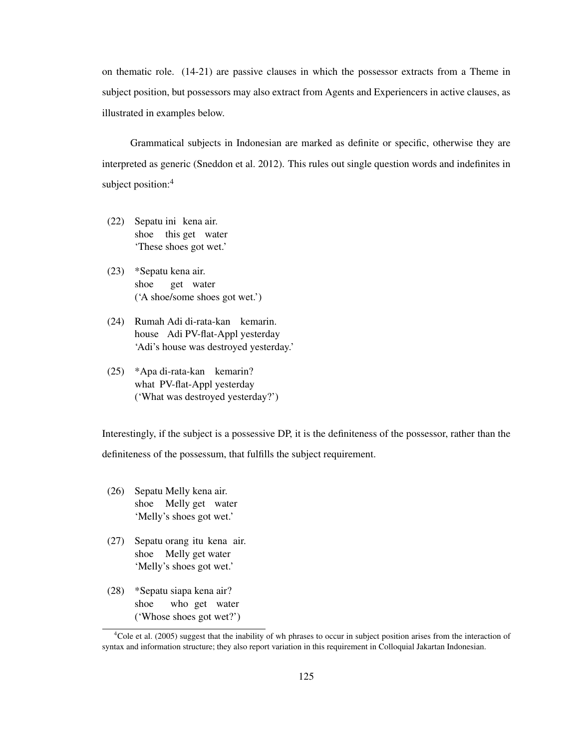on thematic role. (14-21) are passive clauses in which the possessor extracts from a Theme in subject position, but possessors may also extract from Agents and Experiencers in active clauses, as illustrated in examples below.

Grammatical subjects in Indonesian are marked as definite or specific, otherwise they are interpreted as generic (Sneddon et al. 2012). This rules out single question words and indefinites in subject position:<sup>4</sup>

- (22) Sepatu ini kena air. shoe this get water 'These shoes got wet.'
- (23) \*Sepatu kena air. shoe get water ('A shoe/some shoes got wet.')
- (24) Rumah Adi di-rata-kan kemarin. house Adi PV-flat-Appl yesterday 'Adi's house was destroyed yesterday.'
- (25) \*Apa di-rata-kan kemarin? what PV-flat-Appl yesterday ('What was destroyed yesterday?')

Interestingly, if the subject is a possessive DP, it is the definiteness of the possessor, rather than the definiteness of the possessum, that fulfills the subject requirement.

- (26) Sepatu Melly kena air. shoe Melly get water 'Melly's shoes got wet.'
- (27) Sepatu orang itu kena air. shoe Melly get water 'Melly's shoes got wet.'
- (28) \*Sepatu siapa kena air? shoe who get water ('Whose shoes got wet?')

<sup>4</sup>Cole et al. (2005) suggest that the inability of wh phrases to occur in subject position arises from the interaction of syntax and information structure; they also report variation in this requirement in Colloquial Jakartan Indonesian.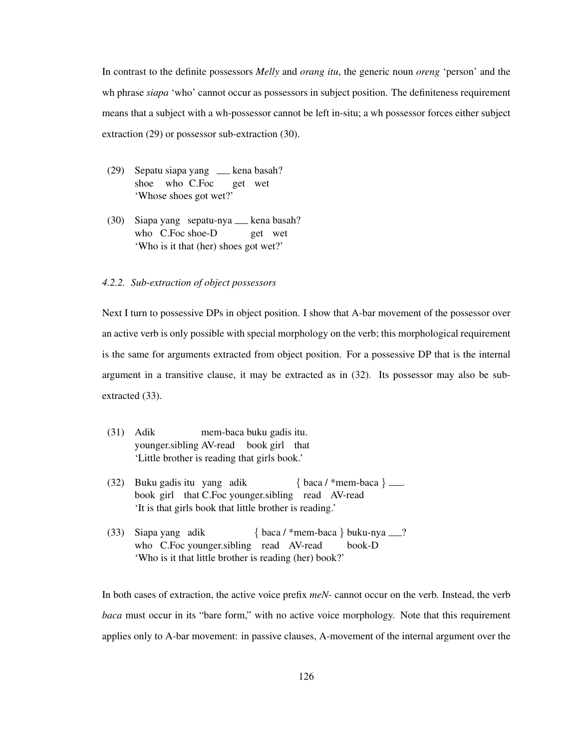In contrast to the definite possessors *Melly* and *orang itu*, the generic noun *oreng* 'person' and the wh phrase *siapa* 'who' cannot occur as possessors in subject position. The definiteness requirement means that a subject with a wh-possessor cannot be left in-situ; a wh possessor forces either subject extraction (29) or possessor sub-extraction (30).

- (29) Sepatu siapa yang kena basah? shoe who C.Foc get wet 'Whose shoes got wet?'
- (30) Siapa yang sepatu-nya kena basah? who C.Foc shoe-D get wet 'Who is it that (her) shoes got wet?'

### *4.2.2. Sub-extraction of object possessors*

Next I turn to possessive DPs in object position. I show that A-bar movement of the possessor over an active verb is only possible with special morphology on the verb; this morphological requirement is the same for arguments extracted from object position. For a possessive DP that is the internal argument in a transitive clause, it may be extracted as in (32). Its possessor may also be subextracted (33).

- (31) Adik younger.sibling AV-read book girl that mem-baca buku gadis itu. 'Little brother is reading that girls book.'
- (32) Buku gadis itu yang adik book girl that C.Foc younger.sibling read AV-read  $\{ \text{baca} / \text{*mem-baca} \}$ . 'It is that girls book that little brother is reading.'
- (33) Siapa yang adik who C.Foc younger.sibling read AV-read { baca / \*mem-baca } buku-nya ? book-D 'Who is it that little brother is reading (her) book?'

In both cases of extraction, the active voice prefix *meN-* cannot occur on the verb. Instead, the verb *baca* must occur in its "bare form," with no active voice morphology. Note that this requirement applies only to A-bar movement: in passive clauses, A-movement of the internal argument over the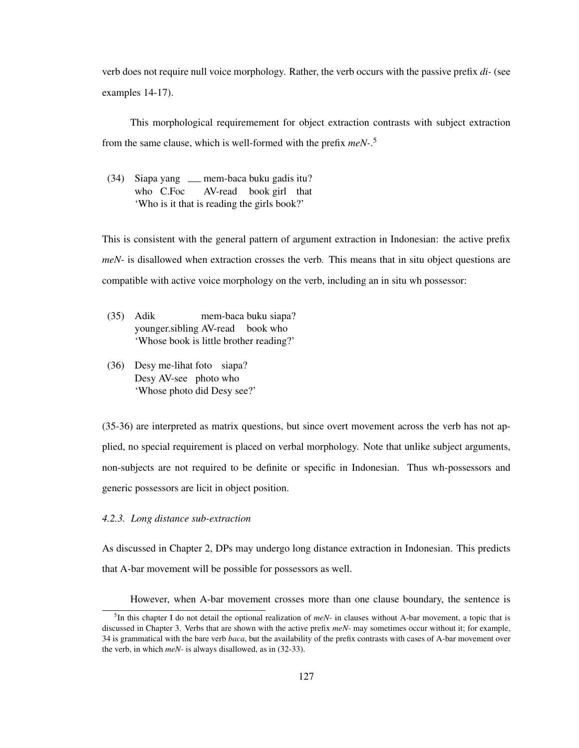verb does not require null voice morphology. Rather, the verb occurs with the passive prefix *di-* (see examples 14-17).

This morphological requiremement for object extraction contrasts with subject extraction from the same clause, which is well-formed with the prefix *meN-*. 5

(34) Siapa yang mem-baca buku gadis itu? who C.Foc AV-read book girl that 'Who is it that is reading the girls book?'

This is consistent with the general pattern of argument extraction in Indonesian: the active prefix *meN*- is disallowed when extraction crosses the verb. This means that in situ object questions are compatible with active voice morphology on the verb, including an in situ wh possessor:

- (35) Adik younger.sibling AV-read book who mem-baca buku siapa? 'Whose book is little brother reading?'
- (36) Desy me-lihat foto siapa? Desy AV-see photo who 'Whose photo did Desy see?'

(35-36) are interpreted as matrix questions, but since overt movement across the verb has not applied, no special requirement is placed on verbal morphology. Note that unlike subject arguments, non-subjects are not required to be definite or specific in Indonesian. Thus wh-possessors and generic possessors are licit in object position.

### *4.2.3. Long distance sub-extraction*

As discussed in Chapter 2, DPs may undergo long distance extraction in Indonesian. This predicts that A-bar movement will be possible for possessors as well.

However, when A-bar movement crosses more than one clause boundary, the sentence is

<sup>5</sup> In this chapter I do not detail the optional realization of *meN-* in clauses without A-bar movement, a topic that is discussed in Chapter 3. Verbs that are shown with the active prefix *meN-* may sometimes occur without it; for example, 34 is grammatical with the bare verb *baca*, but the availability of the prefix contrasts with cases of A-bar movement over the verb, in which *meN-* is always disallowed, as in (32-33).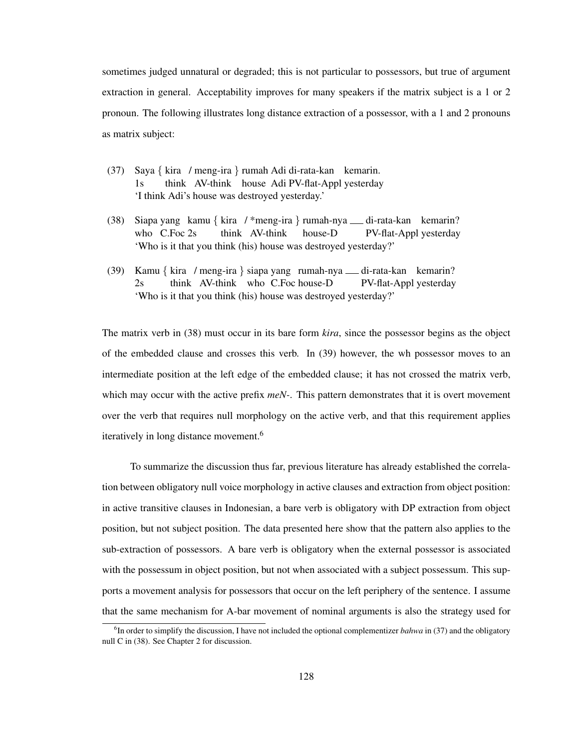sometimes judged unnatural or degraded; this is not particular to possessors, but true of argument extraction in general. Acceptability improves for many speakers if the matrix subject is a 1 or 2 pronoun. The following illustrates long distance extraction of a possessor, with a 1 and 2 pronouns as matrix subject:

- (37) Saya { kira / meng-ira } rumah Adi di-rata-kan kemarin. 1s think AV-think house Adi PV-flat-Appl yesterday 'I think Adi's house was destroyed yesterday.'
- (38) Siapa yang kamu { kira / \*meng-ira } rumah-nya di-rata-kan kemarin? who C.Foc 2s think AV-think house-D PV-flat-Appl yesterday 'Who is it that you think (his) house was destroyed yesterday?'
- (39) Kamu { kira / meng-ira } siapa yang rumah-nya di-rata-kan kemarin? 2s think AV-think who C.Foc house-D PV-flat-Appl yesterday 'Who is it that you think (his) house was destroyed yesterday?'

The matrix verb in (38) must occur in its bare form *kira*, since the possessor begins as the object of the embedded clause and crosses this verb. In (39) however, the wh possessor moves to an intermediate position at the left edge of the embedded clause; it has not crossed the matrix verb, which may occur with the active prefix *meN-*. This pattern demonstrates that it is overt movement over the verb that requires null morphology on the active verb, and that this requirement applies iteratively in long distance movement.<sup>6</sup>

To summarize the discussion thus far, previous literature has already established the correlation between obligatory null voice morphology in active clauses and extraction from object position: in active transitive clauses in Indonesian, a bare verb is obligatory with DP extraction from object position, but not subject position. The data presented here show that the pattern also applies to the sub-extraction of possessors. A bare verb is obligatory when the external possessor is associated with the possessum in object position, but not when associated with a subject possessum. This supports a movement analysis for possessors that occur on the left periphery of the sentence. I assume that the same mechanism for A-bar movement of nominal arguments is also the strategy used for

<sup>&</sup>lt;sup>6</sup>In order to simplify the discussion, I have not included the optional complementizer *bahwa* in (37) and the obligatory null C in (38). See Chapter 2 for discussion.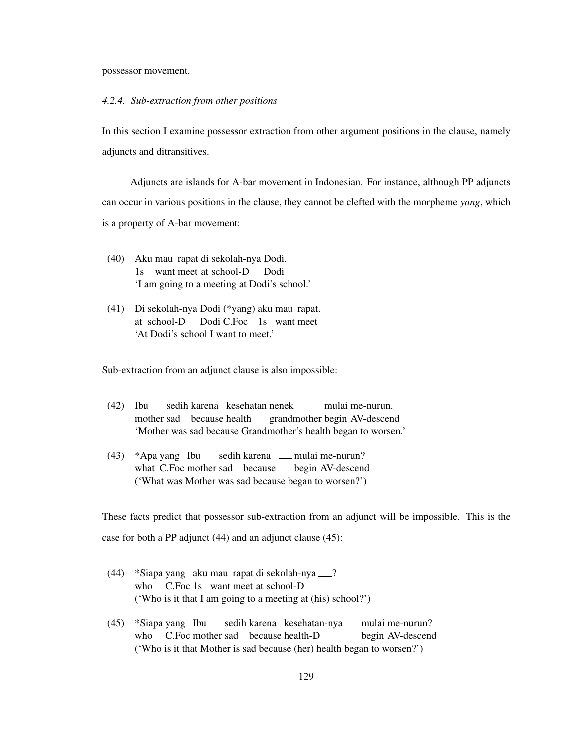possessor movement.

## *4.2.4. Sub-extraction from other positions*

In this section I examine possessor extraction from other argument positions in the clause, namely adjuncts and ditransitives.

Adjuncts are islands for A-bar movement in Indonesian. For instance, although PP adjuncts can occur in various positions in the clause, they cannot be clefted with the morpheme *yang*, which is a property of A-bar movement:

- (40) Aku mau rapat di sekolah-nya Dodi. 1s want meet at school-D Dodi 'I am going to a meeting at Dodi's school.'
- (41) Di sekolah-nya Dodi (\*yang) aku mau rapat. at school-D Dodi C.Foc 1s want meet 'At Dodi's school I want to meet.'

Sub-extraction from an adjunct clause is also impossible:

- (42) Ibu mother sad because health sedih karena kesehatan nenek grandmother begin AV-descend mulai me-nurun. 'Mother was sad because Grandmother's health began to worsen.'
- (43) \*Apa yang Ibu what C.Foc mother sad because sedih karena <sub>—</sub> mulai me-nurun? begin AV-descend ('What was Mother was sad because began to worsen?')

These facts predict that possessor sub-extraction from an adjunct will be impossible. This is the case for both a PP adjunct (44) and an adjunct clause (45):

- (44) \*Siapa yang aku mau rapat di sekolah-nya ? who C.Foc 1s want meet at school-D ('Who is it that I am going to a meeting at (his) school?')
- (45) \*Siapa yang Ibu who C.Foc mother sad because health-D sedih karena kesehatan-nya <sub>-</sub> mulai me-nurun? begin AV-descend ('Who is it that Mother is sad because (her) health began to worsen?')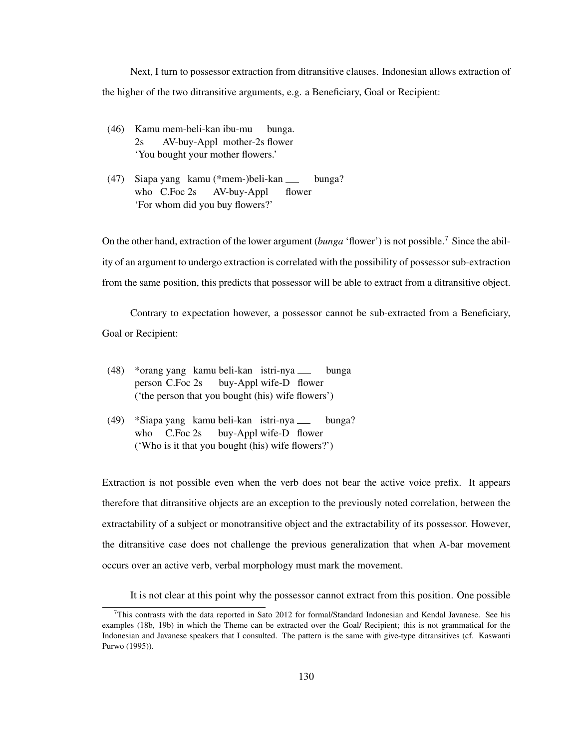Next, I turn to possessor extraction from ditransitive clauses. Indonesian allows extraction of the higher of the two ditransitive arguments, e.g. a Beneficiary, Goal or Recipient:

- (46) Kamu mem-beli-kan ibu-mu 2s AV-buy-Appl mother-2s flower bunga. 'You bought your mother flowers.'
- (47) Siapa yang kamu (\*mem-)beli-kan who C.Foc 2s AV-buy-Appl flower bunga? 'For whom did you buy flowers?'

On the other hand, extraction of the lower argument (*bunga* 'flower') is not possible.<sup>7</sup> Since the ability of an argument to undergo extraction is correlated with the possibility of possessor sub-extraction from the same position, this predicts that possessor will be able to extract from a ditransitive object.

Contrary to expectation however, a possessor cannot be sub-extracted from a Beneficiary, Goal or Recipient:

- (48) \*orang yang kamu beli-kan istri-nya person C.Foc 2s buy-Appl wife-D flower bunga ('the person that you bought (his) wife flowers')
- (49) \*Siapa yang kamu beli-kan istri-nya who C.Foc 2s buy-Appl wife-D flower bunga? ('Who is it that you bought (his) wife flowers?')

Extraction is not possible even when the verb does not bear the active voice prefix. It appears therefore that ditransitive objects are an exception to the previously noted correlation, between the extractability of a subject or monotransitive object and the extractability of its possessor. However, the ditransitive case does not challenge the previous generalization that when A-bar movement occurs over an active verb, verbal morphology must mark the movement.

It is not clear at this point why the possessor cannot extract from this position. One possible

 $^{7}$ This contrasts with the data reported in Sato 2012 for formal/Standard Indonesian and Kendal Javanese. See his examples (18b, 19b) in which the Theme can be extracted over the Goal/ Recipient; this is not grammatical for the Indonesian and Javanese speakers that I consulted. The pattern is the same with give-type ditransitives (cf. Kaswanti Purwo (1995)).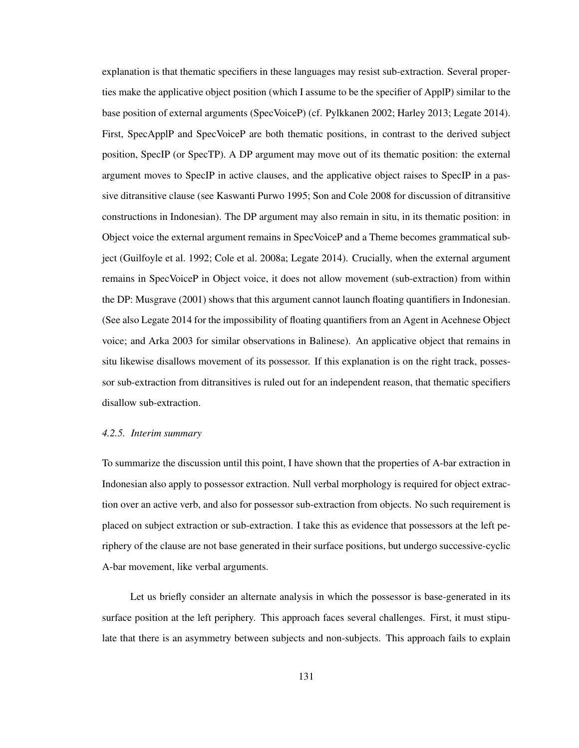explanation is that thematic specifiers in these languages may resist sub-extraction. Several properties make the applicative object position (which I assume to be the specifier of ApplP) similar to the base position of external arguments (SpecVoiceP) (cf. Pylkkanen 2002; Harley 2013; Legate 2014). First, SpecApplP and SpecVoiceP are both thematic positions, in contrast to the derived subject position, SpecIP (or SpecTP). A DP argument may move out of its thematic position: the external argument moves to SpecIP in active clauses, and the applicative object raises to SpecIP in a passive ditransitive clause (see Kaswanti Purwo 1995; Son and Cole 2008 for discussion of ditransitive constructions in Indonesian). The DP argument may also remain in situ, in its thematic position: in Object voice the external argument remains in SpecVoiceP and a Theme becomes grammatical subject (Guilfoyle et al. 1992; Cole et al. 2008a; Legate 2014). Crucially, when the external argument remains in SpecVoiceP in Object voice, it does not allow movement (sub-extraction) from within the DP: Musgrave (2001) shows that this argument cannot launch floating quantifiers in Indonesian. (See also Legate 2014 for the impossibility of floating quantifiers from an Agent in Acehnese Object voice; and Arka 2003 for similar observations in Balinese). An applicative object that remains in situ likewise disallows movement of its possessor. If this explanation is on the right track, possessor sub-extraction from ditransitives is ruled out for an independent reason, that thematic specifiers disallow sub-extraction.

#### *4.2.5. Interim summary*

To summarize the discussion until this point, I have shown that the properties of A-bar extraction in Indonesian also apply to possessor extraction. Null verbal morphology is required for object extraction over an active verb, and also for possessor sub-extraction from objects. No such requirement is placed on subject extraction or sub-extraction. I take this as evidence that possessors at the left periphery of the clause are not base generated in their surface positions, but undergo successive-cyclic A-bar movement, like verbal arguments.

Let us briefly consider an alternate analysis in which the possessor is base-generated in its surface position at the left periphery. This approach faces several challenges. First, it must stipulate that there is an asymmetry between subjects and non-subjects. This approach fails to explain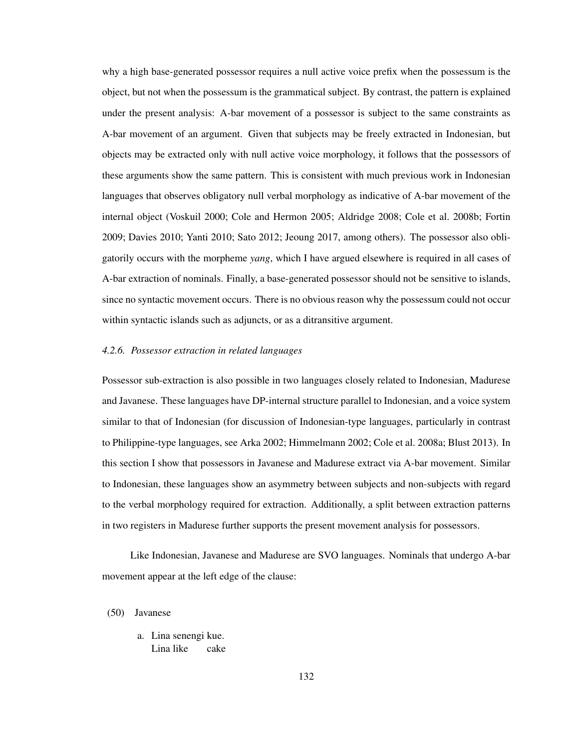why a high base-generated possessor requires a null active voice prefix when the possessum is the object, but not when the possessum is the grammatical subject. By contrast, the pattern is explained under the present analysis: A-bar movement of a possessor is subject to the same constraints as A-bar movement of an argument. Given that subjects may be freely extracted in Indonesian, but objects may be extracted only with null active voice morphology, it follows that the possessors of these arguments show the same pattern. This is consistent with much previous work in Indonesian languages that observes obligatory null verbal morphology as indicative of A-bar movement of the internal object (Voskuil 2000; Cole and Hermon 2005; Aldridge 2008; Cole et al. 2008b; Fortin 2009; Davies 2010; Yanti 2010; Sato 2012; Jeoung 2017, among others). The possessor also obligatorily occurs with the morpheme *yang*, which I have argued elsewhere is required in all cases of A-bar extraction of nominals. Finally, a base-generated possessor should not be sensitive to islands, since no syntactic movement occurs. There is no obvious reason why the possessum could not occur within syntactic islands such as adjuncts, or as a ditransitive argument.

#### *4.2.6. Possessor extraction in related languages*

Possessor sub-extraction is also possible in two languages closely related to Indonesian, Madurese and Javanese. These languages have DP-internal structure parallel to Indonesian, and a voice system similar to that of Indonesian (for discussion of Indonesian-type languages, particularly in contrast to Philippine-type languages, see Arka 2002; Himmelmann 2002; Cole et al. 2008a; Blust 2013). In this section I show that possessors in Javanese and Madurese extract via A-bar movement. Similar to Indonesian, these languages show an asymmetry between subjects and non-subjects with regard to the verbal morphology required for extraction. Additionally, a split between extraction patterns in two registers in Madurese further supports the present movement analysis for possessors.

Like Indonesian, Javanese and Madurese are SVO languages. Nominals that undergo A-bar movement appear at the left edge of the clause:

(50) Javanese

a. Lina senengi kue. Lina like cake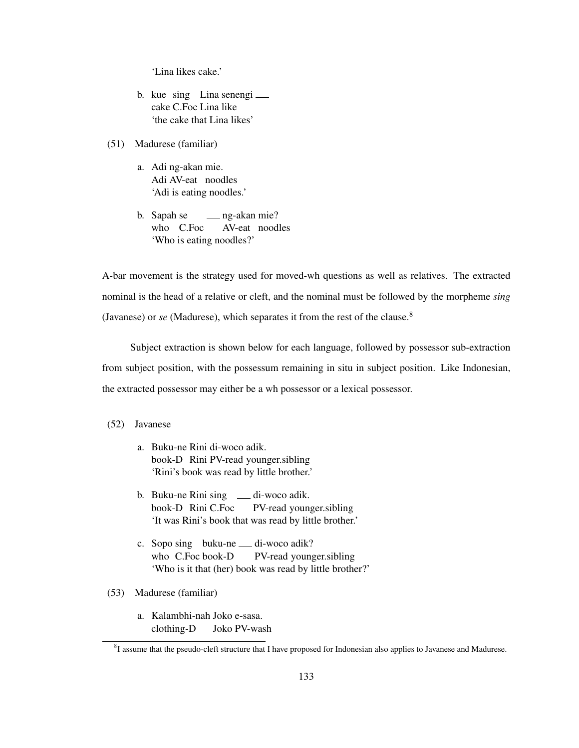'Lina likes cake.'

- b. kue sing Lina senengi cake C.Foc Lina like 'the cake that Lina likes'
- (51) Madurese (familiar)
	- a. Adi ng-akan mie. Adi AV-eat noodles 'Adi is eating noodles.'
	- b. Sapah se who C.Foc ng-akan mie? AV-eat noodles 'Who is eating noodles?'

A-bar movement is the strategy used for moved-wh questions as well as relatives. The extracted nominal is the head of a relative or cleft, and the nominal must be followed by the morpheme *sing* (Javanese) or *se* (Madurese), which separates it from the rest of the clause.<sup>8</sup>

Subject extraction is shown below for each language, followed by possessor sub-extraction from subject position, with the possessum remaining in situ in subject position. Like Indonesian, the extracted possessor may either be a wh possessor or a lexical possessor.

### (52) Javanese

- a. Buku-ne Rini di-woco adik. book-D Rini PV-read younger.sibling 'Rini's book was read by little brother.'
- b. Buku-ne Rini sing \_\_ di-woco adik. book-D Rini C.Foc PV-read younger.sibling 'It was Rini's book that was read by little brother.'
- c. Sopo sing buku-ne <sub>di</sub>-woco adik? who C.Foc book-D PV-read younger.sibling 'Who is it that (her) book was read by little brother?'
- (53) Madurese (familiar)
	- a. Kalambhi-nah Joko e-sasa. clothing-D Joko PV-wash

<sup>&</sup>lt;sup>8</sup>I assume that the pseudo-cleft structure that I have proposed for Indonesian also applies to Javanese and Madurese.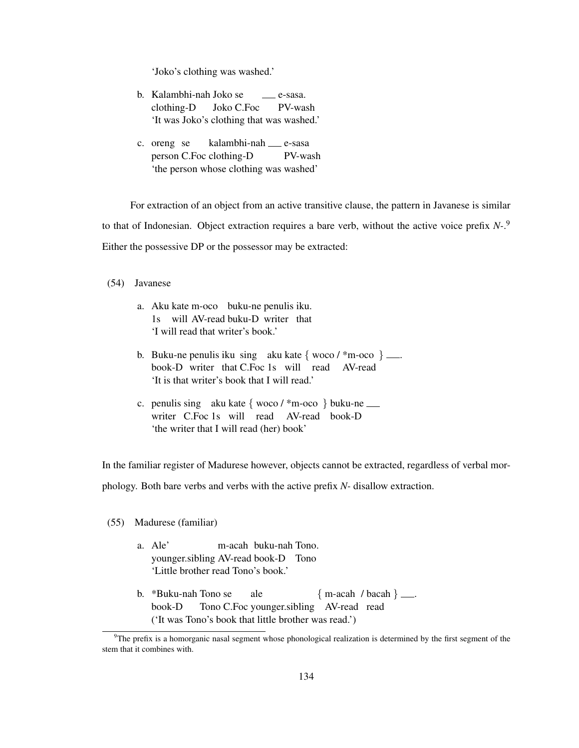'Joko's clothing was washed.'

- b. Kalambhi-nah Joko se clothing-D Joko C.Foc e-sasa. PV-wash 'It was Joko's clothing that was washed.'
- c. oreng se person C.Foc clothing-D kalambhi-nah e-sasa PV-wash 'the person whose clothing was washed'

For extraction of an object from an active transitive clause, the pattern in Javanese is similar to that of Indonesian. Object extraction requires a bare verb, without the active voice prefix *N-*. 9 Either the possessive DP or the possessor may be extracted:

(54) Javanese

- a. Aku kate m-oco buku-ne penulis iku. 1s will AV-read buku-D writer that 'I will read that writer's book.'
- b. Buku-ne penulis iku sing aku kate  $\{ \text{woco} / \text{*m-oco} \}$ . book-D writer that C.Foc 1s will read AV-read 'It is that writer's book that I will read.'
- c. penulis sing aku kate { woco / \*m-oco } buku-ne writer C.Foc 1s will read AV-read book-D 'the writer that I will read (her) book'

In the familiar register of Madurese however, objects cannot be extracted, regardless of verbal morphology. Both bare verbs and verbs with the active prefix *N-* disallow extraction.

(55) Madurese (familiar)

- a. Ale' younger.sibling AV-read book-D Tono m-acah buku-nah Tono. 'Little brother read Tono's book.'
- b. \*Buku-nah Tono se book-D Tono C.Foc younger.sibling AV-read read ale  ${m \cdot \text{acah}}$  / bacah } ... ('It was Tono's book that little brother was read.')

 $9$ The prefix is a homorganic nasal segment whose phonological realization is determined by the first segment of the stem that it combines with.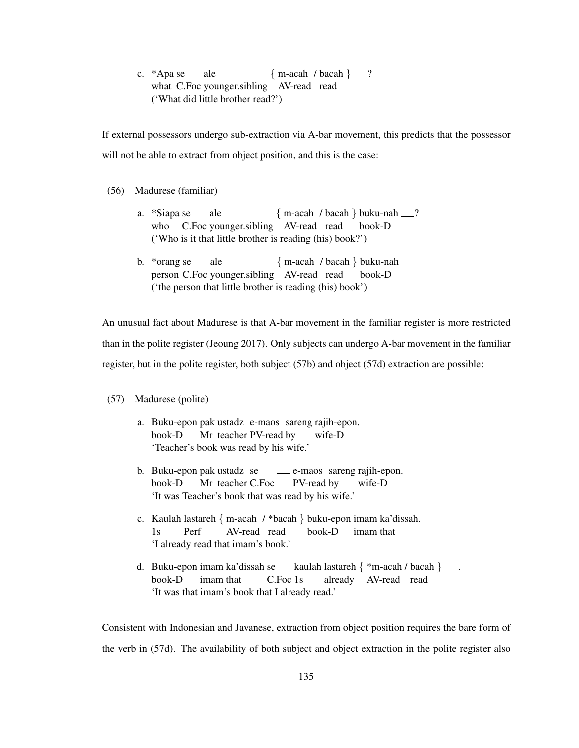c. \*Apa se what C.Foc younger.sibling AV-read read ale  ${m \cdot \text{acah}}$  / bacah } \_\_? ('What did little brother read?')

If external possessors undergo sub-extraction via A-bar movement, this predicts that the possessor will not be able to extract from object position, and this is the case:

### (56) Madurese (familiar)

- a. \*Siapa se who C.Foc younger.sibling AV-read read ale { m-acah / bacah } buku-nah ? book-D ('Who is it that little brother is reading (his) book?')
- b. \*orang se person C.Foc younger.sibling AV-read read ale { m-acah / bacah } buku-nah book-D ('the person that little brother is reading (his) book')

An unusual fact about Madurese is that A-bar movement in the familiar register is more restricted than in the polite register (Jeoung 2017). Only subjects can undergo A-bar movement in the familiar register, but in the polite register, both subject (57b) and object (57d) extraction are possible:

- (57) Madurese (polite)
	- a. Buku-epon pak ustadz e-maos sareng rajih-epon. book-D Mr teacher PV-read by wife-D 'Teacher's book was read by his wife.'
	- b. Buku-epon pak ustadz se book-D Mr teacher C.Foc e-maos sareng rajih-epon. PV-read by wife-D 'It was Teacher's book that was read by his wife.'
	- c. Kaulah lastareh { m-acah / \*bacah } buku-epon imam ka'dissah. 1s Perf AV-read read book-D imam that 'I already read that imam's book.'
	- d. Buku-epon imam ka'dissah se book-D imam that C.Foc 1s kaulah lastareh { \*m-acah / bacah } . already AV-read read 'It was that imam's book that I already read.'

Consistent with Indonesian and Javanese, extraction from object position requires the bare form of the verb in (57d). The availability of both subject and object extraction in the polite register also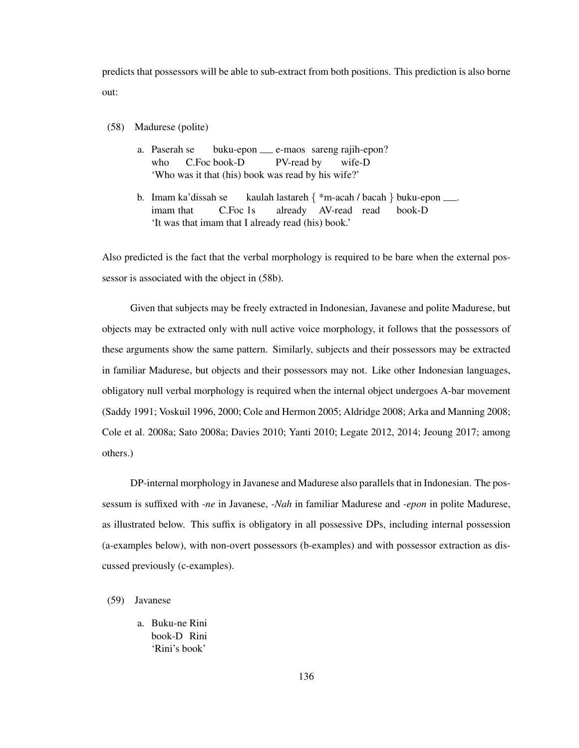predicts that possessors will be able to sub-extract from both positions. This prediction is also borne out:

- (58) Madurese (polite)
	- a. Paserah se who C.Foc book-D buku-epon e-maos sareng rajih-epon? PV-read by wife-D 'Who was it that (his) book was read by his wife?'
	- b. Imam ka'dissah se imam that C.Foc 1s kaulah lastareh { \*m-acah / bacah } buku-epon . already AV-read read book-D 'It was that imam that I already read (his) book.'

Also predicted is the fact that the verbal morphology is required to be bare when the external possessor is associated with the object in (58b).

Given that subjects may be freely extracted in Indonesian, Javanese and polite Madurese, but objects may be extracted only with null active voice morphology, it follows that the possessors of these arguments show the same pattern. Similarly, subjects and their possessors may be extracted in familiar Madurese, but objects and their possessors may not. Like other Indonesian languages, obligatory null verbal morphology is required when the internal object undergoes A-bar movement (Saddy 1991; Voskuil 1996, 2000; Cole and Hermon 2005; Aldridge 2008; Arka and Manning 2008; Cole et al. 2008a; Sato 2008a; Davies 2010; Yanti 2010; Legate 2012, 2014; Jeoung 2017; among others.)

DP-internal morphology in Javanese and Madurese also parallels that in Indonesian. The possessum is suffixed with *-ne* in Javanese, *-Nah* in familiar Madurese and *-epon* in polite Madurese, as illustrated below. This suffix is obligatory in all possessive DPs, including internal possession (a-examples below), with non-overt possessors (b-examples) and with possessor extraction as discussed previously (c-examples).

## (59) Javanese

a. Buku-ne Rini book-D Rini 'Rini's book'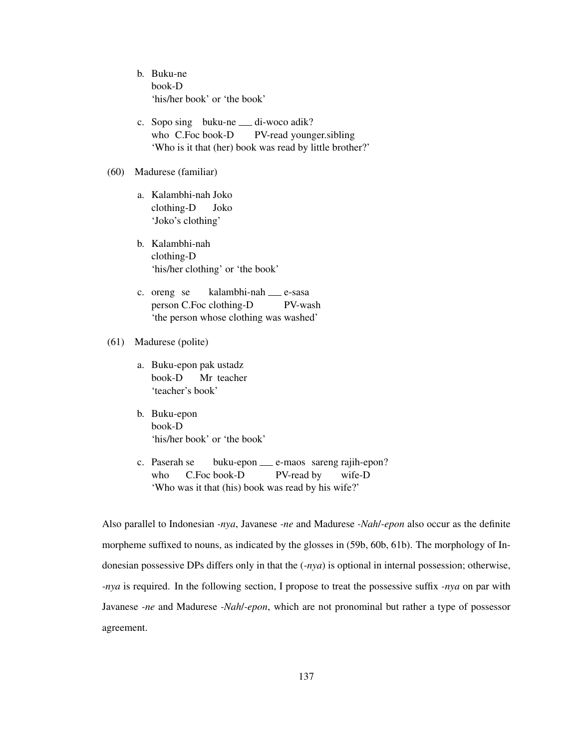- b. Buku-ne book-D 'his/her book' or 'the book'
- c. Sopo sing buku-ne <sub>—</sub> di-woco adik? who C.Foc book-D PV-read younger.sibling 'Who is it that (her) book was read by little brother?'

### (60) Madurese (familiar)

- a. Kalambhi-nah Joko clothing-D Joko 'Joko's clothing'
- b. Kalambhi-nah clothing-D 'his/her clothing' or 'the book'
- c. oreng se person C.Foc clothing-D kalambhi-nah e-sasa PV-wash 'the person whose clothing was washed'

# (61) Madurese (polite)

- a. Buku-epon pak ustadz book-D Mr teacher 'teacher's book'
- b. Buku-epon book-D 'his/her book' or 'the book'
- c. Paserah se who C.Foc book-D buku-epon e-maos sareng rajih-epon? PV-read by wife-D 'Who was it that (his) book was read by his wife?'

Also parallel to Indonesian *-nya*, Javanese *-ne* and Madurese *-Nah*/*-epon* also occur as the definite morpheme suffixed to nouns, as indicated by the glosses in (59b, 60b, 61b). The morphology of Indonesian possessive DPs differs only in that the (*-nya*) is optional in internal possession; otherwise, *-nya* is required. In the following section, I propose to treat the possessive suffix *-nya* on par with Javanese *-ne* and Madurese *-Nah*/*-epon*, which are not pronominal but rather a type of possessor agreement.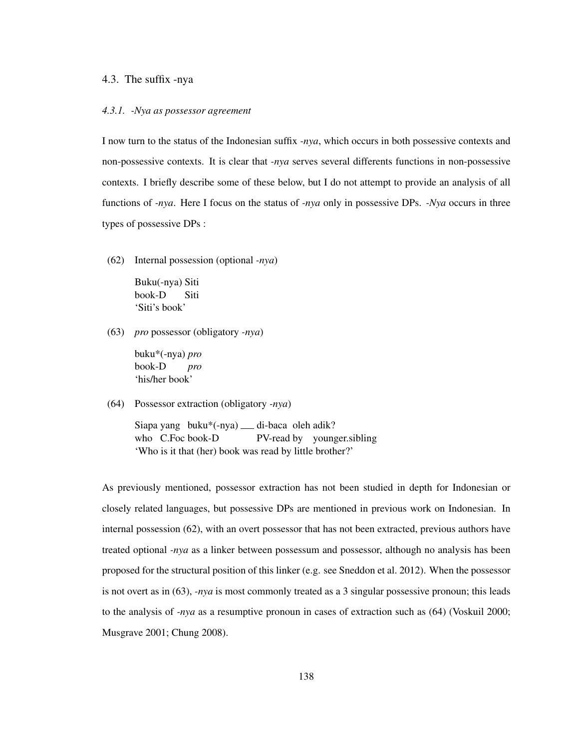### 4.3. The suffix -nya

#### *4.3.1. -Nya as possessor agreement*

I now turn to the status of the Indonesian suffix *-nya*, which occurs in both possessive contexts and non-possessive contexts. It is clear that *-nya* serves several differents functions in non-possessive contexts. I briefly describe some of these below, but I do not attempt to provide an analysis of all functions of *-nya*. Here I focus on the status of *-nya* only in possessive DPs. *-Nya* occurs in three types of possessive DPs :

(62) Internal possession (optional *-nya*)

Buku(-nya) Siti book-D Siti 'Siti's book'

(63) *pro* possessor (obligatory *-nya*)

buku\*(-nya) *pro* book-D *pro* 'his/her book'

(64) Possessor extraction (obligatory *-nya*)

Siapa yang buku\*(-nya) <sub>—</sub> di-baca oleh adik? who C.Foc book-D PV-read by younger.sibling 'Who is it that (her) book was read by little brother?'

As previously mentioned, possessor extraction has not been studied in depth for Indonesian or closely related languages, but possessive DPs are mentioned in previous work on Indonesian. In internal possession (62), with an overt possessor that has not been extracted, previous authors have treated optional *-nya* as a linker between possessum and possessor, although no analysis has been proposed for the structural position of this linker (e.g. see Sneddon et al. 2012). When the possessor is not overt as in (63), *-nya* is most commonly treated as a 3 singular possessive pronoun; this leads to the analysis of *-nya* as a resumptive pronoun in cases of extraction such as (64) (Voskuil 2000; Musgrave 2001; Chung 2008).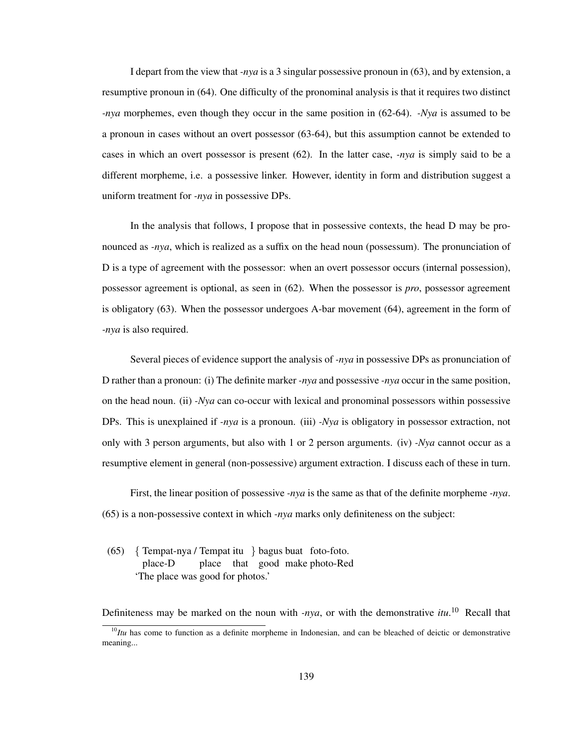I depart from the view that *-nya* is a 3 singular possessive pronoun in (63), and by extension, a resumptive pronoun in (64). One difficulty of the pronominal analysis is that it requires two distinct *-nya* morphemes, even though they occur in the same position in (62-64). *-Nya* is assumed to be a pronoun in cases without an overt possessor (63-64), but this assumption cannot be extended to cases in which an overt possessor is present (62). In the latter case, *-nya* is simply said to be a different morpheme, i.e. a possessive linker. However, identity in form and distribution suggest a uniform treatment for *-nya* in possessive DPs.

In the analysis that follows, I propose that in possessive contexts, the head D may be pronounced as *-nya*, which is realized as a suffix on the head noun (possessum). The pronunciation of D is a type of agreement with the possessor: when an overt possessor occurs (internal possession), possessor agreement is optional, as seen in (62). When the possessor is *pro*, possessor agreement is obligatory (63). When the possessor undergoes A-bar movement (64), agreement in the form of *-nya* is also required.

Several pieces of evidence support the analysis of *-nya* in possessive DPs as pronunciation of D rather than a pronoun: (i) The definite marker *-nya* and possessive *-nya* occur in the same position, on the head noun. (ii) *-Nya* can co-occur with lexical and pronominal possessors within possessive DPs. This is unexplained if *-nya* is a pronoun. (iii) *-Nya* is obligatory in possessor extraction, not only with 3 person arguments, but also with 1 or 2 person arguments. (iv) *-Nya* cannot occur as a resumptive element in general (non-possessive) argument extraction. I discuss each of these in turn.

First, the linear position of possessive *-nya* is the same as that of the definite morpheme *-nya*. (65) is a non-possessive context in which *-nya* marks only definiteness on the subject:

(65) { Tempat-nya / Tempat itu } bagus buat foto-foto. place-D place that good make photo-Red 'The place was good for photos.'

Definiteness may be marked on the noun with *-nya*, or with the demonstrative *itu*. <sup>10</sup> Recall that

<sup>&</sup>lt;sup>10</sup>*Itu* has come to function as a definite morpheme in Indonesian, and can be bleached of deictic or demonstrative meaning...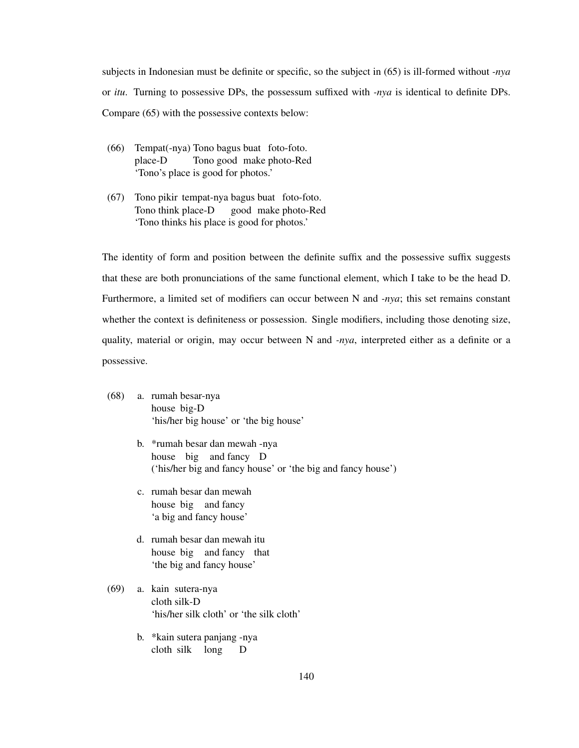subjects in Indonesian must be definite or specific, so the subject in (65) is ill-formed without *-nya* or *itu*. Turning to possessive DPs, the possessum suffixed with *-nya* is identical to definite DPs. Compare (65) with the possessive contexts below:

- (66) Tempat(-nya) Tono bagus buat foto-foto. place-D Tono good make photo-Red 'Tono's place is good for photos.'
- (67) Tono pikir tempat-nya bagus buat foto-foto. Tono think place-D good make photo-Red 'Tono thinks his place is good for photos.'

The identity of form and position between the definite suffix and the possessive suffix suggests that these are both pronunciations of the same functional element, which I take to be the head D. Furthermore, a limited set of modifiers can occur between N and *-nya*; this set remains constant whether the context is definiteness or possession. Single modifiers, including those denoting size, quality, material or origin, may occur between N and *-nya*, interpreted either as a definite or a possessive.

- (68) a. rumah besar-nya house big-D 'his/her big house' or 'the big house'
	- b. \*rumah besar dan mewah -nya house big and fancy D ('his/her big and fancy house' or 'the big and fancy house')
	- c. rumah besar dan mewah house big and fancy 'a big and fancy house'
	- d. rumah besar dan mewah itu house big and fancy that 'the big and fancy house'
- (69) a. kain sutera-nya cloth silk-D 'his/her silk cloth' or 'the silk cloth'
	- b. \*kain sutera panjang -nya cloth silk long D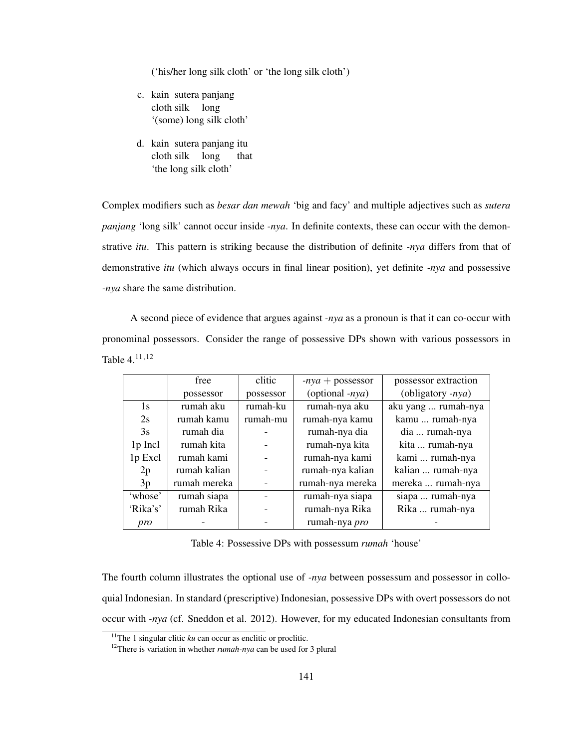('his/her long silk cloth' or 'the long silk cloth')

- c. kain sutera panjang cloth silk long '(some) long silk cloth'
- d. kain sutera panjang itu cloth silk long that 'the long silk cloth'

Complex modifiers such as *besar dan mewah* 'big and facy' and multiple adjectives such as *sutera panjang* 'long silk' cannot occur inside *-nya*. In definite contexts, these can occur with the demonstrative *itu*. This pattern is striking because the distribution of definite *-nya* differs from that of demonstrative *itu* (which always occurs in final linear position), yet definite *-nya* and possessive *-nya* share the same distribution.

A second piece of evidence that argues against *-nya* as a pronoun is that it can co-occur with pronominal possessors. Consider the range of possessive DPs shown with various possessors in Table 4.11,<sup>12</sup>

|          | free         | clitic    | $-nya + possessor$ | possessor extraction |
|----------|--------------|-----------|--------------------|----------------------|
|          | possessor    | possessor | (optional $-nya$ ) | (obligatory -nya)    |
| 1s       | rumah aku    | rumah-ku  | rumah-nya aku      | aku yang  rumah-nya  |
| 2s       | rumah kamu   | rumah-mu  | rumah-nya kamu     | kamu  rumah-nya      |
| 3s       | rumah dia    |           | rumah-nya dia      | dia  rumah-nya       |
| 1p Incl  | rumah kita   |           | rumah-nya kita     | kita  rumah-nya      |
| 1p Excl  | rumah kami   |           | rumah-nya kami     | kami  rumah-nya      |
| 2p       | rumah kalian |           | rumah-nya kalian   | kalian  rumah-nya    |
| 3p       | rumah mereka |           | rumah-nya mereka   | mereka  rumah-nya    |
| 'whose'  | rumah siapa  |           | rumah-nya siapa    | siapa  rumah-nya     |
| 'Rika's' | rumah Rika   |           | rumah-nya Rika     | Rika  rumah-nya      |
| pro      |              |           | rumah-nya pro      |                      |

Table 4: Possessive DPs with possessum *rumah* 'house'

The fourth column illustrates the optional use of *-nya* between possessum and possessor in colloquial Indonesian. In standard (prescriptive) Indonesian, possessive DPs with overt possessors do not occur with *-nya* (cf. Sneddon et al. 2012). However, for my educated Indonesian consultants from

<sup>&</sup>lt;sup>11</sup>The 1 singular clitic  $ku$  can occur as enclitic or proclitic.

<sup>12</sup>There is variation in whether *rumah-nya* can be used for 3 plural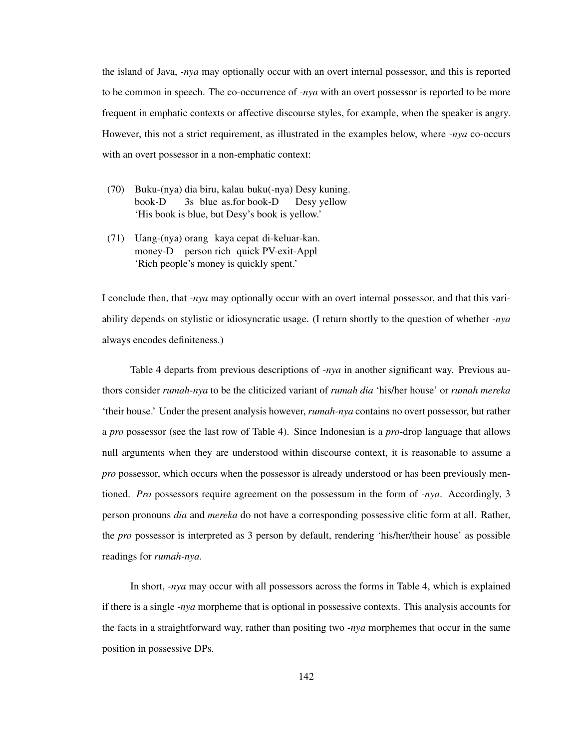the island of Java, *-nya* may optionally occur with an overt internal possessor, and this is reported to be common in speech. The co-occurrence of *-nya* with an overt possessor is reported to be more frequent in emphatic contexts or affective discourse styles, for example, when the speaker is angry. However, this not a strict requirement, as illustrated in the examples below, where *-nya* co-occurs with an overt possessor in a non-emphatic context:

- (70) Buku-(nya) dia biru, kalau buku(-nya) Desy kuning. book-D 3s blue as.for book-D Desy yellow 'His book is blue, but Desy's book is yellow.'
- (71) Uang-(nya) orang kaya cepat di-keluar-kan. money-D person rich quick PV-exit-Appl 'Rich people's money is quickly spent.'

I conclude then, that *-nya* may optionally occur with an overt internal possessor, and that this variability depends on stylistic or idiosyncratic usage. (I return shortly to the question of whether *-nya* always encodes definiteness.)

Table 4 departs from previous descriptions of *-nya* in another significant way. Previous authors consider *rumah-nya* to be the cliticized variant of *rumah dia* 'his/her house' or *rumah mereka* 'their house.' Under the present analysis however, *rumah-nya* contains no overt possessor, but rather a *pro* possessor (see the last row of Table 4). Since Indonesian is a *pro*-drop language that allows null arguments when they are understood within discourse context, it is reasonable to assume a *pro* possessor, which occurs when the possessor is already understood or has been previously mentioned. *Pro* possessors require agreement on the possessum in the form of *-nya*. Accordingly, 3 person pronouns *dia* and *mereka* do not have a corresponding possessive clitic form at all. Rather, the *pro* possessor is interpreted as 3 person by default, rendering 'his/her/their house' as possible readings for *rumah-nya*.

In short, *-nya* may occur with all possessors across the forms in Table 4, which is explained if there is a single *-nya* morpheme that is optional in possessive contexts. This analysis accounts for the facts in a straightforward way, rather than positing two *-nya* morphemes that occur in the same position in possessive DPs.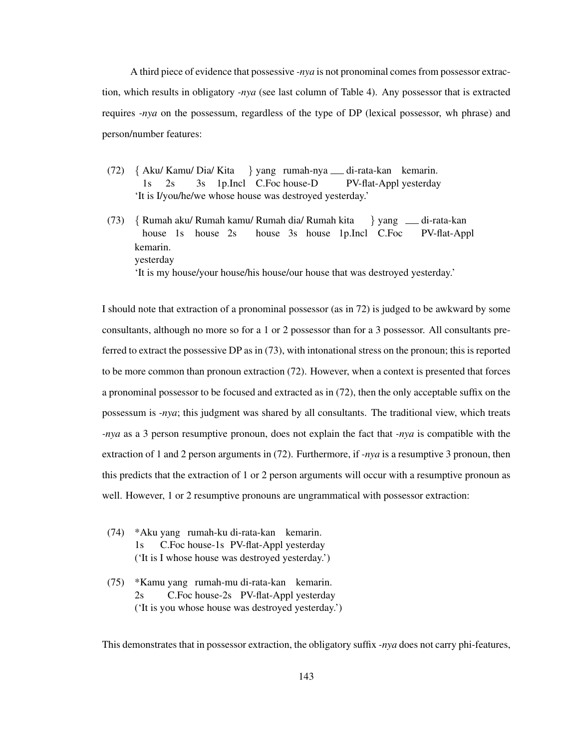A third piece of evidence that possessive *-nya* is not pronominal comes from possessor extraction, which results in obligatory *-nya* (see last column of Table 4). Any possessor that is extracted requires *-nya* on the possessum, regardless of the type of DP (lexical possessor, wh phrase) and person/number features:

- (72) { Aku/ Kamu/ Dia/ Kita 1s 2s 3s 1p.Incl C.Foc house-D } yang rumah-nya di-rata-kan kemarin. PV-flat-Appl yesterday 'It is I/you/he/we whose house was destroyed yesterday.'
- (73) { Rumah aku/ Rumah kamu/ Rumah dia/ Rumah kita house 1s house 2s house 3s house 1p.Incl C.Foc } yang di-rata-kan PV-flat-Appl kemarin. yesterday 'It is my house/your house/his house/our house that was destroyed yesterday.'

I should note that extraction of a pronominal possessor (as in 72) is judged to be awkward by some consultants, although no more so for a 1 or 2 possessor than for a 3 possessor. All consultants preferred to extract the possessive DP as in (73), with intonational stress on the pronoun; this is reported to be more common than pronoun extraction (72). However, when a context is presented that forces a pronominal possessor to be focused and extracted as in (72), then the only acceptable suffix on the possessum is *-nya*; this judgment was shared by all consultants. The traditional view, which treats *-nya* as a 3 person resumptive pronoun, does not explain the fact that *-nya* is compatible with the extraction of 1 and 2 person arguments in (72). Furthermore, if *-nya* is a resumptive 3 pronoun, then this predicts that the extraction of 1 or 2 person arguments will occur with a resumptive pronoun as well. However, 1 or 2 resumptive pronouns are ungrammatical with possessor extraction:

- (74) \*Aku yang rumah-ku di-rata-kan kemarin.  $1s$ C.Foc house-1s PV-flat-Appl yesterday ('It is I whose house was destroyed yesterday.')
- (75) \*Kamu yang rumah-mu di-rata-kan kemarin.  $2s$ C.Foc house-2s PV-flat-Appl yesterday ('It is you whose house was destroyed yesterday.')

This demonstrates that in possessor extraction, the obligatory suffix *-nya* does not carry phi-features,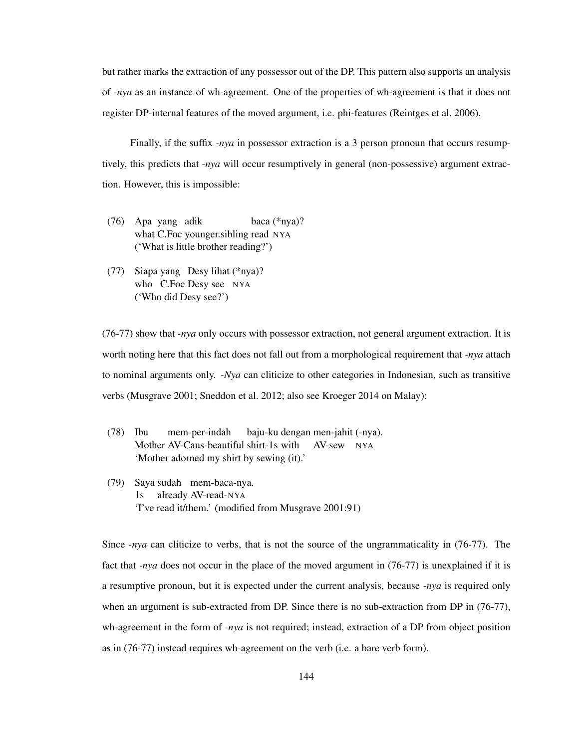but rather marks the extraction of any possessor out of the DP. This pattern also supports an analysis of *-nya* as an instance of wh-agreement. One of the properties of wh-agreement is that it does not register DP-internal features of the moved argument, i.e. phi-features (Reintges et al. 2006).

Finally, if the suffix *-nya* in possessor extraction is a 3 person pronoun that occurs resumptively, this predicts that *-nya* will occur resumptively in general (non-possessive) argument extraction. However, this is impossible:

- (76) Apa yang adik what C.Foc younger.sibling read NYA baca (\*nya)? ('What is little brother reading?')
- (77) Siapa yang Desy lihat (\*nya)? who C.Foc Desy see NYA ('Who did Desy see?')

(76-77) show that *-nya* only occurs with possessor extraction, not general argument extraction. It is worth noting here that this fact does not fall out from a morphological requirement that *-nya* attach to nominal arguments only. *-Nya* can cliticize to other categories in Indonesian, such as transitive verbs (Musgrave 2001; Sneddon et al. 2012; also see Kroeger 2014 on Malay):

- (78) Ibu Mother AV-Caus-beautiful shirt-1s with AV-sew NYA mem-per-indah baju-ku dengan men-jahit (-nya). 'Mother adorned my shirt by sewing (it).'
- (79) Saya sudah mem-baca-nya. 1s already AV-read-NYA 'I've read it/them.' (modified from Musgrave 2001:91)

Since *-nya* can cliticize to verbs, that is not the source of the ungrammaticality in (76-77). The fact that *-nya* does not occur in the place of the moved argument in (76-77) is unexplained if it is a resumptive pronoun, but it is expected under the current analysis, because *-nya* is required only when an argument is sub-extracted from DP. Since there is no sub-extraction from DP in (76-77), wh-agreement in the form of *-nya* is not required; instead, extraction of a DP from object position as in (76-77) instead requires wh-agreement on the verb (i.e. a bare verb form).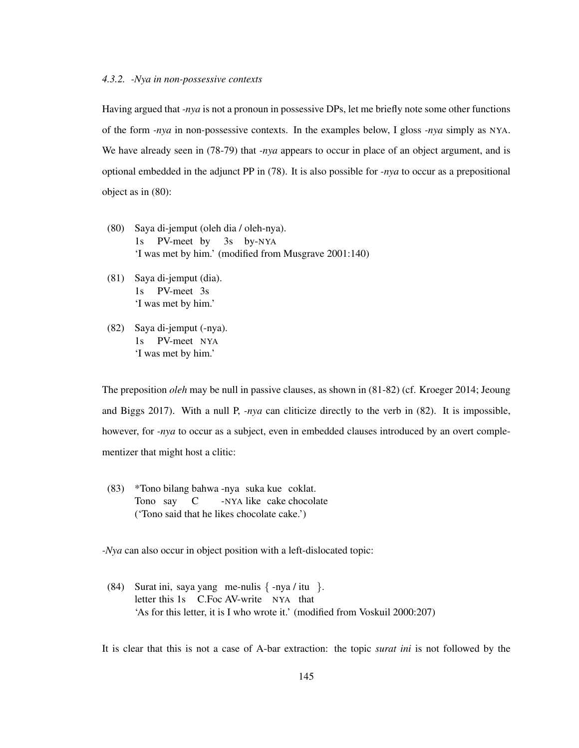### *4.3.2. -Nya in non-possessive contexts*

Having argued that *-nya* is not a pronoun in possessive DPs, let me briefly note some other functions of the form *-nya* in non-possessive contexts. In the examples below, I gloss *-nya* simply as NYA. We have already seen in (78-79) that *-nya* appears to occur in place of an object argument, and is optional embedded in the adjunct PP in (78). It is also possible for *-nya* to occur as a prepositional object as in (80):

- (80) Saya di-jemput (oleh dia / oleh-nya).  $1s$ PV-meet by 3s by-NYA 'I was met by him.' (modified from Musgrave 2001:140)
- (81) Saya di-jemput (dia). 1s PV-meet 3s 'I was met by him.'
- (82) Saya di-jemput (-nya). 1s PV-meet NYA 'I was met by him.'

The preposition *oleh* may be null in passive clauses, as shown in (81-82) (cf. Kroeger 2014; Jeoung and Biggs 2017). With a null P, *-nya* can cliticize directly to the verb in (82). It is impossible, however, for *-nya* to occur as a subject, even in embedded clauses introduced by an overt complementizer that might host a clitic:

(83) \*Tono bilang bahwa -nya suka kue coklat. Tono say  $\mathcal{C}$ -NYA like cake chocolate ('Tono said that he likes chocolate cake.')

*-Nya* can also occur in object position with a left-dislocated topic:

(84) Surat ini, saya yang me-nulis { -nya / itu }. letter this 1s C.Foc AV-write NYA that 'As for this letter, it is I who wrote it.' (modified from Voskuil 2000:207)

It is clear that this is not a case of A-bar extraction: the topic *surat ini* is not followed by the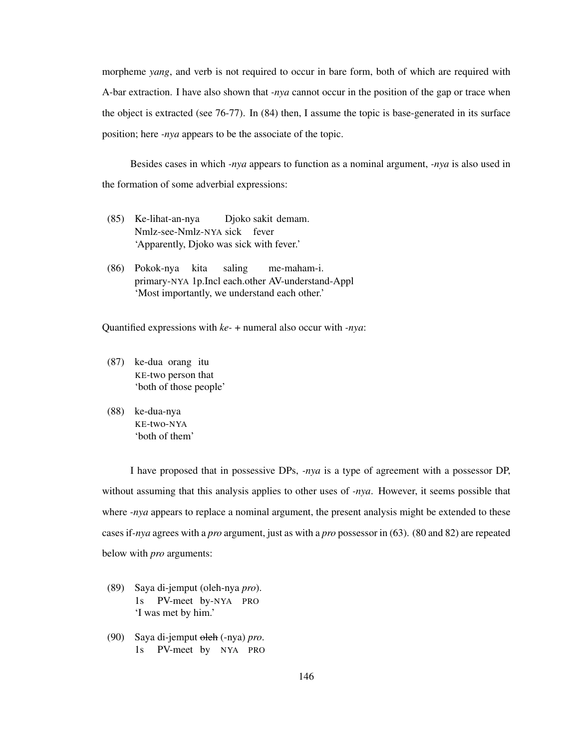morpheme *yang*, and verb is not required to occur in bare form, both of which are required with A-bar extraction. I have also shown that *-nya* cannot occur in the position of the gap or trace when the object is extracted (see 76-77). In (84) then, I assume the topic is base-generated in its surface position; here *-nya* appears to be the associate of the topic.

Besides cases in which *-nya* appears to function as a nominal argument, *-nya* is also used in the formation of some adverbial expressions:

- (85) Ke-lihat-an-nya Nmlz-see-Nmlz-NYA sick fever Djoko sakit demam. 'Apparently, Djoko was sick with fever.'
- (86) Pokok-nya kita primary-NYA 1p.Incl each.other AV-understand-Appl saling me-maham-i. 'Most importantly, we understand each other.'

Quantified expressions with *ke-* + numeral also occur with *-nya*:

- (87) ke-dua orang itu KE-two person that 'both of those people'
- (88) ke-dua-nya KE-two-NYA 'both of them'

I have proposed that in possessive DPs, *-nya* is a type of agreement with a possessor DP, without assuming that this analysis applies to other uses of *-nya*. However, it seems possible that where *-nya* appears to replace a nominal argument, the present analysis might be extended to these cases if*-nya* agrees with a *pro* argument, just as with a *pro* possessor in (63). (80 and 82) are repeated below with *pro* arguments:

- (89) Saya di-jemput (oleh-nya *pro*). 1s PV-meet by-NYA PRO 'I was met by him.'
- (90) Saya di-jemput oleh (-nya) pro. 1s PV-meet by NYA PRO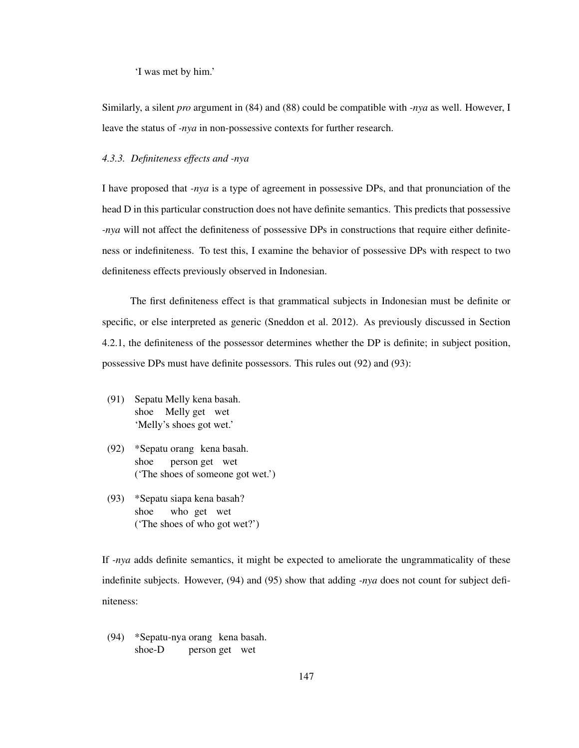'I was met by him.'

Similarly, a silent *pro* argument in (84) and (88) could be compatible with *-nya* as well. However, I leave the status of *-nya* in non-possessive contexts for further research.

## *4.3.3. Definiteness effects and -nya*

I have proposed that *-nya* is a type of agreement in possessive DPs, and that pronunciation of the head D in this particular construction does not have definite semantics. This predicts that possessive *-nya* will not affect the definiteness of possessive DPs in constructions that require either definiteness or indefiniteness. To test this, I examine the behavior of possessive DPs with respect to two definiteness effects previously observed in Indonesian.

The first definiteness effect is that grammatical subjects in Indonesian must be definite or specific, or else interpreted as generic (Sneddon et al. 2012). As previously discussed in Section 4.2.1, the definiteness of the possessor determines whether the DP is definite; in subject position, possessive DPs must have definite possessors. This rules out (92) and (93):

- (91) Sepatu Melly kena basah. shoe Melly get wet 'Melly's shoes got wet.'
- (92) \*Sepatu orang kena basah. shoe person get wet ('The shoes of someone got wet.')
- (93) \*Sepatu siapa kena basah? shoe who get wet ('The shoes of who got wet?')

If *-nya* adds definite semantics, it might be expected to ameliorate the ungrammaticality of these indefinite subjects. However, (94) and (95) show that adding *-nya* does not count for subject definiteness:

(94) \*Sepatu-nya orang kena basah. shoe-D person get wet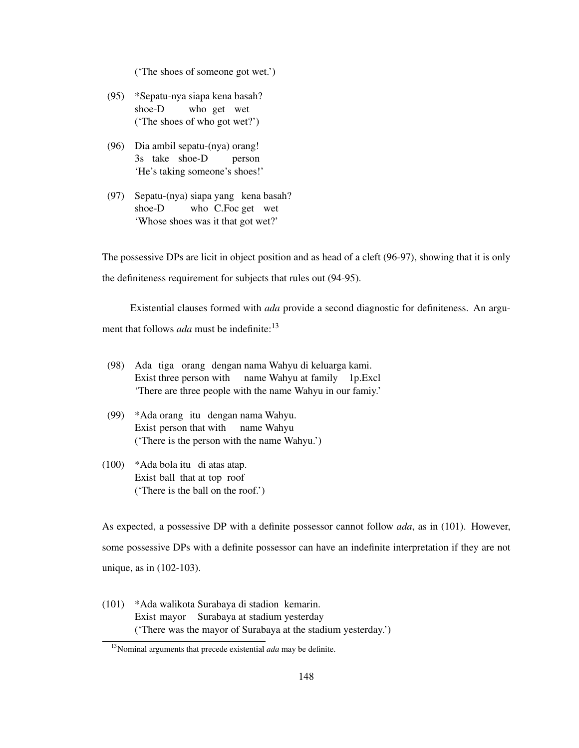('The shoes of someone got wet.')

- (95) \*Sepatu-nya siapa kena basah? shoe-D who get wet ('The shoes of who got wet?')
- (96) Dia ambil sepatu-(nya) orang! 3s take shoe-D person 'He's taking someone's shoes!'
- (97) Sepatu-(nya) siapa yang kena basah? shoe-D who C.Foc get wet 'Whose shoes was it that got wet?'

The possessive DPs are licit in object position and as head of a cleft (96-97), showing that it is only the definiteness requirement for subjects that rules out (94-95).

Existential clauses formed with *ada* provide a second diagnostic for definiteness. An argument that follows *ada* must be indefinite:<sup>13</sup>

- (98) Ada tiga orang dengan nama Wahyu di keluarga kami. Exist three person with name Wahyu at family 1p.Excl 'There are three people with the name Wahyu in our famiy.'
- (99) \*Ada orang itu dengan nama Wahyu. Exist person that with name Wahyu ('There is the person with the name Wahyu.')
- (100) \*Ada bola itu di atas atap. Exist ball that at top roof ('There is the ball on the roof.')

As expected, a possessive DP with a definite possessor cannot follow *ada*, as in (101). However, some possessive DPs with a definite possessor can have an indefinite interpretation if they are not unique, as in (102-103).

(101) \*Ada walikota Surabaya di stadion kemarin. Exist mayor Surabaya at stadium yesterday ('There was the mayor of Surabaya at the stadium yesterday.')

<sup>13</sup>Nominal arguments that precede existential *ada* may be definite.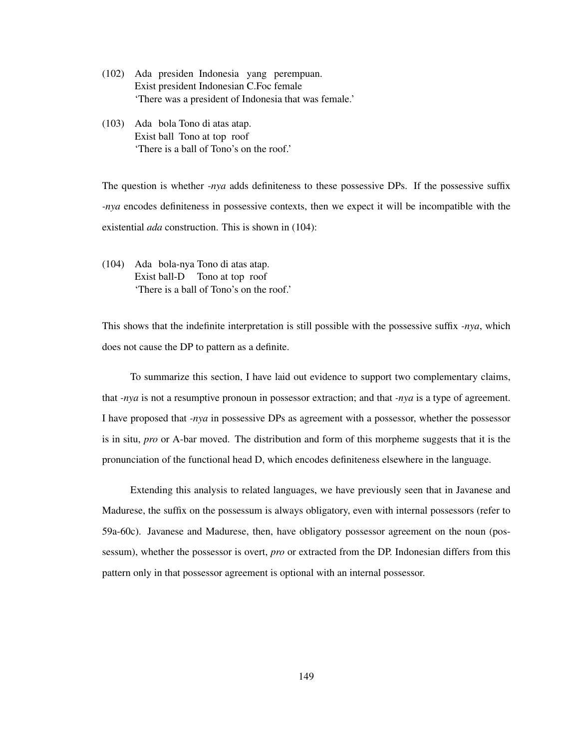- (102) Ada presiden Indonesia yang perempuan. Exist president Indonesian C.Foc female 'There was a president of Indonesia that was female.'
- (103) Ada bola Tono di atas atap. Exist ball Tono at top roof 'There is a ball of Tono's on the roof.'

The question is whether *-nya* adds definiteness to these possessive DPs. If the possessive suffix *-nya* encodes definiteness in possessive contexts, then we expect it will be incompatible with the existential *ada* construction. This is shown in (104):

(104) Ada bola-nya Tono di atas atap. Exist ball-D Tono at top roof 'There is a ball of Tono's on the roof.'

This shows that the indefinite interpretation is still possible with the possessive suffix *-nya*, which does not cause the DP to pattern as a definite.

To summarize this section, I have laid out evidence to support two complementary claims, that *-nya* is not a resumptive pronoun in possessor extraction; and that *-nya* is a type of agreement. I have proposed that *-nya* in possessive DPs as agreement with a possessor, whether the possessor is in situ, *pro* or A-bar moved. The distribution and form of this morpheme suggests that it is the pronunciation of the functional head D, which encodes definiteness elsewhere in the language.

Extending this analysis to related languages, we have previously seen that in Javanese and Madurese, the suffix on the possessum is always obligatory, even with internal possessors (refer to 59a-60c). Javanese and Madurese, then, have obligatory possessor agreement on the noun (possessum), whether the possessor is overt, *pro* or extracted from the DP. Indonesian differs from this pattern only in that possessor agreement is optional with an internal possessor.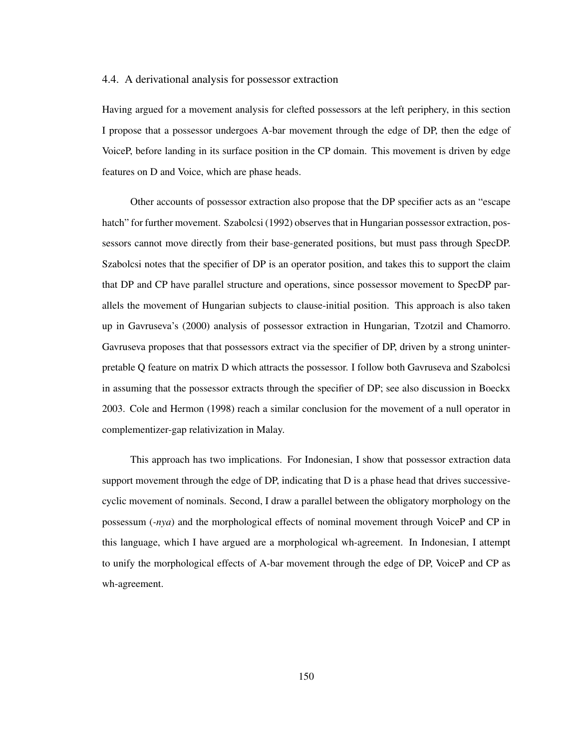### 4.4. A derivational analysis for possessor extraction

Having argued for a movement analysis for clefted possessors at the left periphery, in this section I propose that a possessor undergoes A-bar movement through the edge of DP, then the edge of VoiceP, before landing in its surface position in the CP domain. This movement is driven by edge features on D and Voice, which are phase heads.

Other accounts of possessor extraction also propose that the DP specifier acts as an "escape hatch" for further movement. Szabolcsi (1992) observes that in Hungarian possessor extraction, possessors cannot move directly from their base-generated positions, but must pass through SpecDP. Szabolcsi notes that the specifier of DP is an operator position, and takes this to support the claim that DP and CP have parallel structure and operations, since possessor movement to SpecDP parallels the movement of Hungarian subjects to clause-initial position. This approach is also taken up in Gavruseva's (2000) analysis of possessor extraction in Hungarian, Tzotzil and Chamorro. Gavruseva proposes that that possessors extract via the specifier of DP, driven by a strong uninterpretable Q feature on matrix D which attracts the possessor. I follow both Gavruseva and Szabolcsi in assuming that the possessor extracts through the specifier of DP; see also discussion in Boeckx 2003. Cole and Hermon (1998) reach a similar conclusion for the movement of a null operator in complementizer-gap relativization in Malay.

This approach has two implications. For Indonesian, I show that possessor extraction data support movement through the edge of DP, indicating that D is a phase head that drives successivecyclic movement of nominals. Second, I draw a parallel between the obligatory morphology on the possessum (*-nya*) and the morphological effects of nominal movement through VoiceP and CP in this language, which I have argued are a morphological wh-agreement. In Indonesian, I attempt to unify the morphological effects of A-bar movement through the edge of DP, VoiceP and CP as wh-agreement.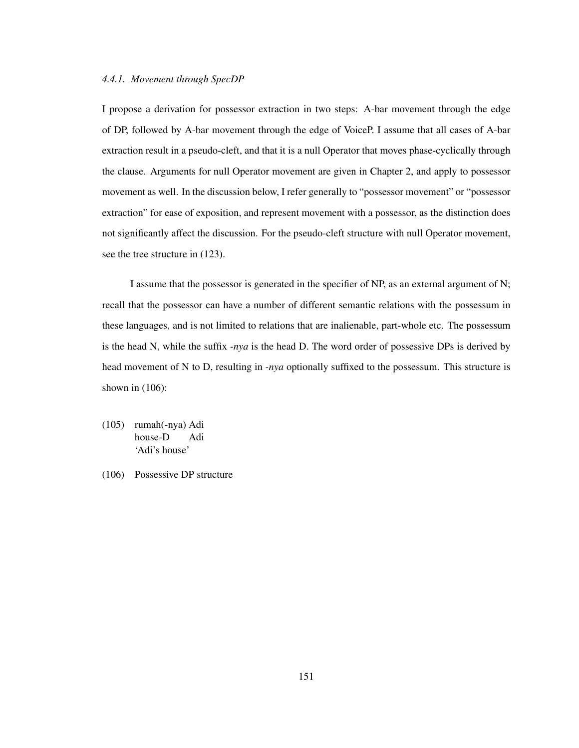### *4.4.1. Movement through SpecDP*

I propose a derivation for possessor extraction in two steps: A-bar movement through the edge of DP, followed by A-bar movement through the edge of VoiceP. I assume that all cases of A-bar extraction result in a pseudo-cleft, and that it is a null Operator that moves phase-cyclically through the clause. Arguments for null Operator movement are given in Chapter 2, and apply to possessor movement as well. In the discussion below, I refer generally to "possessor movement" or "possessor extraction" for ease of exposition, and represent movement with a possessor, as the distinction does not significantly affect the discussion. For the pseudo-cleft structure with null Operator movement, see the tree structure in (123).

I assume that the possessor is generated in the specifier of NP, as an external argument of N; recall that the possessor can have a number of different semantic relations with the possessum in these languages, and is not limited to relations that are inalienable, part-whole etc. The possessum is the head N, while the suffix *-nya* is the head D. The word order of possessive DPs is derived by head movement of N to D, resulting in *-nya* optionally suffixed to the possessum. This structure is shown in  $(106)$ :

- (105) rumah(-nya) Adi house-D Adi 'Adi's house'
- (106) Possessive DP structure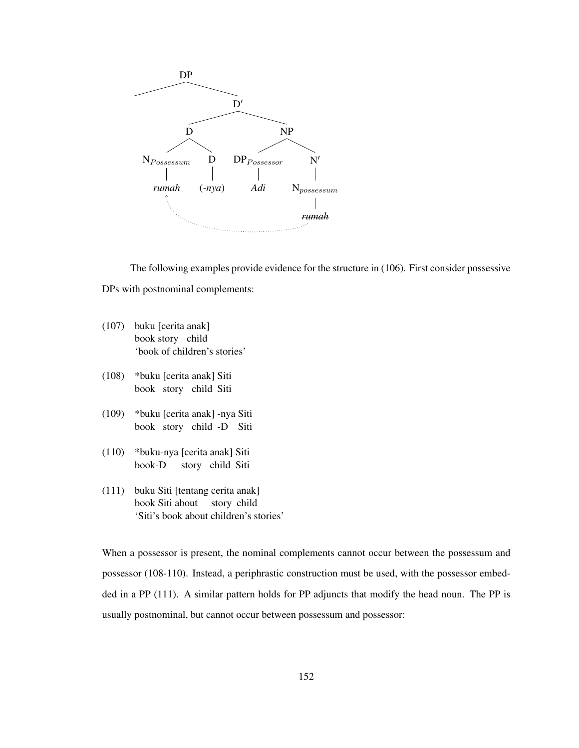

The following examples provide evidence for the structure in (106). First consider possessive DPs with postnominal complements:

- (107) buku [cerita anak] book story child 'book of children's stories'
- (108) \*buku [cerita anak] Siti book story child Siti
- (109) \*buku [cerita anak] -nya Siti book story child -D Siti
- (110) \*buku-nya [cerita anak] Siti book-D story child Siti
- (111) buku Siti [tentang cerita anak] book Siti about story child 'Siti's book about children's stories'

When a possessor is present, the nominal complements cannot occur between the possessum and possessor (108-110). Instead, a periphrastic construction must be used, with the possessor embedded in a PP (111). A similar pattern holds for PP adjuncts that modify the head noun. The PP is usually postnominal, but cannot occur between possessum and possessor: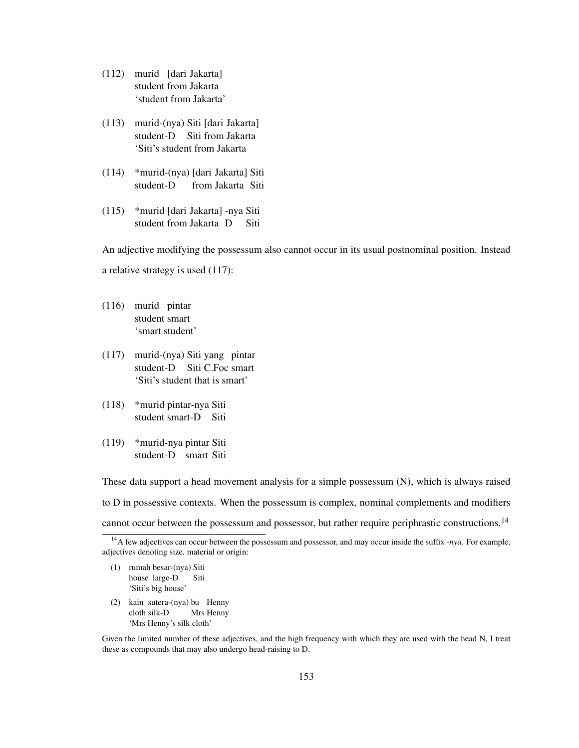- (112) murid [dari Jakarta] student from Jakarta 'student from Jakarta'
- (113) murid-(nya) Siti [dari Jakarta] student-D Siti from Jakarta 'Siti's student from Jakarta
- (114) \*murid-(nya) [dari Jakarta] Siti student-D from Jakarta Siti
- (115) \*murid [dari Jakarta] -nya Siti student from Jakarta D Siti

An adjective modifying the possessum also cannot occur in its usual postnominal position. Instead a relative strategy is used (117):

- (116) murid pintar student smart 'smart student'
- (117) murid-(nya) Siti yang pintar student-D Siti C.Foc smart 'Siti's student that is smart'
- (118) \*murid pintar-nya Siti student smart-D Siti
- (119) \*murid-nya pintar Siti student-D smart Siti

These data support a head movement analysis for a simple possessum (N), which is always raised to D in possessive contexts. When the possessum is complex, nominal complements and modifiers cannot occur between the possessum and possessor, but rather require periphrastic constructions.<sup>14</sup>

- (1) rumah besar-(nya) Siti house large-D Siti 'Siti's big house'
- (2) kain sutera-(nya) bu Henny cloth silk-D Mrs Henny 'Mrs Henny's silk cloth'

Given the limited number of these adjectives, and the high frequency with which they are used with the head N, I treat these as compounds that may also undergo head-raising to D.

<sup>&</sup>lt;sup>14</sup>A few adjectives can occur between the possessum and possessor, and may occur inside the suffix *-nya*. For example, adjectives denoting size, material or origin: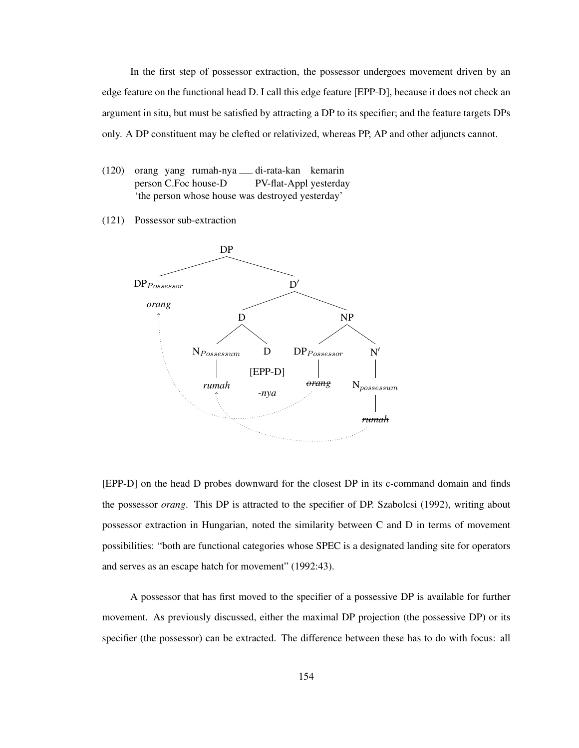In the first step of possessor extraction, the possessor undergoes movement driven by an edge feature on the functional head D. I call this edge feature [EPP-D], because it does not check an argument in situ, but must be satisfied by attracting a DP to its specifier; and the feature targets DPs only. A DP constituent may be clefted or relativized, whereas PP, AP and other adjuncts cannot.

- (120) orang yang rumah-nya di-rata-kan kemarin person C.Foc house-D PV-flat-Appl yesterday 'the person whose house was destroyed yesterday'
- (121) Possessor sub-extraction



[EPP-D] on the head D probes downward for the closest DP in its c-command domain and finds the possessor *orang*. This DP is attracted to the specifier of DP. Szabolcsi (1992), writing about possessor extraction in Hungarian, noted the similarity between C and D in terms of movement possibilities: "both are functional categories whose SPEC is a designated landing site for operators and serves as an escape hatch for movement" (1992:43).

A possessor that has first moved to the specifier of a possessive DP is available for further movement. As previously discussed, either the maximal DP projection (the possessive DP) or its specifier (the possessor) can be extracted. The difference between these has to do with focus: all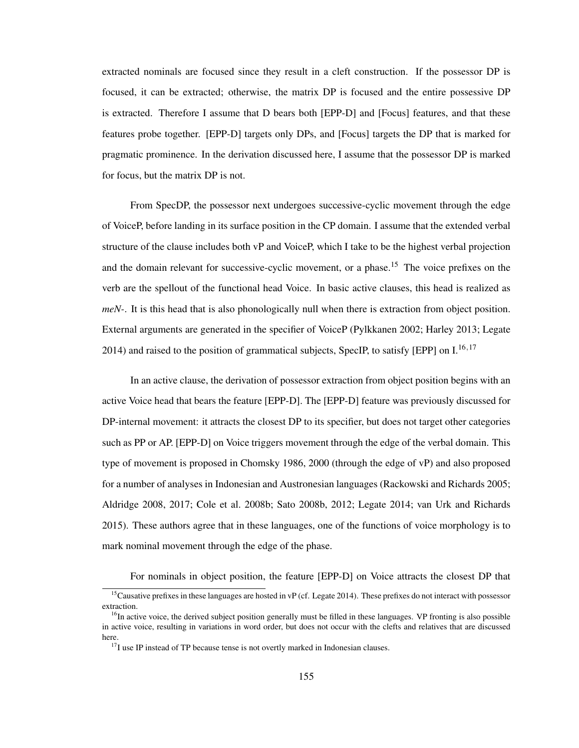extracted nominals are focused since they result in a cleft construction. If the possessor DP is focused, it can be extracted; otherwise, the matrix DP is focused and the entire possessive DP is extracted. Therefore I assume that D bears both [EPP-D] and [Focus] features, and that these features probe together. [EPP-D] targets only DPs, and [Focus] targets the DP that is marked for pragmatic prominence. In the derivation discussed here, I assume that the possessor DP is marked for focus, but the matrix DP is not.

From SpecDP, the possessor next undergoes successive-cyclic movement through the edge of VoiceP, before landing in its surface position in the CP domain. I assume that the extended verbal structure of the clause includes both vP and VoiceP, which I take to be the highest verbal projection and the domain relevant for successive-cyclic movement, or a phase.<sup>15</sup> The voice prefixes on the verb are the spellout of the functional head Voice. In basic active clauses, this head is realized as *meN-*. It is this head that is also phonologically null when there is extraction from object position. External arguments are generated in the specifier of VoiceP (Pylkkanen 2002; Harley 2013; Legate 2014) and raised to the position of grammatical subjects, SpecIP, to satisfy [EPP] on  $I^{16,17}$ 

In an active clause, the derivation of possessor extraction from object position begins with an active Voice head that bears the feature [EPP-D]. The [EPP-D] feature was previously discussed for DP-internal movement: it attracts the closest DP to its specifier, but does not target other categories such as PP or AP. [EPP-D] on Voice triggers movement through the edge of the verbal domain. This type of movement is proposed in Chomsky 1986, 2000 (through the edge of vP) and also proposed for a number of analyses in Indonesian and Austronesian languages (Rackowski and Richards 2005; Aldridge 2008, 2017; Cole et al. 2008b; Sato 2008b, 2012; Legate 2014; van Urk and Richards 2015). These authors agree that in these languages, one of the functions of voice morphology is to mark nominal movement through the edge of the phase.

For nominals in object position, the feature [EPP-D] on Voice attracts the closest DP that

 $<sup>15</sup>$ Causative prefixes in these languages are hosted in vP (cf. Legate 2014). These prefixes do not interact with possessor</sup> extraction.

 $<sup>16</sup>$ In active voice, the derived subject position generally must be filled in these languages. VP fronting is also possible</sup> in active voice, resulting in variations in word order, but does not occur with the clefts and relatives that are discussed here.

 $17$ I use IP instead of TP because tense is not overtly marked in Indonesian clauses.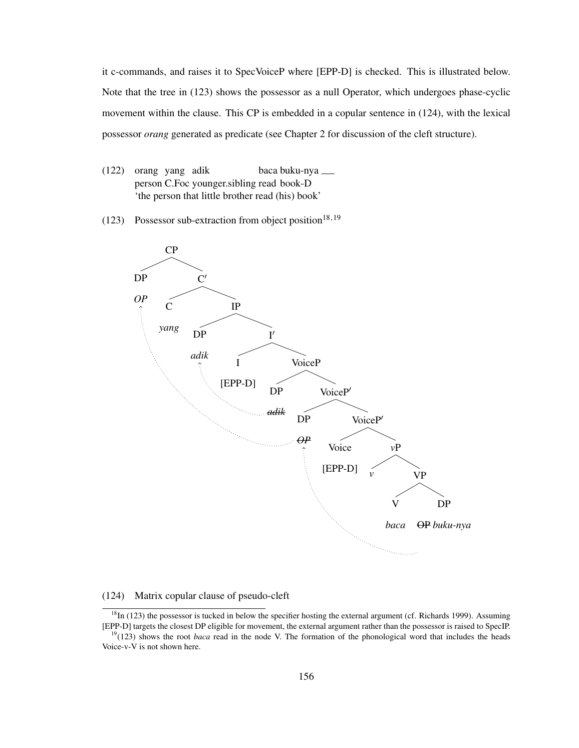it c-commands, and raises it to SpecVoiceP where [EPP-D] is checked. This is illustrated below. Note that the tree in (123) shows the possessor as a null Operator, which undergoes phase-cyclic movement within the clause. This CP is embedded in a copular sentence in (124), with the lexical possessor *orang* generated as predicate (see Chapter 2 for discussion of the cleft structure).

- (122) orang yang adik person C.Foc younger.sibling read book-D baca buku-nya 'the person that little brother read (his) book'
- (123) Possessor sub-extraction from object position<sup>18,19</sup>



### (124) Matrix copular clause of pseudo-cleft

 $18$ In (123) the possessor is tucked in below the specifier hosting the external argument (cf. Richards 1999). Assuming [EPP-D] targets the closest DP eligible for movement, the external argument rather than the possessor is raised to SpecIP.

<sup>&</sup>lt;sup>19</sup>(123) shows the root *baca* read in the node V. The formation of the phonological word that includes the heads Voice-v-V is not shown here.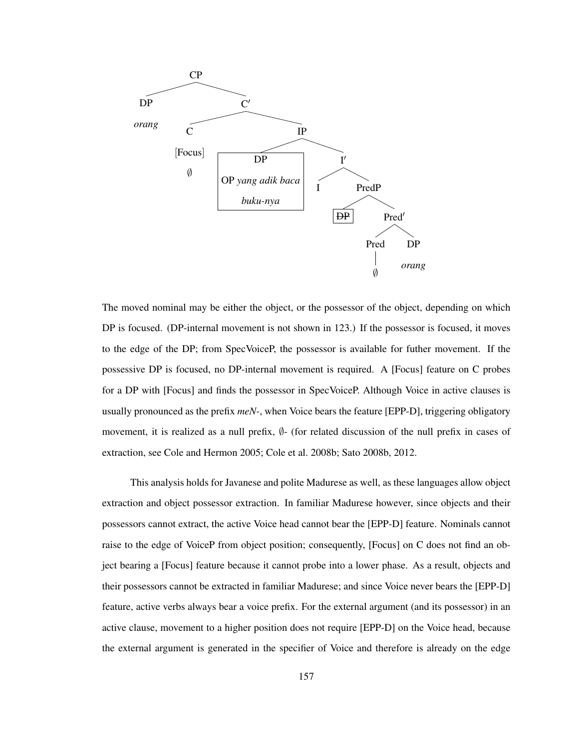

The moved nominal may be either the object, or the possessor of the object, depending on which DP is focused. (DP-internal movement is not shown in 123.) If the possessor is focused, it moves to the edge of the DP; from SpecVoiceP, the possessor is available for futher movement. If the possessive DP is focused, no DP-internal movement is required. A [Focus] feature on C probes for a DP with [Focus] and finds the possessor in SpecVoiceP. Although Voice in active clauses is usually pronounced as the prefix *meN-*, when Voice bears the feature [EPP-D], triggering obligatory movement, it is realized as a null prefix, ∅- (for related discussion of the null prefix in cases of extraction, see Cole and Hermon 2005; Cole et al. 2008b; Sato 2008b, 2012.

This analysis holds for Javanese and polite Madurese as well, as these languages allow object extraction and object possessor extraction. In familiar Madurese however, since objects and their possessors cannot extract, the active Voice head cannot bear the [EPP-D] feature. Nominals cannot raise to the edge of VoiceP from object position; consequently, [Focus] on C does not find an object bearing a [Focus] feature because it cannot probe into a lower phase. As a result, objects and their possessors cannot be extracted in familiar Madurese; and since Voice never bears the [EPP-D] feature, active verbs always bear a voice prefix. For the external argument (and its possessor) in an active clause, movement to a higher position does not require [EPP-D] on the Voice head, because the external argument is generated in the specifier of Voice and therefore is already on the edge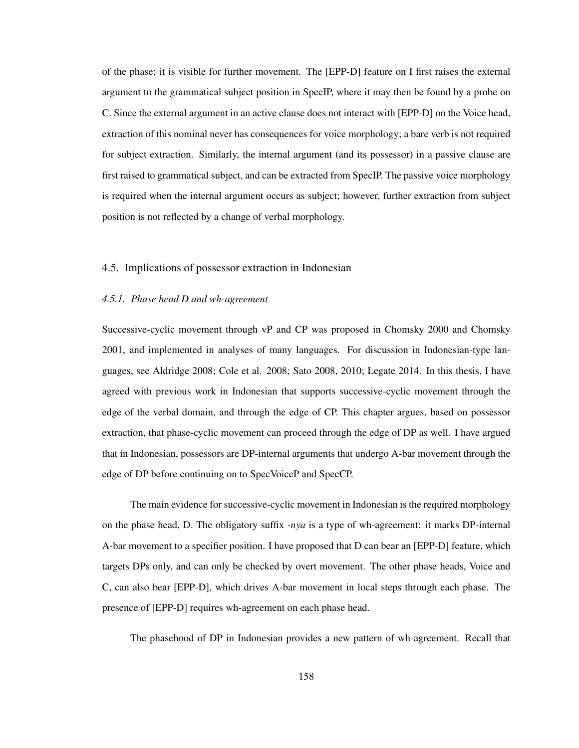of the phase; it is visible for further movement. The [EPP-D] feature on I first raises the external argument to the grammatical subject position in SpecIP, where it may then be found by a probe on C. Since the external argument in an active clause does not interact with [EPP-D] on the Voice head, extraction of this nominal never has consequences for voice morphology; a bare verb is not required for subject extraction. Similarly, the internal argument (and its possessor) in a passive clause are first raised to grammatical subject, and can be extracted from SpecIP. The passive voice morphology is required when the internal argument occurs as subject; however, further extraction from subject position is not reflected by a change of verbal morphology.

## 4.5. Implications of possessor extraction in Indonesian

### *4.5.1. Phase head D and wh-agreement*

Successive-cyclic movement through vP and CP was proposed in Chomsky 2000 and Chomsky 2001, and implemented in analyses of many languages. For discussion in Indonesian-type languages, see Aldridge 2008; Cole et al. 2008; Sato 2008, 2010; Legate 2014. In this thesis, I have agreed with previous work in Indonesian that supports successive-cyclic movement through the edge of the verbal domain, and through the edge of CP. This chapter argues, based on possessor extraction, that phase-cyclic movement can proceed through the edge of DP as well. I have argued that in Indonesian, possessors are DP-internal arguments that undergo A-bar movement through the edge of DP before continuing on to SpecVoiceP and SpecCP.

The main evidence for successive-cyclic movement in Indonesian is the required morphology on the phase head, D. The obligatory suffix *-nya* is a type of wh-agreement: it marks DP-internal A-bar movement to a specifier position. I have proposed that D can bear an [EPP-D] feature, which targets DPs only, and can only be checked by overt movement. The other phase heads, Voice and C, can also bear [EPP-D], which drives A-bar movement in local steps through each phase. The presence of [EPP-D] requires wh-agreement on each phase head.

The phasehood of DP in Indonesian provides a new pattern of wh-agreement. Recall that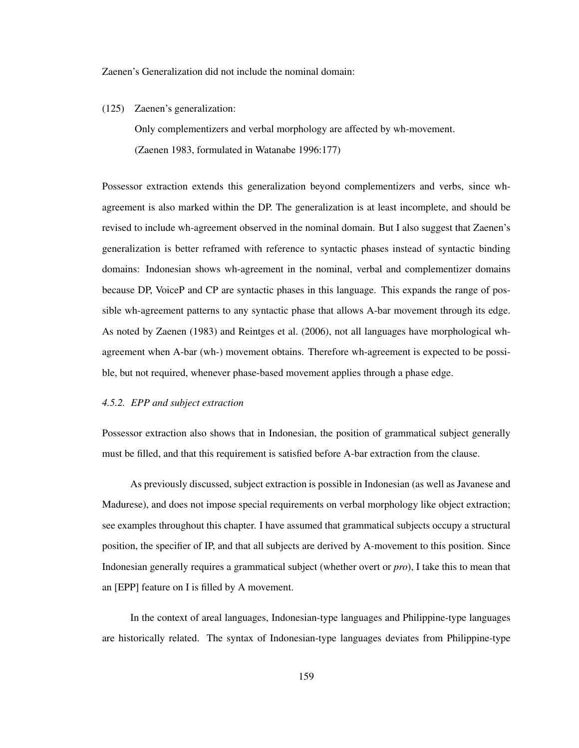Zaenen's Generalization did not include the nominal domain:

(125) Zaenen's generalization:

Only complementizers and verbal morphology are affected by wh-movement. (Zaenen 1983, formulated in Watanabe 1996:177)

Possessor extraction extends this generalization beyond complementizers and verbs, since whagreement is also marked within the DP. The generalization is at least incomplete, and should be revised to include wh-agreement observed in the nominal domain. But I also suggest that Zaenen's generalization is better reframed with reference to syntactic phases instead of syntactic binding domains: Indonesian shows wh-agreement in the nominal, verbal and complementizer domains because DP, VoiceP and CP are syntactic phases in this language. This expands the range of possible wh-agreement patterns to any syntactic phase that allows A-bar movement through its edge. As noted by Zaenen (1983) and Reintges et al. (2006), not all languages have morphological whagreement when A-bar (wh-) movement obtains. Therefore wh-agreement is expected to be possible, but not required, whenever phase-based movement applies through a phase edge.

### *4.5.2. EPP and subject extraction*

Possessor extraction also shows that in Indonesian, the position of grammatical subject generally must be filled, and that this requirement is satisfied before A-bar extraction from the clause.

As previously discussed, subject extraction is possible in Indonesian (as well as Javanese and Madurese), and does not impose special requirements on verbal morphology like object extraction; see examples throughout this chapter. I have assumed that grammatical subjects occupy a structural position, the specifier of IP, and that all subjects are derived by A-movement to this position. Since Indonesian generally requires a grammatical subject (whether overt or *pro*), I take this to mean that an [EPP] feature on I is filled by A movement.

In the context of areal languages, Indonesian-type languages and Philippine-type languages are historically related. The syntax of Indonesian-type languages deviates from Philippine-type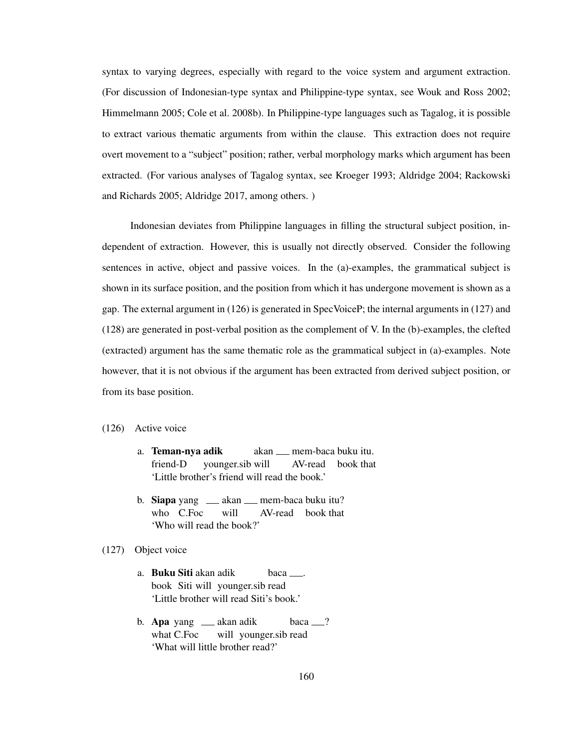syntax to varying degrees, especially with regard to the voice system and argument extraction. (For discussion of Indonesian-type syntax and Philippine-type syntax, see Wouk and Ross 2002; Himmelmann 2005; Cole et al. 2008b). In Philippine-type languages such as Tagalog, it is possible to extract various thematic arguments from within the clause. This extraction does not require overt movement to a "subject" position; rather, verbal morphology marks which argument has been extracted. (For various analyses of Tagalog syntax, see Kroeger 1993; Aldridge 2004; Rackowski and Richards 2005; Aldridge 2017, among others. )

Indonesian deviates from Philippine languages in filling the structural subject position, independent of extraction. However, this is usually not directly observed. Consider the following sentences in active, object and passive voices. In the (a)-examples, the grammatical subject is shown in its surface position, and the position from which it has undergone movement is shown as a gap. The external argument in (126) is generated in SpecVoiceP; the internal arguments in (127) and (128) are generated in post-verbal position as the complement of V. In the (b)-examples, the clefted (extracted) argument has the same thematic role as the grammatical subject in (a)-examples. Note however, that it is not obvious if the argument has been extracted from derived subject position, or from its base position.

- (126) Active voice
	- a. Teman-nya adik friend-D younger.sib will akan mem-baca buku itu. AV-read book that 'Little brother's friend will read the book.'
	- b. Siapa yang  $\_\_\_\$ akan $\_\_\_\$ mem-baca buku itu? who C.Foc will AV-read book that 'Who will read the book?'

# (127) Object voice

- a. Buku Siti akan adik book Siti will younger.sib read baca . 'Little brother will read Siti's book.'
- b. **Apa** yang <sub>—</sub> akan adik what C.Foc will younger.sib read baca ? 'What will little brother read?'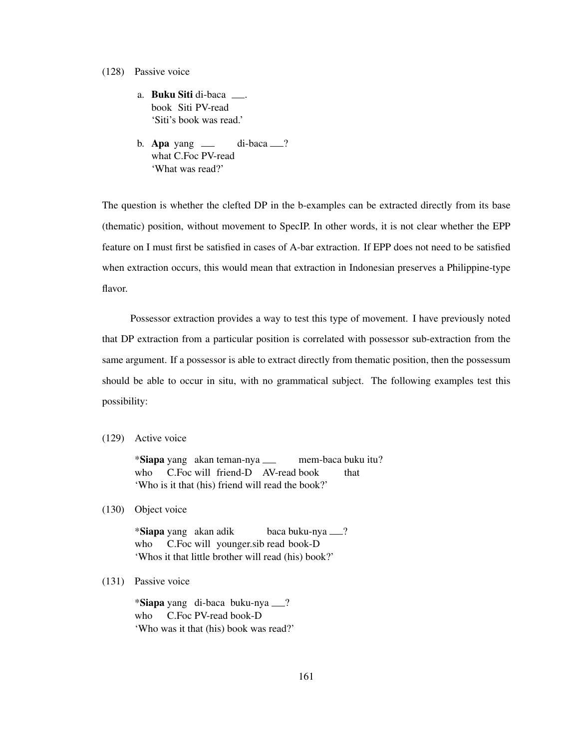- (128) Passive voice
	- a. Buku Siti di-baca . book Siti PV-read 'Siti's book was read.'
	- b. **Apa** yang what C.Foc PV-read  $di-baca$   $\_\$ ? 'What was read?'

The question is whether the clefted DP in the b-examples can be extracted directly from its base (thematic) position, without movement to SpecIP. In other words, it is not clear whether the EPP feature on I must first be satisfied in cases of A-bar extraction. If EPP does not need to be satisfied when extraction occurs, this would mean that extraction in Indonesian preserves a Philippine-type flavor.

Possessor extraction provides a way to test this type of movement. I have previously noted that DP extraction from a particular position is correlated with possessor sub-extraction from the same argument. If a possessor is able to extract directly from thematic position, then the possessum should be able to occur in situ, with no grammatical subject. The following examples test this possibility:

(129) Active voice

\*Siapa yang akan teman-nya who C.Foc will friend-D AV-read book mem-baca buku itu? that 'Who is it that (his) friend will read the book?'

(130) Object voice

\*Siapa yang akan adik who C.Foc will younger.sib read book-D baca buku-nya ? 'Whos it that little brother will read (his) book?'

(131) Passive voice

\*Siapa yang di-baca buku-nya ? who C.Foc PV-read book-D 'Who was it that (his) book was read?'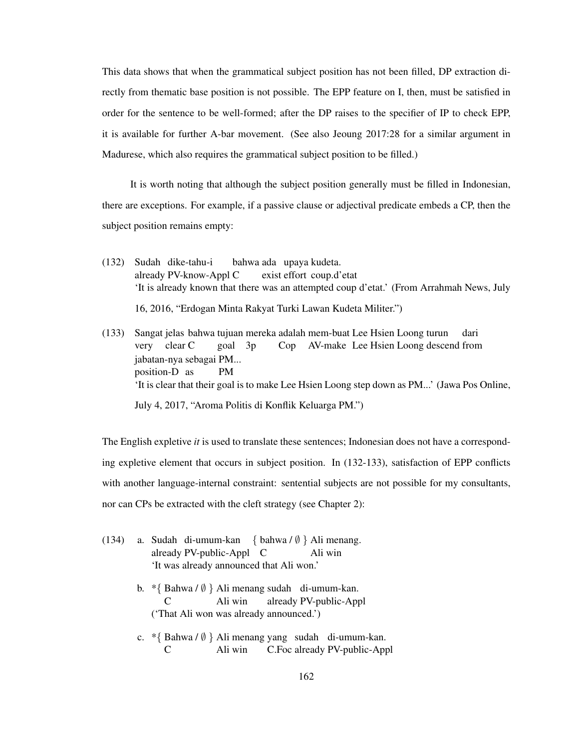This data shows that when the grammatical subject position has not been filled, DP extraction directly from thematic base position is not possible. The EPP feature on I, then, must be satisfied in order for the sentence to be well-formed; after the DP raises to the specifier of IP to check EPP, it is available for further A-bar movement. (See also Jeoung 2017:28 for a similar argument in Madurese, which also requires the grammatical subject position to be filled.)

It is worth noting that although the subject position generally must be filled in Indonesian, there are exceptions. For example, if a passive clause or adjectival predicate embeds a CP, then the subject position remains empty:

- (132) Sudah dike-tahu-i already PV-know-Appl C bahwa ada upaya kudeta. exist effort coup.d'etat 'It is already known that there was an attempted coup d'etat.' (From Arrahmah News, July 16, 2016, "Erdogan Minta Rakyat Turki Lawan Kudeta Militer.")
- (133) Sangat jelas bahwa tujuan mereka adalah mem-buat Lee Hsien Loong turun very clear C goal 3p Cop AV-make Lee Hsien Loong descend from dari jabatan-nya sebagai PM... position-D as PM 'It is clear that their goal is to make Lee Hsien Loong step down as PM...' (Jawa Pos Online, July 4, 2017, "Aroma Politis di Konflik Keluarga PM.")

The English expletive *it* is used to translate these sentences; Indonesian does not have a corresponding expletive element that occurs in subject position. In (132-133), satisfaction of EPP conflicts with another language-internal constraint: sentential subjects are not possible for my consultants, nor can CPs be extracted with the cleft strategy (see Chapter 2):

- (134) a. Sudah di-umum-kan { bahwa / ∅ } Ali menang. already PV-public-Appl C Ali win 'It was already announced that Ali won.'
	- b. \*{ Bahwa / ∅ } Ali menang sudah di-umum-kan. C Ali win already PV-public-Appl ('That Ali won was already announced.')
	- c. \*{ Bahwa / ∅ } Ali menang yang sudah di-umum-kan. C Ali win C.Foc already PV-public-Appl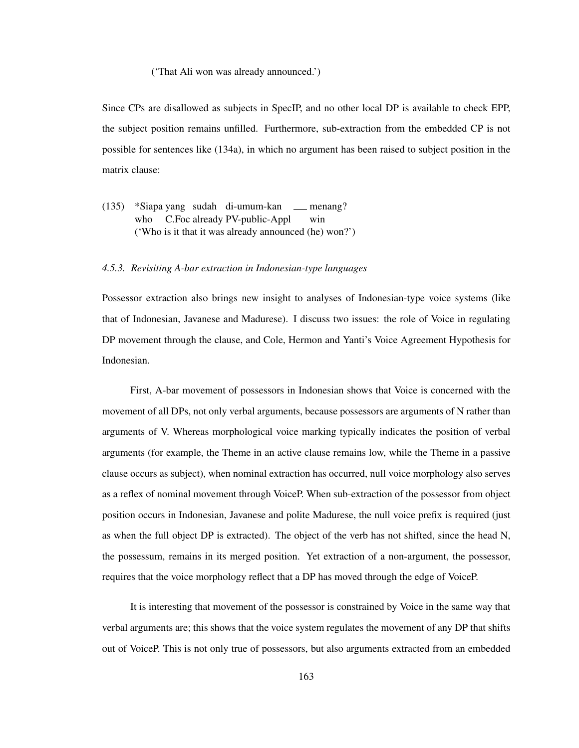#### ('That Ali won was already announced.')

Since CPs are disallowed as subjects in SpecIP, and no other local DP is available to check EPP, the subject position remains unfilled. Furthermore, sub-extraction from the embedded CP is not possible for sentences like (134a), in which no argument has been raised to subject position in the matrix clause:

(135) \*Siapa yang sudah di-umum-kan menang? who C.Foc already PV-public-Appl win ('Who is it that it was already announced (he) won?')

### *4.5.3. Revisiting A-bar extraction in Indonesian-type languages*

Possessor extraction also brings new insight to analyses of Indonesian-type voice systems (like that of Indonesian, Javanese and Madurese). I discuss two issues: the role of Voice in regulating DP movement through the clause, and Cole, Hermon and Yanti's Voice Agreement Hypothesis for Indonesian.

First, A-bar movement of possessors in Indonesian shows that Voice is concerned with the movement of all DPs, not only verbal arguments, because possessors are arguments of N rather than arguments of V. Whereas morphological voice marking typically indicates the position of verbal arguments (for example, the Theme in an active clause remains low, while the Theme in a passive clause occurs as subject), when nominal extraction has occurred, null voice morphology also serves as a reflex of nominal movement through VoiceP. When sub-extraction of the possessor from object position occurs in Indonesian, Javanese and polite Madurese, the null voice prefix is required (just as when the full object DP is extracted). The object of the verb has not shifted, since the head N, the possessum, remains in its merged position. Yet extraction of a non-argument, the possessor, requires that the voice morphology reflect that a DP has moved through the edge of VoiceP.

It is interesting that movement of the possessor is constrained by Voice in the same way that verbal arguments are; this shows that the voice system regulates the movement of any DP that shifts out of VoiceP. This is not only true of possessors, but also arguments extracted from an embedded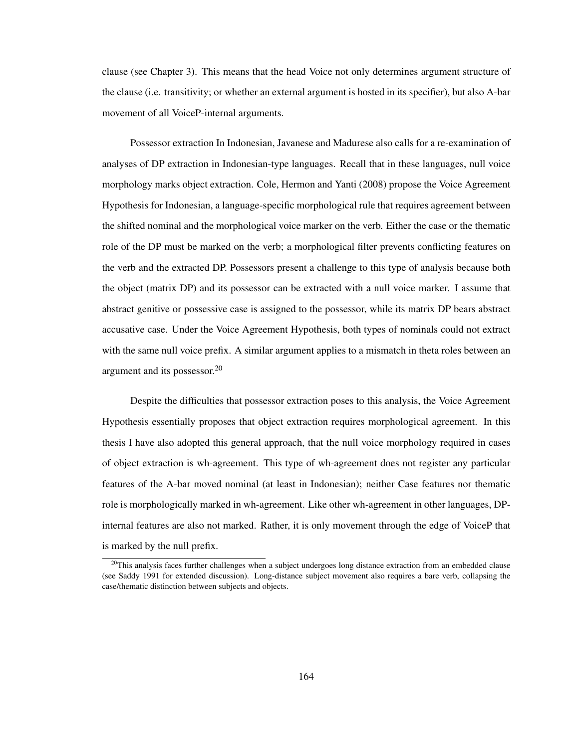clause (see Chapter 3). This means that the head Voice not only determines argument structure of the clause (i.e. transitivity; or whether an external argument is hosted in its specifier), but also A-bar movement of all VoiceP-internal arguments.

Possessor extraction In Indonesian, Javanese and Madurese also calls for a re-examination of analyses of DP extraction in Indonesian-type languages. Recall that in these languages, null voice morphology marks object extraction. Cole, Hermon and Yanti (2008) propose the Voice Agreement Hypothesis for Indonesian, a language-specific morphological rule that requires agreement between the shifted nominal and the morphological voice marker on the verb. Either the case or the thematic role of the DP must be marked on the verb; a morphological filter prevents conflicting features on the verb and the extracted DP. Possessors present a challenge to this type of analysis because both the object (matrix DP) and its possessor can be extracted with a null voice marker. I assume that abstract genitive or possessive case is assigned to the possessor, while its matrix DP bears abstract accusative case. Under the Voice Agreement Hypothesis, both types of nominals could not extract with the same null voice prefix. A similar argument applies to a mismatch in theta roles between an argument and its possessor.<sup>20</sup>

Despite the difficulties that possessor extraction poses to this analysis, the Voice Agreement Hypothesis essentially proposes that object extraction requires morphological agreement. In this thesis I have also adopted this general approach, that the null voice morphology required in cases of object extraction is wh-agreement. This type of wh-agreement does not register any particular features of the A-bar moved nominal (at least in Indonesian); neither Case features nor thematic role is morphologically marked in wh-agreement. Like other wh-agreement in other languages, DPinternal features are also not marked. Rather, it is only movement through the edge of VoiceP that is marked by the null prefix.

 $20$ This analysis faces further challenges when a subject undergoes long distance extraction from an embedded clause (see Saddy 1991 for extended discussion). Long-distance subject movement also requires a bare verb, collapsing the case/thematic distinction between subjects and objects.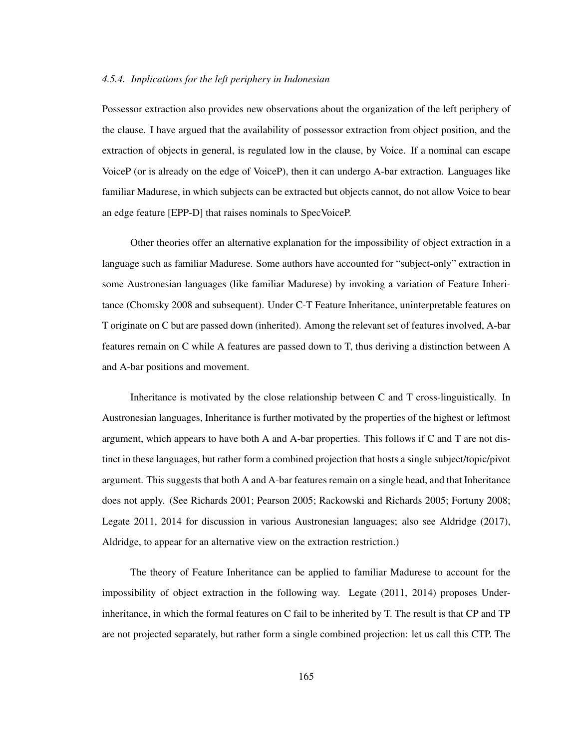### *4.5.4. Implications for the left periphery in Indonesian*

Possessor extraction also provides new observations about the organization of the left periphery of the clause. I have argued that the availability of possessor extraction from object position, and the extraction of objects in general, is regulated low in the clause, by Voice. If a nominal can escape VoiceP (or is already on the edge of VoiceP), then it can undergo A-bar extraction. Languages like familiar Madurese, in which subjects can be extracted but objects cannot, do not allow Voice to bear an edge feature [EPP-D] that raises nominals to SpecVoiceP.

Other theories offer an alternative explanation for the impossibility of object extraction in a language such as familiar Madurese. Some authors have accounted for "subject-only" extraction in some Austronesian languages (like familiar Madurese) by invoking a variation of Feature Inheritance (Chomsky 2008 and subsequent). Under C-T Feature Inheritance, uninterpretable features on T originate on C but are passed down (inherited). Among the relevant set of features involved, A-bar features remain on C while A features are passed down to T, thus deriving a distinction between A and A-bar positions and movement.

Inheritance is motivated by the close relationship between C and T cross-linguistically. In Austronesian languages, Inheritance is further motivated by the properties of the highest or leftmost argument, which appears to have both A and A-bar properties. This follows if C and T are not distinct in these languages, but rather form a combined projection that hosts a single subject/topic/pivot argument. This suggests that both A and A-bar features remain on a single head, and that Inheritance does not apply. (See Richards 2001; Pearson 2005; Rackowski and Richards 2005; Fortuny 2008; Legate 2011, 2014 for discussion in various Austronesian languages; also see Aldridge (2017), Aldridge, to appear for an alternative view on the extraction restriction.)

The theory of Feature Inheritance can be applied to familiar Madurese to account for the impossibility of object extraction in the following way. Legate (2011, 2014) proposes Underinheritance, in which the formal features on C fail to be inherited by T. The result is that CP and TP are not projected separately, but rather form a single combined projection: let us call this CTP. The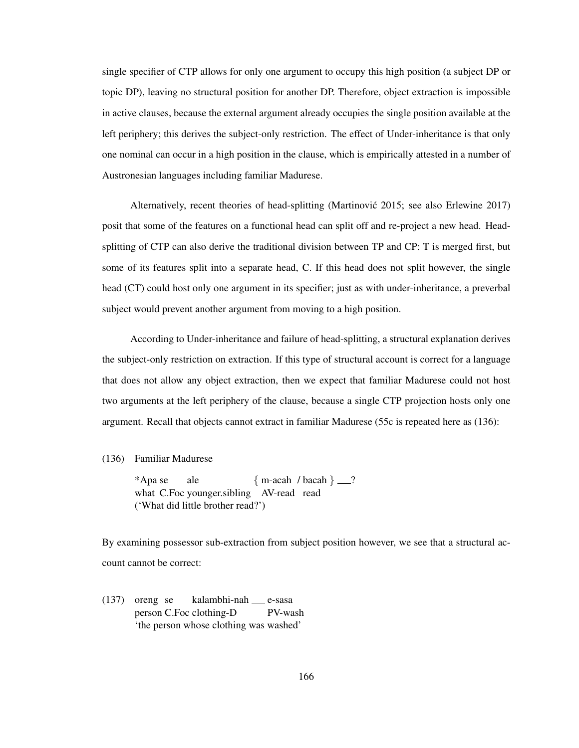single specifier of CTP allows for only one argument to occupy this high position (a subject DP or topic DP), leaving no structural position for another DP. Therefore, object extraction is impossible in active clauses, because the external argument already occupies the single position available at the left periphery; this derives the subject-only restriction. The effect of Under-inheritance is that only one nominal can occur in a high position in the clause, which is empirically attested in a number of Austronesian languages including familiar Madurese.

Alternatively, recent theories of head-splitting (Martinović 2015; see also Erlewine 2017) posit that some of the features on a functional head can split off and re-project a new head. Headsplitting of CTP can also derive the traditional division between TP and CP: T is merged first, but some of its features split into a separate head, C. If this head does not split however, the single head (CT) could host only one argument in its specifier; just as with under-inheritance, a preverbal subject would prevent another argument from moving to a high position.

According to Under-inheritance and failure of head-splitting, a structural explanation derives the subject-only restriction on extraction. If this type of structural account is correct for a language that does not allow any object extraction, then we expect that familiar Madurese could not host two arguments at the left periphery of the clause, because a single CTP projection hosts only one argument. Recall that objects cannot extract in familiar Madurese (55c is repeated here as (136):

#### (136) Familiar Madurese

\*Apa se what C.Foc younger.sibling AV-read read ale  ${m\text{-acah}}$  / bacah } \_\_? ('What did little brother read?')

By examining possessor sub-extraction from subject position however, we see that a structural account cannot be correct:

(137) oreng se person C.Foc clothing-D kalambhi-nah e-sasa PV-wash 'the person whose clothing was washed'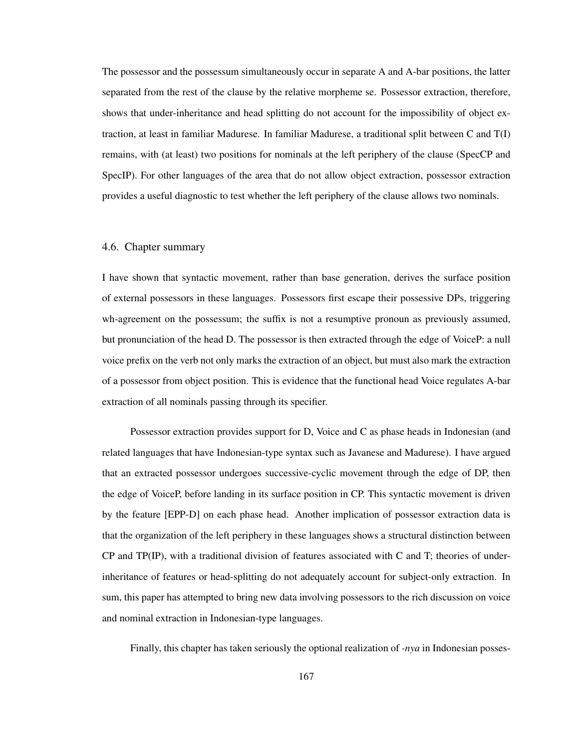The possessor and the possessum simultaneously occur in separate A and A-bar positions, the latter separated from the rest of the clause by the relative morpheme se. Possessor extraction, therefore, shows that under-inheritance and head splitting do not account for the impossibility of object extraction, at least in familiar Madurese. In familiar Madurese, a traditional split between C and T(I) remains, with (at least) two positions for nominals at the left periphery of the clause (SpecCP and SpecIP). For other languages of the area that do not allow object extraction, possessor extraction provides a useful diagnostic to test whether the left periphery of the clause allows two nominals.

## 4.6. Chapter summary

I have shown that syntactic movement, rather than base generation, derives the surface position of external possessors in these languages. Possessors first escape their possessive DPs, triggering wh-agreement on the possessum; the suffix is not a resumptive pronoun as previously assumed, but pronunciation of the head D. The possessor is then extracted through the edge of VoiceP: a null voice prefix on the verb not only marks the extraction of an object, but must also mark the extraction of a possessor from object position. This is evidence that the functional head Voice regulates A-bar extraction of all nominals passing through its specifier.

Possessor extraction provides support for D, Voice and C as phase heads in Indonesian (and related languages that have Indonesian-type syntax such as Javanese and Madurese). I have argued that an extracted possessor undergoes successive-cyclic movement through the edge of DP, then the edge of VoiceP, before landing in its surface position in CP. This syntactic movement is driven by the feature [EPP-D] on each phase head. Another implication of possessor extraction data is that the organization of the left periphery in these languages shows a structural distinction between CP and TP(IP), with a traditional division of features associated with C and T; theories of underinheritance of features or head-splitting do not adequately account for subject-only extraction. In sum, this paper has attempted to bring new data involving possessors to the rich discussion on voice and nominal extraction in Indonesian-type languages.

Finally, this chapter has taken seriously the optional realization of *-nya* in Indonesian posses-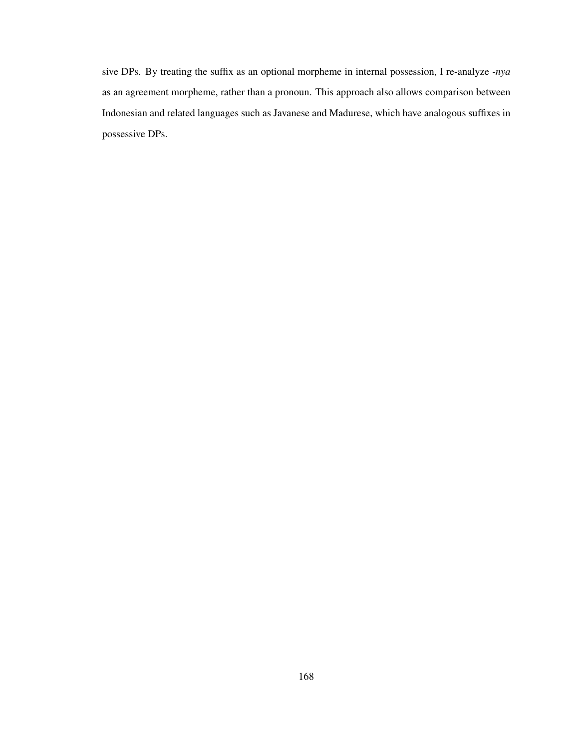sive DPs. By treating the suffix as an optional morpheme in internal possession, I re-analyze *-nya* as an agreement morpheme, rather than a pronoun. This approach also allows comparison between Indonesian and related languages such as Javanese and Madurese, which have analogous suffixes in possessive DPs.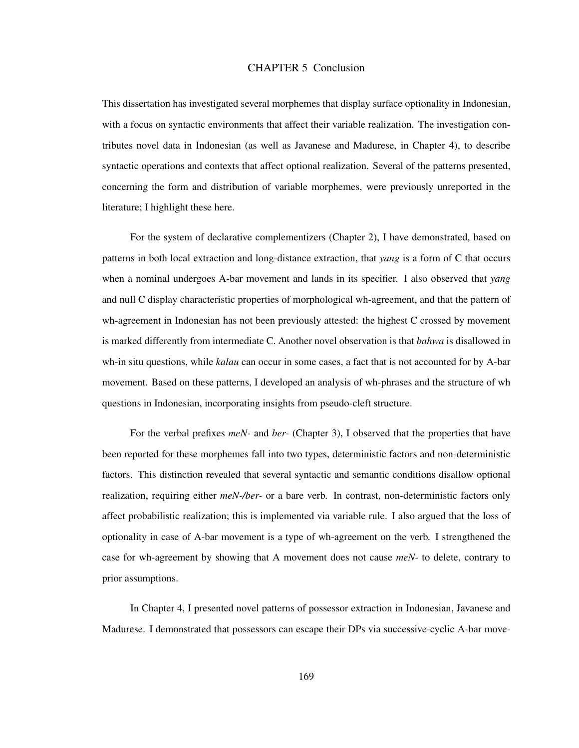## CHAPTER 5 Conclusion

This dissertation has investigated several morphemes that display surface optionality in Indonesian, with a focus on syntactic environments that affect their variable realization. The investigation contributes novel data in Indonesian (as well as Javanese and Madurese, in Chapter 4), to describe syntactic operations and contexts that affect optional realization. Several of the patterns presented, concerning the form and distribution of variable morphemes, were previously unreported in the literature; I highlight these here.

For the system of declarative complementizers (Chapter 2), I have demonstrated, based on patterns in both local extraction and long-distance extraction, that *yang* is a form of C that occurs when a nominal undergoes A-bar movement and lands in its specifier. I also observed that *yang* and null C display characteristic properties of morphological wh-agreement, and that the pattern of wh-agreement in Indonesian has not been previously attested: the highest C crossed by movement is marked differently from intermediate C. Another novel observation is that *bahwa* is disallowed in wh-in situ questions, while *kalau* can occur in some cases, a fact that is not accounted for by A-bar movement. Based on these patterns, I developed an analysis of wh-phrases and the structure of wh questions in Indonesian, incorporating insights from pseudo-cleft structure.

For the verbal prefixes *meN-* and *ber-* (Chapter 3), I observed that the properties that have been reported for these morphemes fall into two types, deterministic factors and non-deterministic factors. This distinction revealed that several syntactic and semantic conditions disallow optional realization, requiring either *meN-/ber-* or a bare verb. In contrast, non-deterministic factors only affect probabilistic realization; this is implemented via variable rule. I also argued that the loss of optionality in case of A-bar movement is a type of wh-agreement on the verb. I strengthened the case for wh-agreement by showing that A movement does not cause *meN-* to delete, contrary to prior assumptions.

In Chapter 4, I presented novel patterns of possessor extraction in Indonesian, Javanese and Madurese. I demonstrated that possessors can escape their DPs via successive-cyclic A-bar move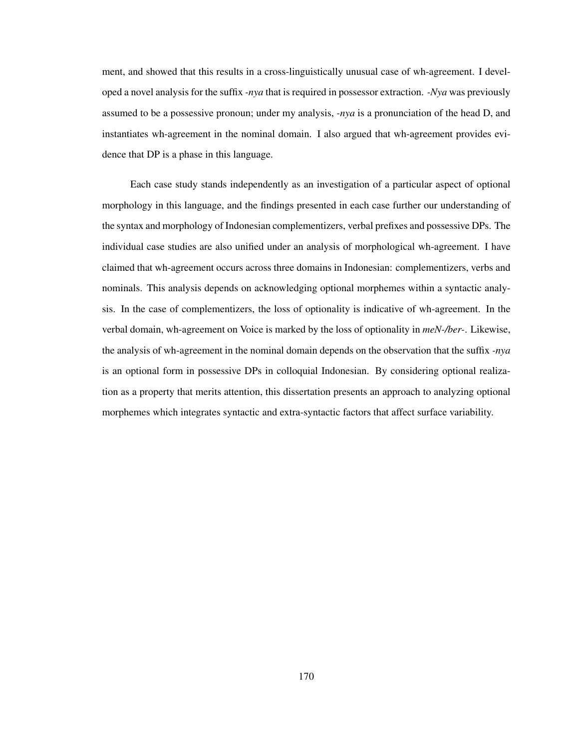ment, and showed that this results in a cross-linguistically unusual case of wh-agreement. I developed a novel analysis for the suffix *-nya* that is required in possessor extraction. *-Nya* was previously assumed to be a possessive pronoun; under my analysis, *-nya* is a pronunciation of the head D, and instantiates wh-agreement in the nominal domain. I also argued that wh-agreement provides evidence that DP is a phase in this language.

Each case study stands independently as an investigation of a particular aspect of optional morphology in this language, and the findings presented in each case further our understanding of the syntax and morphology of Indonesian complementizers, verbal prefixes and possessive DPs. The individual case studies are also unified under an analysis of morphological wh-agreement. I have claimed that wh-agreement occurs across three domains in Indonesian: complementizers, verbs and nominals. This analysis depends on acknowledging optional morphemes within a syntactic analysis. In the case of complementizers, the loss of optionality is indicative of wh-agreement. In the verbal domain, wh-agreement on Voice is marked by the loss of optionality in *meN-/ber-*. Likewise, the analysis of wh-agreement in the nominal domain depends on the observation that the suffix *-nya* is an optional form in possessive DPs in colloquial Indonesian. By considering optional realization as a property that merits attention, this dissertation presents an approach to analyzing optional morphemes which integrates syntactic and extra-syntactic factors that affect surface variability.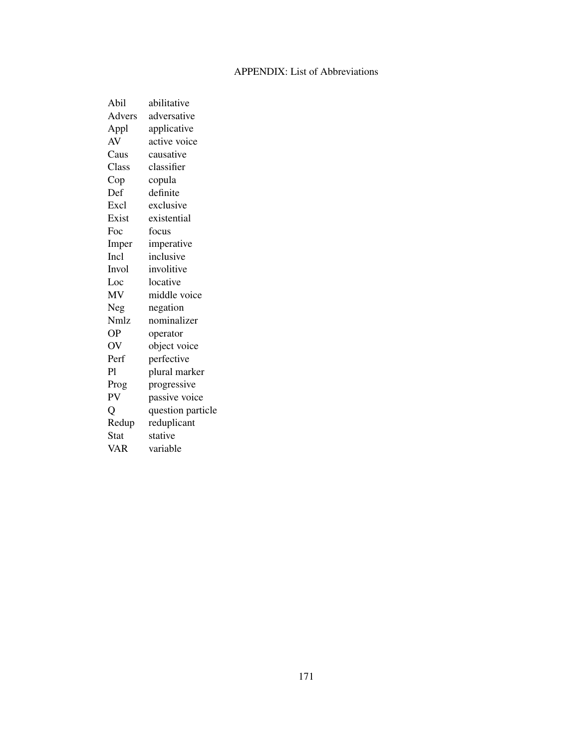## APPENDIX: List of Abbreviations

| Abil           | abilitative       |
|----------------|-------------------|
| Advers         | adversative       |
| Appl           | applicative       |
| AV             | active voice      |
| Caus           | causative         |
| Class          | classifier        |
| $\mathsf{Cop}$ | copula            |
| Def            | definite          |
| Excl           | exclusive         |
| Exist          | existential       |
| Foc            | focus             |
| Imper          | imperative        |
| Incl           | inclusive         |
| Invol          | involitive        |
| Loc            | locative          |
| MV             | middle voice      |
| Neg            | negation          |
| Nmlz           | nominalizer       |
| OΡ             | operator          |
| OV             | object voice      |
| Perf           | perfective        |
| P1             | plural marker     |
| Prog           | progressive       |
| PV             | passive voice     |
| Q              | question particle |
| Redup          | reduplicant       |
| <b>Stat</b>    | stative           |
| VAR            | variable          |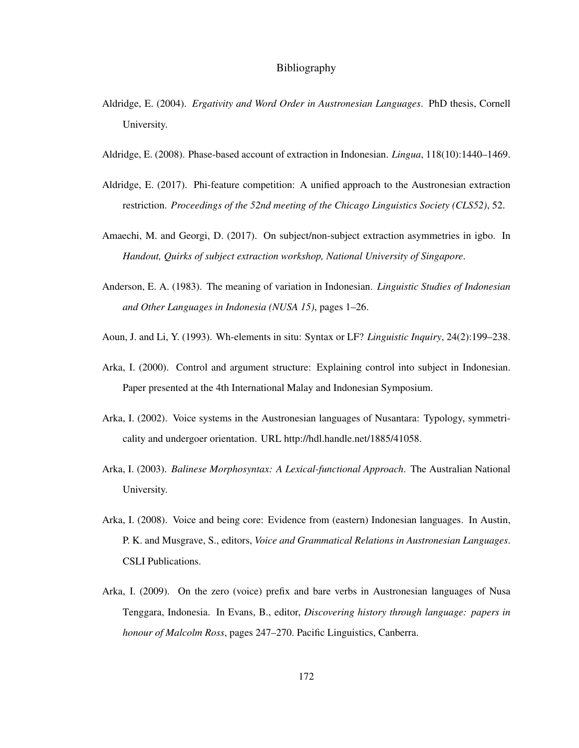## Bibliography

- Aldridge, E. (2004). *Ergativity and Word Order in Austronesian Languages*. PhD thesis, Cornell University.
- Aldridge, E. (2008). Phase-based account of extraction in Indonesian. *Lingua*, 118(10):1440–1469.
- Aldridge, E. (2017). Phi-feature competition: A unified approach to the Austronesian extraction restriction. *Proceedings of the 52nd meeting of the Chicago Linguistics Society (CLS52)*, 52.
- Amaechi, M. and Georgi, D. (2017). On subject/non-subject extraction asymmetries in igbo. In *Handout, Quirks of subject extraction workshop, National University of Singapore*.
- Anderson, E. A. (1983). The meaning of variation in Indonesian. *Linguistic Studies of Indonesian and Other Languages in Indonesia (NUSA 15)*, pages 1–26.
- Aoun, J. and Li, Y. (1993). Wh-elements in situ: Syntax or LF? *Linguistic Inquiry*, 24(2):199–238.
- Arka, I. (2000). Control and argument structure: Explaining control into subject in Indonesian. Paper presented at the 4th International Malay and Indonesian Symposium.
- Arka, I. (2002). Voice systems in the Austronesian languages of Nusantara: Typology, symmetricality and undergoer orientation. URL http://hdl.handle.net/1885/41058.
- Arka, I. (2003). *Balinese Morphosyntax: A Lexical-functional Approach*. The Australian National University.
- Arka, I. (2008). Voice and being core: Evidence from (eastern) Indonesian languages. In Austin, P. K. and Musgrave, S., editors, *Voice and Grammatical Relations in Austronesian Languages*. CSLI Publications.
- Arka, I. (2009). On the zero (voice) prefix and bare verbs in Austronesian languages of Nusa Tenggara, Indonesia. In Evans, B., editor, *Discovering history through language: papers in honour of Malcolm Ross*, pages 247–270. Pacific Linguistics, Canberra.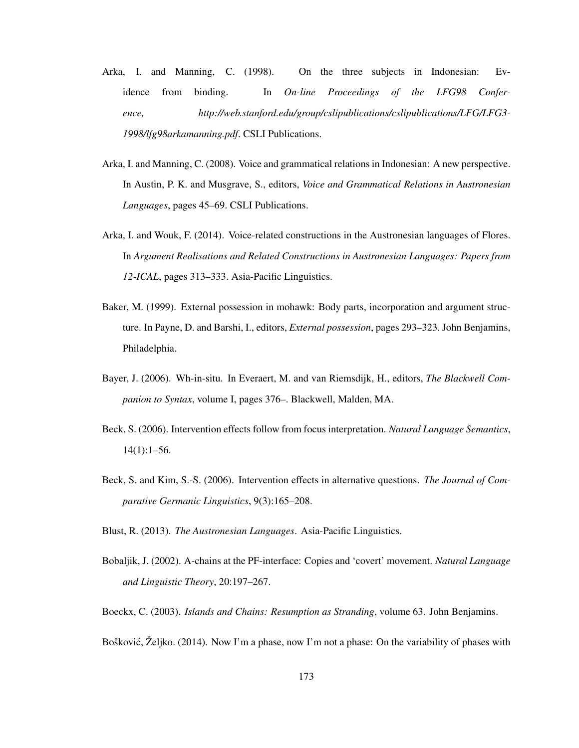- Arka, I. and Manning, C. (1998). On the three subjects in Indonesian: Evidence from binding. In *On-line Proceedings of the LFG98 Conference, http://web.stanford.edu/group/cslipublications/cslipublications/LFG/LFG3- 1998/lfg98arkamanning.pdf*. CSLI Publications.
- Arka, I. and Manning, C. (2008). Voice and grammatical relations in Indonesian: A new perspective. In Austin, P. K. and Musgrave, S., editors, *Voice and Grammatical Relations in Austronesian Languages*, pages 45–69. CSLI Publications.
- Arka, I. and Wouk, F. (2014). Voice-related constructions in the Austronesian languages of Flores. In *Argument Realisations and Related Constructions in Austronesian Languages: Papers from 12-ICAL*, pages 313–333. Asia-Pacific Linguistics.
- Baker, M. (1999). External possession in mohawk: Body parts, incorporation and argument structure. In Payne, D. and Barshi, I., editors, *External possession*, pages 293–323. John Benjamins, Philadelphia.
- Bayer, J. (2006). Wh-in-situ. In Everaert, M. and van Riemsdijk, H., editors, *The Blackwell Companion to Syntax*, volume I, pages 376–. Blackwell, Malden, MA.
- Beck, S. (2006). Intervention effects follow from focus interpretation. *Natural Language Semantics*,  $14(1):1-56.$
- Beck, S. and Kim, S.-S. (2006). Intervention effects in alternative questions. *The Journal of Comparative Germanic Linguistics*, 9(3):165–208.
- Blust, R. (2013). *The Austronesian Languages*. Asia-Pacific Linguistics.
- Bobaljik, J. (2002). A-chains at the PF-interface: Copies and 'covert' movement. *Natural Language and Linguistic Theory*, 20:197–267.
- Boeckx, C. (2003). *Islands and Chains: Resumption as Stranding*, volume 63. John Benjamins.
- Bošković, Željko. (2014). Now I'm a phase, now I'm not a phase: On the variability of phases with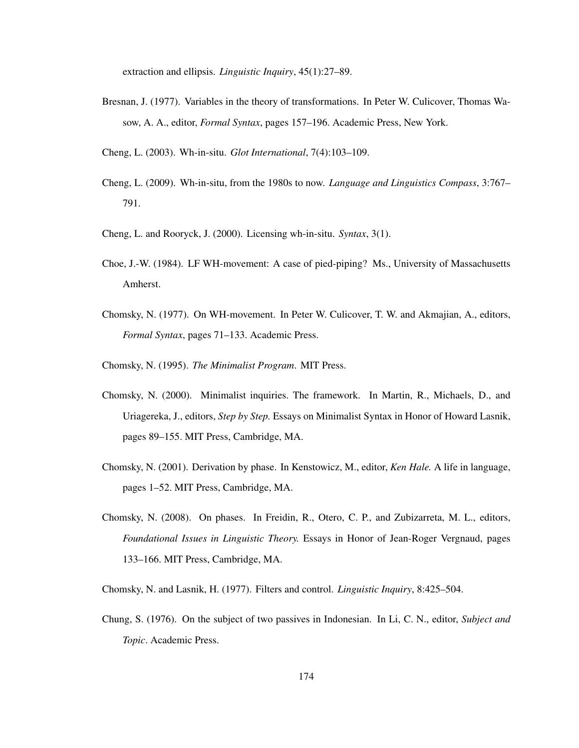extraction and ellipsis. *Linguistic Inquiry*, 45(1):27–89.

- Bresnan, J. (1977). Variables in the theory of transformations. In Peter W. Culicover, Thomas Wasow, A. A., editor, *Formal Syntax*, pages 157–196. Academic Press, New York.
- Cheng, L. (2003). Wh-in-situ. *Glot International*, 7(4):103–109.
- Cheng, L. (2009). Wh-in-situ, from the 1980s to now. *Language and Linguistics Compass*, 3:767– 791.
- Cheng, L. and Rooryck, J. (2000). Licensing wh-in-situ. *Syntax*, 3(1).
- Choe, J.-W. (1984). LF WH-movement: A case of pied-piping? Ms., University of Massachusetts Amherst.
- Chomsky, N. (1977). On WH-movement. In Peter W. Culicover, T. W. and Akmajian, A., editors, *Formal Syntax*, pages 71–133. Academic Press.
- Chomsky, N. (1995). *The Minimalist Program*. MIT Press.
- Chomsky, N. (2000). Minimalist inquiries. The framework. In Martin, R., Michaels, D., and Uriagereka, J., editors, *Step by Step.* Essays on Minimalist Syntax in Honor of Howard Lasnik, pages 89–155. MIT Press, Cambridge, MA.
- Chomsky, N. (2001). Derivation by phase. In Kenstowicz, M., editor, *Ken Hale.* A life in language, pages 1–52. MIT Press, Cambridge, MA.
- Chomsky, N. (2008). On phases. In Freidin, R., Otero, C. P., and Zubizarreta, M. L., editors, *Foundational Issues in Linguistic Theory.* Essays in Honor of Jean-Roger Vergnaud, pages 133–166. MIT Press, Cambridge, MA.
- Chomsky, N. and Lasnik, H. (1977). Filters and control. *Linguistic Inquiry*, 8:425–504.
- Chung, S. (1976). On the subject of two passives in Indonesian. In Li, C. N., editor, *Subject and Topic*. Academic Press.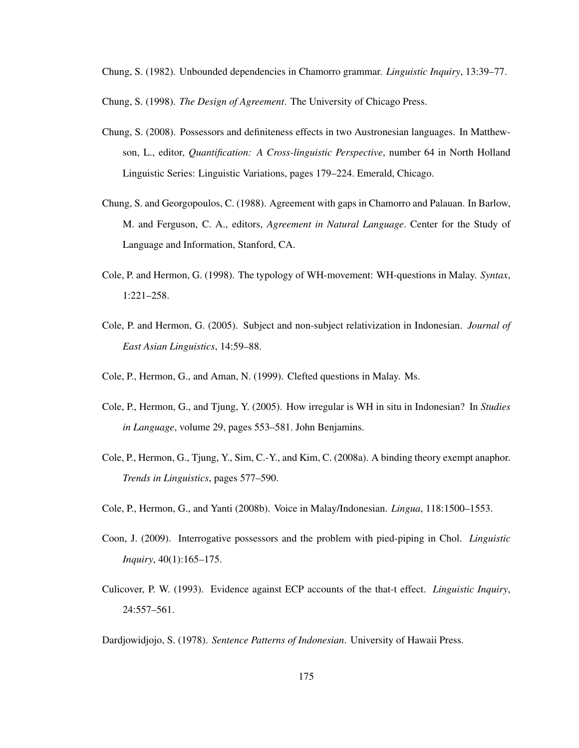Chung, S. (1982). Unbounded dependencies in Chamorro grammar. *Linguistic Inquiry*, 13:39–77.

Chung, S. (1998). *The Design of Agreement*. The University of Chicago Press.

- Chung, S. (2008). Possessors and definiteness effects in two Austronesian languages. In Matthewson, L., editor, *Quantification: A Cross-linguistic Perspective*, number 64 in North Holland Linguistic Series: Linguistic Variations, pages 179–224. Emerald, Chicago.
- Chung, S. and Georgopoulos, C. (1988). Agreement with gaps in Chamorro and Palauan. In Barlow, M. and Ferguson, C. A., editors, *Agreement in Natural Language*. Center for the Study of Language and Information, Stanford, CA.
- Cole, P. and Hermon, G. (1998). The typology of WH-movement: WH-questions in Malay. *Syntax*, 1:221–258.
- Cole, P. and Hermon, G. (2005). Subject and non-subject relativization in Indonesian. *Journal of East Asian Linguistics*, 14:59–88.
- Cole, P., Hermon, G., and Aman, N. (1999). Clefted questions in Malay. Ms.
- Cole, P., Hermon, G., and Tjung, Y. (2005). How irregular is WH in situ in Indonesian? In *Studies in Language*, volume 29, pages 553–581. John Benjamins.
- Cole, P., Hermon, G., Tjung, Y., Sim, C.-Y., and Kim, C. (2008a). A binding theory exempt anaphor. *Trends in Linguistics*, pages 577–590.
- Cole, P., Hermon, G., and Yanti (2008b). Voice in Malay/Indonesian. *Lingua*, 118:1500–1553.
- Coon, J. (2009). Interrogative possessors and the problem with pied-piping in Chol. *Linguistic Inquiry*, 40(1):165–175.
- Culicover, P. W. (1993). Evidence against ECP accounts of the that-t effect. *Linguistic Inquiry*, 24:557–561.

Dardjowidjojo, S. (1978). *Sentence Patterns of Indonesian*. University of Hawaii Press.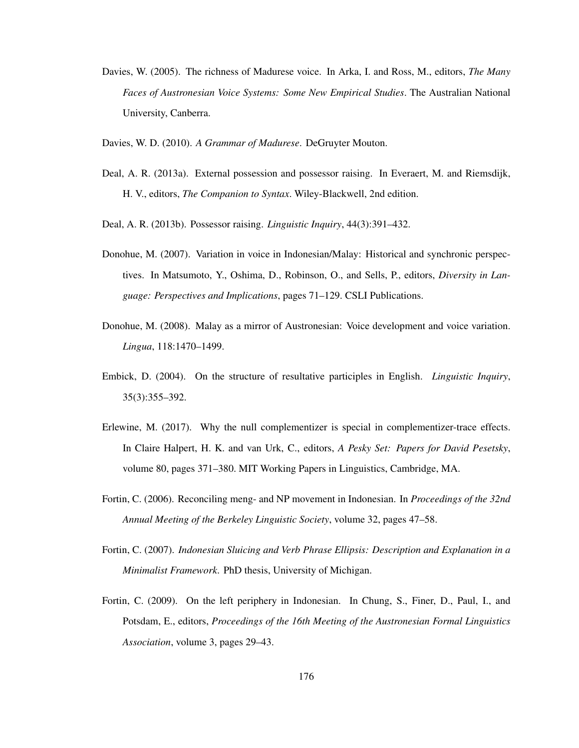- Davies, W. (2005). The richness of Madurese voice. In Arka, I. and Ross, M., editors, *The Many Faces of Austronesian Voice Systems: Some New Empirical Studies*. The Australian National University, Canberra.
- Davies, W. D. (2010). *A Grammar of Madurese*. DeGruyter Mouton.
- Deal, A. R. (2013a). External possession and possessor raising. In Everaert, M. and Riemsdijk, H. V., editors, *The Companion to Syntax*. Wiley-Blackwell, 2nd edition.
- Deal, A. R. (2013b). Possessor raising. *Linguistic Inquiry*, 44(3):391–432.
- Donohue, M. (2007). Variation in voice in Indonesian/Malay: Historical and synchronic perspectives. In Matsumoto, Y., Oshima, D., Robinson, O., and Sells, P., editors, *Diversity in Language: Perspectives and Implications*, pages 71–129. CSLI Publications.
- Donohue, M. (2008). Malay as a mirror of Austronesian: Voice development and voice variation. *Lingua*, 118:1470–1499.
- Embick, D. (2004). On the structure of resultative participles in English. *Linguistic Inquiry*, 35(3):355–392.
- Erlewine, M. (2017). Why the null complementizer is special in complementizer-trace effects. In Claire Halpert, H. K. and van Urk, C., editors, *A Pesky Set: Papers for David Pesetsky*, volume 80, pages 371–380. MIT Working Papers in Linguistics, Cambridge, MA.
- Fortin, C. (2006). Reconciling meng- and NP movement in Indonesian. In *Proceedings of the 32nd Annual Meeting of the Berkeley Linguistic Society*, volume 32, pages 47–58.
- Fortin, C. (2007). *Indonesian Sluicing and Verb Phrase Ellipsis: Description and Explanation in a Minimalist Framework*. PhD thesis, University of Michigan.
- Fortin, C. (2009). On the left periphery in Indonesian. In Chung, S., Finer, D., Paul, I., and Potsdam, E., editors, *Proceedings of the 16th Meeting of the Austronesian Formal Linguistics Association*, volume 3, pages 29–43.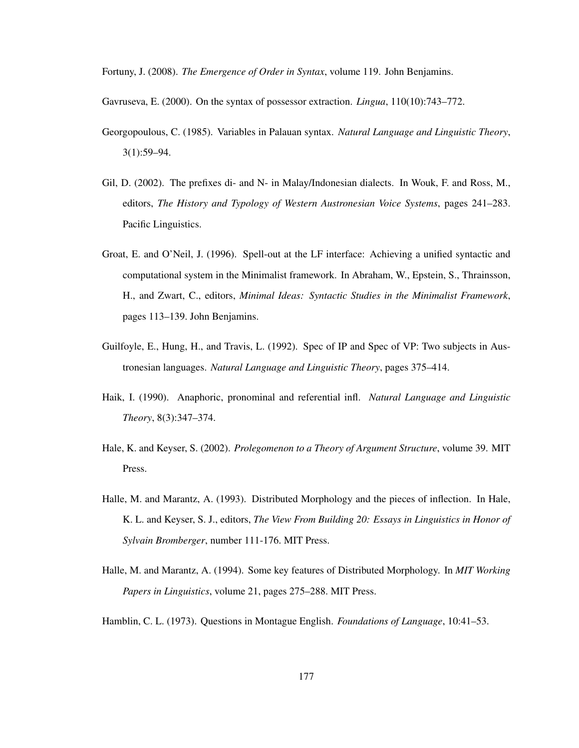Fortuny, J. (2008). *The Emergence of Order in Syntax*, volume 119. John Benjamins.

Gavruseva, E. (2000). On the syntax of possessor extraction. *Lingua*, 110(10):743–772.

- Georgopoulous, C. (1985). Variables in Palauan syntax. *Natural Language and Linguistic Theory*, 3(1):59–94.
- Gil, D. (2002). The prefixes di- and N- in Malay/Indonesian dialects. In Wouk, F. and Ross, M., editors, *The History and Typology of Western Austronesian Voice Systems*, pages 241–283. Pacific Linguistics.
- Groat, E. and O'Neil, J. (1996). Spell-out at the LF interface: Achieving a unified syntactic and computational system in the Minimalist framework. In Abraham, W., Epstein, S., Thrainsson, H., and Zwart, C., editors, *Minimal Ideas: Syntactic Studies in the Minimalist Framework*, pages 113–139. John Benjamins.
- Guilfoyle, E., Hung, H., and Travis, L. (1992). Spec of IP and Spec of VP: Two subjects in Austronesian languages. *Natural Language and Linguistic Theory*, pages 375–414.
- Haik, I. (1990). Anaphoric, pronominal and referential infl. *Natural Language and Linguistic Theory*, 8(3):347–374.
- Hale, K. and Keyser, S. (2002). *Prolegomenon to a Theory of Argument Structure*, volume 39. MIT Press.
- Halle, M. and Marantz, A. (1993). Distributed Morphology and the pieces of inflection. In Hale, K. L. and Keyser, S. J., editors, *The View From Building 20: Essays in Linguistics in Honor of Sylvain Bromberger*, number 111-176. MIT Press.
- Halle, M. and Marantz, A. (1994). Some key features of Distributed Morphology. In *MIT Working Papers in Linguistics*, volume 21, pages 275–288. MIT Press.

Hamblin, C. L. (1973). Questions in Montague English. *Foundations of Language*, 10:41–53.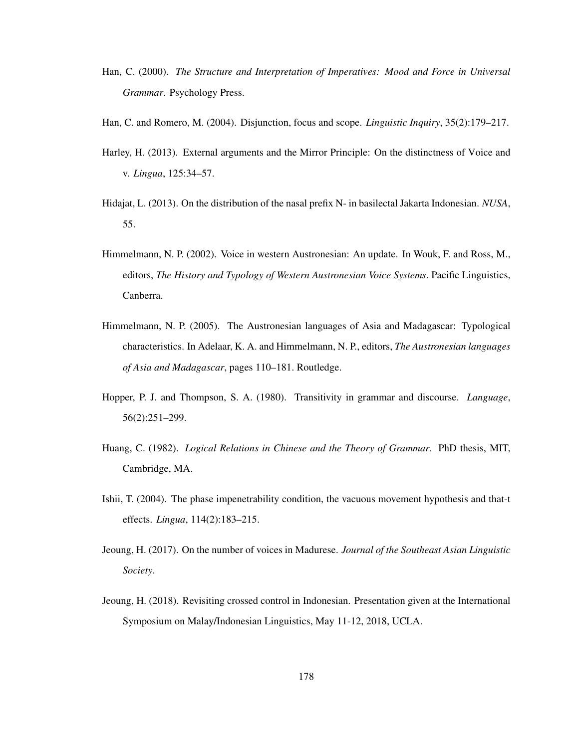- Han, C. (2000). *The Structure and Interpretation of Imperatives: Mood and Force in Universal Grammar*. Psychology Press.
- Han, C. and Romero, M. (2004). Disjunction, focus and scope. *Linguistic Inquiry*, 35(2):179–217.
- Harley, H. (2013). External arguments and the Mirror Principle: On the distinctness of Voice and v. *Lingua*, 125:34–57.
- Hidajat, L. (2013). On the distribution of the nasal prefix N- in basilectal Jakarta Indonesian. *NUSA*, 55.
- Himmelmann, N. P. (2002). Voice in western Austronesian: An update. In Wouk, F. and Ross, M., editors, *The History and Typology of Western Austronesian Voice Systems*. Pacific Linguistics, Canberra.
- Himmelmann, N. P. (2005). The Austronesian languages of Asia and Madagascar: Typological characteristics. In Adelaar, K. A. and Himmelmann, N. P., editors, *The Austronesian languages of Asia and Madagascar*, pages 110–181. Routledge.
- Hopper, P. J. and Thompson, S. A. (1980). Transitivity in grammar and discourse. *Language*, 56(2):251–299.
- Huang, C. (1982). *Logical Relations in Chinese and the Theory of Grammar*. PhD thesis, MIT, Cambridge, MA.
- Ishii, T. (2004). The phase impenetrability condition, the vacuous movement hypothesis and that-t effects. *Lingua*, 114(2):183–215.
- Jeoung, H. (2017). On the number of voices in Madurese. *Journal of the Southeast Asian Linguistic Society*.
- Jeoung, H. (2018). Revisiting crossed control in Indonesian. Presentation given at the International Symposium on Malay/Indonesian Linguistics, May 11-12, 2018, UCLA.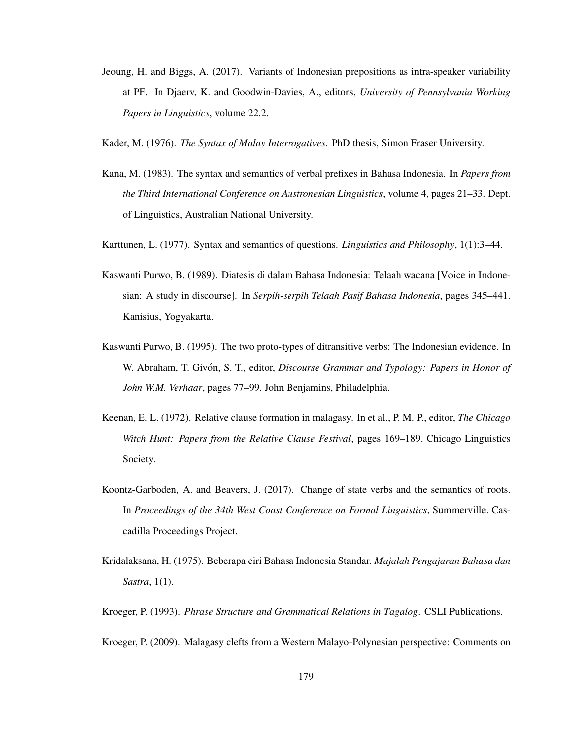- Jeoung, H. and Biggs, A. (2017). Variants of Indonesian prepositions as intra-speaker variability at PF. In Djaerv, K. and Goodwin-Davies, A., editors, *University of Pennsylvania Working Papers in Linguistics*, volume 22.2.
- Kader, M. (1976). *The Syntax of Malay Interrogatives*. PhD thesis, Simon Fraser University.
- Kana, M. (1983). The syntax and semantics of verbal prefixes in Bahasa Indonesia. In *Papers from the Third International Conference on Austronesian Linguistics*, volume 4, pages 21–33. Dept. of Linguistics, Australian National University.
- Karttunen, L. (1977). Syntax and semantics of questions. *Linguistics and Philosophy*, 1(1):3–44.
- Kaswanti Purwo, B. (1989). Diatesis di dalam Bahasa Indonesia: Telaah wacana [Voice in Indonesian: A study in discourse]. In *Serpih-serpih Telaah Pasif Bahasa Indonesia*, pages 345–441. Kanisius, Yogyakarta.
- Kaswanti Purwo, B. (1995). The two proto-types of ditransitive verbs: The Indonesian evidence. In W. Abraham, T. Givón, S. T., editor, *Discourse Grammar and Typology: Papers in Honor of John W.M. Verhaar*, pages 77–99. John Benjamins, Philadelphia.
- Keenan, E. L. (1972). Relative clause formation in malagasy. In et al., P. M. P., editor, *The Chicago Witch Hunt: Papers from the Relative Clause Festival*, pages 169–189. Chicago Linguistics Society.
- Koontz-Garboden, A. and Beavers, J. (2017). Change of state verbs and the semantics of roots. In *Proceedings of the 34th West Coast Conference on Formal Linguistics*, Summerville. Cascadilla Proceedings Project.
- Kridalaksana, H. (1975). Beberapa ciri Bahasa Indonesia Standar. *Majalah Pengajaran Bahasa dan Sastra*, 1(1).
- Kroeger, P. (1993). *Phrase Structure and Grammatical Relations in Tagalog*. CSLI Publications.
- Kroeger, P. (2009). Malagasy clefts from a Western Malayo-Polynesian perspective: Comments on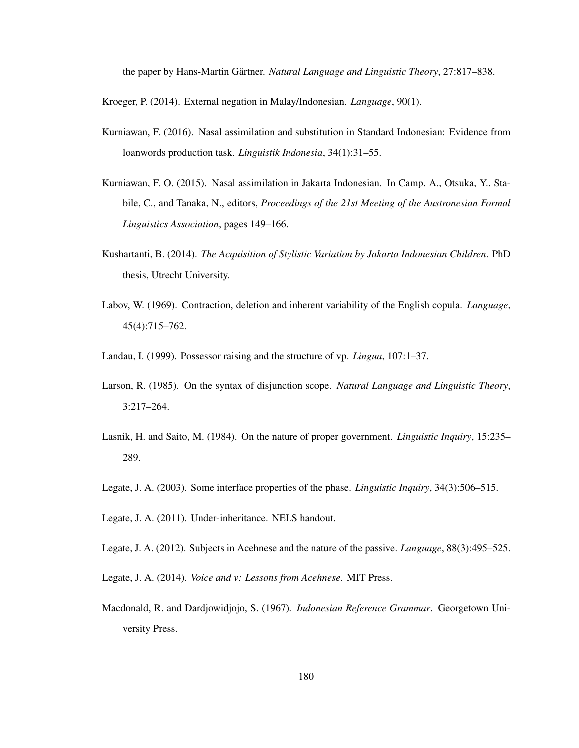the paper by Hans-Martin Gärtner. *Natural Language and Linguistic Theory*, 27:817–838.

Kroeger, P. (2014). External negation in Malay/Indonesian. *Language*, 90(1).

- Kurniawan, F. (2016). Nasal assimilation and substitution in Standard Indonesian: Evidence from loanwords production task. *Linguistik Indonesia*, 34(1):31–55.
- Kurniawan, F. O. (2015). Nasal assimilation in Jakarta Indonesian. In Camp, A., Otsuka, Y., Stabile, C., and Tanaka, N., editors, *Proceedings of the 21st Meeting of the Austronesian Formal Linguistics Association*, pages 149–166.
- Kushartanti, B. (2014). *The Acquisition of Stylistic Variation by Jakarta Indonesian Children*. PhD thesis, Utrecht University.
- Labov, W. (1969). Contraction, deletion and inherent variability of the English copula. *Language*, 45(4):715–762.
- Landau, I. (1999). Possessor raising and the structure of vp. *Lingua*, 107:1–37.
- Larson, R. (1985). On the syntax of disjunction scope. *Natural Language and Linguistic Theory*, 3:217–264.
- Lasnik, H. and Saito, M. (1984). On the nature of proper government. *Linguistic Inquiry*, 15:235– 289.
- Legate, J. A. (2003). Some interface properties of the phase. *Linguistic Inquiry*, 34(3):506–515.
- Legate, J. A. (2011). Under-inheritance. NELS handout.
- Legate, J. A. (2012). Subjects in Acehnese and the nature of the passive. *Language*, 88(3):495–525.
- Legate, J. A. (2014). *Voice and v: Lessons from Acehnese*. MIT Press.
- Macdonald, R. and Dardjowidjojo, S. (1967). *Indonesian Reference Grammar*. Georgetown University Press.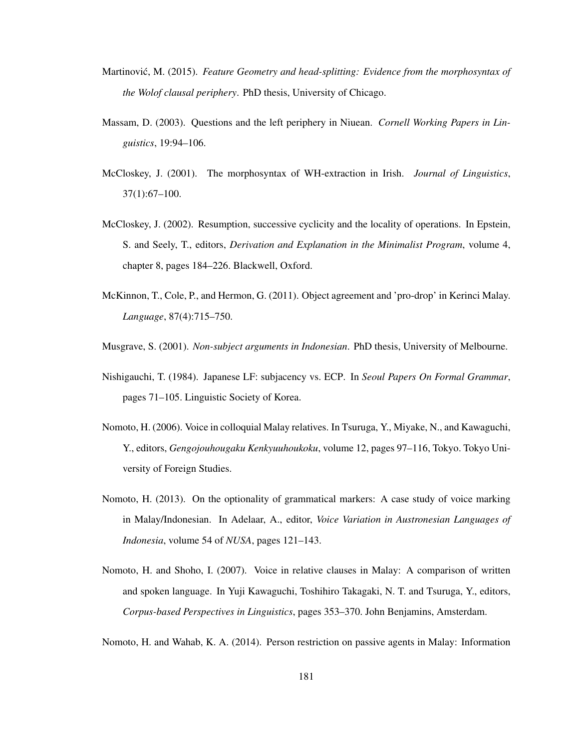- Martinović, M. (2015). *Feature Geometry and head-splitting: Evidence from the morphosyntax of the Wolof clausal periphery*. PhD thesis, University of Chicago.
- Massam, D. (2003). Questions and the left periphery in Niuean. *Cornell Working Papers in Linguistics*, 19:94–106.
- McCloskey, J. (2001). The morphosyntax of WH-extraction in Irish. *Journal of Linguistics*, 37(1):67–100.
- McCloskey, J. (2002). Resumption, successive cyclicity and the locality of operations. In Epstein, S. and Seely, T., editors, *Derivation and Explanation in the Minimalist Program*, volume 4, chapter 8, pages 184–226. Blackwell, Oxford.
- McKinnon, T., Cole, P., and Hermon, G. (2011). Object agreement and 'pro-drop' in Kerinci Malay. *Language*, 87(4):715–750.

Musgrave, S. (2001). *Non-subject arguments in Indonesian*. PhD thesis, University of Melbourne.

- Nishigauchi, T. (1984). Japanese LF: subjacency vs. ECP. In *Seoul Papers On Formal Grammar*, pages 71–105. Linguistic Society of Korea.
- Nomoto, H. (2006). Voice in colloquial Malay relatives. In Tsuruga, Y., Miyake, N., and Kawaguchi, Y., editors, *Gengojouhougaku Kenkyuuhoukoku*, volume 12, pages 97–116, Tokyo. Tokyo University of Foreign Studies.
- Nomoto, H. (2013). On the optionality of grammatical markers: A case study of voice marking in Malay/Indonesian. In Adelaar, A., editor, *Voice Variation in Austronesian Languages of Indonesia*, volume 54 of *NUSA*, pages 121–143.
- Nomoto, H. and Shoho, I. (2007). Voice in relative clauses in Malay: A comparison of written and spoken language. In Yuji Kawaguchi, Toshihiro Takagaki, N. T. and Tsuruga, Y., editors, *Corpus-based Perspectives in Linguistics*, pages 353–370. John Benjamins, Amsterdam.

Nomoto, H. and Wahab, K. A. (2014). Person restriction on passive agents in Malay: Information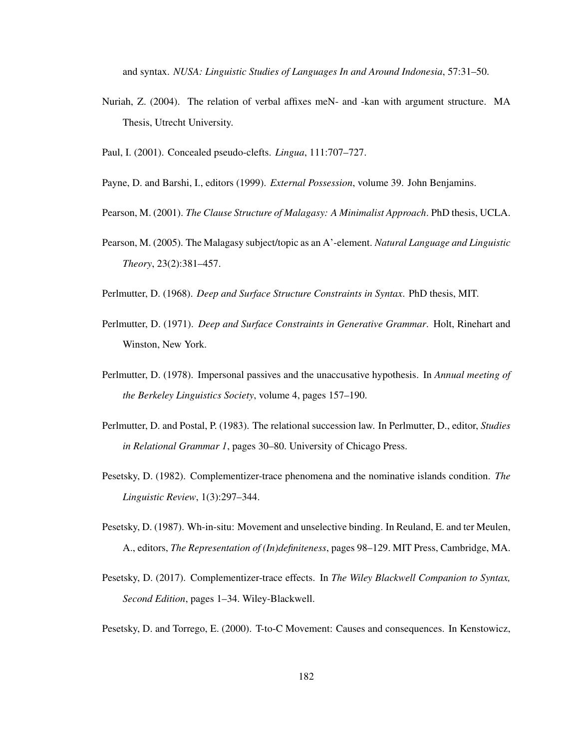and syntax. *NUSA: Linguistic Studies of Languages In and Around Indonesia*, 57:31–50.

- Nuriah, Z. (2004). The relation of verbal affixes meN- and -kan with argument structure. MA Thesis, Utrecht University.
- Paul, I. (2001). Concealed pseudo-clefts. *Lingua*, 111:707–727.
- Payne, D. and Barshi, I., editors (1999). *External Possession*, volume 39. John Benjamins.
- Pearson, M. (2001). *The Clause Structure of Malagasy: A Minimalist Approach*. PhD thesis, UCLA.
- Pearson, M. (2005). The Malagasy subject/topic as an A'-element. *Natural Language and Linguistic Theory*, 23(2):381–457.
- Perlmutter, D. (1968). *Deep and Surface Structure Constraints in Syntax*. PhD thesis, MIT.
- Perlmutter, D. (1971). *Deep and Surface Constraints in Generative Grammar*. Holt, Rinehart and Winston, New York.
- Perlmutter, D. (1978). Impersonal passives and the unaccusative hypothesis. In *Annual meeting of the Berkeley Linguistics Society*, volume 4, pages 157–190.
- Perlmutter, D. and Postal, P. (1983). The relational succession law. In Perlmutter, D., editor, *Studies in Relational Grammar 1*, pages 30–80. University of Chicago Press.
- Pesetsky, D. (1982). Complementizer-trace phenomena and the nominative islands condition. *The Linguistic Review*, 1(3):297–344.
- Pesetsky, D. (1987). Wh-in-situ: Movement and unselective binding. In Reuland, E. and ter Meulen, A., editors, *The Representation of (In)definiteness*, pages 98–129. MIT Press, Cambridge, MA.
- Pesetsky, D. (2017). Complementizer-trace effects. In *The Wiley Blackwell Companion to Syntax, Second Edition*, pages 1–34. Wiley-Blackwell.
- Pesetsky, D. and Torrego, E. (2000). T-to-C Movement: Causes and consequences. In Kenstowicz,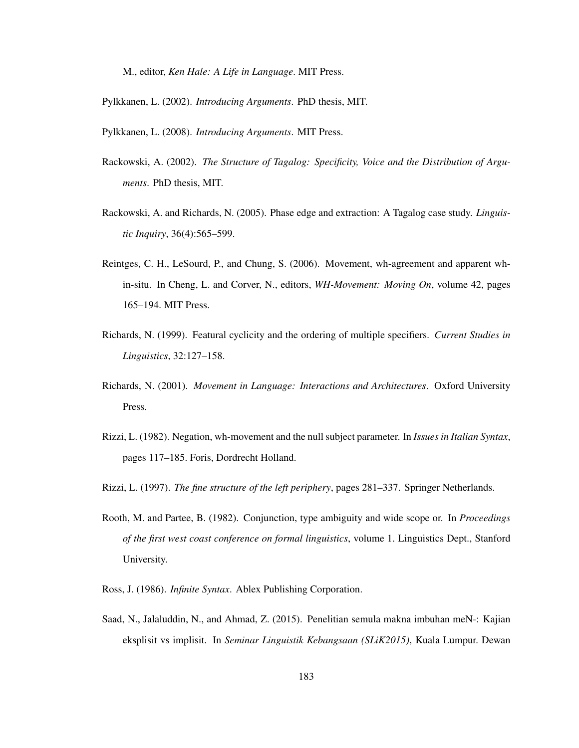M., editor, *Ken Hale: A Life in Language*. MIT Press.

- Pylkkanen, L. (2002). *Introducing Arguments*. PhD thesis, MIT.
- Pylkkanen, L. (2008). *Introducing Arguments*. MIT Press.
- Rackowski, A. (2002). *The Structure of Tagalog: Specificity, Voice and the Distribution of Arguments*. PhD thesis, MIT.
- Rackowski, A. and Richards, N. (2005). Phase edge and extraction: A Tagalog case study. *Linguistic Inquiry*, 36(4):565–599.
- Reintges, C. H., LeSourd, P., and Chung, S. (2006). Movement, wh-agreement and apparent whin-situ. In Cheng, L. and Corver, N., editors, *WH-Movement: Moving On*, volume 42, pages 165–194. MIT Press.
- Richards, N. (1999). Featural cyclicity and the ordering of multiple specifiers. *Current Studies in Linguistics*, 32:127–158.
- Richards, N. (2001). *Movement in Language: Interactions and Architectures*. Oxford University Press.
- Rizzi, L. (1982). Negation, wh-movement and the null subject parameter. In *Issues in Italian Syntax*, pages 117–185. Foris, Dordrecht Holland.
- Rizzi, L. (1997). *The fine structure of the left periphery*, pages 281–337. Springer Netherlands.
- Rooth, M. and Partee, B. (1982). Conjunction, type ambiguity and wide scope or. In *Proceedings of the first west coast conference on formal linguistics*, volume 1. Linguistics Dept., Stanford University.
- Ross, J. (1986). *Infinite Syntax*. Ablex Publishing Corporation.
- Saad, N., Jalaluddin, N., and Ahmad, Z. (2015). Penelitian semula makna imbuhan meN-: Kajian eksplisit vs implisit. In *Seminar Linguistik Kebangsaan (SLiK2015)*, Kuala Lumpur. Dewan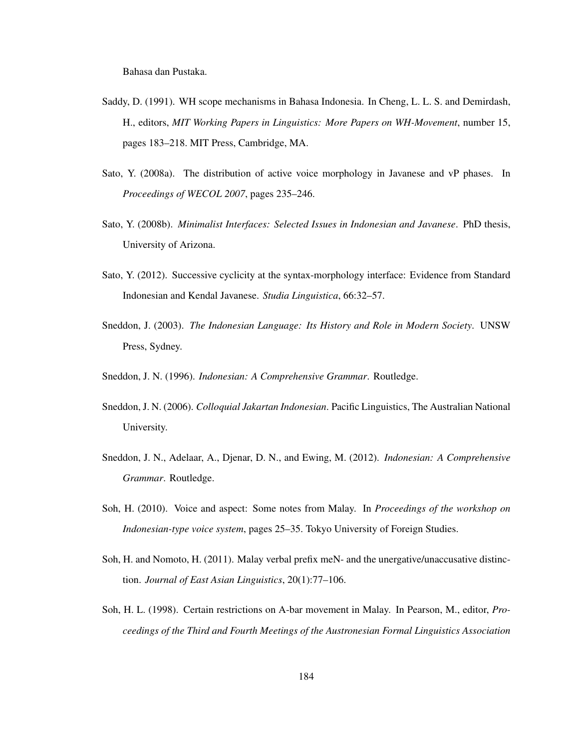Bahasa dan Pustaka.

- Saddy, D. (1991). WH scope mechanisms in Bahasa Indonesia. In Cheng, L. L. S. and Demirdash, H., editors, *MIT Working Papers in Linguistics: More Papers on WH-Movement*, number 15, pages 183–218. MIT Press, Cambridge, MA.
- Sato, Y. (2008a). The distribution of active voice morphology in Javanese and vP phases. In *Proceedings of WECOL 2007*, pages 235–246.
- Sato, Y. (2008b). *Minimalist Interfaces: Selected Issues in Indonesian and Javanese*. PhD thesis, University of Arizona.
- Sato, Y. (2012). Successive cyclicity at the syntax-morphology interface: Evidence from Standard Indonesian and Kendal Javanese. *Studia Linguistica*, 66:32–57.
- Sneddon, J. (2003). *The Indonesian Language: Its History and Role in Modern Society*. UNSW Press, Sydney.
- Sneddon, J. N. (1996). *Indonesian: A Comprehensive Grammar*. Routledge.
- Sneddon, J. N. (2006). *Colloquial Jakartan Indonesian*. Pacific Linguistics, The Australian National University.
- Sneddon, J. N., Adelaar, A., Djenar, D. N., and Ewing, M. (2012). *Indonesian: A Comprehensive Grammar*. Routledge.
- Soh, H. (2010). Voice and aspect: Some notes from Malay. In *Proceedings of the workshop on Indonesian-type voice system*, pages 25–35. Tokyo University of Foreign Studies.
- Soh, H. and Nomoto, H. (2011). Malay verbal prefix meN- and the unergative/unaccusative distinction. *Journal of East Asian Linguistics*, 20(1):77–106.
- Soh, H. L. (1998). Certain restrictions on A-bar movement in Malay. In Pearson, M., editor, *Proceedings of the Third and Fourth Meetings of the Austronesian Formal Linguistics Association*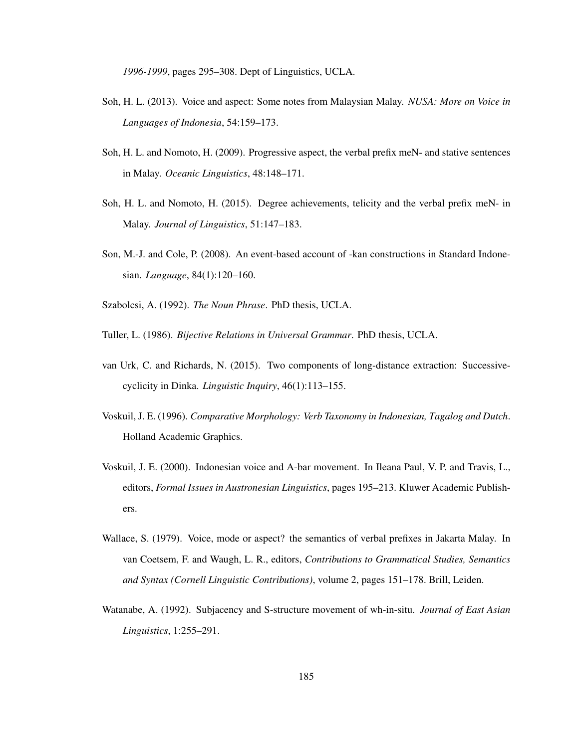*1996-1999*, pages 295–308. Dept of Linguistics, UCLA.

- Soh, H. L. (2013). Voice and aspect: Some notes from Malaysian Malay. *NUSA: More on Voice in Languages of Indonesia*, 54:159–173.
- Soh, H. L. and Nomoto, H. (2009). Progressive aspect, the verbal prefix meN- and stative sentences in Malay. *Oceanic Linguistics*, 48:148–171.
- Soh, H. L. and Nomoto, H. (2015). Degree achievements, telicity and the verbal prefix meN- in Malay. *Journal of Linguistics*, 51:147–183.
- Son, M.-J. and Cole, P. (2008). An event-based account of -kan constructions in Standard Indonesian. *Language*, 84(1):120–160.
- Szabolcsi, A. (1992). *The Noun Phrase*. PhD thesis, UCLA.
- Tuller, L. (1986). *Bijective Relations in Universal Grammar*. PhD thesis, UCLA.
- van Urk, C. and Richards, N. (2015). Two components of long-distance extraction: Successivecyclicity in Dinka. *Linguistic Inquiry*, 46(1):113–155.
- Voskuil, J. E. (1996). *Comparative Morphology: Verb Taxonomy in Indonesian, Tagalog and Dutch*. Holland Academic Graphics.
- Voskuil, J. E. (2000). Indonesian voice and A-bar movement. In Ileana Paul, V. P. and Travis, L., editors, *Formal Issues in Austronesian Linguistics*, pages 195–213. Kluwer Academic Publishers.
- Wallace, S. (1979). Voice, mode or aspect? the semantics of verbal prefixes in Jakarta Malay. In van Coetsem, F. and Waugh, L. R., editors, *Contributions to Grammatical Studies, Semantics and Syntax (Cornell Linguistic Contributions)*, volume 2, pages 151–178. Brill, Leiden.
- Watanabe, A. (1992). Subjacency and S-structure movement of wh-in-situ. *Journal of East Asian Linguistics*, 1:255–291.